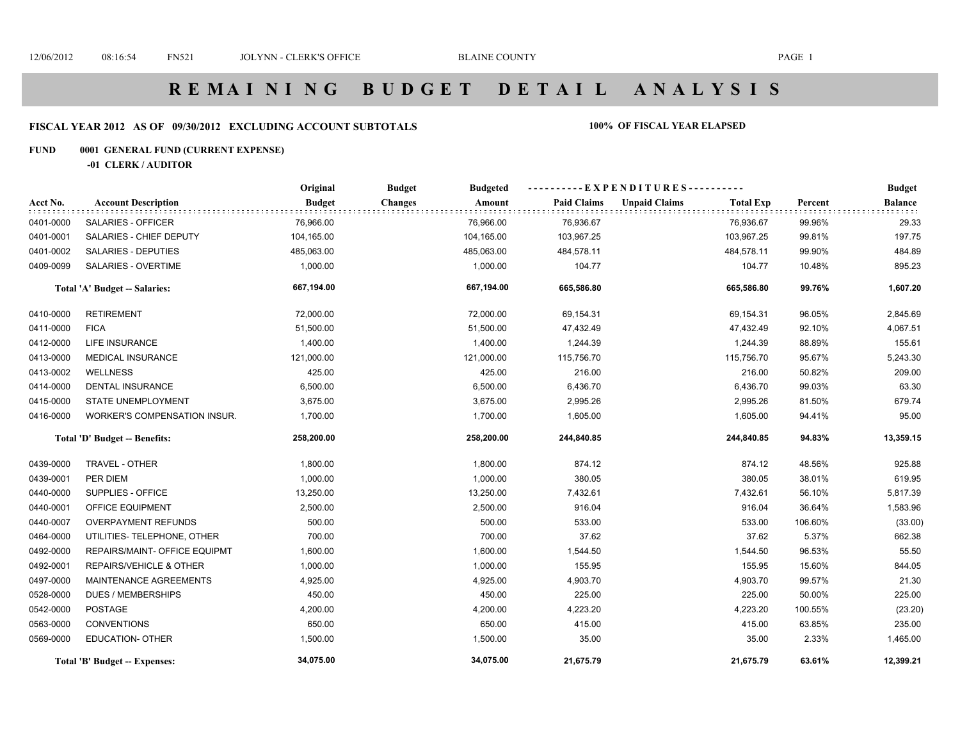### **FISCAL YEAR 2012 AS OF 09/30/2012 EXCLUDING ACCOUNT SUBTOTALS 100% OF FISCAL YEAR ELAPSED**

### **FUND 0001 GENERAL FUND (CURRENT EXPENSE)**

### **-01 CLERK / AUDITOR**

|           |                               | Original      | <b>Budget</b><br><b>Budgeted</b> |                    | ----------EXPENDITURES---------- |                             | <b>Budget</b>  |
|-----------|-------------------------------|---------------|----------------------------------|--------------------|----------------------------------|-----------------------------|----------------|
| Acct No.  | <b>Account Description</b>    | <b>Budget</b> | <b>Changes</b><br>Amount         | <b>Paid Claims</b> | <b>Unpaid Claims</b>             | <b>Total Exp</b><br>Percent | <b>Balance</b> |
| 0401-0000 | SALARIES - OFFICER            | 76,966.00     | 76,966.00                        | 76,936.67          | 76,936.67                        | 99.96%                      | 29.33          |
| 0401-0001 | SALARIES - CHIEF DEPUTY       | 104,165.00    | 104,165.00                       | 103,967.25         | 103,967.25                       | 99.81%                      | 197.75         |
| 0401-0002 | <b>SALARIES - DEPUTIES</b>    | 485,063.00    | 485,063.00                       | 484,578.11         | 484,578.11                       | 99.90%                      | 484.89         |
| 0409-0099 | <b>SALARIES - OVERTIME</b>    | 1,000.00      | 1,000.00                         | 104.77             |                                  | 104.77<br>10.48%            | 895.23         |
|           | Total 'A' Budget -- Salaries: | 667,194.00    | 667,194.00                       | 665,586.80         | 665,586.80                       | 99.76%                      | 1,607.20       |
| 0410-0000 | <b>RETIREMENT</b>             | 72,000.00     | 72,000.00                        | 69,154.31          | 69,154.31                        | 96.05%                      | 2,845.69       |
| 0411-0000 | <b>FICA</b>                   | 51,500.00     | 51,500.00                        | 47,432.49          | 47,432.49                        | 92.10%                      | 4,067.51       |
| 0412-0000 | LIFE INSURANCE                | 1,400.00      | 1,400.00                         | 1,244.39           |                                  | 1,244.39<br>88.89%          | 155.61         |
| 0413-0000 | MEDICAL INSURANCE             | 121,000.00    | 121,000.00                       | 115,756.70         | 115,756.70                       | 95.67%                      | 5,243.30       |
| 0413-0002 | <b>WELLNESS</b>               | 425.00        | 425.00                           | 216.00             |                                  | 216.00<br>50.82%            | 209.00         |
| 0414-0000 | <b>DENTAL INSURANCE</b>       | 6,500.00      | 6,500.00                         | 6,436.70           |                                  | 6,436.70<br>99.03%          | 63.30          |
| 0415-0000 | STATE UNEMPLOYMENT            | 3,675.00      | 3,675.00                         | 2,995.26           |                                  | 2,995.26<br>81.50%          | 679.74         |
| 0416-0000 | WORKER'S COMPENSATION INSUR.  | 1,700.00      | 1,700.00                         | 1,605.00           |                                  | 1,605.00<br>94.41%          | 95.00          |
|           | Total 'D' Budget -- Benefits: | 258,200.00    | 258,200.00                       | 244,840.85         | 244,840.85                       | 94.83%                      | 13,359.15      |
| 0439-0000 | TRAVEL - OTHER                | 1,800.00      | 1,800.00                         | 874.12             |                                  | 874.12<br>48.56%            | 925.88         |
| 0439-0001 | PER DIEM                      | 1,000.00      | 1,000.00                         | 380.05             |                                  | 380.05<br>38.01%            | 619.95         |
| 0440-0000 | SUPPLIES - OFFICE             | 13,250.00     | 13,250.00                        | 7,432.61           |                                  | 7,432.61<br>56.10%          | 5,817.39       |
| 0440-0001 | OFFICE EQUIPMENT              | 2,500.00      | 2,500.00                         | 916.04             |                                  | 916.04<br>36.64%            | 1,583.96       |
| 0440-0007 | <b>OVERPAYMENT REFUNDS</b>    | 500.00        | 500.00                           | 533.00             |                                  | 533.00<br>106.60%           | (33.00)        |
| 0464-0000 | UTILITIES- TELEPHONE, OTHER   | 700.00        | 700.00                           | 37.62              |                                  | 37.62<br>5.37%              | 662.38         |
| 0492-0000 | REPAIRS/MAINT- OFFICE EQUIPMT | 1,600.00      | 1,600.00                         | 1,544.50           |                                  | 96.53%<br>1,544.50          | 55.50          |
| 0492-0001 | REPAIRS/VEHICLE & OTHER       | 1,000.00      | 1,000.00                         | 155.95             |                                  | 15.60%<br>155.95            | 844.05         |
| 0497-0000 | <b>MAINTENANCE AGREEMENTS</b> | 4,925.00      | 4,925.00                         | 4,903.70           |                                  | 4,903.70<br>99.57%          | 21.30          |
| 0528-0000 | <b>DUES / MEMBERSHIPS</b>     | 450.00        | 450.00                           | 225.00             |                                  | 225.00<br>50.00%            | 225.00         |
| 0542-0000 | <b>POSTAGE</b>                | 4,200.00      | 4,200.00                         | 4,223.20           |                                  | 4,223.20<br>100.55%         | (23.20)        |
| 0563-0000 | <b>CONVENTIONS</b>            | 650.00        | 650.00                           | 415.00             |                                  | 415.00<br>63.85%            | 235.00         |
| 0569-0000 | <b>EDUCATION- OTHER</b>       | 1,500.00      | 1,500.00                         | 35.00              |                                  | 35.00<br>2.33%              | 1,465.00       |
|           | Total 'B' Budget -- Expenses: | 34,075.00     | 34,075.00                        | 21,675.79          |                                  | 21,675.79<br>63.61%         | 12,399.21      |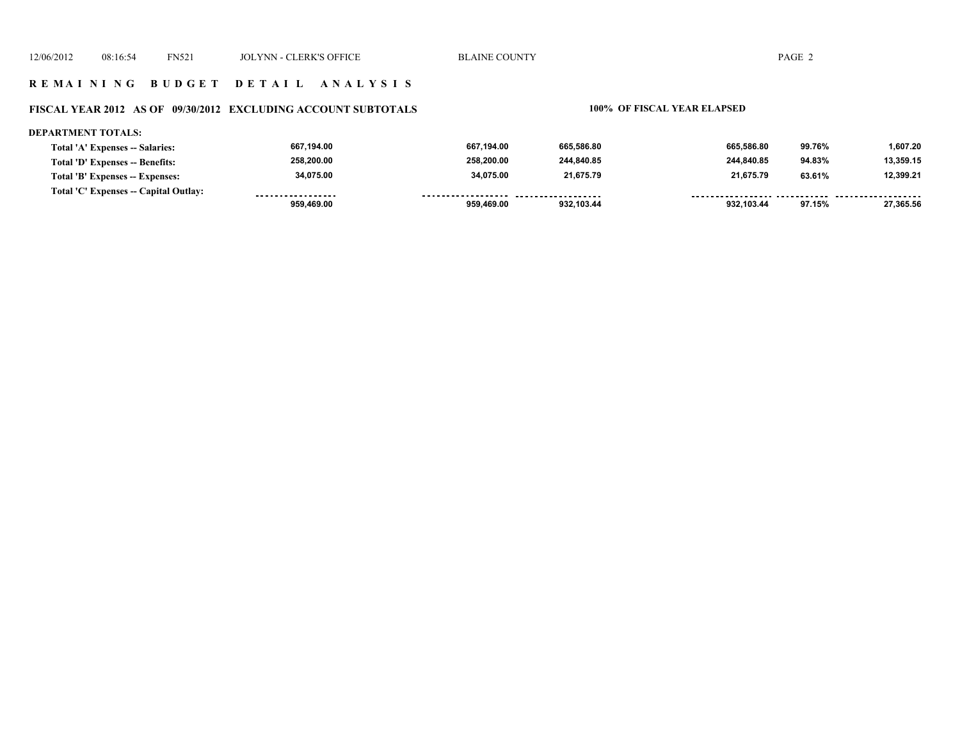### **FISCAL YEAR 2012 AS OF 09/30/2012 EXCLUDING ACCOUNT SUBTOTALS 100% OF FISCAL YEAR ELAPSED**

### **DEPARTMENT TOTALS:**

| <b>Total 'A' Expenses -- Salaries:</b> | 667.194.00        | 667.194.00 | 665,586.80           | 665.586.80 | 99.76% | 1.607.20  |
|----------------------------------------|-------------------|------------|----------------------|------------|--------|-----------|
| Total 'D' Expenses -- Benefits:        | 258,200.00        | 258.200.00 | 244,840.85           | 244.840.85 | 94.83% | 13,359.15 |
| Total 'B' Expenses -- Expenses:        | 34.075.00         | 34.075.00  | 21.675.79            | 21.675.79  | 63.61% | 12.399.21 |
| Total 'C' Expenses -- Capital Outlay:  | ----------------- |            | -------------------- |            |        |           |
|                                        | 959,469.00        | 959.469.00 | 932.103.44           | 932.103.44 | 97.15% | 27,365.56 |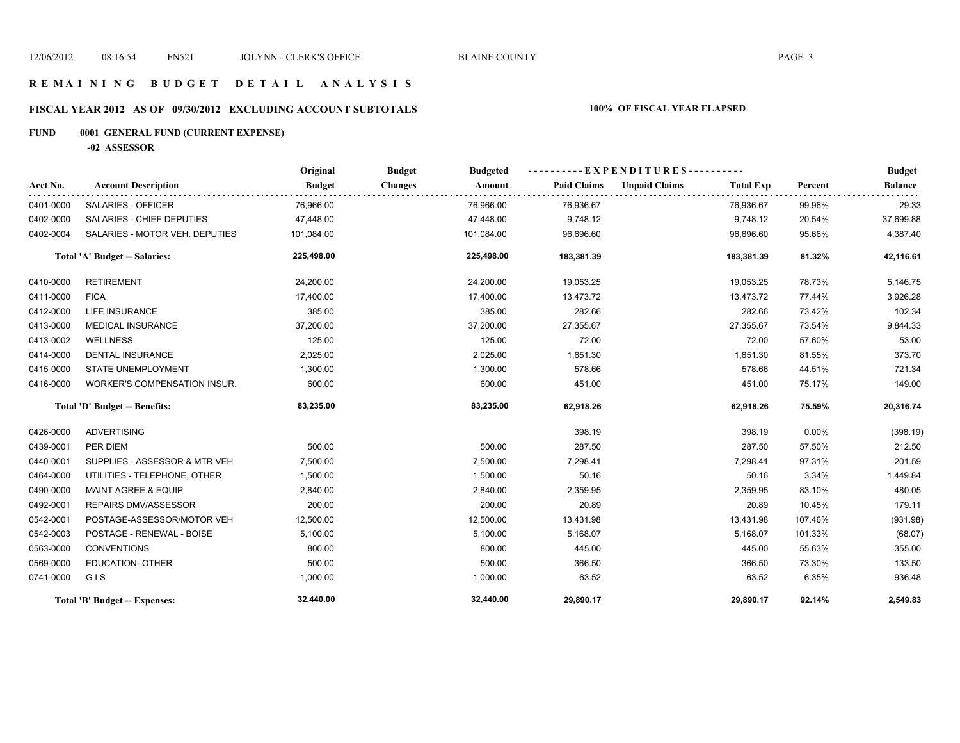### **R E M A I N I N G B U D G E T D E T A I L A N A L Y S I S**

# **FISCAL YEAR 2012 AS OF 09/30/2012 EXCLUDING ACCOUNT SUBTOTALS 100% OF FISCAL YEAR ELAPSED**

# **FUND 0001 GENERAL FUND (CURRENT EXPENSE)**

**-02 ASSESSOR**

|           |                                      | Original      | <b>Budget</b>  | <b>Budgeted</b> |                    | - EXPENDITURES---------- |                  | <b>Budget</b> |                |
|-----------|--------------------------------------|---------------|----------------|-----------------|--------------------|--------------------------|------------------|---------------|----------------|
| Acct No.  | <b>Account Description</b>           | <b>Budget</b> | <b>Changes</b> | Amount          | <b>Paid Claims</b> | <b>Unpaid Claims</b>     | <b>Total Exp</b> | Percent       | <b>Balance</b> |
| 0401-0000 | <b>SALARIES - OFFICER</b>            | 76,966.00     |                | 76,966.00       | 76,936.67          |                          | 76,936.67        | 99.96%        | 29.33          |
| 0402-0000 | SALARIES - CHIEF DEPUTIES            | 47,448.00     |                | 47,448.00       | 9,748.12           |                          | 9,748.12         | 20.54%        | 37,699.88      |
| 0402-0004 | SALARIES - MOTOR VEH. DEPUTIES       | 101,084.00    |                | 101,084.00      | 96,696.60          |                          | 96,696.60        | 95.66%        | 4,387.40       |
|           | <b>Total 'A' Budget -- Salaries:</b> | 225,498.00    |                | 225,498.00      | 183,381.39         |                          | 183,381.39       | 81.32%        | 42,116.61      |
| 0410-0000 | <b>RETIREMENT</b>                    | 24,200.00     |                | 24,200.00       | 19,053.25          |                          | 19,053.25        | 78.73%        | 5,146.75       |
| 0411-0000 | <b>FICA</b>                          | 17,400.00     |                | 17,400.00       | 13,473.72          |                          | 13,473.72        | 77.44%        | 3,926.28       |
| 0412-0000 | <b>LIFE INSURANCE</b>                | 385.00        |                | 385.00          | 282.66             |                          | 282.66           | 73.42%        | 102.34         |
| 0413-0000 | MEDICAL INSURANCE                    | 37,200.00     |                | 37,200.00       | 27,355.67          |                          | 27,355.67        | 73.54%        | 9,844.33       |
| 0413-0002 | <b>WELLNESS</b>                      | 125.00        |                | 125.00          | 72.00              |                          | 72.00            | 57.60%        | 53.00          |
| 0414-0000 | <b>DENTAL INSURANCE</b>              | 2,025.00      |                | 2,025.00        | 1,651.30           |                          | 1,651.30         | 81.55%        | 373.70         |
| 0415-0000 | <b>STATE UNEMPLOYMENT</b>            | 1,300.00      |                | 1,300.00        | 578.66             |                          | 578.66           | 44.51%        | 721.34         |
| 0416-0000 | WORKER'S COMPENSATION INSUR.         | 600.00        |                | 600.00          | 451.00             |                          | 451.00           | 75.17%        | 149.00         |
|           | Total 'D' Budget -- Benefits:        | 83,235.00     |                | 83,235.00       | 62,918.26          |                          | 62,918.26        | 75.59%        | 20,316.74      |
| 0426-0000 | <b>ADVERTISING</b>                   |               |                |                 | 398.19             |                          | 398.19           | 0.00%         | (398.19)       |
| 0439-0001 | PER DIEM                             | 500.00        |                | 500.00          | 287.50             |                          | 287.50           | 57.50%        | 212.50         |
| 0440-0001 | SUPPLIES - ASSESSOR & MTR VEH        | 7,500.00      |                | 7,500.00        | 7,298.41           |                          | 7,298.41         | 97.31%        | 201.59         |
| 0464-0000 | UTILITIES - TELEPHONE, OTHER         | 1,500.00      |                | 1,500.00        | 50.16              |                          | 50.16            | 3.34%         | 1,449.84       |
| 0490-0000 | <b>MAINT AGREE &amp; EQUIP</b>       | 2,840.00      |                | 2,840.00        | 2,359.95           |                          | 2,359.95         | 83.10%        | 480.05         |
| 0492-0001 | REPAIRS DMV/ASSESSOR                 | 200.00        |                | 200.00          | 20.89              |                          | 20.89            | 10.45%        | 179.11         |
| 0542-0001 | POSTAGE-ASSESSOR/MOTOR VEH           | 12,500.00     |                | 12,500.00       | 13,431.98          |                          | 13,431.98        | 107.46%       | (931.98)       |
| 0542-0003 | POSTAGE - RENEWAL - BOISE            | 5,100.00      |                | 5,100.00        | 5,168.07           |                          | 5,168.07         | 101.33%       | (68.07)        |
| 0563-0000 | <b>CONVENTIONS</b>                   | 800.00        |                | 800.00          | 445.00             |                          | 445.00           | 55.63%        | 355.00         |
| 0569-0000 | <b>EDUCATION- OTHER</b>              | 500.00        |                | 500.00          | 366.50             |                          | 366.50           | 73.30%        | 133.50         |
| 0741-0000 | GIS                                  | 1,000.00      |                | 1,000.00        | 63.52              |                          | 63.52            | 6.35%         | 936.48         |
|           | <b>Total 'B' Budget -- Expenses:</b> | 32,440.00     |                | 32,440.00       | 29,890.17          |                          | 29,890.17        | 92.14%        | 2,549.83       |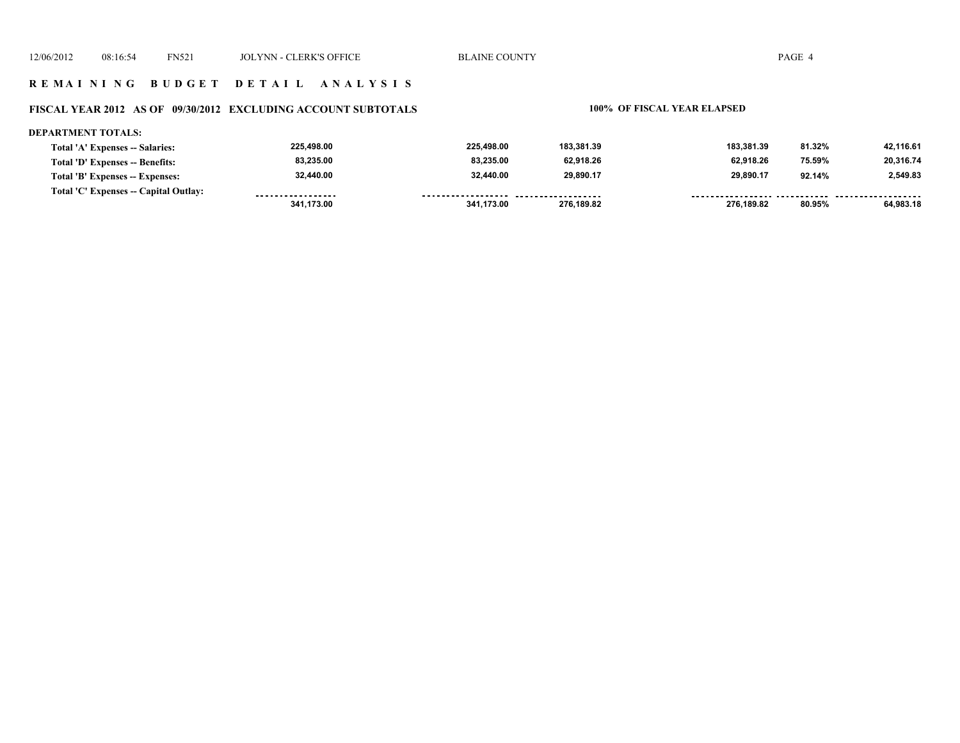### **FISCAL YEAR 2012 AS OF 09/30/2012 EXCLUDING ACCOUNT SUBTOTALS 100% OF FISCAL YEAR ELAPSED**

### **DEPARTMENT TOTALS:**

| Total 'A' Expenses -- Salaries:       | 225.498.00        | 225.498.00         | 183.381.39 | 183.381.39 | 81.32% | 42,116.61 |
|---------------------------------------|-------------------|--------------------|------------|------------|--------|-----------|
| Total 'D' Expenses -- Benefits:       | 83,235.00         | 83.235.00          | 62.918.26  | 62.918.26  | 75.59% | 20,316.74 |
| Total 'B' Expenses -- Expenses:       | 32,440.00         | 32.440.00          | 29,890.17  | 29.890.17  | 92.14% | 2,549.83  |
| Total 'C' Expenses -- Capital Outlay: | ----------------- | ------------------ | .          |            |        |           |
|                                       | 341,173.00        | 341.173.00         | 276.189.82 | 276.189.82 | 80.95% | 64.983.18 |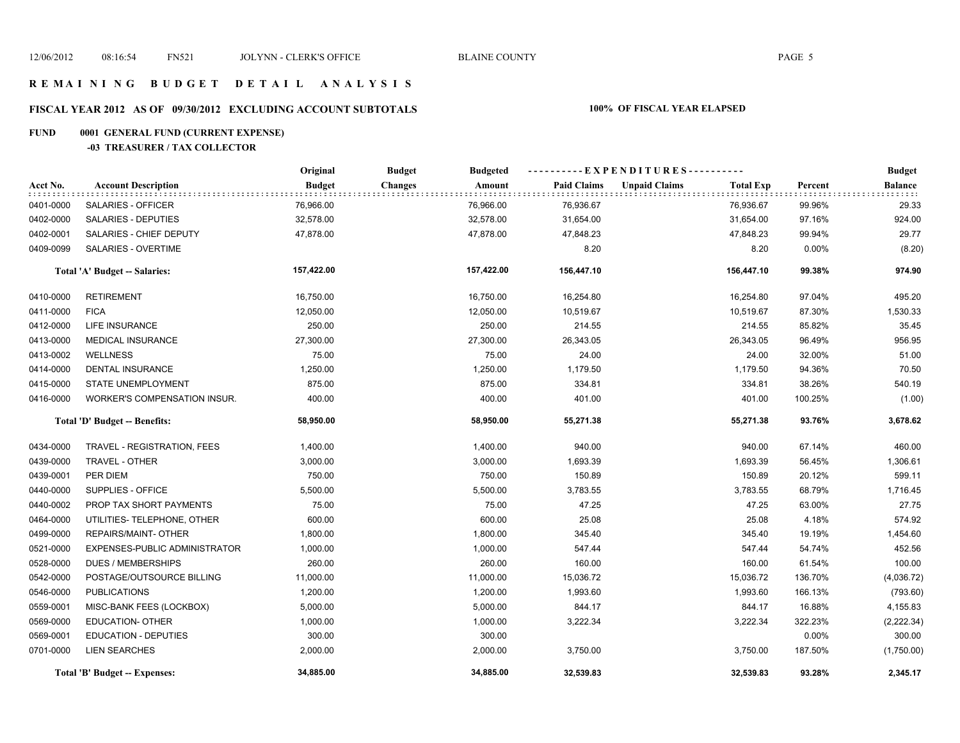# **FISCAL YEAR 2012 AS OF 09/30/2012 EXCLUDING ACCOUNT SUBTOTALS 100% OF FISCAL YEAR ELAPSED**

### **FUND 0001 GENERAL FUND (CURRENT EXPENSE)**

### **-03 TREASURER / TAX COLLECTOR**

|           |                                      | Original      | <b>Budget</b>  | <b>Budgeted</b> |                    | ----------EXPENDITURES---------- |                  | Percent<br>99.96%<br>97.16%<br>99.94%<br>0.00%<br>99.38%<br>97.04%<br>87.30%<br>85.82%<br>96.49%<br>32.00%<br>94.36%<br>38.26%<br>100.25%<br>93.76%<br>67.14%<br>56.45%<br>20.12%<br>68.79%<br>63.00%<br>4.18%<br>19.19%<br>54.74% | <b>Budget</b> |
|-----------|--------------------------------------|---------------|----------------|-----------------|--------------------|----------------------------------|------------------|------------------------------------------------------------------------------------------------------------------------------------------------------------------------------------------------------------------------------------|---------------|
| Acct No.  | <b>Account Description</b>           | <b>Budget</b> | <b>Changes</b> | Amount          | <b>Paid Claims</b> | <b>Unpaid Claims</b>             | <b>Total Exp</b> |                                                                                                                                                                                                                                    | Balance       |
| 0401-0000 | SALARIES - OFFICER                   | 76,966.00     |                | 76,966.00       | 76,936.67          |                                  | 76,936.67        |                                                                                                                                                                                                                                    | 29.33         |
| 0402-0000 | SALARIES - DEPUTIES                  | 32,578.00     |                | 32,578.00       | 31,654.00          |                                  | 31,654.00        |                                                                                                                                                                                                                                    | 924.00        |
| 0402-0001 | SALARIES - CHIEF DEPUTY              | 47,878.00     |                | 47,878.00       | 47,848.23          |                                  | 47,848.23        |                                                                                                                                                                                                                                    | 29.77         |
| 0409-0099 | SALARIES - OVERTIME                  |               |                |                 | 8.20               |                                  | 8.20             |                                                                                                                                                                                                                                    | (8.20)        |
|           | Total 'A' Budget -- Salaries:        | 157,422.00    |                | 157,422.00      | 156,447.10         |                                  | 156,447.10       |                                                                                                                                                                                                                                    | 974.90        |
| 0410-0000 | <b>RETIREMENT</b>                    | 16,750.00     |                | 16,750.00       | 16,254.80          |                                  | 16,254.80        |                                                                                                                                                                                                                                    | 495.20        |
| 0411-0000 | <b>FICA</b>                          | 12,050.00     |                | 12,050.00       | 10,519.67          |                                  | 10,519.67        |                                                                                                                                                                                                                                    | 1,530.33      |
| 0412-0000 | <b>LIFE INSURANCE</b>                | 250.00        |                | 250.00          | 214.55             |                                  | 214.55           |                                                                                                                                                                                                                                    | 35.45         |
| 0413-0000 | <b>MEDICAL INSURANCE</b>             | 27,300.00     |                | 27,300.00       | 26,343.05          |                                  | 26,343.05        |                                                                                                                                                                                                                                    | 956.95        |
| 0413-0002 | <b>WELLNESS</b>                      | 75.00         |                | 75.00           | 24.00              |                                  | 24.00            |                                                                                                                                                                                                                                    | 51.00         |
| 0414-0000 | <b>DENTAL INSURANCE</b>              | 1,250.00      |                | 1,250.00        | 1,179.50           |                                  | 1,179.50         |                                                                                                                                                                                                                                    | 70.50         |
| 0415-0000 | STATE UNEMPLOYMENT                   | 875.00        |                | 875.00          | 334.81             |                                  | 334.81           |                                                                                                                                                                                                                                    | 540.19        |
| 0416-0000 | <b>WORKER'S COMPENSATION INSUR.</b>  | 400.00        |                | 400.00          | 401.00             |                                  | 401.00           |                                                                                                                                                                                                                                    | (1.00)        |
|           | Total 'D' Budget -- Benefits:        | 58,950.00     |                | 58,950.00       | 55,271.38          |                                  | 55,271.38        |                                                                                                                                                                                                                                    | 3,678.62      |
| 0434-0000 | TRAVEL - REGISTRATION, FEES          | 1,400.00      |                | 1,400.00        | 940.00             |                                  | 940.00           |                                                                                                                                                                                                                                    | 460.00        |
| 0439-0000 | TRAVEL - OTHER                       | 3,000.00      |                | 3,000.00        | 1,693.39           |                                  | 1,693.39         |                                                                                                                                                                                                                                    | 1,306.61      |
| 0439-0001 | PER DIEM                             | 750.00        |                | 750.00          | 150.89             |                                  | 150.89           |                                                                                                                                                                                                                                    | 599.11        |
| 0440-0000 | SUPPLIES - OFFICE                    | 5,500.00      |                | 5,500.00        | 3,783.55           |                                  | 3,783.55         |                                                                                                                                                                                                                                    | 1,716.45      |
| 0440-0002 | PROP TAX SHORT PAYMENTS              | 75.00         |                | 75.00           | 47.25              |                                  | 47.25            |                                                                                                                                                                                                                                    | 27.75         |
| 0464-0000 | UTILITIES- TELEPHONE, OTHER          | 600.00        |                | 600.00          | 25.08              |                                  | 25.08            |                                                                                                                                                                                                                                    | 574.92        |
| 0499-0000 | REPAIRS/MAINT- OTHER                 | 1,800.00      |                | 1,800.00        | 345.40             |                                  | 345.40           |                                                                                                                                                                                                                                    | 1,454.60      |
| 0521-0000 | EXPENSES-PUBLIC ADMINISTRATOR        | 1,000.00      |                | 1,000.00        | 547.44             |                                  | 547.44           |                                                                                                                                                                                                                                    | 452.56        |
| 0528-0000 | <b>DUES / MEMBERSHIPS</b>            | 260.00        |                | 260.00          | 160.00             |                                  | 160.00           | 61.54%                                                                                                                                                                                                                             | 100.00        |
| 0542-0000 | POSTAGE/OUTSOURCE BILLING            | 11,000.00     |                | 11,000.00       | 15,036.72          |                                  | 15,036.72        | 136.70%                                                                                                                                                                                                                            | (4,036.72)    |
| 0546-0000 | <b>PUBLICATIONS</b>                  | 1,200.00      |                | 1,200.00        | 1,993.60           |                                  | 1,993.60         | 166.13%                                                                                                                                                                                                                            | (793.60)      |
| 0559-0001 | MISC-BANK FEES (LOCKBOX)             | 5,000.00      |                | 5,000.00        | 844.17             |                                  | 844.17           | 16.88%                                                                                                                                                                                                                             | 4,155.83      |
| 0569-0000 | <b>EDUCATION- OTHER</b>              | 1,000.00      |                | 1,000.00        | 3,222.34           |                                  | 3,222.34         | 322.23%                                                                                                                                                                                                                            | (2,222.34)    |
| 0569-0001 | <b>EDUCATION - DEPUTIES</b>          | 300.00        |                | 300.00          |                    |                                  |                  | 0.00%                                                                                                                                                                                                                              | 300.00        |
| 0701-0000 | <b>LIEN SEARCHES</b>                 | 2,000.00      |                | 2,000.00        | 3,750.00           |                                  | 3,750.00         | 187.50%                                                                                                                                                                                                                            | (1,750.00)    |
|           | <b>Total 'B' Budget -- Expenses:</b> | 34,885.00     |                | 34,885.00       | 32,539.83          |                                  | 32,539.83        | 93.28%                                                                                                                                                                                                                             | 2,345.17      |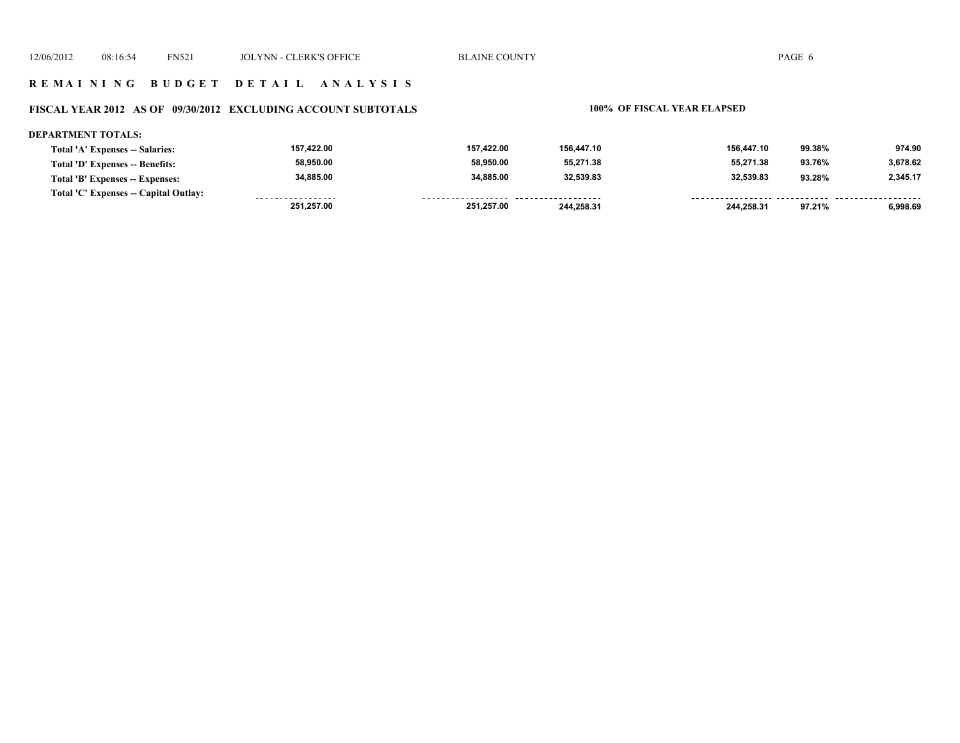### **FISCAL YEAR 2012 AS OF 09/30/2012 EXCLUDING ACCOUNT SUBTOTALS 100% OF FISCAL YEAR ELAPSED**

### **DEPARTMENT TOTALS:**

| <b>Total 'A' Expenses -- Salaries:</b> | 157.422.00        | 157.422.00          | 156.447.10          | 156.447.10 | 99.38% | 974.90   |
|----------------------------------------|-------------------|---------------------|---------------------|------------|--------|----------|
| Total 'D' Expenses -- Benefits:        | 58,950.00         | 58,950.00           | 55,271.38           | 55.271.38  | 93.76% | 3,678.62 |
| Total 'B' Expenses -- Expenses:        | 34,885.00         | 34,885.00           | 32,539.83           | 32,539.83  | 93.28% | 2,345.17 |
| Total 'C' Expenses -- Capital Outlay:  | ----------------- | ------------------- | ------------------- |            |        |          |
|                                        | 251,257.00        | 251.257.00          | 244,258.31          | 244,258.31 | 97.21% | 6,998.69 |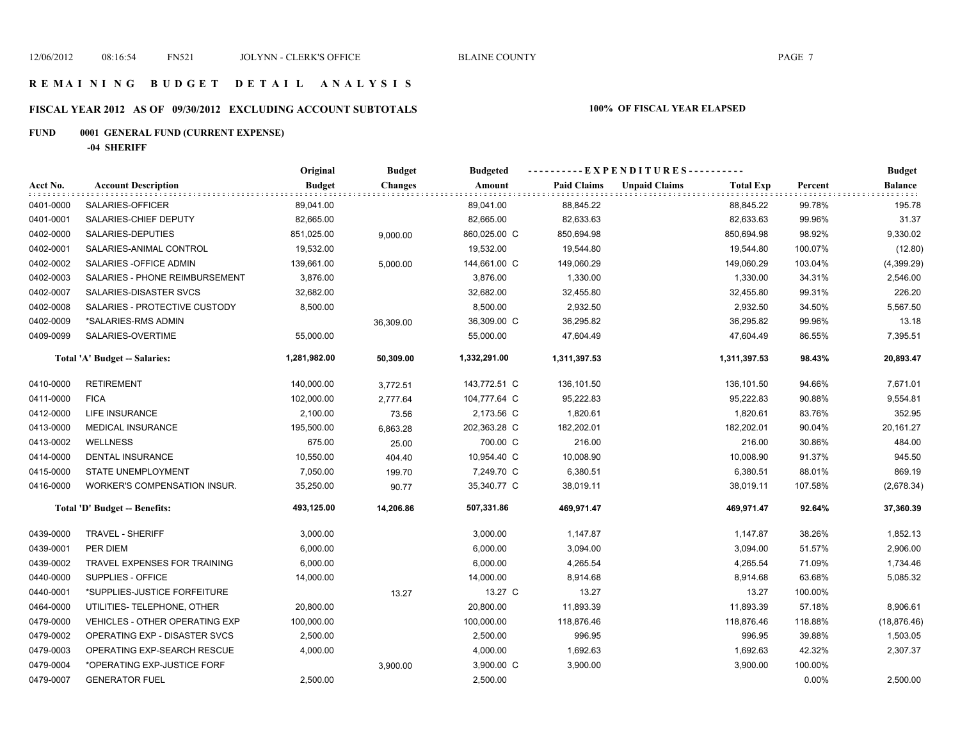# **FISCAL YEAR 2012 AS OF 09/30/2012 EXCLUDING ACCOUNT SUBTOTALS 100% OF FISCAL YEAR ELAPSED**

# **FUND 0001 GENERAL FUND (CURRENT EXPENSE)**

**-04 SHERIFF**

|           |                                       | Original      | <b>Budget</b>  | <b>Budgeted</b> |                    | ----------EXPENDITURES----------         |         | <b>Budget</b>  |
|-----------|---------------------------------------|---------------|----------------|-----------------|--------------------|------------------------------------------|---------|----------------|
| Acct No.  | <b>Account Description</b>            | <b>Budget</b> | <b>Changes</b> | Amount          | <b>Paid Claims</b> | <b>Unpaid Claims</b><br><b>Total Exp</b> | Percent | <b>Balance</b> |
| 0401-0000 | SALARIES-OFFICER                      | 89,041.00     |                | 89,041.00       | 88,845.22          | 88,845.22                                | 99.78%  | 195.78         |
| 0401-0001 | SALARIES-CHIEF DEPUTY                 | 82,665.00     |                | 82,665.00       | 82,633.63          | 82,633.63                                | 99.96%  | 31.37          |
| 0402-0000 | SALARIES-DEPUTIES                     | 851,025.00    | 9,000.00       | 860,025.00 C    | 850,694.98         | 850,694.98                               | 98.92%  | 9,330.02       |
| 0402-0001 | SALARIES-ANIMAL CONTROL               | 19,532.00     |                | 19,532.00       | 19,544.80          | 19,544.80                                | 100.07% | (12.80)        |
| 0402-0002 | SALARIES - OFFICE ADMIN               | 139,661.00    | 5,000.00       | 144,661.00 C    | 149,060.29         | 149,060.29                               | 103.04% | (4,399.29)     |
| 0402-0003 | SALARIES - PHONE REIMBURSEMENT        | 3,876.00      |                | 3,876.00        | 1,330.00           | 1,330.00                                 | 34.31%  | 2,546.00       |
| 0402-0007 | SALARIES-DISASTER SVCS                | 32,682.00     |                | 32,682.00       | 32,455.80          | 32,455.80                                | 99.31%  | 226.20         |
| 0402-0008 | SALARIES - PROTECTIVE CUSTODY         | 8,500.00      |                | 8,500.00        | 2,932.50           | 2,932.50                                 | 34.50%  | 5,567.50       |
| 0402-0009 | *SALARIES-RMS ADMIN                   |               | 36,309.00      | 36,309.00 C     | 36,295.82          | 36,295.82                                | 99.96%  | 13.18          |
| 0409-0099 | SALARIES-OVERTIME                     | 55,000.00     |                | 55,000.00       | 47,604.49          | 47,604.49                                | 86.55%  | 7,395.51       |
|           | Total 'A' Budget -- Salaries:         | 1,281,982.00  | 50,309.00      | 1,332,291.00    | 1,311,397.53       | 1,311,397.53                             | 98.43%  | 20,893.47      |
| 0410-0000 | <b>RETIREMENT</b>                     | 140,000.00    | 3,772.51       | 143,772.51 C    | 136,101.50         | 136,101.50                               | 94.66%  | 7,671.01       |
| 0411-0000 | <b>FICA</b>                           | 102,000.00    | 2,777.64       | 104,777.64 C    | 95.222.83          | 95,222.83                                | 90.88%  | 9,554.81       |
| 0412-0000 | LIFE INSURANCE                        | 2,100.00      | 73.56          | 2,173.56 C      | 1,820.61           | 1,820.61                                 | 83.76%  | 352.95         |
| 0413-0000 | <b>MEDICAL INSURANCE</b>              | 195,500.00    | 6,863.28       | 202,363.28 C    | 182,202.01         | 182,202.01                               | 90.04%  | 20,161.27      |
| 0413-0002 | <b>WELLNESS</b>                       | 675.00        | 25.00          | 700.00 C        | 216.00             | 216.00                                   | 30.86%  | 484.00         |
| 0414-0000 | DENTAL INSURANCE                      | 10,550.00     | 404.40         | 10,954.40 C     | 10,008.90          | 10,008.90                                | 91.37%  | 945.50         |
| 0415-0000 | STATE UNEMPLOYMENT                    | 7,050.00      | 199.70         | 7,249.70 C      | 6,380.51           | 6,380.51                                 | 88.01%  | 869.19         |
| 0416-0000 | WORKER'S COMPENSATION INSUR.          | 35,250.00     | 90.77          | 35,340.77 C     | 38,019.11          | 38,019.11                                | 107.58% | (2,678.34)     |
|           | Total 'D' Budget -- Benefits:         | 493,125.00    | 14,206.86      | 507,331.86      | 469,971.47         | 469,971.47                               | 92.64%  | 37,360.39      |
| 0439-0000 | <b>TRAVEL - SHERIFF</b>               | 3,000.00      |                | 3,000.00        | 1,147.87           | 1,147.87                                 | 38.26%  | 1,852.13       |
| 0439-0001 | PER DIEM                              | 6,000.00      |                | 6,000.00        | 3,094.00           | 3,094.00                                 | 51.57%  | 2,906.00       |
| 0439-0002 | TRAVEL EXPENSES FOR TRAINING          | 6,000.00      |                | 6,000.00        | 4,265.54           | 4,265.54                                 | 71.09%  | 1,734.46       |
| 0440-0000 | SUPPLIES - OFFICE                     | 14,000.00     |                | 14,000.00       | 8,914.68           | 8,914.68                                 | 63.68%  | 5,085.32       |
| 0440-0001 | *SUPPLIES-JUSTICE FORFEITURE          |               | 13.27          | 13.27 C         | 13.27              | 13.27                                    | 100.00% |                |
| 0464-0000 | UTILITIES- TELEPHONE, OTHER           | 20,800.00     |                | 20,800.00       | 11,893.39          | 11,893.39                                | 57.18%  | 8,906.61       |
| 0479-0000 | <b>VEHICLES - OTHER OPERATING EXP</b> | 100,000.00    |                | 100,000.00      | 118,876.46         | 118,876.46                               | 118.88% | (18, 876.46)   |
| 0479-0002 | OPERATING EXP - DISASTER SVCS         | 2,500.00      |                | 2,500.00        | 996.95             | 996.95                                   | 39.88%  | 1,503.05       |
| 0479-0003 | OPERATING EXP-SEARCH RESCUE           | 4,000.00      |                | 4,000.00        | 1,692.63           | 1,692.63                                 | 42.32%  | 2,307.37       |
| 0479-0004 | *OPERATING EXP-JUSTICE FORF           |               | 3,900.00       | 3,900.00 C      | 3,900.00           | 3,900.00                                 | 100.00% |                |
| 0479-0007 | <b>GENERATOR FUEL</b>                 | 2,500.00      |                | 2,500.00        |                    |                                          | 0.00%   | 2,500.00       |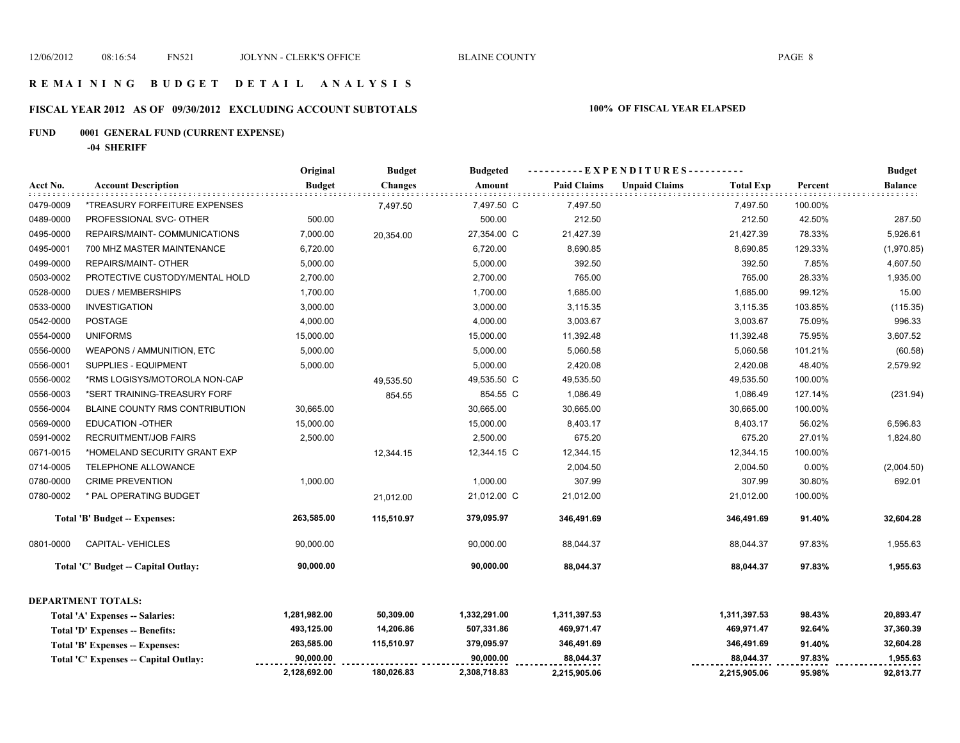# **FISCAL YEAR 2012 AS OF 09/30/2012 EXCLUDING ACCOUNT SUBTOTALS 100% OF FISCAL YEAR ELAPSED**

# **FUND 0001 GENERAL FUND (CURRENT EXPENSE)**

**-04 SHERIFF**

|           |                                        | Original      | <b>Budget</b>  | <b>Budgeted</b> |                    | ----------EXPENDITURES----------         |         | <b>Budget</b>  |
|-----------|----------------------------------------|---------------|----------------|-----------------|--------------------|------------------------------------------|---------|----------------|
| Acct No.  | <b>Account Description</b>             | <b>Budget</b> | <b>Changes</b> | Amount          | <b>Paid Claims</b> | <b>Unpaid Claims</b><br><b>Total Exp</b> | Percent | <b>Balance</b> |
| 0479-0009 | *TREASURY FORFEITURE EXPENSES          |               | 7,497.50       | 7,497.50 C      | 7,497.50           | 7,497.50                                 | 100.00% |                |
| 0489-0000 | PROFESSIONAL SVC- OTHER                | 500.00        |                | 500.00          | 212.50             | 212.50                                   | 42.50%  | 287.50         |
| 0495-0000 | REPAIRS/MAINT- COMMUNICATIONS          | 7,000.00      | 20,354.00      | 27,354.00 C     | 21,427.39          | 21,427.39                                | 78.33%  | 5,926.61       |
| 0495-0001 | 700 MHZ MASTER MAINTENANCE             | 6,720.00      |                | 6,720.00        | 8,690.85           | 8,690.85                                 | 129.33% | (1,970.85)     |
| 0499-0000 | REPAIRS/MAINT- OTHER                   | 5,000.00      |                | 5,000.00        | 392.50             | 392.50                                   | 7.85%   | 4,607.50       |
| 0503-0002 | PROTECTIVE CUSTODY/MENTAL HOLD         | 2,700.00      |                | 2,700.00        | 765.00             | 765.00                                   | 28.33%  | 1,935.00       |
| 0528-0000 | <b>DUES / MEMBERSHIPS</b>              | 1,700.00      |                | 1,700.00        | 1,685.00           | 1,685.00                                 | 99.12%  | 15.00          |
| 0533-0000 | <b>INVESTIGATION</b>                   | 3,000.00      |                | 3,000.00        | 3,115.35           | 3,115.35                                 | 103.85% | (115.35)       |
| 0542-0000 | <b>POSTAGE</b>                         | 4,000.00      |                | 4,000.00        | 3,003.67           | 3,003.67                                 | 75.09%  | 996.33         |
| 0554-0000 | <b>UNIFORMS</b>                        | 15,000.00     |                | 15,000.00       | 11,392.48          | 11,392.48                                | 75.95%  | 3,607.52       |
| 0556-0000 | WEAPONS / AMMUNITION, ETC              | 5,000.00      |                | 5,000.00        | 5,060.58           | 5,060.58                                 | 101.21% | (60.58)        |
| 0556-0001 | SUPPLIES - EQUIPMENT                   | 5,000.00      |                | 5,000.00        | 2,420.08           | 2,420.08                                 | 48.40%  | 2,579.92       |
| 0556-0002 | *RMS LOGISYS/MOTOROLA NON-CAP          |               | 49,535.50      | 49,535.50 C     | 49,535.50          | 49,535.50                                | 100.00% |                |
| 0556-0003 | *SERT TRAINING-TREASURY FORF           |               | 854.55         | 854.55 C        | 1,086.49           | 1,086.49                                 | 127.14% | (231.94)       |
| 0556-0004 | BLAINE COUNTY RMS CONTRIBUTION         | 30,665.00     |                | 30,665.00       | 30,665.00          | 30,665.00                                | 100.00% |                |
| 0569-0000 | <b>EDUCATION -OTHER</b>                | 15,000.00     |                | 15,000.00       | 8,403.17           | 8,403.17                                 | 56.02%  | 6,596.83       |
| 0591-0002 | <b>RECRUITMENT/JOB FAIRS</b>           | 2,500.00      |                | 2,500.00        | 675.20             | 675.20                                   | 27.01%  | 1,824.80       |
| 0671-0015 | *HOMELAND SECURITY GRANT EXP           |               | 12,344.15      | 12,344.15 C     | 12,344.15          | 12,344.15                                | 100.00% |                |
| 0714-0005 | <b>TELEPHONE ALLOWANCE</b>             |               |                |                 | 2,004.50           | 2,004.50                                 | 0.00%   | (2,004.50)     |
| 0780-0000 | <b>CRIME PREVENTION</b>                | 1,000.00      |                | 1,000.00        | 307.99             | 307.99                                   | 30.80%  | 692.01         |
| 0780-0002 | * PAL OPERATING BUDGET                 |               | 21,012.00      | 21,012.00 C     | 21,012.00          | 21,012.00                                | 100.00% |                |
|           | Total 'B' Budget -- Expenses:          | 263,585.00    | 115,510.97     | 379,095.97      | 346,491.69         | 346,491.69                               | 91.40%  | 32,604.28      |
| 0801-0000 | CAPITAL-VEHICLES                       | 90,000.00     |                | 90,000.00       | 88,044.37          | 88,044.37                                | 97.83%  | 1,955.63       |
|           | Total 'C' Budget -- Capital Outlay:    | 90,000.00     |                | 90,000.00       | 88,044.37          | 88,044.37                                | 97.83%  | 1,955.63       |
|           | <b>DEPARTMENT TOTALS:</b>              |               |                |                 |                    |                                          |         |                |
|           | Total 'A' Expenses -- Salaries:        | 1,281,982.00  | 50,309.00      | 1,332,291.00    | 1,311,397.53       | 1,311,397.53                             | 98.43%  | 20,893.47      |
|           | <b>Total 'D' Expenses -- Benefits:</b> | 493,125.00    | 14,206.86      | 507,331.86      | 469,971.47         | 469,971.47                               | 92.64%  | 37,360.39      |
|           | Total 'B' Expenses -- Expenses:        | 263,585.00    | 115,510.97     | 379,095.97      | 346,491.69         | 346,491.69                               | 91.40%  | 32,604.28      |
|           | Total 'C' Expenses -- Capital Outlay:  | 90,000.00     |                | 90,000.00       | 88,044.37          | 88,044.37                                | 97.83%  | 1,955.63       |
|           |                                        | 2,128,692.00  | 180,026.83     | 2,308,718.83    | 2,215,905.06       | 2,215,905.06                             | 95.98%  | 92,813.77      |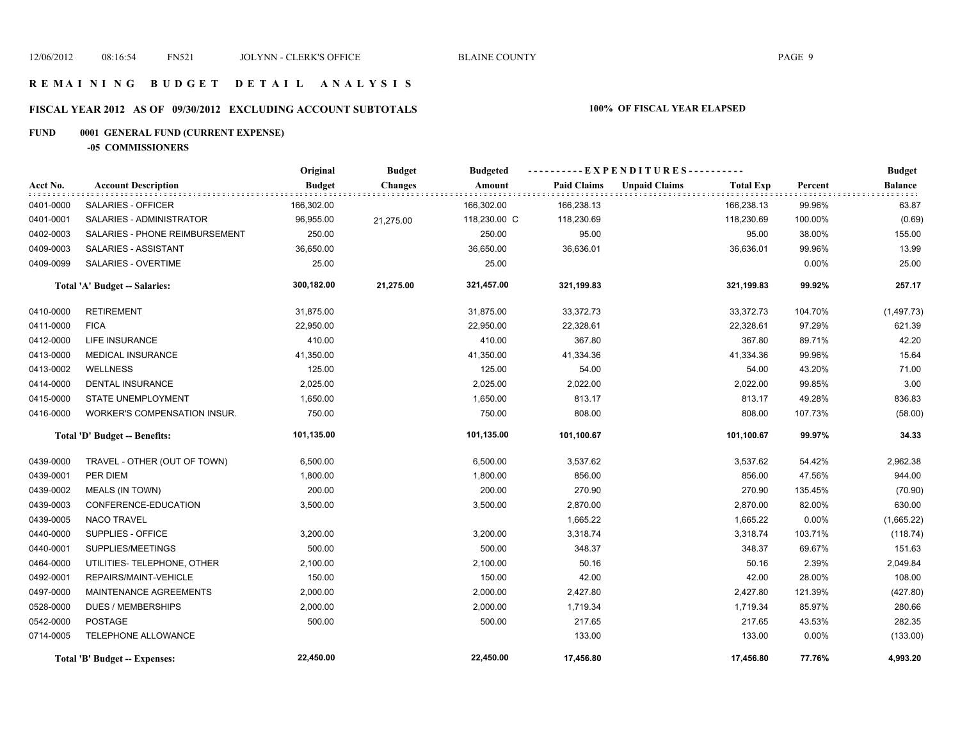### **R E M A I N I N G B U D G E T D E T A I L A N A L Y S I S**

# **FISCAL YEAR 2012 AS OF 09/30/2012 EXCLUDING ACCOUNT SUBTOTALS 100% OF FISCAL YEAR ELAPSED**

# **FUND 0001 GENERAL FUND (CURRENT EXPENSE)**

**-05 COMMISSIONERS**

|           |                                | Original      | <b>Budget</b>  | <b>Budgeted</b> |                    | ----------EXPENDITURES---------- |                  |         | <b>Budget</b>  |
|-----------|--------------------------------|---------------|----------------|-----------------|--------------------|----------------------------------|------------------|---------|----------------|
| Acct No.  | <b>Account Description</b>     | <b>Budget</b> | <b>Changes</b> | Amount          | <b>Paid Claims</b> | <b>Unpaid Claims</b>             | <b>Total Exp</b> | Percent | <b>Balance</b> |
| 0401-0000 | SALARIES - OFFICER             | 166,302.00    |                | 166,302.00      | 166,238.13         |                                  | 166,238.13       | 99.96%  | 63.87          |
| 0401-0001 | SALARIES - ADMINISTRATOR       | 96,955.00     | 21,275.00      | 118,230.00 C    | 118,230.69         |                                  | 118,230.69       | 100.00% | (0.69)         |
| 0402-0003 | SALARIES - PHONE REIMBURSEMENT | 250.00        |                | 250.00          | 95.00              |                                  | 95.00            | 38.00%  | 155.00         |
| 0409-0003 | SALARIES - ASSISTANT           | 36,650.00     |                | 36,650.00       | 36,636.01          |                                  | 36,636.01        | 99.96%  | 13.99          |
| 0409-0099 | <b>SALARIES - OVERTIME</b>     | 25.00         |                | 25.00           |                    |                                  |                  | 0.00%   | 25.00          |
|           | Total 'A' Budget -- Salaries:  | 300,182.00    | 21,275.00      | 321,457.00      | 321,199.83         |                                  | 321,199.83       | 99.92%  | 257.17         |
| 0410-0000 | <b>RETIREMENT</b>              | 31,875.00     |                | 31,875.00       | 33,372.73          |                                  | 33,372.73        | 104.70% | (1,497.73)     |
| 0411-0000 | <b>FICA</b>                    | 22,950.00     |                | 22,950.00       | 22,328.61          |                                  | 22,328.61        | 97.29%  | 621.39         |
| 0412-0000 | <b>LIFE INSURANCE</b>          | 410.00        |                | 410.00          | 367.80             |                                  | 367.80           | 89.71%  | 42.20          |
| 0413-0000 | <b>MEDICAL INSURANCE</b>       | 41,350.00     |                | 41,350.00       | 41,334.36          |                                  | 41,334.36        | 99.96%  | 15.64          |
| 0413-0002 | <b>WELLNESS</b>                | 125.00        |                | 125.00          | 54.00              |                                  | 54.00            | 43.20%  | 71.00          |
| 0414-0000 | DENTAL INSURANCE               | 2,025.00      |                | 2,025.00        | 2,022.00           |                                  | 2,022.00         | 99.85%  | 3.00           |
| 0415-0000 | <b>STATE UNEMPLOYMENT</b>      | 1,650.00      |                | 1,650.00        | 813.17             |                                  | 813.17           | 49.28%  | 836.83         |
| 0416-0000 | WORKER'S COMPENSATION INSUR.   | 750.00        |                | 750.00          | 808.00             |                                  | 808.00           | 107.73% | (58.00)        |
|           | Total 'D' Budget -- Benefits:  | 101,135.00    |                | 101,135.00      | 101,100.67         |                                  | 101,100.67       | 99.97%  | 34.33          |
| 0439-0000 | TRAVEL - OTHER (OUT OF TOWN)   | 6,500.00      |                | 6,500.00        | 3,537.62           |                                  | 3,537.62         | 54.42%  | 2,962.38       |
| 0439-0001 | PER DIEM                       | 1,800.00      |                | 1,800.00        | 856.00             |                                  | 856.00           | 47.56%  | 944.00         |
| 0439-0002 | MEALS (IN TOWN)                | 200.00        |                | 200.00          | 270.90             |                                  | 270.90           | 135.45% | (70.90)        |
| 0439-0003 | CONFERENCE-EDUCATION           | 3,500.00      |                | 3,500.00        | 2,870.00           |                                  | 2,870.00         | 82.00%  | 630.00         |
| 0439-0005 | <b>NACO TRAVEL</b>             |               |                |                 | 1,665.22           |                                  | 1,665.22         | 0.00%   | (1,665.22)     |
| 0440-0000 | SUPPLIES - OFFICE              | 3,200.00      |                | 3,200.00        | 3,318.74           |                                  | 3,318.74         | 103.71% | (118.74)       |
| 0440-0001 | SUPPLIES/MEETINGS              | 500.00        |                | 500.00          | 348.37             |                                  | 348.37           | 69.67%  | 151.63         |
| 0464-0000 | UTILITIES- TELEPHONE, OTHER    | 2,100.00      |                | 2,100.00        | 50.16              |                                  | 50.16            | 2.39%   | 2,049.84       |
| 0492-0001 | REPAIRS/MAINT-VEHICLE          | 150.00        |                | 150.00          | 42.00              |                                  | 42.00            | 28.00%  | 108.00         |
| 0497-0000 | MAINTENANCE AGREEMENTS         | 2,000.00      |                | 2,000.00        | 2,427.80           |                                  | 2,427.80         | 121.39% | (427.80)       |
| 0528-0000 | <b>DUES / MEMBERSHIPS</b>      | 2,000.00      |                | 2,000.00        | 1,719.34           |                                  | 1,719.34         | 85.97%  | 280.66         |
| 0542-0000 | <b>POSTAGE</b>                 | 500.00        |                | 500.00          | 217.65             |                                  | 217.65           | 43.53%  | 282.35         |
| 0714-0005 | TELEPHONE ALLOWANCE            |               |                |                 | 133.00             |                                  | 133.00           | 0.00%   | (133.00)       |
|           | Total 'B' Budget -- Expenses:  | 22,450.00     |                | 22,450.00       | 17,456.80          |                                  | 17,456.80        | 77.76%  | 4,993.20       |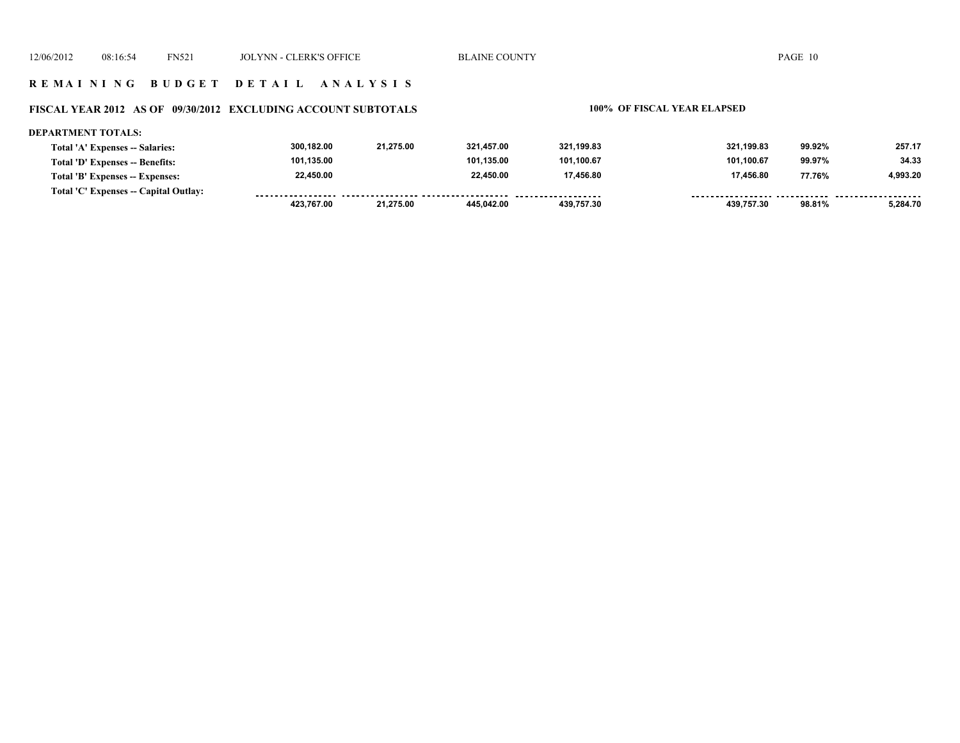### **FISCAL YEAR 2012 AS OF 09/30/2012 EXCLUDING ACCOUNT SUBTOTALS 100% OF FISCAL YEAR ELAPSED**

### **DEPARTMENT TOTALS: 300,182.00 21,275.00 321,457.00 321,199.83 321,199.83 99.92% 257.17 Total 'A' Expenses -- Salaries: 101,135.00 101,135.00 101,100.67 101,100.67 99.97% 34.33 Total 'D' Expenses -- Benefits: 22,450.00 22,450.00 17,456.80 17,456.80 77.76% 4,993.20 Total 'B' Expenses -- Expenses: Total 'C' Expenses -- Capital Outlay:** -----------------.......... ................... <u>.......... ......</u> ........ ........ <u>. . . . . . .</u>  **423,767.00 21,275.00 445,042.00 439,757.30 439,757.30 98.81% 5,284.70**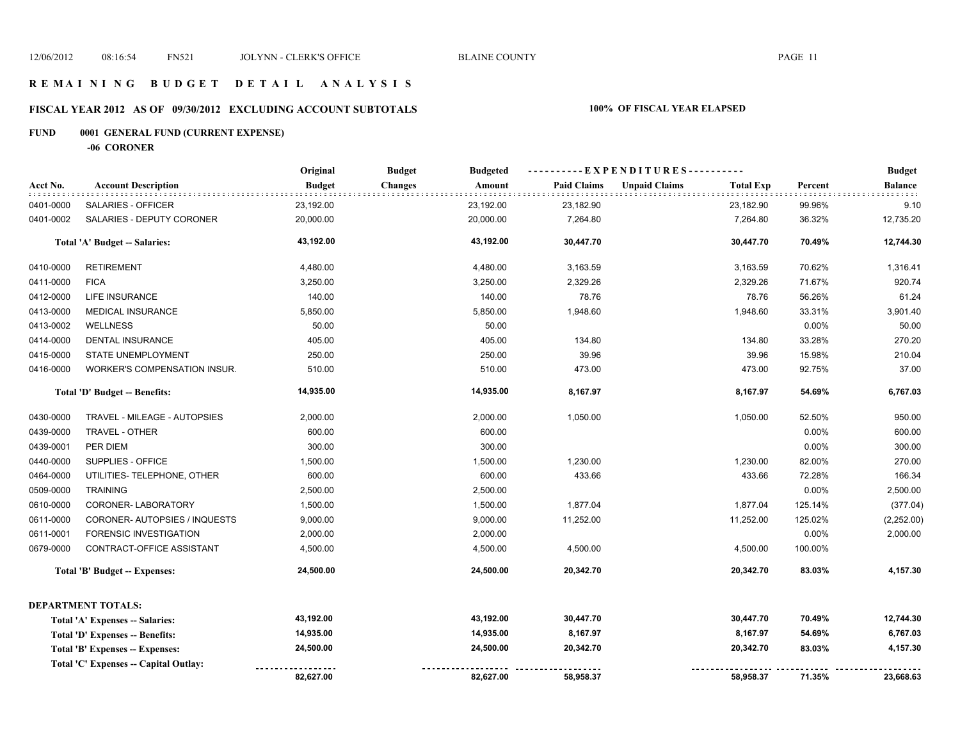### **R E M A I N I N G B U D G E T D E T A I L A N A L Y S I S**

# **FISCAL YEAR 2012 AS OF 09/30/2012 EXCLUDING ACCOUNT SUBTOTALS 100% OF FISCAL YEAR ELAPSED**

# **FUND 0001 GENERAL FUND (CURRENT EXPENSE)**

**-06 CORONER**

|           |                                       | Original      | <b>Budget</b><br><b>Budgeted</b> |                    | ----------EXPENDITURES----------         |         | <b>Budget</b>  |
|-----------|---------------------------------------|---------------|----------------------------------|--------------------|------------------------------------------|---------|----------------|
| Acct No.  | <b>Account Description</b>            | <b>Budget</b> | <b>Changes</b><br>Amount         | <b>Paid Claims</b> | <b>Unpaid Claims</b><br><b>Total Exp</b> | Percent | <b>Balance</b> |
| 0401-0000 | SALARIES - OFFICER                    | 23,192.00     | 23,192.00                        | 23,182.90          | 23,182.90                                | 99.96%  | 9.10           |
| 0401-0002 | SALARIES - DEPUTY CORONER             | 20,000.00     | 20,000.00                        | 7,264.80           | 7,264.80                                 | 36.32%  | 12,735.20      |
|           | Total 'A' Budget -- Salaries:         | 43,192.00     | 43,192.00                        | 30,447.70          | 30,447.70                                | 70.49%  | 12,744.30      |
| 0410-0000 | <b>RETIREMENT</b>                     | 4,480.00      | 4,480.00                         | 3,163.59           | 3,163.59                                 | 70.62%  | 1,316.41       |
| 0411-0000 | <b>FICA</b>                           | 3,250.00      | 3,250.00                         | 2,329.26           | 2,329.26                                 | 71.67%  | 920.74         |
| 0412-0000 | LIFE INSURANCE                        | 140.00        | 140.00                           | 78.76              | 78.76                                    | 56.26%  | 61.24          |
| 0413-0000 | <b>MEDICAL INSURANCE</b>              | 5,850.00      | 5,850.00                         | 1,948.60           | 1,948.60                                 | 33.31%  | 3,901.40       |
| 0413-0002 | <b>WELLNESS</b>                       | 50.00         | 50.00                            |                    |                                          | 0.00%   | 50.00          |
| 0414-0000 | <b>DENTAL INSURANCE</b>               | 405.00        | 405.00                           | 134.80             | 134.80                                   | 33.28%  | 270.20         |
| 0415-0000 | <b>STATE UNEMPLOYMENT</b>             | 250.00        | 250.00                           | 39.96              | 39.96                                    | 15.98%  | 210.04         |
| 0416-0000 | WORKER'S COMPENSATION INSUR.          | 510.00        | 510.00                           | 473.00             | 473.00                                   | 92.75%  | 37.00          |
|           | Total 'D' Budget -- Benefits:         | 14,935.00     | 14,935.00                        | 8,167.97           | 8,167.97                                 | 54.69%  | 6,767.03       |
| 0430-0000 | TRAVEL - MILEAGE - AUTOPSIES          | 2,000.00      | 2,000.00                         | 1,050.00           | 1,050.00                                 | 52.50%  | 950.00         |
| 0439-0000 | TRAVEL - OTHER                        | 600.00        | 600.00                           |                    |                                          | 0.00%   | 600.00         |
| 0439-0001 | PER DIEM                              | 300.00        | 300.00                           |                    |                                          | 0.00%   | 300.00         |
| 0440-0000 | SUPPLIES - OFFICE                     | 1,500.00      | 1,500.00                         | 1,230.00           | 1,230.00                                 | 82.00%  | 270.00         |
| 0464-0000 | UTILITIES- TELEPHONE, OTHER           | 600.00        | 600.00                           | 433.66             | 433.66                                   | 72.28%  | 166.34         |
| 0509-0000 | <b>TRAINING</b>                       | 2,500.00      | 2,500.00                         |                    |                                          | 0.00%   | 2,500.00       |
| 0610-0000 | CORONER-LABORATORY                    | 1,500.00      | 1,500.00                         | 1,877.04           | 1,877.04                                 | 125.14% | (377.04)       |
| 0611-0000 | CORONER-AUTOPSIES / INQUESTS          | 9,000.00      | 9,000.00                         | 11,252.00          | 11,252.00                                | 125.02% | (2,252.00)     |
| 0611-0001 | FORENSIC INVESTIGATION                | 2,000.00      | 2,000.00                         |                    |                                          | 0.00%   | 2,000.00       |
| 0679-0000 | CONTRACT-OFFICE ASSISTANT             | 4,500.00      | 4,500.00                         | 4,500.00           | 4,500.00                                 | 100.00% |                |
|           | Total 'B' Budget -- Expenses:         | 24,500.00     | 24,500.00                        | 20,342.70          | 20,342.70                                | 83.03%  | 4,157.30       |
|           | <b>DEPARTMENT TOTALS:</b>             |               |                                  |                    |                                          |         |                |
|           | Total 'A' Expenses -- Salaries:       | 43,192.00     | 43,192.00                        | 30,447.70          | 30,447.70                                | 70.49%  | 12,744.30      |
|           | Total 'D' Expenses -- Benefits:       | 14,935.00     | 14,935.00                        | 8,167.97           | 8,167.97                                 | 54.69%  | 6,767.03       |
|           | Total 'B' Expenses -- Expenses:       | 24,500.00     | 24,500.00                        | 20,342.70          | 20,342.70                                | 83.03%  | 4,157.30       |
|           | Total 'C' Expenses -- Capital Outlay: |               |                                  |                    |                                          |         |                |
|           |                                       | 82,627.00     | 82,627.00                        | 58,958.37          | 58,958.37                                | 71.35%  | 23,668.63      |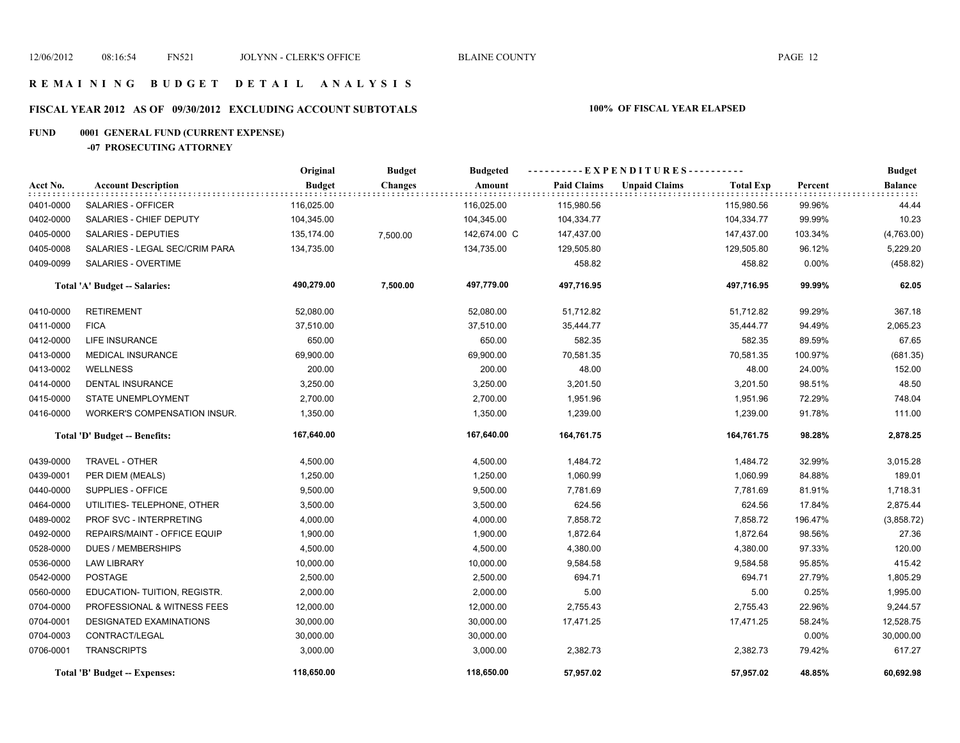# **FISCAL YEAR 2012 AS OF 09/30/2012 EXCLUDING ACCOUNT SUBTOTALS 100% OF FISCAL YEAR ELAPSED**

# **FUND 0001 GENERAL FUND (CURRENT EXPENSE)**

**-07 PROSECUTING ATTORNEY**

|           |                                | Original      | <b>Budget</b>  | <b>Budgeted</b> |                    | ----------EXPENDITURES---------- |                  | Percent<br>99.96%<br>99.99%<br>103.34%<br>96.12%<br>0.00%<br>99.99%<br>99.29%<br>94.49%<br>89.59%<br>100.97%<br>24.00%<br>98.51%<br>72.29%<br>91.78%<br>98.28%<br>32.99%<br>84.88%<br>81.91%<br>17.84%<br>196.47%<br>98.56%<br>97.33%<br>95.85%<br>27.79%<br>0.25% | <b>Budget</b>  |
|-----------|--------------------------------|---------------|----------------|-----------------|--------------------|----------------------------------|------------------|--------------------------------------------------------------------------------------------------------------------------------------------------------------------------------------------------------------------------------------------------------------------|----------------|
| Acct No.  | <b>Account Description</b>     | <b>Budget</b> | <b>Changes</b> | Amount          | <b>Paid Claims</b> | <b>Unpaid Claims</b>             | <b>Total Exp</b> |                                                                                                                                                                                                                                                                    | <b>Balance</b> |
| 0401-0000 | SALARIES - OFFICER             | 116,025.00    |                | 116,025.00      | 115,980.56         |                                  | 115,980.56       |                                                                                                                                                                                                                                                                    | 44.44          |
| 0402-0000 | SALARIES - CHIEF DEPUTY        | 104,345.00    |                | 104,345.00      | 104,334.77         |                                  | 104,334.77       |                                                                                                                                                                                                                                                                    | 10.23          |
| 0405-0000 | SALARIES - DEPUTIES            | 135,174.00    | 7,500.00       | 142,674.00 C    | 147,437.00         |                                  | 147,437.00       |                                                                                                                                                                                                                                                                    | (4,763.00)     |
| 0405-0008 | SALARIES - LEGAL SEC/CRIM PARA | 134,735.00    |                | 134,735.00      | 129,505.80         |                                  | 129,505.80       |                                                                                                                                                                                                                                                                    | 5,229.20       |
| 0409-0099 | SALARIES - OVERTIME            |               |                |                 | 458.82             |                                  | 458.82           |                                                                                                                                                                                                                                                                    | (458.82)       |
|           | Total 'A' Budget -- Salaries:  | 490,279.00    | 7,500.00       | 497,779.00      | 497,716.95         |                                  | 497,716.95       |                                                                                                                                                                                                                                                                    | 62.05          |
| 0410-0000 | <b>RETIREMENT</b>              | 52,080.00     |                | 52,080.00       | 51,712.82          |                                  | 51,712.82        |                                                                                                                                                                                                                                                                    | 367.18         |
| 0411-0000 | <b>FICA</b>                    | 37,510.00     |                | 37,510.00       | 35,444.77          |                                  | 35,444.77        |                                                                                                                                                                                                                                                                    | 2,065.23       |
| 0412-0000 | LIFE INSURANCE                 | 650.00        |                | 650.00          | 582.35             |                                  | 582.35           |                                                                                                                                                                                                                                                                    | 67.65          |
| 0413-0000 | MEDICAL INSURANCE              | 69,900.00     |                | 69,900.00       | 70,581.35          |                                  | 70,581.35        |                                                                                                                                                                                                                                                                    | (681.35)       |
| 0413-0002 | <b>WELLNESS</b>                | 200.00        |                | 200.00          | 48.00              |                                  | 48.00            |                                                                                                                                                                                                                                                                    | 152.00         |
| 0414-0000 | DENTAL INSURANCE               | 3,250.00      |                | 3,250.00        | 3,201.50           |                                  | 3,201.50         |                                                                                                                                                                                                                                                                    | 48.50          |
| 0415-0000 | <b>STATE UNEMPLOYMENT</b>      | 2,700.00      |                | 2,700.00        | 1,951.96           |                                  | 1,951.96         |                                                                                                                                                                                                                                                                    | 748.04         |
| 0416-0000 | WORKER'S COMPENSATION INSUR.   | 1,350.00      |                | 1,350.00        | 1,239.00           |                                  | 1,239.00         |                                                                                                                                                                                                                                                                    | 111.00         |
|           | Total 'D' Budget -- Benefits:  | 167,640.00    |                | 167,640.00      | 164,761.75         |                                  | 164,761.75       |                                                                                                                                                                                                                                                                    | 2,878.25       |
| 0439-0000 | TRAVEL - OTHER                 | 4,500.00      |                | 4,500.00        | 1,484.72           |                                  | 1,484.72         |                                                                                                                                                                                                                                                                    | 3,015.28       |
| 0439-0001 | PER DIEM (MEALS)               | 1,250.00      |                | 1,250.00        | 1,060.99           |                                  | 1,060.99         |                                                                                                                                                                                                                                                                    | 189.01         |
| 0440-0000 | SUPPLIES - OFFICE              | 9,500.00      |                | 9,500.00        | 7,781.69           |                                  | 7,781.69         |                                                                                                                                                                                                                                                                    | 1,718.31       |
| 0464-0000 | UTILITIES- TELEPHONE, OTHER    | 3,500.00      |                | 3,500.00        | 624.56             |                                  | 624.56           |                                                                                                                                                                                                                                                                    | 2,875.44       |
| 0489-0002 | PROF SVC - INTERPRETING        | 4,000.00      |                | 4,000.00        | 7,858.72           |                                  | 7,858.72         |                                                                                                                                                                                                                                                                    | (3,858.72)     |
| 0492-0000 | REPAIRS/MAINT - OFFICE EQUIP   | 1,900.00      |                | 1,900.00        | 1,872.64           |                                  | 1,872.64         |                                                                                                                                                                                                                                                                    | 27.36          |
| 0528-0000 | <b>DUES / MEMBERSHIPS</b>      | 4,500.00      |                | 4,500.00        | 4,380.00           |                                  | 4,380.00         |                                                                                                                                                                                                                                                                    | 120.00         |
| 0536-0000 | <b>LAW LIBRARY</b>             | 10,000.00     |                | 10,000.00       | 9,584.58           |                                  | 9,584.58         |                                                                                                                                                                                                                                                                    | 415.42         |
| 0542-0000 | POSTAGE                        | 2,500.00      |                | 2,500.00        | 694.71             |                                  | 694.71           |                                                                                                                                                                                                                                                                    | 1,805.29       |
| 0560-0000 | EDUCATION- TUITION, REGISTR.   | 2,000.00      |                | 2,000.00        | 5.00               |                                  | 5.00             |                                                                                                                                                                                                                                                                    | 1,995.00       |
| 0704-0000 | PROFESSIONAL & WITNESS FEES    | 12,000.00     |                | 12,000.00       | 2,755.43           |                                  | 2,755.43         | 22.96%                                                                                                                                                                                                                                                             | 9,244.57       |
| 0704-0001 | <b>DESIGNATED EXAMINATIONS</b> | 30,000.00     |                | 30,000.00       | 17,471.25          |                                  | 17,471.25        | 58.24%                                                                                                                                                                                                                                                             | 12,528.75      |
| 0704-0003 | CONTRACT/LEGAL                 | 30,000.00     |                | 30,000.00       |                    |                                  |                  | 0.00%                                                                                                                                                                                                                                                              | 30,000.00      |
| 0706-0001 | <b>TRANSCRIPTS</b>             | 3,000.00      |                | 3,000.00        | 2,382.73           |                                  | 2,382.73         | 79.42%                                                                                                                                                                                                                                                             | 617.27         |
|           | Total 'B' Budget -- Expenses:  | 118,650.00    |                | 118,650.00      | 57,957.02          |                                  | 57,957.02        | 48.85%                                                                                                                                                                                                                                                             | 60,692.98      |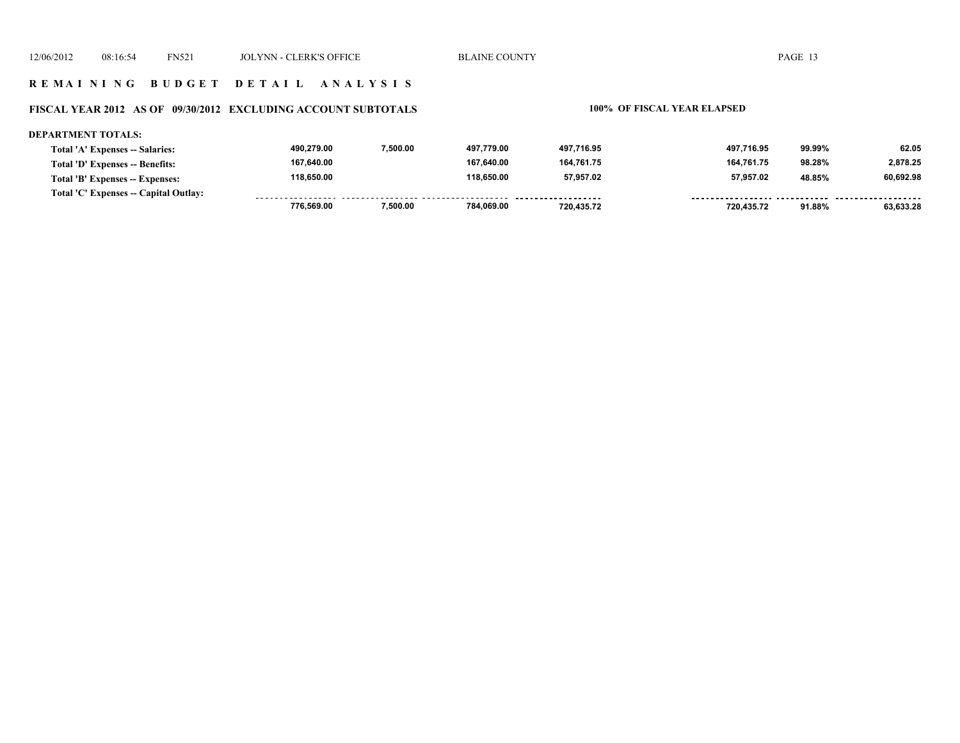### **R E M A I N I N G B U D G E T D E T A I L A N A L Y S I S**

### **FISCAL YEAR 2012 AS OF 09/30/2012 EXCLUDING ACCOUNT SUBTOTALS 100% OF FISCAL YEAR ELAPSED**

### **DEPARTMENT TOTALS: 490,279.00 7,500.00 497,779.00 497,716.95 497,716.95 99.99% 62.05 Total 'A' Expenses -- Salaries: 167,640.00 167,640.00 164,761.75 164,761.75 98.28% 2,878.25 Total 'D' Expenses -- Benefits: 118,650.00 118,650.00 57,957.02 57,957.02 48.85% 60,692.98 Total 'B' Expenses -- Expenses: Total 'C' Expenses -- Capital Outlay:** ................. .... ....... ........ . . . . . . . . .  **776,569.00 7,500.00 784,069.00 720,435.72 720,435.72 91.88% 63,633.28**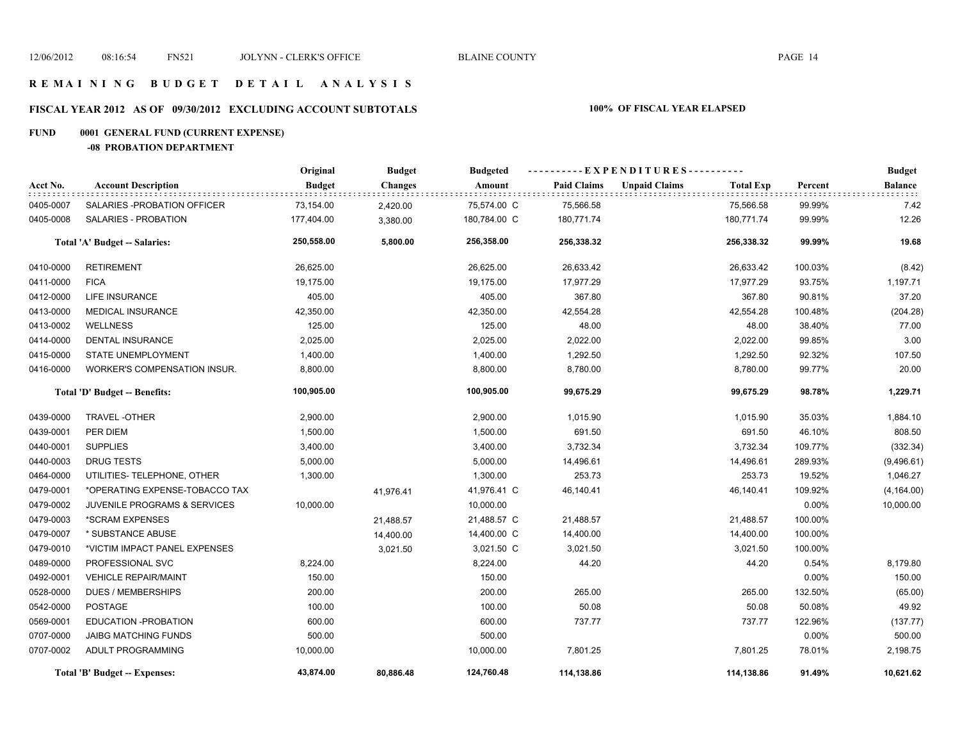### **R E M A I N I N G B U D G E T D E T A I L A N A L Y S I S**

# **FISCAL YEAR 2012 AS OF 09/30/2012 EXCLUDING ACCOUNT SUBTOTALS 100% OF FISCAL YEAR ELAPSED**

# **FUND 0001 GENERAL FUND (CURRENT EXPENSE)**

**-08 PROBATION DEPARTMENT**

|           |                                         | Original      | <b>Budget</b> | <b>Budgeted</b> |                    | ----------EXPENDITURES---------- |                  |         | <b>Budget</b> |
|-----------|-----------------------------------------|---------------|---------------|-----------------|--------------------|----------------------------------|------------------|---------|---------------|
| Acct No.  | <b>Account Description</b>              | <b>Budget</b> | Changes       | Amount          | <b>Paid Claims</b> | <b>Unpaid Claims</b>             | <b>Total Exp</b> | Percent | Balance       |
| 0405-0007 | SALARIES - PROBATION OF FICER           | 73,154.00     | 2,420.00      | 75,574.00 C     | 75,566.58          |                                  | 75,566.58        | 99.99%  | 7.42          |
| 0405-0008 | SALARIES - PROBATION                    | 177,404.00    | 3,380.00      | 180,784.00 C    | 180,771.74         |                                  | 180,771.74       | 99.99%  | 12.26         |
|           | Total 'A' Budget -- Salaries:           | 250,558.00    | 5,800.00      | 256,358.00      | 256,338.32         |                                  | 256,338.32       | 99.99%  | 19.68         |
| 0410-0000 | <b>RETIREMENT</b>                       | 26,625.00     |               | 26,625.00       | 26,633.42          |                                  | 26,633.42        | 100.03% | (8.42)        |
| 0411-0000 | <b>FICA</b>                             | 19,175.00     |               | 19,175.00       | 17,977.29          |                                  | 17,977.29        | 93.75%  | 1,197.71      |
| 0412-0000 | <b>LIFE INSURANCE</b>                   | 405.00        |               | 405.00          | 367.80             |                                  | 367.80           | 90.81%  | 37.20         |
| 0413-0000 | <b>MEDICAL INSURANCE</b>                | 42,350.00     |               | 42,350.00       | 42,554.28          |                                  | 42,554.28        | 100.48% | (204.28)      |
| 0413-0002 | <b>WELLNESS</b>                         | 125.00        |               | 125.00          | 48.00              |                                  | 48.00            | 38.40%  | 77.00         |
| 0414-0000 | <b>DENTAL INSURANCE</b>                 | 2,025.00      |               | 2,025.00        | 2,022.00           |                                  | 2,022.00         | 99.85%  | 3.00          |
| 0415-0000 | <b>STATE UNEMPLOYMENT</b>               | 1,400.00      |               | 1,400.00        | 1,292.50           |                                  | 1,292.50         | 92.32%  | 107.50        |
| 0416-0000 | <b>WORKER'S COMPENSATION INSUR.</b>     | 8,800.00      |               | 8,800.00        | 8,780.00           |                                  | 8,780.00         | 99.77%  | 20.00         |
|           | Total 'D' Budget -- Benefits:           | 100,905.00    |               | 100,905.00      | 99,675.29          |                                  | 99,675.29        | 98.78%  | 1,229.71      |
| 0439-0000 | <b>TRAVEL-OTHER</b>                     | 2,900.00      |               | 2,900.00        | 1,015.90           |                                  | 1,015.90         | 35.03%  | 1,884.10      |
| 0439-0001 | PER DIEM                                | 1,500.00      |               | 1,500.00        | 691.50             |                                  | 691.50           | 46.10%  | 808.50        |
| 0440-0001 | <b>SUPPLIES</b>                         | 3,400.00      |               | 3,400.00        | 3,732.34           |                                  | 3,732.34         | 109.77% | (332.34)      |
| 0440-0003 | <b>DRUG TESTS</b>                       | 5,000.00      |               | 5,000.00        | 14,496.61          |                                  | 14,496.61        | 289.93% | (9,496.61)    |
| 0464-0000 | UTILITIES- TELEPHONE, OTHER             | 1,300.00      |               | 1,300.00        | 253.73             |                                  | 253.73           | 19.52%  | 1,046.27      |
| 0479-0001 | *OPERATING EXPENSE-TOBACCO TAX          |               | 41,976.41     | 41,976.41 C     | 46,140.41          |                                  | 46,140.41        | 109.92% | (4, 164.00)   |
| 0479-0002 | <b>JUVENILE PROGRAMS &amp; SERVICES</b> | 10,000.00     |               | 10,000.00       |                    |                                  |                  | 0.00%   | 10,000.00     |
| 0479-0003 | *SCRAM EXPENSES                         |               | 21,488.57     | 21,488.57 C     | 21,488.57          |                                  | 21,488.57        | 100.00% |               |
| 0479-0007 | * SUBSTANCE ABUSE                       |               | 14,400.00     | 14,400.00 C     | 14,400.00          |                                  | 14,400.00        | 100.00% |               |
| 0479-0010 | *VICTIM IMPACT PANEL EXPENSES           |               | 3,021.50      | 3,021.50 C      | 3,021.50           |                                  | 3,021.50         | 100.00% |               |
| 0489-0000 | PROFESSIONAL SVC                        | 8,224.00      |               | 8,224.00        | 44.20              |                                  | 44.20            | 0.54%   | 8,179.80      |
| 0492-0001 | <b>VEHICLE REPAIR/MAINT</b>             | 150.00        |               | 150.00          |                    |                                  |                  | 0.00%   | 150.00        |
| 0528-0000 | <b>DUES / MEMBERSHIPS</b>               | 200.00        |               | 200.00          | 265.00             |                                  | 265.00           | 132.50% | (65.00)       |
| 0542-0000 | POSTAGE                                 | 100.00        |               | 100.00          | 50.08              |                                  | 50.08            | 50.08%  | 49.92         |
| 0569-0001 | EDUCATION - PROBATION                   | 600.00        |               | 600.00          | 737.77             |                                  | 737.77           | 122.96% | (137.77)      |
| 0707-0000 | <b>JAIBG MATCHING FUNDS</b>             | 500.00        |               | 500.00          |                    |                                  |                  | 0.00%   | 500.00        |
| 0707-0002 | ADULT PROGRAMMING                       | 10,000.00     |               | 10,000.00       | 7,801.25           |                                  | 7,801.25         | 78.01%  | 2,198.75      |
|           | Total 'B' Budget -- Expenses:           | 43,874.00     | 80,886.48     | 124,760.48      | 114,138.86         |                                  | 114,138.86       | 91.49%  | 10,621.62     |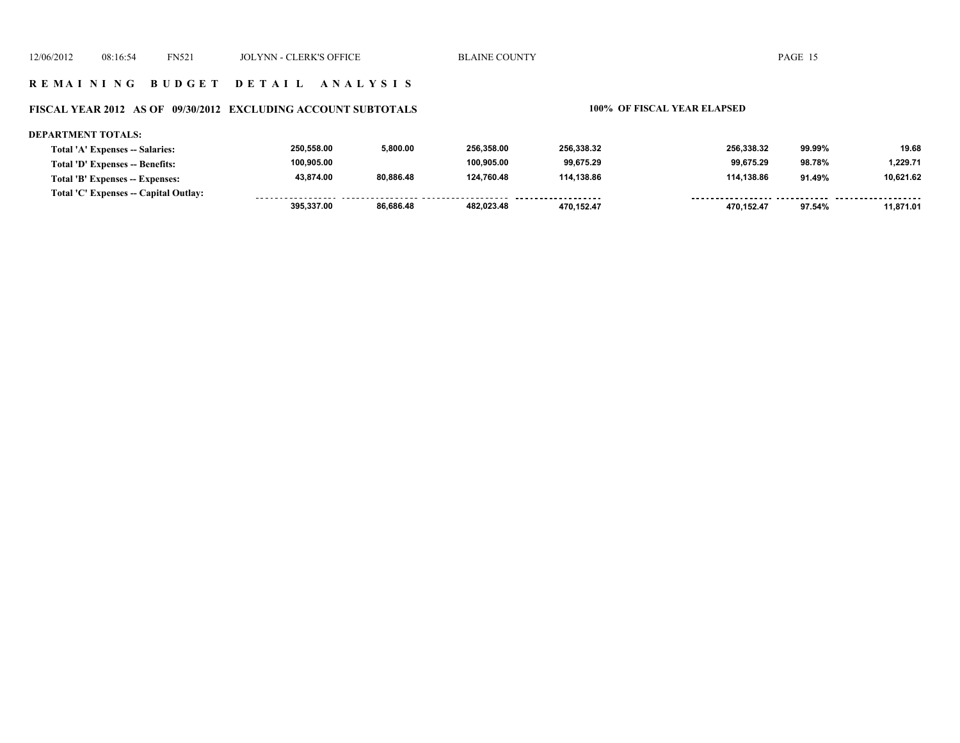### **R E M A I N I N G B U D G E T D E T A I L A N A L Y S I S**

### **FISCAL YEAR 2012 AS OF 09/30/2012 EXCLUDING ACCOUNT SUBTOTALS 100% OF FISCAL YEAR ELAPSED**

| DEPARTMENT TOTALS:                     |            |           |            |            |            |        |           |
|----------------------------------------|------------|-----------|------------|------------|------------|--------|-----------|
| <b>Total 'A' Expenses -- Salaries:</b> | 250.558.00 | 5.800.00  | 256.358.00 | 256,338.32 | 256,338.32 | 99.99% | 19.68     |
| Total 'D' Expenses -- Benefits:        | 100.905.00 |           | 100.905.00 | 99.675.29  | 99.675.29  | 98.78% | 1.229.71  |
| Total 'B' Expenses -- Expenses:        | 43,874.00  | 80.886.48 | 124.760.48 | 114,138.86 | 114.138.86 | 91.49% | 10,621.62 |
| Total 'C' Expenses -- Capital Outlay:  |            |           |            |            |            |        |           |
|                                        | 395.337.00 | 86.686.48 | 482.023.48 | 470.152.47 | 470.152.47 | 97.54% | 11.871.01 |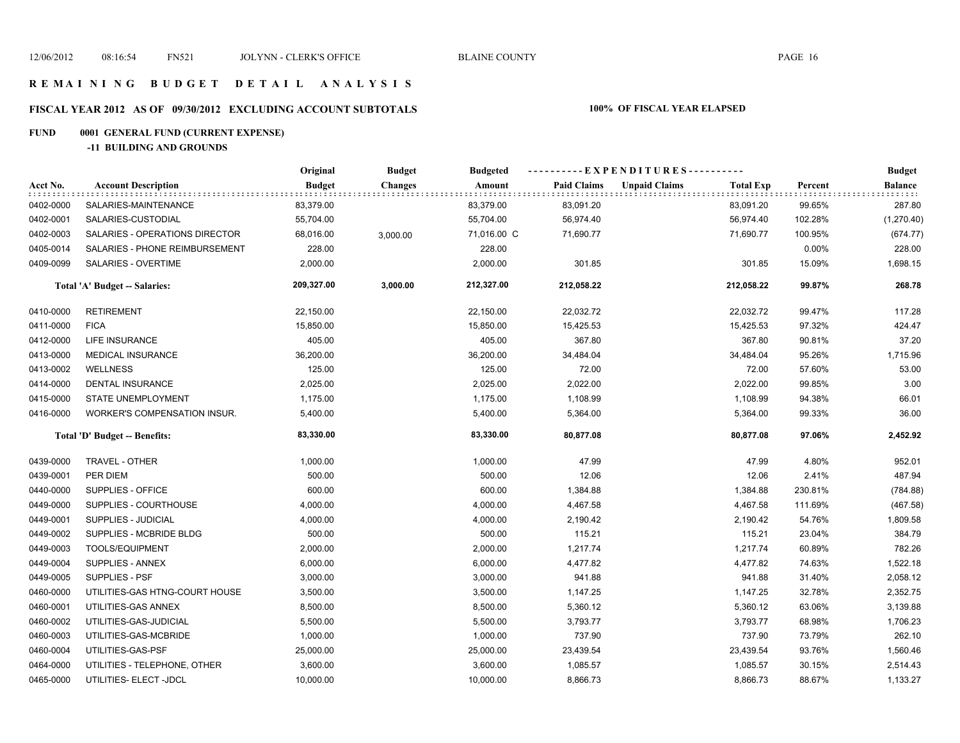# **FISCAL YEAR 2012 AS OF 09/30/2012 EXCLUDING ACCOUNT SUBTOTALS 100% OF FISCAL YEAR ELAPSED**

# **FUND 0001 GENERAL FUND (CURRENT EXPENSE)**

**-11 BUILDING AND GROUNDS**

|           |                                     | Original      | <b>Budget</b>  | <b>Budgeted</b> |                    | ----------EXPENDITURES---------- |                  |         | <b>Budget</b> |
|-----------|-------------------------------------|---------------|----------------|-----------------|--------------------|----------------------------------|------------------|---------|---------------|
| Acct No.  | <b>Account Description</b>          | <b>Budget</b> | <b>Changes</b> | Amount          | <b>Paid Claims</b> | <b>Unpaid Claims</b>             | <b>Total Exp</b> | Percent | Balance       |
| 0402-0000 | SALARIES-MAINTENANCE                | 83,379.00     |                | 83,379.00       | 83,091.20          |                                  | 83,091.20        | 99.65%  | 287.80        |
| 0402-0001 | SALARIES-CUSTODIAL                  | 55,704.00     |                | 55,704.00       | 56,974.40          |                                  | 56,974.40        | 102.28% | (1,270.40)    |
| 0402-0003 | SALARIES - OPERATIONS DIRECTOR      | 68,016.00     | 3,000.00       | 71,016.00 C     | 71,690.77          |                                  | 71,690.77        | 100.95% | (674.77)      |
| 0405-0014 | SALARIES - PHONE REIMBURSEMENT      | 228.00        |                | 228.00          |                    |                                  |                  | 0.00%   | 228.00        |
| 0409-0099 | SALARIES - OVERTIME                 | 2,000.00      |                | 2,000.00        | 301.85             |                                  | 301.85           | 15.09%  | 1,698.15      |
|           | Total 'A' Budget -- Salaries:       | 209,327.00    | 3,000.00       | 212,327.00      | 212,058.22         |                                  | 212,058.22       | 99.87%  | 268.78        |
| 0410-0000 | <b>RETIREMENT</b>                   | 22,150.00     |                | 22,150.00       | 22,032.72          |                                  | 22,032.72        | 99.47%  | 117.28        |
| 0411-0000 | <b>FICA</b>                         | 15,850.00     |                | 15,850.00       | 15,425.53          |                                  | 15,425.53        | 97.32%  | 424.47        |
| 0412-0000 | LIFE INSURANCE                      | 405.00        |                | 405.00          | 367.80             |                                  | 367.80           | 90.81%  | 37.20         |
| 0413-0000 | <b>MEDICAL INSURANCE</b>            | 36,200.00     |                | 36,200.00       | 34,484.04          |                                  | 34,484.04        | 95.26%  | 1,715.96      |
| 0413-0002 | <b>WELLNESS</b>                     | 125.00        |                | 125.00          | 72.00              |                                  | 72.00            | 57.60%  | 53.00         |
| 0414-0000 | <b>DENTAL INSURANCE</b>             | 2,025.00      |                | 2,025.00        | 2,022.00           |                                  | 2,022.00         | 99.85%  | 3.00          |
| 0415-0000 | STATE UNEMPLOYMENT                  | 1,175.00      |                | 1,175.00        | 1,108.99           |                                  | 1,108.99         | 94.38%  | 66.01         |
| 0416-0000 | <b>WORKER'S COMPENSATION INSUR.</b> | 5,400.00      |                | 5,400.00        | 5,364.00           |                                  | 5,364.00         | 99.33%  | 36.00         |
|           | Total 'D' Budget -- Benefits:       | 83,330.00     |                | 83,330.00       | 80,877.08          |                                  | 80,877.08        | 97.06%  | 2,452.92      |
| 0439-0000 | <b>TRAVEL - OTHER</b>               | 1,000.00      |                | 1,000.00        | 47.99              |                                  | 47.99            | 4.80%   | 952.01        |
| 0439-0001 | PER DIEM                            | 500.00        |                | 500.00          | 12.06              |                                  | 12.06            | 2.41%   | 487.94        |
| 0440-0000 | SUPPLIES - OFFICE                   | 600.00        |                | 600.00          | 1,384.88           |                                  | 1,384.88         | 230.81% | (784.88)      |
| 0449-0000 | SUPPLIES - COURTHOUSE               | 4,000.00      |                | 4,000.00        | 4,467.58           |                                  | 4,467.58         | 111.69% | (467.58)      |
| 0449-0001 | SUPPLIES - JUDICIAL                 | 4,000.00      |                | 4,000.00        | 2,190.42           |                                  | 2,190.42         | 54.76%  | 1,809.58      |
| 0449-0002 | SUPPLIES - MCBRIDE BLDG             | 500.00        |                | 500.00          | 115.21             |                                  | 115.21           | 23.04%  | 384.79        |
| 0449-0003 | TOOLS/EQUIPMENT                     | 2,000.00      |                | 2,000.00        | 1,217.74           |                                  | 1,217.74         | 60.89%  | 782.26        |
| 0449-0004 | SUPPLIES - ANNEX                    | 6,000.00      |                | 6,000.00        | 4,477.82           |                                  | 4,477.82         | 74.63%  | 1,522.18      |
| 0449-0005 | SUPPLIES - PSF                      | 3,000.00      |                | 3,000.00        | 941.88             |                                  | 941.88           | 31.40%  | 2,058.12      |
| 0460-0000 | UTILITIES-GAS HTNG-COURT HOUSE      | 3,500.00      |                | 3,500.00        | 1,147.25           |                                  | 1,147.25         | 32.78%  | 2,352.75      |
| 0460-0001 | UTILITIES-GAS ANNEX                 | 8,500.00      |                | 8,500.00        | 5,360.12           |                                  | 5,360.12         | 63.06%  | 3,139.88      |
| 0460-0002 | UTILITIES-GAS-JUDICIAL              | 5,500.00      |                | 5,500.00        | 3,793.77           |                                  | 3,793.77         | 68.98%  | 1,706.23      |
| 0460-0003 | UTILITIES-GAS-MCBRIDE               | 1,000.00      |                | 1,000.00        | 737.90             |                                  | 737.90           | 73.79%  | 262.10        |
| 0460-0004 | UTILITIES-GAS-PSF                   | 25,000.00     |                | 25,000.00       | 23,439.54          |                                  | 23,439.54        | 93.76%  | 1,560.46      |
| 0464-0000 | UTILITIES - TELEPHONE, OTHER        | 3,600.00      |                | 3,600.00        | 1,085.57           |                                  | 1,085.57         | 30.15%  | 2,514.43      |
| 0465-0000 | UTILITIES- ELECT -JDCL              | 10,000.00     |                | 10,000.00       | 8,866.73           |                                  | 8,866.73         | 88.67%  | 1,133.27      |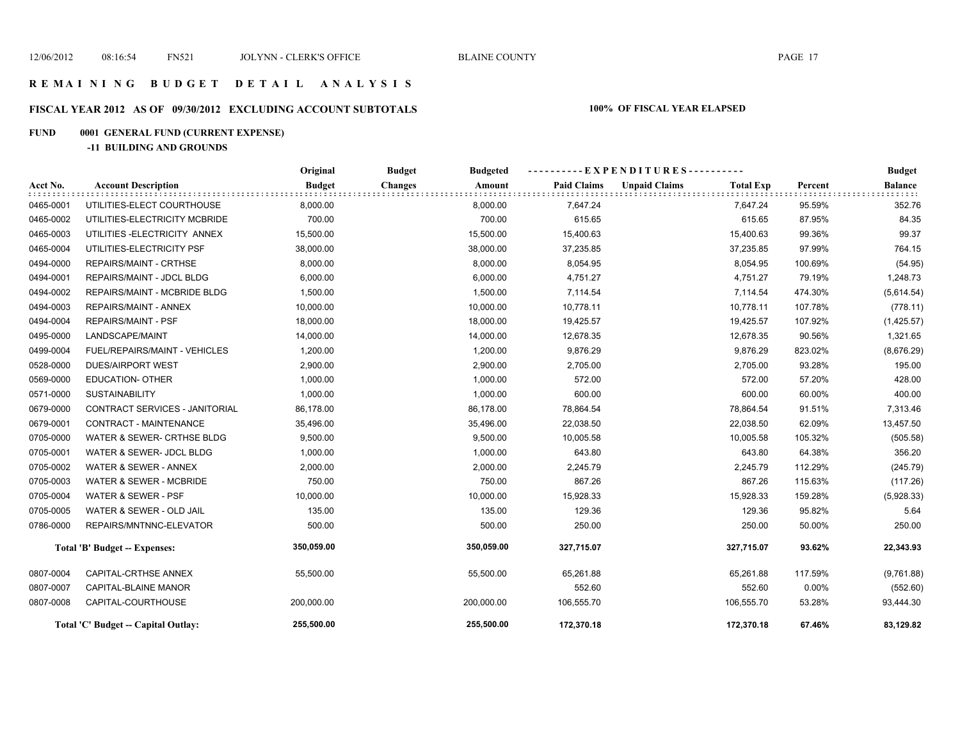# **FISCAL YEAR 2012 AS OF 09/30/2012 EXCLUDING ACCOUNT SUBTOTALS 100% OF FISCAL YEAR ELAPSED**

# **FUND 0001 GENERAL FUND (CURRENT EXPENSE)**

**-11 BUILDING AND GROUNDS**

|           |                                     | Original      | <b>Budget</b><br><b>Budgeted</b> |                    | ----------EXPENDITURES---------- |                  |         | <b>Budget</b>  |
|-----------|-------------------------------------|---------------|----------------------------------|--------------------|----------------------------------|------------------|---------|----------------|
| Acct No.  | <b>Account Description</b>          | <b>Budget</b> | <b>Changes</b><br>Amount         | <b>Paid Claims</b> | <b>Unpaid Claims</b>             | <b>Total Exp</b> | Percent | <b>Balance</b> |
| 0465-0001 | UTILITIES-ELECT COURTHOUSE          | 8,000.00      | 8,000.00                         | 7,647.24           |                                  | 7,647.24         | 95.59%  | 352.76         |
| 0465-0002 | UTILITIES-ELECTRICITY MCBRIDE       | 700.00        | 700.00                           | 615.65             |                                  | 615.65           | 87.95%  | 84.35          |
| 0465-0003 | UTILITIES-ELECTRICITY ANNEX         | 15,500.00     | 15,500.00                        | 15,400.63          |                                  | 15,400.63        | 99.36%  | 99.37          |
| 0465-0004 | UTILITIES-ELECTRICITY PSF           | 38,000.00     | 38,000.00                        | 37,235.85          |                                  | 37,235.85        | 97.99%  | 764.15         |
| 0494-0000 | REPAIRS/MAINT - CRTHSE              | 8,000.00      | 8,000.00                         | 8,054.95           |                                  | 8,054.95         | 100.69% | (54.95)        |
| 0494-0001 | REPAIRS/MAINT - JDCL BLDG           | 6,000.00      | 6,000.00                         | 4,751.27           |                                  | 4,751.27         | 79.19%  | 1,248.73       |
| 0494-0002 | REPAIRS/MAINT - MCBRIDE BLDG        | 1,500.00      | 1,500.00                         | 7,114.54           |                                  | 7,114.54         | 474.30% | (5,614.54)     |
| 0494-0003 | <b>REPAIRS/MAINT - ANNEX</b>        | 10,000.00     | 10,000.00                        | 10,778.11          |                                  | 10,778.11        | 107.78% | (778.11)       |
| 0494-0004 | <b>REPAIRS/MAINT - PSF</b>          | 18,000.00     | 18,000.00                        | 19,425.57          |                                  | 19,425.57        | 107.92% | (1,425.57)     |
| 0495-0000 | LANDSCAPE/MAINT                     | 14,000.00     | 14,000.00                        | 12,678.35          |                                  | 12,678.35        | 90.56%  | 1,321.65       |
| 0499-0004 | FUEL/REPAIRS/MAINT - VEHICLES       | 1,200.00      | 1,200.00                         | 9,876.29           |                                  | 9,876.29         | 823.02% | (8,676.29)     |
| 0528-0000 | <b>DUES/AIRPORT WEST</b>            | 2,900.00      | 2,900.00                         | 2,705.00           |                                  | 2,705.00         | 93.28%  | 195.00         |
| 0569-0000 | <b>EDUCATION- OTHER</b>             | 1,000.00      | 1,000.00                         | 572.00             |                                  | 572.00           | 57.20%  | 428.00         |
| 0571-0000 | <b>SUSTAINABILITY</b>               | 1,000.00      | 1,000.00                         | 600.00             |                                  | 600.00           | 60.00%  | 400.00         |
| 0679-0000 | CONTRACT SERVICES - JANITORIAL      | 86,178.00     | 86,178.00                        | 78,864.54          |                                  | 78,864.54        | 91.51%  | 7,313.46       |
| 0679-0001 | CONTRACT - MAINTENANCE              | 35,496.00     | 35,496.00                        | 22,038.50          |                                  | 22,038.50        | 62.09%  | 13,457.50      |
| 0705-0000 | WATER & SEWER- CRTHSE BLDG          | 9,500.00      | 9,500.00                         | 10,005.58          |                                  | 10,005.58        | 105.32% | (505.58)       |
| 0705-0001 | WATER & SEWER- JDCL BLDG            | 1,000.00      | 1,000.00                         | 643.80             |                                  | 643.80           | 64.38%  | 356.20         |
| 0705-0002 | WATER & SEWER - ANNEX               | 2,000.00      | 2,000.00                         | 2,245.79           |                                  | 2,245.79         | 112.29% | (245.79)       |
| 0705-0003 | <b>WATER &amp; SEWER - MCBRIDE</b>  | 750.00        | 750.00                           | 867.26             |                                  | 867.26           | 115.63% | (117.26)       |
| 0705-0004 | WATER & SEWER - PSF                 | 10,000.00     | 10,000.00                        | 15,928.33          |                                  | 15,928.33        | 159.28% | (5,928.33)     |
| 0705-0005 | WATER & SEWER - OLD JAIL            | 135.00        | 135.00                           | 129.36             |                                  | 129.36           | 95.82%  | 5.64           |
| 0786-0000 | REPAIRS/MNTNNC-ELEVATOR             | 500.00        | 500.00                           | 250.00             |                                  | 250.00           | 50.00%  | 250.00         |
|           | Total 'B' Budget -- Expenses:       | 350,059.00    | 350,059.00                       | 327,715.07         |                                  | 327,715.07       | 93.62%  | 22,343.93      |
| 0807-0004 | CAPITAL-CRTHSE ANNEX                | 55,500.00     | 55,500.00                        | 65,261.88          |                                  | 65,261.88        | 117.59% | (9,761.88)     |
| 0807-0007 | CAPITAL-BLAINE MANOR                |               |                                  | 552.60             |                                  | 552.60           | 0.00%   | (552.60)       |
| 0807-0008 | CAPITAL-COURTHOUSE                  | 200,000.00    | 200,000.00                       | 106,555.70         |                                  | 106,555.70       | 53.28%  | 93,444.30      |
|           | Total 'C' Budget -- Capital Outlay: | 255,500.00    | 255,500.00                       | 172,370.18         |                                  | 172,370.18       | 67.46%  | 83,129.82      |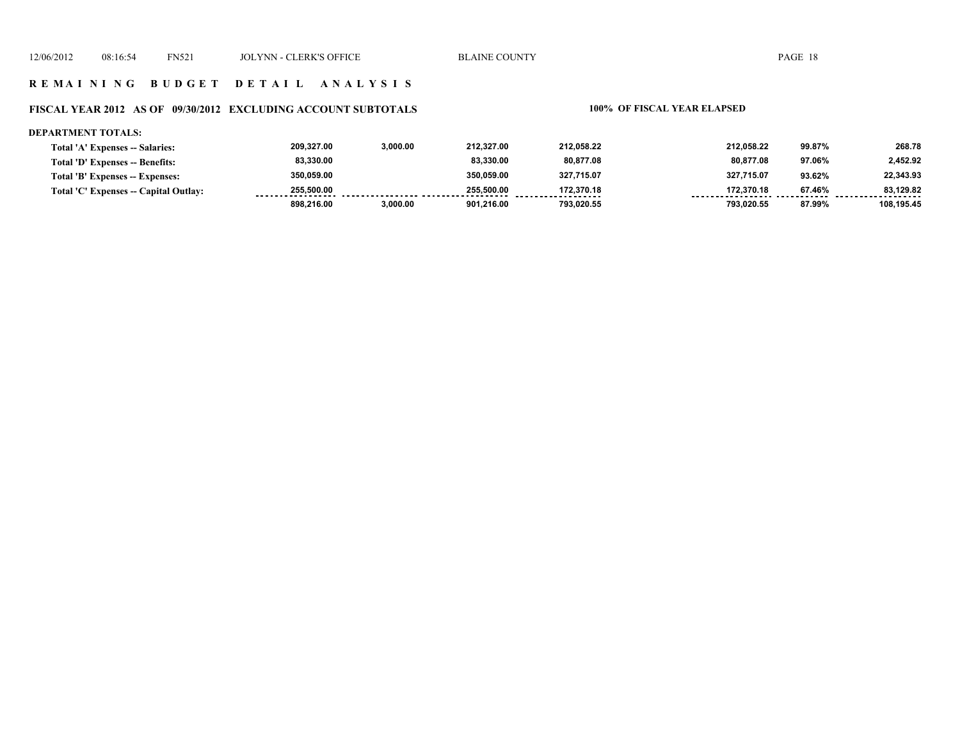### **R E M A I N I N G B U D G E T D E T A I L A N A L Y S I S**

### **FISCAL YEAR 2012 AS OF 09/30/2012 EXCLUDING ACCOUNT SUBTOTALS 100% OF FISCAL YEAR ELAPSED**

### **DEPARTMENT TOTALS:**

| <b>Total 'A' Expenses -- Salaries:</b> | 209.327.00 | 3.000.00 | 212.327.00 | 212.058.22 | 212.058.22 | 99.87% | 268.78                 |
|----------------------------------------|------------|----------|------------|------------|------------|--------|------------------------|
| Total 'D' Expenses -- Benefits:        | 83,330.00  |          | 83.330.00  | 80.877.08  | 80,877.08  | 97.06% | 2.452.92               |
| Total 'B' Expenses -- Expenses:        | 350.059.00 |          | 350.059.00 | 327.715.07 | 327.715.07 | 93.62% | 22.343.93              |
| Total 'C' Expenses -- Capital Outlay:  | 255.500.00 |          | 255.500.00 | 172.370.18 | 172.370.18 | 67.46% | 83.129.82<br>--------- |
|                                        | 898.216.00 | 3.000.00 | 901.216.00 | 793.020.55 | 793.020.55 | 87.99% | 108.195.45             |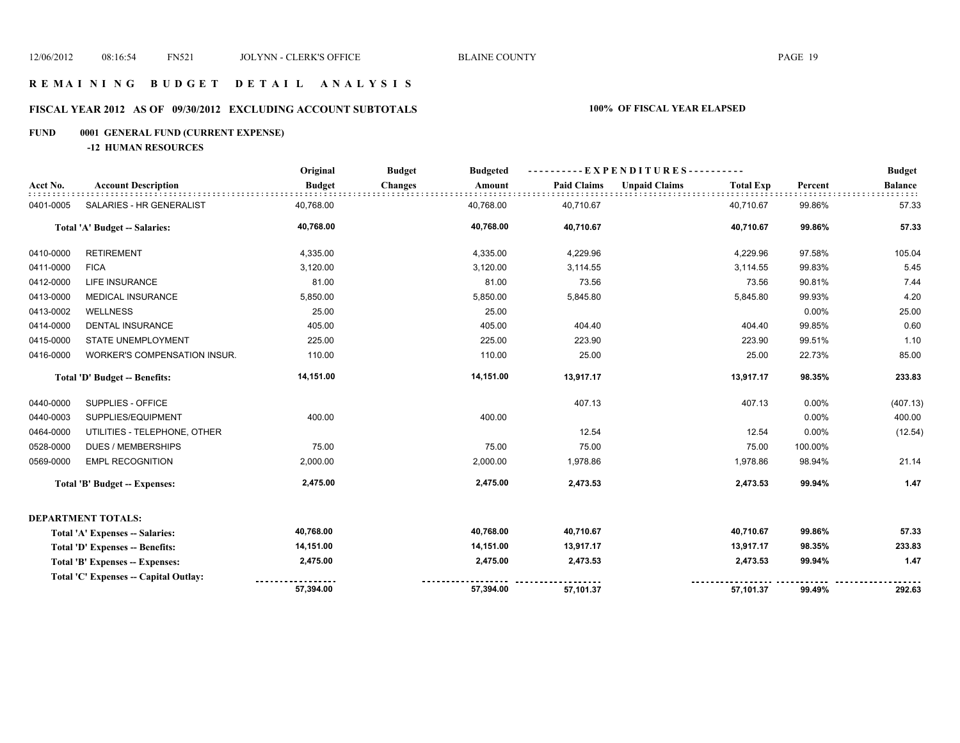### **R E M A I N I N G B U D G E T D E T A I L A N A L Y S I S**

# **FISCAL YEAR 2012 AS OF 09/30/2012 EXCLUDING ACCOUNT SUBTOTALS 100% OF FISCAL YEAR ELAPSED**

# **FUND 0001 GENERAL FUND (CURRENT EXPENSE)**

**-12 HUMAN RESOURCES**

|           |                                       | Original      | <b>Budget</b><br><b>Budgeted</b> |                    | - EXPENDITURES----------                 |         | <b>Budget</b>  |
|-----------|---------------------------------------|---------------|----------------------------------|--------------------|------------------------------------------|---------|----------------|
| Acct No.  | <b>Account Description</b>            | <b>Budget</b> | <b>Changes</b><br>Amount         | <b>Paid Claims</b> | <b>Unpaid Claims</b><br><b>Total Exp</b> | Percent | <b>Balance</b> |
| 0401-0005 | SALARIES - HR GENERALIST              | 40,768.00     | 40,768.00                        | 40,710.67          | 40,710.67                                | 99.86%  | 57.33          |
|           | Total 'A' Budget -- Salaries:         | 40,768.00     | 40,768.00                        | 40,710.67          | 40,710.67                                | 99.86%  | 57.33          |
| 0410-0000 | <b>RETIREMENT</b>                     | 4,335.00      | 4,335.00                         | 4,229.96           | 4,229.96                                 | 97.58%  | 105.04         |
| 0411-0000 | <b>FICA</b>                           | 3,120.00      | 3,120.00                         | 3,114.55           | 3,114.55                                 | 99.83%  | 5.45           |
| 0412-0000 | <b>LIFE INSURANCE</b>                 | 81.00         | 81.00                            | 73.56              | 73.56                                    | 90.81%  | 7.44           |
| 0413-0000 | MEDICAL INSURANCE                     | 5,850.00      | 5,850.00                         | 5,845.80           | 5,845.80                                 | 99.93%  | 4.20           |
| 0413-0002 | <b>WELLNESS</b>                       | 25.00         | 25.00                            |                    |                                          | 0.00%   | 25.00          |
| 0414-0000 | <b>DENTAL INSURANCE</b>               | 405.00        | 405.00                           | 404.40             | 404.40                                   | 99.85%  | 0.60           |
| 0415-0000 | STATE UNEMPLOYMENT                    | 225.00        | 225.00                           | 223.90             | 223.90                                   | 99.51%  | 1.10           |
| 0416-0000 | WORKER'S COMPENSATION INSUR.          | 110.00        | 110.00                           | 25.00              | 25.00                                    | 22.73%  | 85.00          |
|           | Total 'D' Budget -- Benefits:         | 14,151.00     | 14,151.00                        | 13,917.17          | 13,917.17                                | 98.35%  | 233.83         |
| 0440-0000 | SUPPLIES - OFFICE                     |               |                                  | 407.13             | 407.13                                   | 0.00%   | (407.13)       |
| 0440-0003 | SUPPLIES/EQUIPMENT                    | 400.00        | 400.00                           |                    |                                          | 0.00%   | 400.00         |
| 0464-0000 | UTILITIES - TELEPHONE, OTHER          |               |                                  | 12.54              | 12.54                                    | 0.00%   | (12.54)        |
| 0528-0000 | <b>DUES / MEMBERSHIPS</b>             | 75.00         | 75.00                            | 75.00              | 75.00                                    | 100.00% |                |
| 0569-0000 | <b>EMPL RECOGNITION</b>               | 2,000.00      | 2,000.00                         | 1,978.86           | 1,978.86                                 | 98.94%  | 21.14          |
|           | <b>Total 'B' Budget -- Expenses:</b>  | 2,475.00      | 2,475.00                         | 2,473.53           | 2,473.53                                 | 99.94%  | 1.47           |
|           | <b>DEPARTMENT TOTALS:</b>             |               |                                  |                    |                                          |         |                |
|           | Total 'A' Expenses -- Salaries:       | 40,768.00     | 40,768.00                        | 40,710.67          | 40,710.67                                | 99.86%  | 57.33          |
|           | Total 'D' Expenses -- Benefits:       | 14,151.00     | 14,151.00                        | 13,917.17          | 13,917.17                                | 98.35%  | 233.83         |
|           | Total 'B' Expenses -- Expenses:       | 2,475.00      | 2,475.00                         | 2,473.53           | 2,473.53                                 | 99.94%  | 1.47           |
|           | Total 'C' Expenses -- Capital Outlay: |               |                                  |                    |                                          |         |                |
|           |                                       | 57,394.00     | 57,394.00                        | 57,101.37          | 57,101.37                                | 99.49%  | 292.63         |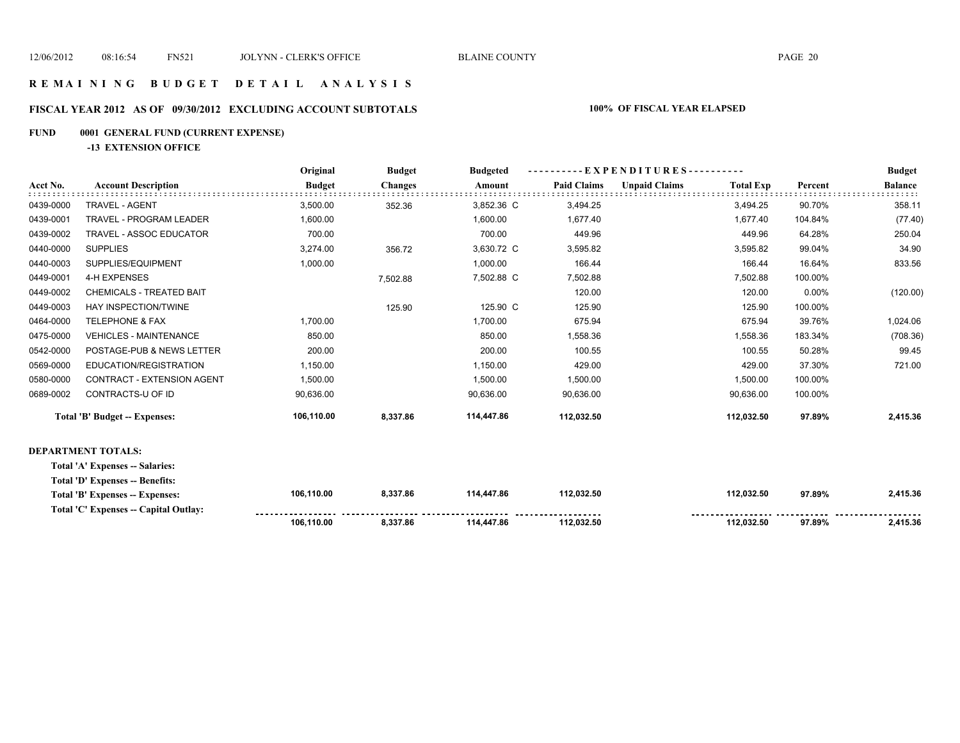# **FISCAL YEAR 2012 AS OF 09/30/2012 EXCLUDING ACCOUNT SUBTOTALS 100% OF FISCAL YEAR ELAPSED**

# **FUND 0001 GENERAL FUND (CURRENT EXPENSE)**

**-13 EXTENSION OFFICE**

|           |                                      | Original      | <b>Budget</b>  | <b>Budgeted</b> |                    | - EXPENDITURES---------- |                  |         | <b>Budget</b>  |
|-----------|--------------------------------------|---------------|----------------|-----------------|--------------------|--------------------------|------------------|---------|----------------|
| Acct No.  | <b>Account Description</b>           | <b>Budget</b> | <b>Changes</b> | Amount          | <b>Paid Claims</b> | <b>Unpaid Claims</b>     | <b>Total Exp</b> | Percent | <b>Balance</b> |
| 0439-0000 | TRAVEL - AGENT                       | 3,500.00      | 352.36         | 3,852.36 C      | 3,494.25           |                          | 3,494.25         | 90.70%  | 358.11         |
| 0439-0001 | TRAVEL - PROGRAM LEADER              | 1,600.00      |                | 1,600.00        | 1,677.40           |                          | 1,677.40         | 104.84% | (77.40)        |
| 0439-0002 | TRAVEL - ASSOC EDUCATOR              | 700.00        |                | 700.00          | 449.96             |                          | 449.96           | 64.28%  | 250.04         |
| 0440-0000 | <b>SUPPLIES</b>                      | 3,274.00      | 356.72         | 3,630.72 C      | 3,595.82           |                          | 3,595.82         | 99.04%  | 34.90          |
| 0440-0003 | SUPPLIES/EQUIPMENT                   | 1,000.00      |                | 1,000.00        | 166.44             |                          | 166.44           | 16.64%  | 833.56         |
| 0449-0001 | 4-H EXPENSES                         |               | 7,502.88       | 7,502.88 C      | 7,502.88           |                          | 7,502.88         | 100.00% |                |
| 0449-0002 | <b>CHEMICALS - TREATED BAIT</b>      |               |                |                 | 120.00             |                          | 120.00           | 0.00%   | (120.00)       |
| 0449-0003 | HAY INSPECTION/TWINE                 |               | 125.90         | 125.90 C        | 125.90             |                          | 125.90           | 100.00% |                |
| 0464-0000 | <b>TELEPHONE &amp; FAX</b>           | 1,700.00      |                | 1,700.00        | 675.94             |                          | 675.94           | 39.76%  | 1,024.06       |
| 0475-0000 | <b>VEHICLES - MAINTENANCE</b>        | 850.00        |                | 850.00          | 1,558.36           |                          | 1,558.36         | 183.34% | (708.36)       |
| 0542-0000 | POSTAGE-PUB & NEWS LETTER            | 200.00        |                | 200.00          | 100.55             |                          | 100.55           | 50.28%  | 99.45          |
| 0569-0000 | EDUCATION/REGISTRATION               | 1,150.00      |                | 1,150.00        | 429.00             |                          | 429.00           | 37.30%  | 721.00         |
| 0580-0000 | CONTRACT - EXTENSION AGENT           | 1,500.00      |                | 1,500.00        | 1,500.00           |                          | 1,500.00         | 100.00% |                |
| 0689-0002 | CONTRACTS-U OF ID                    | 90,636.00     |                | 90,636.00       | 90,636.00          |                          | 90,636.00        | 100.00% |                |
|           | <b>Total 'B' Budget -- Expenses:</b> | 106,110.00    | 8,337.86       | 114,447.86      | 112,032.50         |                          | 112,032.50       | 97.89%  | 2,415.36       |
|           | <b>DEPARTMENT TOTALS:</b>            |               |                |                 |                    |                          |                  |         |                |
|           | Total ! A! Expanses Ralaxies         |               |                |                 |                    |                          |                  |         |                |

**Total 'A' Expenses -- Salaries:**

| Total 'D' Expenses -- Benefits:       |            |          |            |            |            |        |          |
|---------------------------------------|------------|----------|------------|------------|------------|--------|----------|
| Total 'B' Expenses -- Expenses:       | 106,110.00 | 8,337.86 | 114.447.86 | 112.032.50 | 112,032.50 | 97.89% | 2,415.36 |
| Total 'C' Expenses -- Capital Outlay: |            |          |            |            |            |        |          |
|                                       | 106.110.00 | 3.337.86 | 114.447.86 | 112.032.50 | 112.032.50 | 97.89% | 2.415.36 |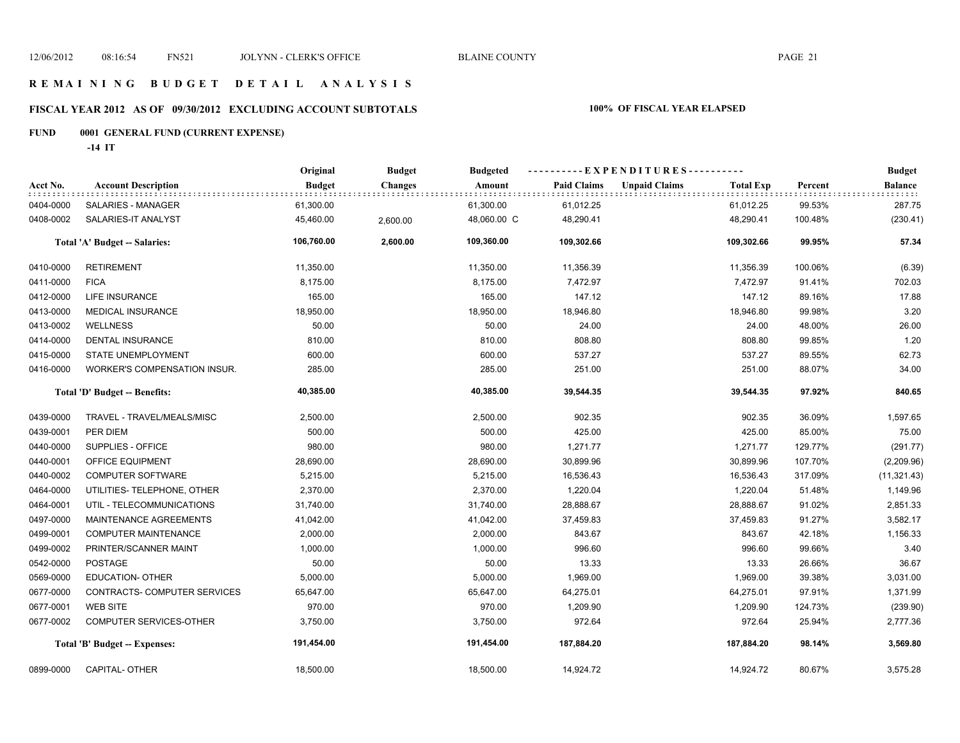### **R E M A I N I N G B U D G E T D E T A I L A N A L Y S I S**

# **FISCAL YEAR 2012 AS OF 09/30/2012 EXCLUDING ACCOUNT SUBTOTALS 100% OF FISCAL YEAR ELAPSED**

# **FUND 0001 GENERAL FUND (CURRENT EXPENSE)**

**-14 IT**

|           |                               | Original      | <b>Budget</b>  | <b>Budgeted</b> |                    | ----------EXPENDITURES---------- |                  |         | <b>Budget</b>  |
|-----------|-------------------------------|---------------|----------------|-----------------|--------------------|----------------------------------|------------------|---------|----------------|
| Acct No.  | <b>Account Description</b>    | <b>Budget</b> | <b>Changes</b> | Amount          | <b>Paid Claims</b> | <b>Unpaid Claims</b>             | <b>Total Exp</b> | Percent | <b>Balance</b> |
| 0404-0000 | SALARIES - MANAGER            | 61,300.00     |                | 61,300.00       | 61,012.25          |                                  | 61,012.25        | 99.53%  | 287.75         |
| 0408-0002 | SALARIES-IT ANALYST           | 45,460.00     | 2,600.00       | 48,060.00 C     | 48,290.41          |                                  | 48,290.41        | 100.48% | (230.41)       |
|           | Total 'A' Budget -- Salaries: | 106,760.00    | 2,600.00       | 109,360.00      | 109,302.66         |                                  | 109,302.66       | 99.95%  | 57.34          |
| 0410-0000 | <b>RETIREMENT</b>             | 11,350.00     |                | 11,350.00       | 11,356.39          |                                  | 11,356.39        | 100.06% | (6.39)         |
| 0411-0000 | <b>FICA</b>                   | 8,175.00      |                | 8,175.00        | 7,472.97           |                                  | 7,472.97         | 91.41%  | 702.03         |
| 0412-0000 | LIFE INSURANCE                | 165.00        |                | 165.00          | 147.12             |                                  | 147.12           | 89.16%  | 17.88          |
| 0413-0000 | MEDICAL INSURANCE             | 18,950.00     |                | 18,950.00       | 18,946.80          |                                  | 18,946.80        | 99.98%  | 3.20           |
| 0413-0002 | <b>WELLNESS</b>               | 50.00         |                | 50.00           | 24.00              |                                  | 24.00            | 48.00%  | 26.00          |
| 0414-0000 | DENTAL INSURANCE              | 810.00        |                | 810.00          | 808.80             |                                  | 808.80           | 99.85%  | 1.20           |
| 0415-0000 | STATE UNEMPLOYMENT            | 600.00        |                | 600.00          | 537.27             |                                  | 537.27           | 89.55%  | 62.73          |
| 0416-0000 | WORKER'S COMPENSATION INSUR.  | 285.00        |                | 285.00          | 251.00             |                                  | 251.00           | 88.07%  | 34.00          |
|           | Total 'D' Budget -- Benefits: | 40,385.00     |                | 40,385.00       | 39,544.35          |                                  | 39,544.35        | 97.92%  | 840.65         |
| 0439-0000 | TRAVEL - TRAVEL/MEALS/MISC    | 2,500.00      |                | 2,500.00        | 902.35             |                                  | 902.35           | 36.09%  | 1,597.65       |
| 0439-0001 | PER DIEM                      | 500.00        |                | 500.00          | 425.00             |                                  | 425.00           | 85.00%  | 75.00          |
| 0440-0000 | SUPPLIES - OFFICE             | 980.00        |                | 980.00          | 1,271.77           |                                  | 1,271.77         | 129.77% | (291.77)       |
| 0440-0001 | OFFICE EQUIPMENT              | 28,690.00     |                | 28,690.00       | 30,899.96          |                                  | 30,899.96        | 107.70% | (2,209.96)     |
| 0440-0002 | <b>COMPUTER SOFTWARE</b>      | 5,215.00      |                | 5,215.00        | 16,536.43          |                                  | 16,536.43        | 317.09% | (11, 321.43)   |
| 0464-0000 | UTILITIES- TELEPHONE, OTHER   | 2,370.00      |                | 2,370.00        | 1,220.04           |                                  | 1,220.04         | 51.48%  | 1,149.96       |
| 0464-0001 | UTIL - TELECOMMUNICATIONS     | 31,740.00     |                | 31,740.00       | 28,888.67          |                                  | 28,888.67        | 91.02%  | 2,851.33       |
| 0497-0000 | MAINTENANCE AGREEMENTS        | 41,042.00     |                | 41,042.00       | 37,459.83          |                                  | 37,459.83        | 91.27%  | 3,582.17       |
| 0499-0001 | <b>COMPUTER MAINTENANCE</b>   | 2,000.00      |                | 2,000.00        | 843.67             |                                  | 843.67           | 42.18%  | 1,156.33       |
| 0499-0002 | PRINTER/SCANNER MAINT         | 1,000.00      |                | 1,000.00        | 996.60             |                                  | 996.60           | 99.66%  | 3.40           |
| 0542-0000 | <b>POSTAGE</b>                | 50.00         |                | 50.00           | 13.33              |                                  | 13.33            | 26.66%  | 36.67          |
| 0569-0000 | <b>EDUCATION- OTHER</b>       | 5,000.00      |                | 5,000.00        | 1,969.00           |                                  | 1,969.00         | 39.38%  | 3,031.00       |
| 0677-0000 | CONTRACTS- COMPUTER SERVICES  | 65,647.00     |                | 65,647.00       | 64,275.01          |                                  | 64,275.01        | 97.91%  | 1,371.99       |
| 0677-0001 | <b>WEB SITE</b>               | 970.00        |                | 970.00          | 1,209.90           |                                  | 1,209.90         | 124.73% | (239.90)       |
| 0677-0002 | COMPUTER SERVICES-OTHER       | 3,750.00      |                | 3,750.00        | 972.64             |                                  | 972.64           | 25.94%  | 2,777.36       |
|           | Total 'B' Budget -- Expenses: | 191,454.00    |                | 191,454.00      | 187,884.20         |                                  | 187,884.20       | 98.14%  | 3,569.80       |
| 0899-0000 | CAPITAL- OTHER                | 18,500.00     |                | 18,500.00       | 14,924.72          |                                  | 14,924.72        | 80.67%  | 3,575.28       |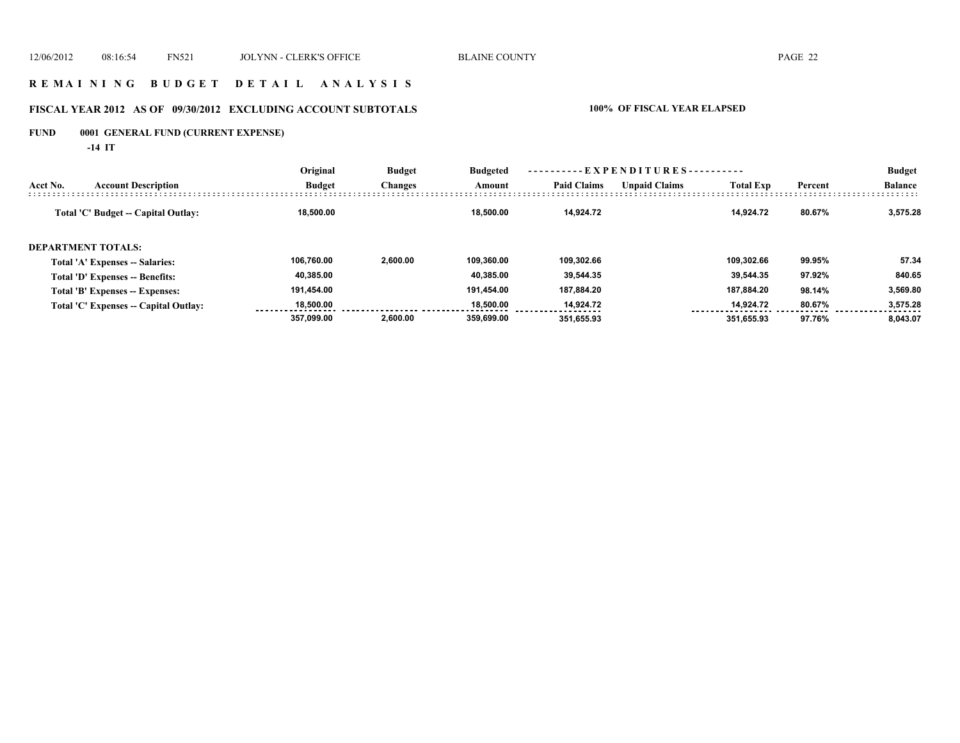### **R E M A I N I N G B U D G E T D E T A I L A N A L Y S I S**

# **FISCAL YEAR 2012 AS OF 09/30/2012 EXCLUDING ACCOUNT SUBTOTALS 100% OF FISCAL YEAR ELAPSED**

# **FUND 0001 GENERAL FUND (CURRENT EXPENSE)**

**-14 IT**

|          |                                       | Original      | - - E X P E N D I T U R E S - - - - - - - - - -<br><b>Budget</b><br><b>Budgeted</b> |            |                    |                      |                  | <b>Budget</b> |                |  |
|----------|---------------------------------------|---------------|-------------------------------------------------------------------------------------|------------|--------------------|----------------------|------------------|---------------|----------------|--|
| Acct No. | <b>Account Description</b>            | <b>Budget</b> | <b>Changes</b>                                                                      | Amount     | <b>Paid Claims</b> | <b>Unpaid Claims</b> | <b>Total Exp</b> | Percent       | <b>Balance</b> |  |
|          | Total 'C' Budget -- Capital Outlay:   | 18.500.00     |                                                                                     | 18.500.00  | 14.924.72          |                      | 14.924.72        | 80.67%        | 3.575.28       |  |
|          | DEPARTMENT TOTALS:                    |               |                                                                                     |            |                    |                      |                  |               |                |  |
|          | Total 'A' Expenses -- Salaries:       | 106.760.00    | 2.600.00                                                                            | 109.360.00 | 109.302.66         |                      | 109.302.66       | 99.95%        | 57.34          |  |
|          | Total 'D' Expenses -- Benefits:       | 40,385.00     |                                                                                     | 40.385.00  | 39.544.35          |                      | 39.544.35        | 97.92%        | 840.65         |  |
|          | Total 'B' Expenses -- Expenses:       | 191,454.00    |                                                                                     | 191,454.00 | 187,884.20         |                      | 187,884.20       | 98.14%        | 3,569.80       |  |
|          | Total 'C' Expenses -- Capital Outlay: | 18.500.00     |                                                                                     | 18.500.00  | 14.924.72          |                      | 14.924.72        | 80.67%        | 3.575.28       |  |
|          |                                       | 357.099.00    | 2.600.00                                                                            | 359.699.00 | 351.655.93         |                      | 351.655.93       | 97.76%        | 8,043.07       |  |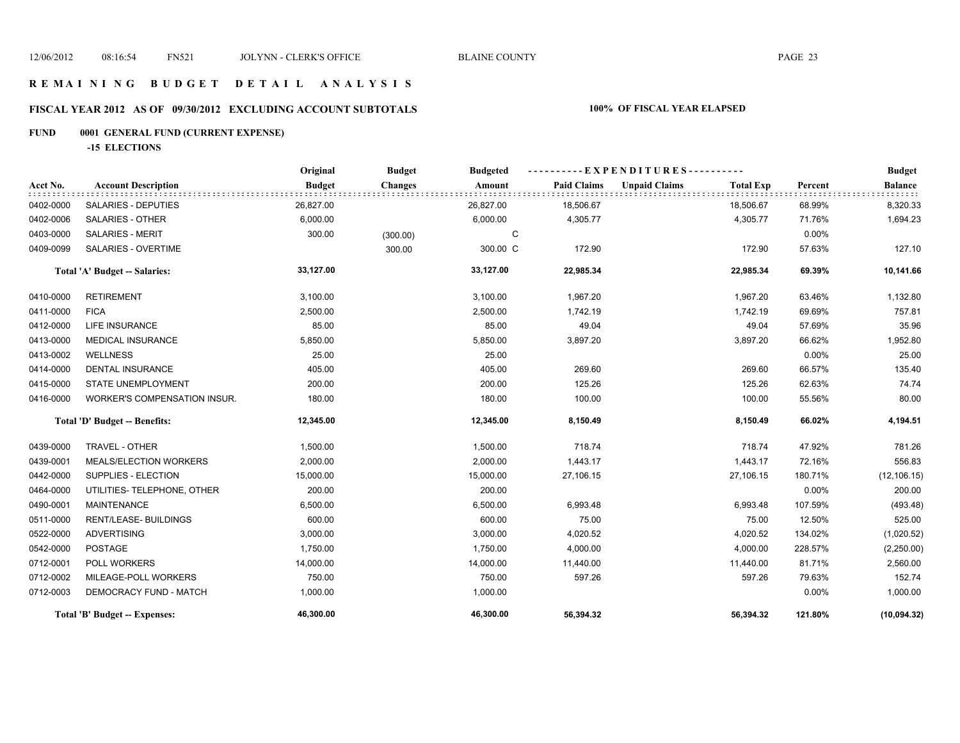# **FISCAL YEAR 2012 AS OF 09/30/2012 EXCLUDING ACCOUNT SUBTOTALS 100% OF FISCAL YEAR ELAPSED**

# **FUND 0001 GENERAL FUND (CURRENT EXPENSE)**

**-15 ELECTIONS**

|           |                                      | Original      | <b>Budget</b>  | <b>Budgeted</b> |                    |                      | - - E X P E N D I T U R E S - - - - - - - - - - |          |                |  |
|-----------|--------------------------------------|---------------|----------------|-----------------|--------------------|----------------------|-------------------------------------------------|----------|----------------|--|
| Acct No.  | <b>Account Description</b>           | <b>Budget</b> | <b>Changes</b> | Amount          | <b>Paid Claims</b> | <b>Unpaid Claims</b> | <b>Total Exp</b>                                | Percent  | <b>Balance</b> |  |
| 0402-0000 | SALARIES - DEPUTIES                  | 26,827.00     |                | 26,827.00       | 18,506.67          |                      | 18,506.67                                       | 68.99%   | 8,320.33       |  |
| 0402-0006 | <b>SALARIES - OTHER</b>              | 6,000.00      |                | 6,000.00        | 4,305.77           |                      | 4,305.77                                        | 71.76%   | 1,694.23       |  |
| 0403-0000 | <b>SALARIES - MERIT</b>              | 300.00        | (300.00)       | С               |                    |                      |                                                 | $0.00\%$ |                |  |
| 0409-0099 | <b>SALARIES - OVERTIME</b>           |               | 300.00         | 300.00 C        | 172.90             |                      | 172.90                                          | 57.63%   | 127.10         |  |
|           | Total 'A' Budget -- Salaries:        | 33,127.00     |                | 33,127.00       | 22,985.34          |                      | 22,985.34                                       | 69.39%   | 10,141.66      |  |
| 0410-0000 | <b>RETIREMENT</b>                    | 3,100.00      |                | 3,100.00        | 1,967.20           |                      | 1,967.20                                        | 63.46%   | 1,132.80       |  |
| 0411-0000 | <b>FICA</b>                          | 2,500.00      |                | 2,500.00        | 1,742.19           |                      | 1,742.19                                        | 69.69%   | 757.81         |  |
| 0412-0000 | <b>LIFE INSURANCE</b>                | 85.00         |                | 85.00           | 49.04              |                      | 49.04                                           | 57.69%   | 35.96          |  |
| 0413-0000 | <b>MEDICAL INSURANCE</b>             | 5,850.00      |                | 5,850.00        | 3,897.20           |                      | 3,897.20                                        | 66.62%   | 1,952.80       |  |
| 0413-0002 | <b>WELLNESS</b>                      | 25.00         |                | 25.00           |                    |                      |                                                 | $0.00\%$ | 25.00          |  |
| 0414-0000 | <b>DENTAL INSURANCE</b>              | 405.00        |                | 405.00          | 269.60             |                      | 269.60                                          | 66.57%   | 135.40         |  |
| 0415-0000 | <b>STATE UNEMPLOYMENT</b>            | 200.00        |                | 200.00          | 125.26             |                      | 125.26                                          | 62.63%   | 74.74          |  |
| 0416-0000 | <b>WORKER'S COMPENSATION INSUR.</b>  | 180.00        |                | 180.00          | 100.00             |                      | 100.00                                          | 55.56%   | 80.00          |  |
|           | Total 'D' Budget -- Benefits:        | 12,345.00     |                | 12,345.00       | 8,150.49           |                      | 8,150.49                                        | 66.02%   | 4,194.51       |  |
| 0439-0000 | TRAVEL - OTHER                       | 1,500.00      |                | 1,500.00        | 718.74             |                      | 718.74                                          | 47.92%   | 781.26         |  |
| 0439-0001 | <b>MEALS/ELECTION WORKERS</b>        | 2,000.00      |                | 2,000.00        | 1,443.17           |                      | 1,443.17                                        | 72.16%   | 556.83         |  |
| 0442-0000 | SUPPLIES - ELECTION                  | 15,000.00     |                | 15,000.00       | 27,106.15          |                      | 27,106.15                                       | 180.71%  | (12, 106.15)   |  |
| 0464-0000 | UTILITIES- TELEPHONE, OTHER          | 200.00        |                | 200.00          |                    |                      |                                                 | 0.00%    | 200.00         |  |
| 0490-0001 | <b>MAINTENANCE</b>                   | 6,500.00      |                | 6,500.00        | 6,993.48           |                      | 6,993.48                                        | 107.59%  | (493.48)       |  |
| 0511-0000 | RENT/LEASE- BUILDINGS                | 600.00        |                | 600.00          | 75.00              |                      | 75.00                                           | 12.50%   | 525.00         |  |
| 0522-0000 | <b>ADVERTISING</b>                   | 3,000.00      |                | 3,000.00        | 4,020.52           |                      | 4,020.52                                        | 134.02%  | (1,020.52)     |  |
| 0542-0000 | <b>POSTAGE</b>                       | 1,750.00      |                | 1,750.00        | 4,000.00           |                      | 4,000.00                                        | 228.57%  | (2,250.00)     |  |
| 0712-0001 | POLL WORKERS                         | 14,000.00     |                | 14,000.00       | 11,440.00          |                      | 11,440.00                                       | 81.71%   | 2,560.00       |  |
| 0712-0002 | MILEAGE-POLL WORKERS                 | 750.00        |                | 750.00          | 597.26             |                      | 597.26                                          | 79.63%   | 152.74         |  |
| 0712-0003 | DEMOCRACY FUND - MATCH               | 1,000.00      |                | 1,000.00        |                    |                      |                                                 | 0.00%    | 1,000.00       |  |
|           | <b>Total 'B' Budget -- Expenses:</b> | 46,300.00     |                | 46,300.00       | 56,394.32          |                      | 56,394.32                                       | 121.80%  | (10, 094.32)   |  |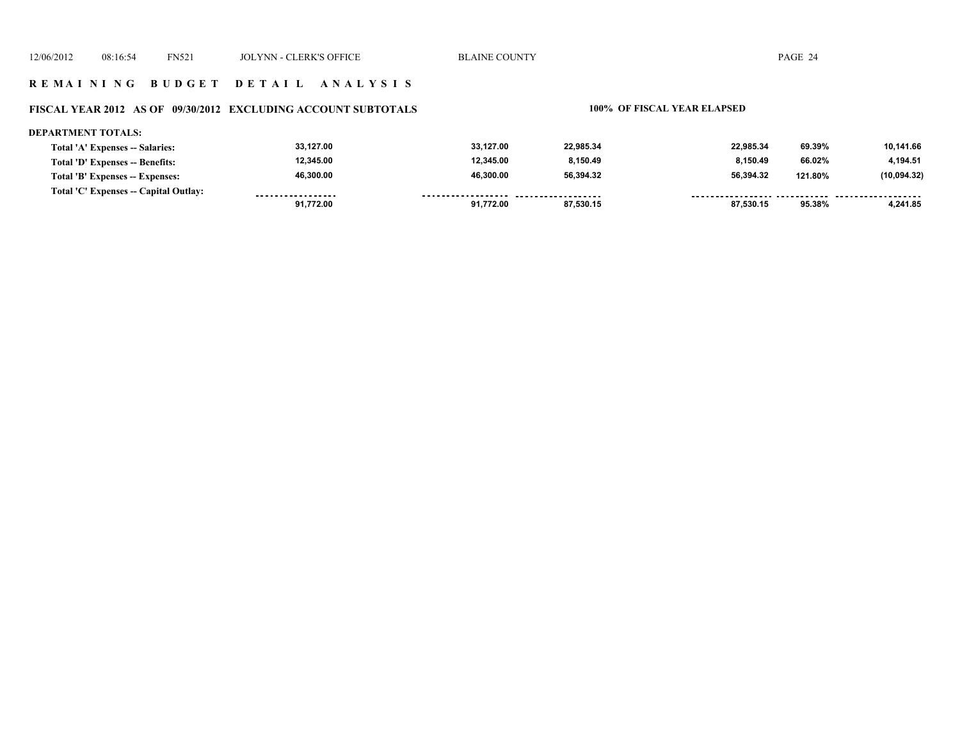### **FISCAL YEAR 2012 AS OF 09/30/2012 EXCLUDING ACCOUNT SUBTOTALS 100% OF FISCAL YEAR ELAPSED**

# **DEPARTMENT TOTALS:**

|                                        | 91,772.00         | 91,772.00           | 87.530.15 | 87.530.15 | 95.38%  | 4.241.85    |
|----------------------------------------|-------------------|---------------------|-----------|-----------|---------|-------------|
| Total 'C' Expenses -- Capital Outlay:  | ----------------- | ------------------- | .         |           |         |             |
| Total 'B' Expenses -- Expenses:        | 46,300.00         | 46,300.00           | 56.394.32 | 56.394.32 | 121.80% | (10,094.32) |
| Total 'D' Expenses -- Benefits:        | 12.345.00         | 12.345.00           | 8.150.49  | 8.150.49  | 66.02%  | 4.194.51    |
| <b>Total 'A' Expenses -- Salaries:</b> | 33.127.00         | 33,127.00           | 22.985.34 | 22,985.34 | 69.39%  | 10,141.66   |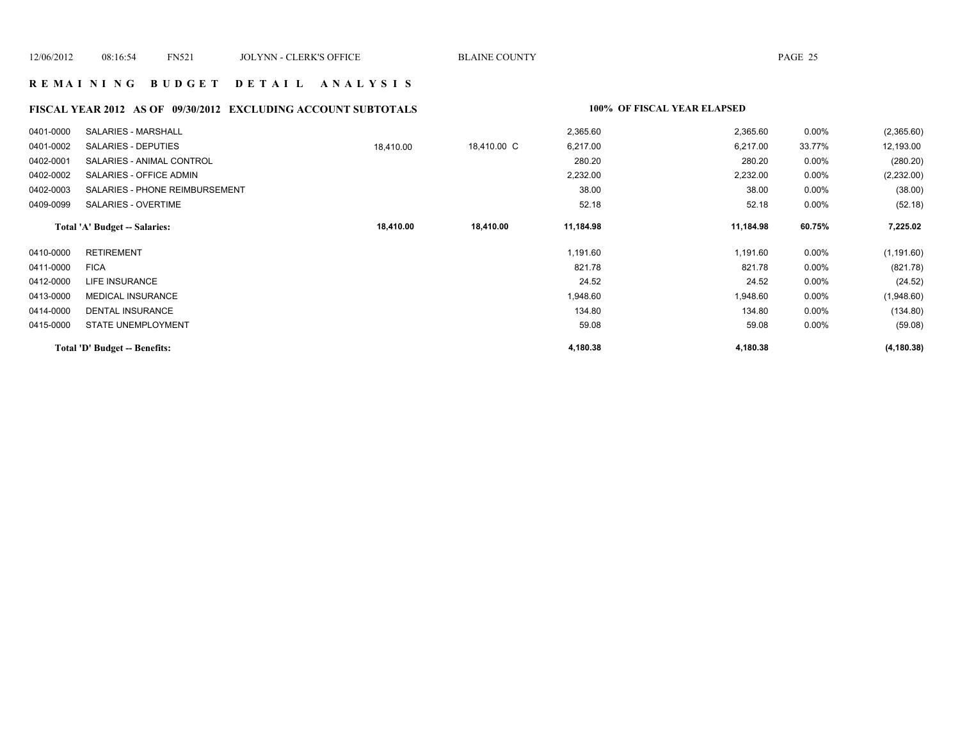### **R E M A I N I N G B U D G E T D E T A I L A N A L Y S I S**

# **FISCAL YEAR 2012 AS OF 09/30/2012 EXCLUDING ACCOUNT SUBTOTALS 100% OF FISCAL YEAR ELAPSED**

| 0401-0000 | SALARIES - MARSHALL                  |           |             | 2,365.60  | 2,365.60  | 0.00%    | (2,365.60)  |
|-----------|--------------------------------------|-----------|-------------|-----------|-----------|----------|-------------|
| 0401-0002 | SALARIES - DEPUTIES                  | 18,410.00 | 18,410.00 C | 6,217.00  | 6,217.00  | 33.77%   | 12,193.00   |
| 0402-0001 | SALARIES - ANIMAL CONTROL            |           |             | 280.20    | 280.20    | $0.00\%$ | (280.20)    |
| 0402-0002 | SALARIES - OFFICE ADMIN              |           |             | 2,232.00  | 2,232.00  | 0.00%    | (2,232.00)  |
| 0402-0003 | SALARIES - PHONE REIMBURSEMENT       |           |             | 38.00     | 38.00     | $0.00\%$ | (38.00)     |
| 0409-0099 | SALARIES - OVERTIME                  |           |             | 52.18     | 52.18     | $0.00\%$ | (52.18)     |
|           | <b>Total 'A' Budget -- Salaries:</b> | 18,410.00 | 18,410.00   | 11,184.98 | 11,184.98 | 60.75%   | 7,225.02    |
| 0410-0000 | <b>RETIREMENT</b>                    |           |             | 1,191.60  | 1,191.60  | $0.00\%$ | (1, 191.60) |
| 0411-0000 | <b>FICA</b>                          |           |             | 821.78    | 821.78    | $0.00\%$ | (821.78)    |
| 0412-0000 | LIFE INSURANCE                       |           |             | 24.52     | 24.52     | 0.00%    | (24.52)     |
| 0413-0000 | <b>MEDICAL INSURANCE</b>             |           |             | 1,948.60  | 1,948.60  | $0.00\%$ | (1,948.60)  |
| 0414-0000 | DENTAL INSURANCE                     |           |             | 134.80    | 134.80    | $0.00\%$ | (134.80)    |
| 0415-0000 | <b>STATE UNEMPLOYMENT</b>            |           |             | 59.08     | 59.08     | 0.00%    | (59.08)     |
|           | Total 'D' Budget -- Benefits:        |           |             | 4,180.38  | 4,180.38  |          | (4, 180.38) |
|           |                                      |           |             |           |           |          |             |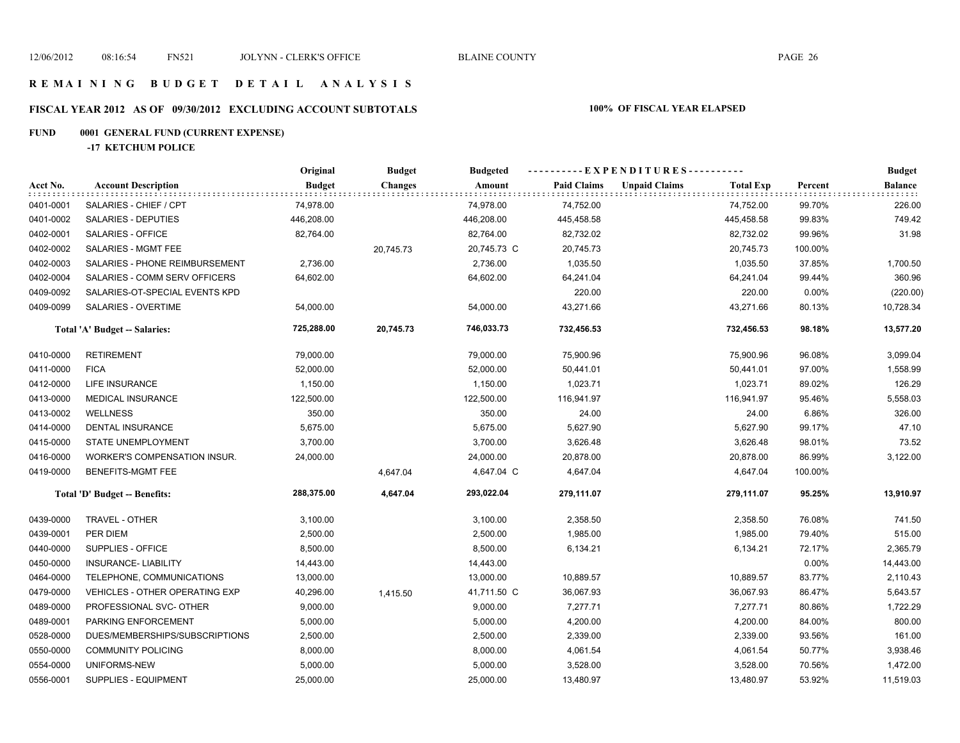# **FISCAL YEAR 2012 AS OF 09/30/2012 EXCLUDING ACCOUNT SUBTOTALS 100% OF FISCAL YEAR ELAPSED**

# **FUND 0001 GENERAL FUND (CURRENT EXPENSE)**

**-17 KETCHUM POLICE**

|           |                                       | Original      | <b>Budget</b>  | <b>Budgeted</b> | ----------EXPENDITURES---------- |                      |                  |         | <b>Budget</b>  |
|-----------|---------------------------------------|---------------|----------------|-----------------|----------------------------------|----------------------|------------------|---------|----------------|
| Acct No.  | <b>Account Description</b>            | <b>Budget</b> | <b>Changes</b> | Amount          | <b>Paid Claims</b>               | <b>Unpaid Claims</b> | <b>Total Exp</b> | Percent | <b>Balance</b> |
| 0401-0001 | SALARIES - CHIEF / CPT                | 74,978.00     |                | 74,978.00       | 74,752.00                        |                      | 74,752.00        | 99.70%  | 226.00         |
| 0401-0002 | SALARIES - DEPUTIES                   | 446,208.00    |                | 446,208.00      | 445,458.58                       |                      | 445,458.58       | 99.83%  | 749.42         |
| 0402-0001 | SALARIES - OFFICE                     | 82,764.00     |                | 82,764.00       | 82,732.02                        |                      | 82,732.02        | 99.96%  | 31.98          |
| 0402-0002 | SALARIES - MGMT FEE                   |               | 20,745.73      | 20,745.73 C     | 20,745.73                        |                      | 20,745.73        | 100.00% |                |
| 0402-0003 | SALARIES - PHONE REIMBURSEMENT        | 2,736.00      |                | 2,736.00        | 1,035.50                         |                      | 1,035.50         | 37.85%  | 1,700.50       |
| 0402-0004 | SALARIES - COMM SERV OFFICERS         | 64,602.00     |                | 64,602.00       | 64,241.04                        |                      | 64,241.04        | 99.44%  | 360.96         |
| 0409-0092 | SALARIES-OT-SPECIAL EVENTS KPD        |               |                |                 | 220.00                           |                      | 220.00           | 0.00%   | (220.00)       |
| 0409-0099 | SALARIES - OVERTIME                   | 54,000.00     |                | 54,000.00       | 43,271.66                        |                      | 43,271.66        | 80.13%  | 10,728.34      |
|           | Total 'A' Budget -- Salaries:         | 725,288.00    | 20,745.73      | 746,033.73      | 732,456.53                       |                      | 732,456.53       | 98.18%  | 13,577.20      |
| 0410-0000 | <b>RETIREMENT</b>                     | 79,000.00     |                | 79,000.00       | 75,900.96                        |                      | 75,900.96        | 96.08%  | 3,099.04       |
| 0411-0000 | <b>FICA</b>                           | 52,000.00     |                | 52,000.00       | 50,441.01                        |                      | 50,441.01        | 97.00%  | 1,558.99       |
| 0412-0000 | LIFE INSURANCE                        | 1,150.00      |                | 1,150.00        | 1,023.71                         |                      | 1,023.71         | 89.02%  | 126.29         |
| 0413-0000 | <b>MEDICAL INSURANCE</b>              | 122,500.00    |                | 122,500.00      | 116,941.97                       |                      | 116,941.97       | 95.46%  | 5,558.03       |
| 0413-0002 | <b>WELLNESS</b>                       | 350.00        |                | 350.00          | 24.00                            |                      | 24.00            | 6.86%   | 326.00         |
| 0414-0000 | DENTAL INSURANCE                      | 5,675.00      |                | 5,675.00        | 5,627.90                         |                      | 5,627.90         | 99.17%  | 47.10          |
| 0415-0000 | STATE UNEMPLOYMENT                    | 3,700.00      |                | 3,700.00        | 3,626.48                         |                      | 3,626.48         | 98.01%  | 73.52          |
| 0416-0000 | WORKER'S COMPENSATION INSUR.          | 24,000.00     |                | 24,000.00       | 20,878.00                        |                      | 20,878.00        | 86.99%  | 3,122.00       |
| 0419-0000 | BENEFITS-MGMT FEE                     |               | 4,647.04       | 4,647.04 C      | 4,647.04                         |                      | 4,647.04         | 100.00% |                |
|           | Total 'D' Budget -- Benefits:         | 288,375.00    | 4,647.04       | 293,022.04      | 279,111.07                       |                      | 279,111.07       | 95.25%  | 13,910.97      |
| 0439-0000 | <b>TRAVEL - OTHER</b>                 | 3,100.00      |                | 3,100.00        | 2,358.50                         |                      | 2,358.50         | 76.08%  | 741.50         |
| 0439-0001 | PER DIEM                              | 2,500.00      |                | 2,500.00        | 1,985.00                         |                      | 1,985.00         | 79.40%  | 515.00         |
| 0440-0000 | SUPPLIES - OFFICE                     | 8,500.00      |                | 8,500.00        | 6,134.21                         |                      | 6,134.21         | 72.17%  | 2,365.79       |
| 0450-0000 | <b>INSURANCE- LIABILITY</b>           | 14,443.00     |                | 14,443.00       |                                  |                      |                  | 0.00%   | 14,443.00      |
| 0464-0000 | TELEPHONE, COMMUNICATIONS             | 13,000.00     |                | 13,000.00       | 10,889.57                        |                      | 10,889.57        | 83.77%  | 2,110.43       |
| 0479-0000 | <b>VEHICLES - OTHER OPERATING EXP</b> | 40,296.00     | 1,415.50       | 41,711.50 C     | 36,067.93                        |                      | 36,067.93        | 86.47%  | 5,643.57       |
| 0489-0000 | PROFESSIONAL SVC- OTHER               | 9,000.00      |                | 9,000.00        | 7,277.71                         |                      | 7,277.71         | 80.86%  | 1,722.29       |
| 0489-0001 | PARKING ENFORCEMENT                   | 5,000.00      |                | 5,000.00        | 4,200.00                         |                      | 4,200.00         | 84.00%  | 800.00         |
| 0528-0000 | DUES/MEMBERSHIPS/SUBSCRIPTIONS        | 2,500.00      |                | 2,500.00        | 2,339.00                         |                      | 2,339.00         | 93.56%  | 161.00         |
| 0550-0000 | <b>COMMUNITY POLICING</b>             | 8,000.00      |                | 8,000.00        | 4,061.54                         |                      | 4,061.54         | 50.77%  | 3,938.46       |
| 0554-0000 | UNIFORMS-NEW                          | 5,000.00      |                | 5,000.00        | 3,528.00                         |                      | 3,528.00         | 70.56%  | 1,472.00       |
| 0556-0001 | SUPPLIES - EQUIPMENT                  | 25,000.00     |                | 25,000.00       | 13,480.97                        |                      | 13,480.97        | 53.92%  | 11,519.03      |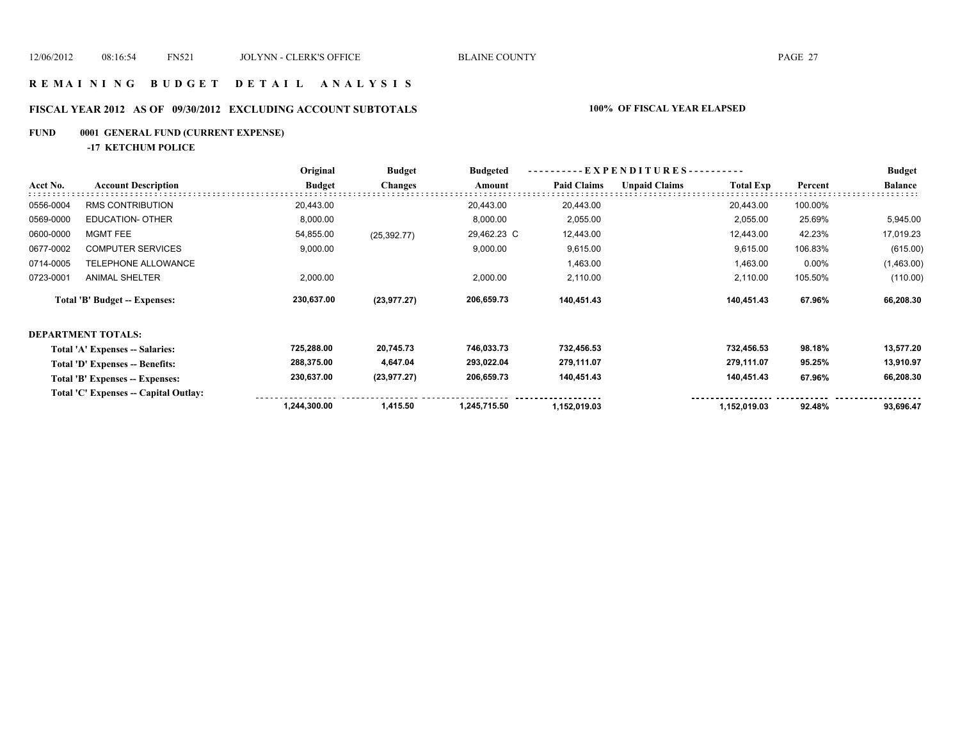# **FISCAL YEAR 2012 AS OF 09/30/2012 EXCLUDING ACCOUNT SUBTOTALS 100% OF FISCAL YEAR ELAPSED**

# **FUND 0001 GENERAL FUND (CURRENT EXPENSE)**

**-17 KETCHUM POLICE**

|                            | Original                                                                                                                                                                                              | <b>Budget</b>  | <b>Budgeted</b> | $-EXPENDITURES$ --------- |                      |                  |         | <b>Budget</b>  |
|----------------------------|-------------------------------------------------------------------------------------------------------------------------------------------------------------------------------------------------------|----------------|-----------------|---------------------------|----------------------|------------------|---------|----------------|
| <b>Account Description</b> | <b>Budget</b>                                                                                                                                                                                         | <b>Changes</b> | Amount          | <b>Paid Claims</b>        | <b>Unpaid Claims</b> | <b>Total Exp</b> | Percent | <b>Balance</b> |
| <b>RMS CONTRIBUTION</b>    | 20,443.00                                                                                                                                                                                             |                | 20,443.00       | 20,443.00                 |                      | 20,443.00        | 100.00% |                |
| EDUCATION- OTHER           | 8,000.00                                                                                                                                                                                              |                | 8,000.00        | 2,055.00                  |                      | 2,055.00         | 25.69%  | 5,945.00       |
| MGMT FEE                   | 54,855.00                                                                                                                                                                                             | (25, 392.77)   | 29,462.23 C     | 12,443.00                 |                      | 12,443.00        | 42.23%  | 17,019.23      |
| COMPUTER SERVICES          | 9,000.00                                                                                                                                                                                              |                | 9,000.00        | 9,615.00                  |                      | 9,615.00         | 106.83% | (615.00)       |
| <b>TELEPHONE ALLOWANCE</b> |                                                                                                                                                                                                       |                |                 | 1,463.00                  |                      | 1,463.00         | 0.00%   | (1,463.00)     |
| <b>ANIMAL SHELTER</b>      | 2,000.00                                                                                                                                                                                              |                | 2,000.00        | 2,110.00                  |                      | 2,110.00         | 105.50% | (110.00)       |
|                            | 230,637.00                                                                                                                                                                                            | (23, 977.27)   | 206,659.73      | 140,451.43                |                      | 140,451.43       | 67.96%  | 66,208.30      |
|                            |                                                                                                                                                                                                       |                |                 |                           |                      |                  |         |                |
|                            | 725,288.00                                                                                                                                                                                            | 20,745.73      | 746,033.73      | 732,456.53                |                      | 732,456.53       | 98.18%  | 13,577.20      |
|                            | 288,375.00                                                                                                                                                                                            | 4,647.04       | 293,022.04      | 279,111.07                |                      | 279,111.07       | 95.25%  | 13,910.97      |
|                            | 230,637.00                                                                                                                                                                                            | (23, 977.27)   | 206,659.73      | 140,451.43                |                      | 140,451.43       | 67.96%  | 66,208.30      |
|                            |                                                                                                                                                                                                       |                |                 |                           |                      |                  |         |                |
|                            | 1,244,300.00                                                                                                                                                                                          | 1,415.50       | 1,245,715.50    | 1,152,019.03              |                      | 1,152,019.03     | 92.48%  | 93,696.47      |
|                            | Total 'B' Budget -- Expenses:<br>DEPARTMENT TOTALS:<br>Total 'A' Expenses -- Salaries:<br>Total 'D' Expenses -- Benefits:<br>Total 'B' Expenses -- Expenses:<br>Total 'C' Expenses -- Capital Outlay: |                |                 |                           |                      |                  |         |                |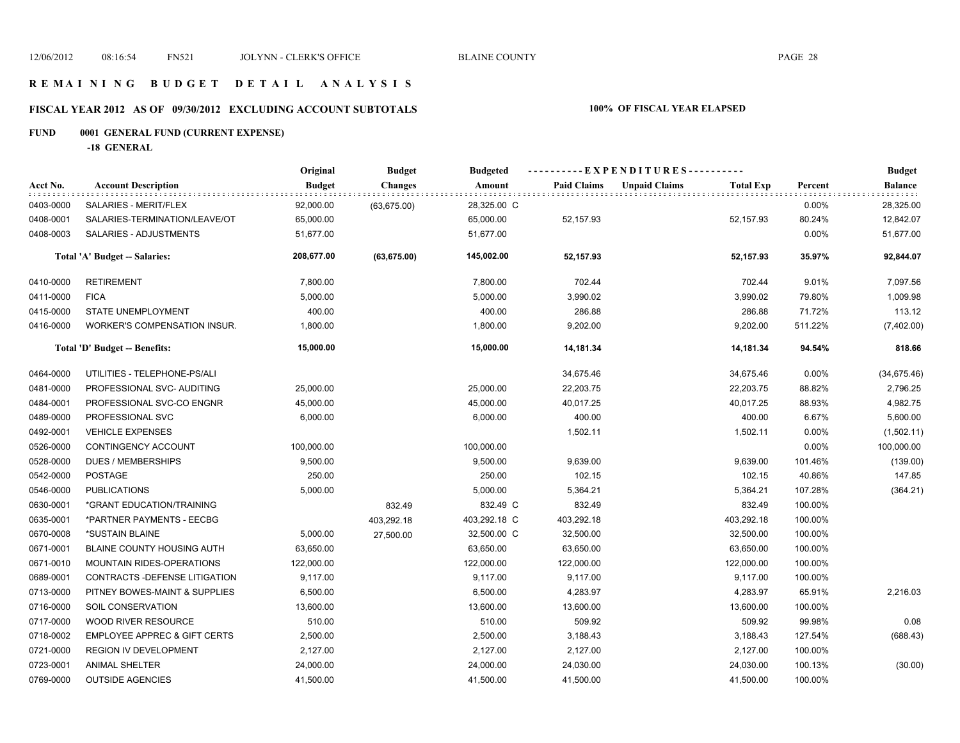### **R E M A I N I N G B U D G E T D E T A I L A N A L Y S I S**

# **FISCAL YEAR 2012 AS OF 09/30/2012 EXCLUDING ACCOUNT SUBTOTALS 100% OF FISCAL YEAR ELAPSED**

# **FUND 0001 GENERAL FUND (CURRENT EXPENSE)**

**-18 GENERAL**

|           |                                         | Original      | <b>Budget</b>  | <b>Budgeted</b> | ----------EXPENDITURES---------- |                      |                  |         | <b>Budget</b> |
|-----------|-----------------------------------------|---------------|----------------|-----------------|----------------------------------|----------------------|------------------|---------|---------------|
| Acct No.  | <b>Account Description</b>              | <b>Budget</b> | <b>Changes</b> | Amount          | <b>Paid Claims</b>               | <b>Unpaid Claims</b> | <b>Total Exp</b> | Percent | Balance       |
| 0403-0000 | SALARIES - MERIT/FLEX                   | 92,000.00     | (63, 675.00)   | 28,325.00 C     |                                  |                      |                  | 0.00%   | 28,325.00     |
| 0408-0001 | SALARIES-TERMINATION/LEAVE/OT           | 65,000.00     |                | 65,000.00       | 52,157.93                        |                      | 52,157.93        | 80.24%  | 12,842.07     |
| 0408-0003 | SALARIES - ADJUSTMENTS                  | 51,677.00     |                | 51,677.00       |                                  |                      |                  | 0.00%   | 51,677.00     |
|           | Total 'A' Budget -- Salaries:           | 208,677.00    | (63, 675.00)   | 145,002.00      | 52,157.93                        |                      | 52,157.93        | 35.97%  | 92,844.07     |
| 0410-0000 | <b>RETIREMENT</b>                       | 7,800.00      |                | 7,800.00        | 702.44                           |                      | 702.44           | 9.01%   | 7,097.56      |
| 0411-0000 | <b>FICA</b>                             | 5,000.00      |                | 5,000.00        | 3,990.02                         |                      | 3,990.02         | 79.80%  | 1,009.98      |
| 0415-0000 | STATE UNEMPLOYMENT                      | 400.00        |                | 400.00          | 286.88                           |                      | 286.88           | 71.72%  | 113.12        |
| 0416-0000 | <b>WORKER'S COMPENSATION INSUR.</b>     | 1,800.00      |                | 1,800.00        | 9,202.00                         |                      | 9,202.00         | 511.22% | (7,402.00)    |
|           | Total 'D' Budget -- Benefits:           | 15,000.00     |                | 15,000.00       | 14,181.34                        |                      | 14,181.34        | 94.54%  | 818.66        |
| 0464-0000 | UTILITIES - TELEPHONE-PS/ALI            |               |                |                 | 34,675.46                        |                      | 34,675.46        | 0.00%   | (34, 675.46)  |
| 0481-0000 | PROFESSIONAL SVC- AUDITING              | 25,000.00     |                | 25,000.00       | 22,203.75                        |                      | 22,203.75        | 88.82%  | 2,796.25      |
| 0484-0001 | PROFESSIONAL SVC-CO ENGNR               | 45,000.00     |                | 45,000.00       | 40,017.25                        |                      | 40,017.25        | 88.93%  | 4,982.75      |
| 0489-0000 | PROFESSIONAL SVC                        | 6,000.00      |                | 6,000.00        | 400.00                           |                      | 400.00           | 6.67%   | 5,600.00      |
| 0492-0001 | <b>VEHICLE EXPENSES</b>                 |               |                |                 | 1,502.11                         |                      | 1,502.11         | 0.00%   | (1,502.11)    |
| 0526-0000 | CONTINGENCY ACCOUNT                     | 100,000.00    |                | 100,000.00      |                                  |                      |                  | 0.00%   | 100,000.00    |
| 0528-0000 | DUES / MEMBERSHIPS                      | 9,500.00      |                | 9,500.00        | 9,639.00                         |                      | 9,639.00         | 101.46% | (139.00)      |
| 0542-0000 | <b>POSTAGE</b>                          | 250.00        |                | 250.00          | 102.15                           |                      | 102.15           | 40.86%  | 147.85        |
| 0546-0000 | <b>PUBLICATIONS</b>                     | 5,000.00      |                | 5,000.00        | 5,364.21                         |                      | 5,364.21         | 107.28% | (364.21)      |
| 0630-0001 | *GRANT EDUCATION/TRAINING               |               | 832.49         | 832.49 C        | 832.49                           |                      | 832.49           | 100.00% |               |
| 0635-0001 | *PARTNER PAYMENTS - EECBG               |               | 403,292.18     | 403,292.18 C    | 403,292.18                       |                      | 403,292.18       | 100.00% |               |
| 0670-0008 | *SUSTAIN BLAINE                         | 5,000.00      | 27,500.00      | 32,500.00 C     | 32,500.00                        |                      | 32,500.00        | 100.00% |               |
| 0671-0001 | BLAINE COUNTY HOUSING AUTH              | 63,650.00     |                | 63,650.00       | 63,650.00                        |                      | 63,650.00        | 100.00% |               |
| 0671-0010 | <b>MOUNTAIN RIDES-OPERATIONS</b>        | 122,000.00    |                | 122,000.00      | 122,000.00                       |                      | 122,000.00       | 100.00% |               |
| 0689-0001 | CONTRACTS - DEFENSE LITIGATION          | 9,117.00      |                | 9,117.00        | 9,117.00                         |                      | 9,117.00         | 100.00% |               |
| 0713-0000 | PITNEY BOWES-MAINT & SUPPLIES           | 6,500.00      |                | 6,500.00        | 4,283.97                         |                      | 4,283.97         | 65.91%  | 2,216.03      |
| 0716-0000 | SOIL CONSERVATION                       | 13,600.00     |                | 13,600.00       | 13,600.00                        |                      | 13,600.00        | 100.00% |               |
| 0717-0000 | <b>WOOD RIVER RESOURCE</b>              | 510.00        |                | 510.00          | 509.92                           |                      | 509.92           | 99.98%  | 0.08          |
| 0718-0002 | <b>EMPLOYEE APPREC &amp; GIFT CERTS</b> | 2,500.00      |                | 2,500.00        | 3,188.43                         |                      | 3,188.43         | 127.54% | (688.43)      |
| 0721-0000 | REGION IV DEVELOPMENT                   | 2,127.00      |                | 2,127.00        | 2,127.00                         |                      | 2,127.00         | 100.00% |               |
| 0723-0001 | ANIMAL SHELTER                          | 24,000.00     |                | 24,000.00       | 24,030.00                        |                      | 24,030.00        | 100.13% | (30.00)       |
| 0769-0000 | <b>OUTSIDE AGENCIES</b>                 | 41,500.00     |                | 41,500.00       | 41,500.00                        |                      | 41,500.00        | 100.00% |               |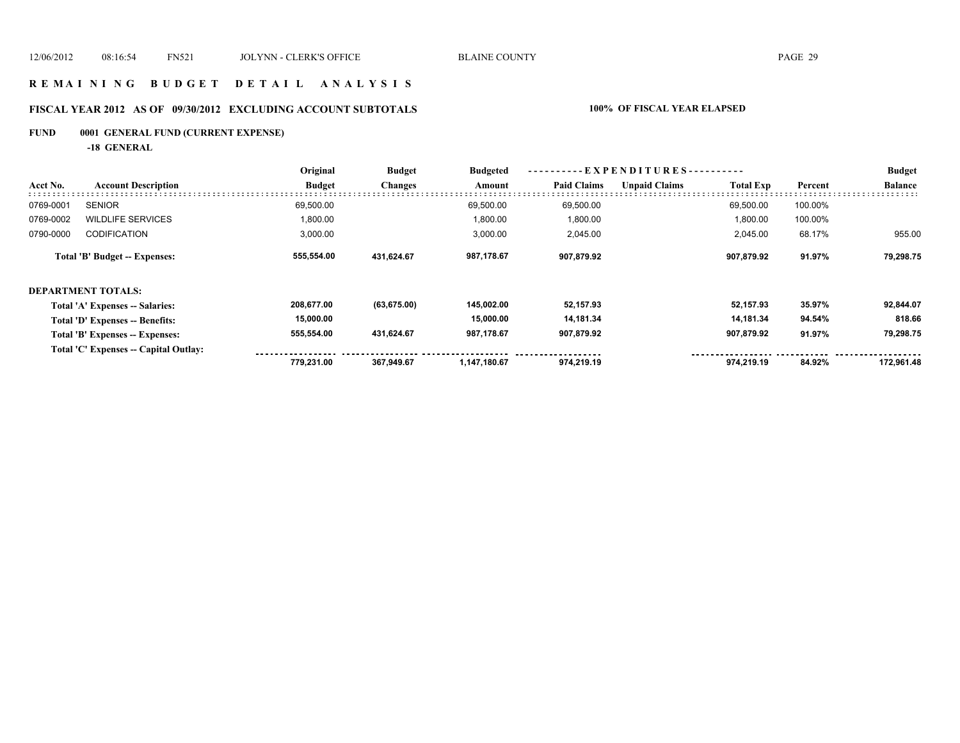### **R E M A I N I N G B U D G E T D E T A I L A N A L Y S I S**

# **FISCAL YEAR 2012 AS OF 09/30/2012 EXCLUDING ACCOUNT SUBTOTALS 100% OF FISCAL YEAR ELAPSED**

# **FUND 0001 GENERAL FUND (CURRENT EXPENSE)**

**-18 GENERAL**

|           |                                       | Original      | <b>Budget</b>  | <b>Budgeted</b> | $-EXPENDITURES---$ |                      |                  |         |                |
|-----------|---------------------------------------|---------------|----------------|-----------------|--------------------|----------------------|------------------|---------|----------------|
| Acct No.  | <b>Account Description</b>            | <b>Budget</b> | <b>Changes</b> | Amount          | <b>Paid Claims</b> | <b>Unpaid Claims</b> | <b>Total Exp</b> | Percent | <b>Balance</b> |
| 0769-0001 | <b>SENIOR</b>                         | 69,500.00     |                | 69,500.00       | 69,500.00          |                      | 69,500.00        | 100.00% |                |
| 0769-0002 | <b>WILDLIFE SERVICES</b>              | 1,800.00      |                | 1,800.00        | 1,800.00           |                      | 1,800.00         | 100.00% |                |
| 0790-0000 | <b>CODIFICATION</b>                   | 3,000.00      |                | 3,000.00        | 2,045.00           |                      | 2,045.00         | 68.17%  | 955.00         |
|           | <b>Total 'B' Budget -- Expenses:</b>  | 555,554.00    | 431,624.67     | 987,178.67      | 907,879.92         |                      | 907,879.92       | 91.97%  | 79,298.75      |
|           | <b>DEPARTMENT TOTALS:</b>             |               |                |                 |                    |                      |                  |         |                |
|           | Total 'A' Expenses -- Salaries:       | 208,677.00    | (63, 675.00)   | 145,002.00      | 52,157.93          |                      | 52,157.93        | 35.97%  | 92,844.07      |
|           | Total 'D' Expenses -- Benefits:       | 15,000.00     |                | 15,000.00       | 14,181.34          |                      | 14,181.34        | 94.54%  | 818.66         |
|           | Total 'B' Expenses -- Expenses:       | 555,554.00    | 431,624.67     | 987,178.67      | 907,879.92         |                      | 907,879.92       | 91.97%  | 79,298.75      |
|           | Total 'C' Expenses -- Capital Outlay: |               |                |                 |                    |                      |                  |         |                |
|           |                                       | 779.231.00    | 367,949.67     | 1,147,180.67    | 974.219.19         |                      | 974.219.19       | 84.92%  | 172,961.48     |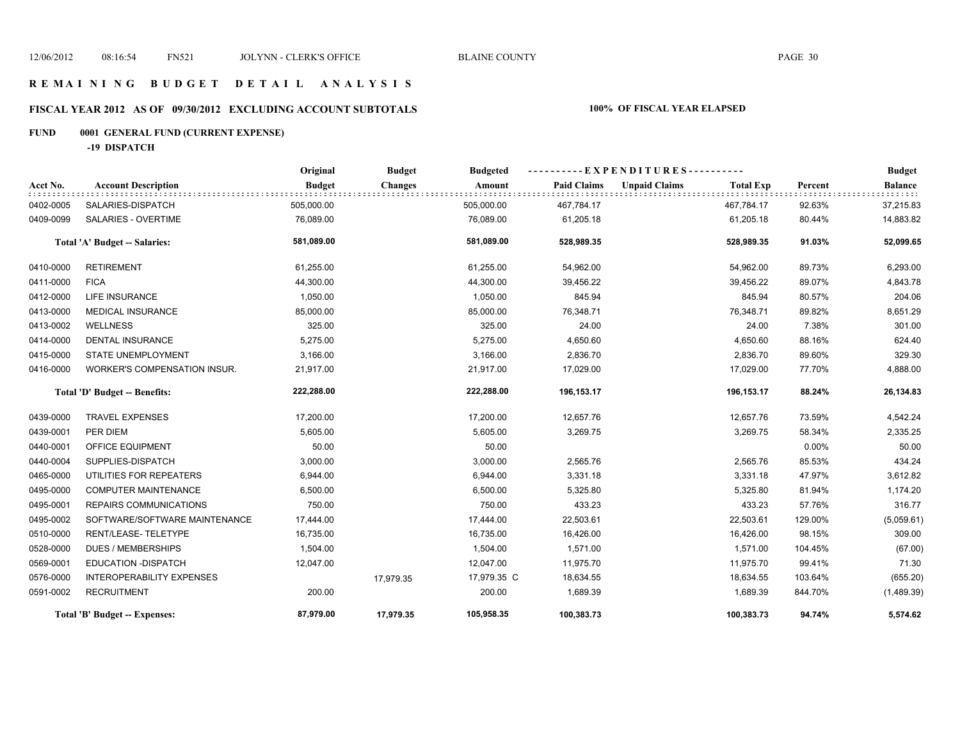### **R E M A I N I N G B U D G E T D E T A I L A N A L Y S I S**

# **FISCAL YEAR 2012 AS OF 09/30/2012 EXCLUDING ACCOUNT SUBTOTALS 100% OF FISCAL YEAR ELAPSED**

# **FUND 0001 GENERAL FUND (CURRENT EXPENSE)**

**-19 DISPATCH**

|           |                                      | Original      | <b>Budget</b>  | <b>Budgeted</b> |                    | - EXPENDITURES---------- |                  |         | <b>Budget</b>  |
|-----------|--------------------------------------|---------------|----------------|-----------------|--------------------|--------------------------|------------------|---------|----------------|
| Acct No.  | <b>Account Description</b>           | <b>Budget</b> | <b>Changes</b> | Amount          | <b>Paid Claims</b> | <b>Unpaid Claims</b>     | <b>Total Exp</b> | Percent | <b>Balance</b> |
| 0402-0005 | SALARIES-DISPATCH                    | 505,000.00    |                | 505,000.00      | 467,784.17         |                          | 467,784.17       | 92.63%  | 37,215.83      |
| 0409-0099 | <b>SALARIES - OVERTIME</b>           | 76,089.00     |                | 76,089.00       | 61,205.18          |                          | 61,205.18        | 80.44%  | 14,883.82      |
|           | Total 'A' Budget -- Salaries:        | 581,089.00    |                | 581,089.00      | 528,989.35         |                          | 528,989.35       | 91.03%  | 52,099.65      |
| 0410-0000 | <b>RETIREMENT</b>                    | 61,255.00     |                | 61,255.00       | 54,962.00          |                          | 54,962.00        | 89.73%  | 6,293.00       |
| 0411-0000 | <b>FICA</b>                          | 44,300.00     |                | 44,300.00       | 39,456.22          |                          | 39,456.22        | 89.07%  | 4,843.78       |
| 0412-0000 | LIFE INSURANCE                       | 1,050.00      |                | 1,050.00        | 845.94             |                          | 845.94           | 80.57%  | 204.06         |
| 0413-0000 | <b>MEDICAL INSURANCE</b>             | 85,000.00     |                | 85,000.00       | 76,348.71          |                          | 76,348.71        | 89.82%  | 8,651.29       |
| 0413-0002 | <b>WELLNESS</b>                      | 325.00        |                | 325.00          | 24.00              |                          | 24.00            | 7.38%   | 301.00         |
| 0414-0000 | <b>DENTAL INSURANCE</b>              | 5,275.00      |                | 5,275.00        | 4,650.60           |                          | 4,650.60         | 88.16%  | 624.40         |
| 0415-0000 | <b>STATE UNEMPLOYMENT</b>            | 3,166.00      |                | 3,166.00        | 2,836.70           |                          | 2,836.70         | 89.60%  | 329.30         |
| 0416-0000 | WORKER'S COMPENSATION INSUR.         | 21,917.00     |                | 21,917.00       | 17,029.00          |                          | 17,029.00        | 77.70%  | 4,888.00       |
|           | Total 'D' Budget -- Benefits:        | 222,288.00    |                | 222,288.00      | 196,153.17         |                          | 196,153.17       | 88.24%  | 26,134.83      |
| 0439-0000 | <b>TRAVEL EXPENSES</b>               | 17,200.00     |                | 17,200.00       | 12,657.76          |                          | 12,657.76        | 73.59%  | 4,542.24       |
| 0439-0001 | PER DIEM                             | 5,605.00      |                | 5,605.00        | 3,269.75           |                          | 3,269.75         | 58.34%  | 2,335.25       |
| 0440-0001 | OFFICE EQUIPMENT                     | 50.00         |                | 50.00           |                    |                          |                  | 0.00%   | 50.00          |
| 0440-0004 | SUPPLIES-DISPATCH                    | 3,000.00      |                | 3,000.00        | 2,565.76           |                          | 2,565.76         | 85.53%  | 434.24         |
| 0465-0000 | UTILITIES FOR REPEATERS              | 6,944.00      |                | 6,944.00        | 3,331.18           |                          | 3,331.18         | 47.97%  | 3,612.82       |
| 0495-0000 | <b>COMPUTER MAINTENANCE</b>          | 6,500.00      |                | 6,500.00        | 5,325.80           |                          | 5,325.80         | 81.94%  | 1,174.20       |
| 0495-0001 | <b>REPAIRS COMMUNICATIONS</b>        | 750.00        |                | 750.00          | 433.23             |                          | 433.23           | 57.76%  | 316.77         |
| 0495-0002 | SOFTWARE/SOFTWARE MAINTENANCE        | 17,444.00     |                | 17,444.00       | 22,503.61          |                          | 22,503.61        | 129.00% | (5,059.61)     |
| 0510-0000 | RENT/LEASE-TELETYPE                  | 16,735.00     |                | 16,735.00       | 16,426.00          |                          | 16,426.00        | 98.15%  | 309.00         |
| 0528-0000 | <b>DUES / MEMBERSHIPS</b>            | 1,504.00      |                | 1,504.00        | 1,571.00           |                          | 1,571.00         | 104.45% | (67.00)        |
| 0569-0001 | <b>EDUCATION -DISPATCH</b>           | 12,047.00     |                | 12,047.00       | 11,975.70          |                          | 11,975.70        | 99.41%  | 71.30          |
| 0576-0000 | <b>INTEROPERABILITY EXPENSES</b>     |               | 17,979.35      | 17,979.35 C     | 18,634.55          |                          | 18,634.55        | 103.64% | (655.20)       |
| 0591-0002 | <b>RECRUITMENT</b>                   | 200.00        |                | 200.00          | 1,689.39           |                          | 1,689.39         | 844.70% | (1,489.39)     |
|           | <b>Total 'B' Budget -- Expenses:</b> | 87,979.00     | 17,979.35      | 105,958.35      | 100,383.73         |                          | 100,383.73       | 94.74%  | 5,574.62       |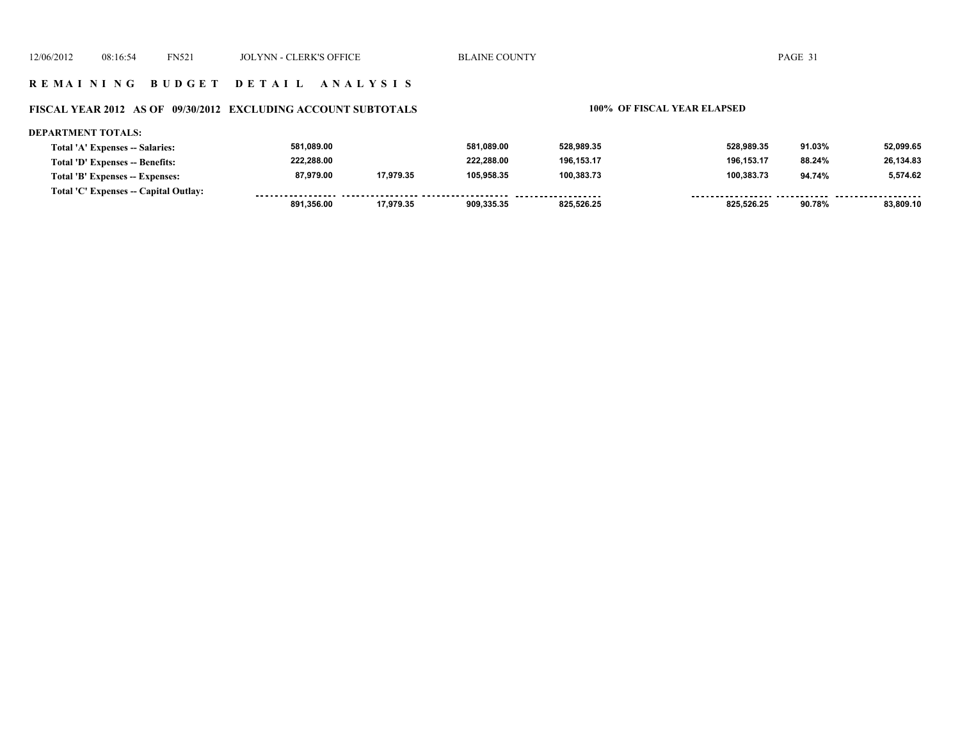### **FISCAL YEAR 2012 AS OF 09/30/2012 EXCLUDING ACCOUNT SUBTOTALS 100% OF FISCAL YEAR ELAPSED**

### **DEPARTMENT TOTALS: 581,089.00 581,089.00 528,989.35 528,989.35 91.03% 52,099.65 Total 'A' Expenses -- Salaries: 222,288.00 222,288.00 196,153.17 196,153.17 26,134.83 Total 'D' Expenses -- Benefits: 88.24% 5,574.62 87,979.00 17,979.35 105,958.35 100,383.73 100,383.73 94.74% Total 'B' Expenses -- Expenses: Total 'C' Expenses -- Capital Outlay:** ------------------. . . . . . . . . . . . . . . . . . ......... ------- -------- **891,356.00 17,979.35 909,335.35 825,526.25 825,526.25 90.78% 83,809.10**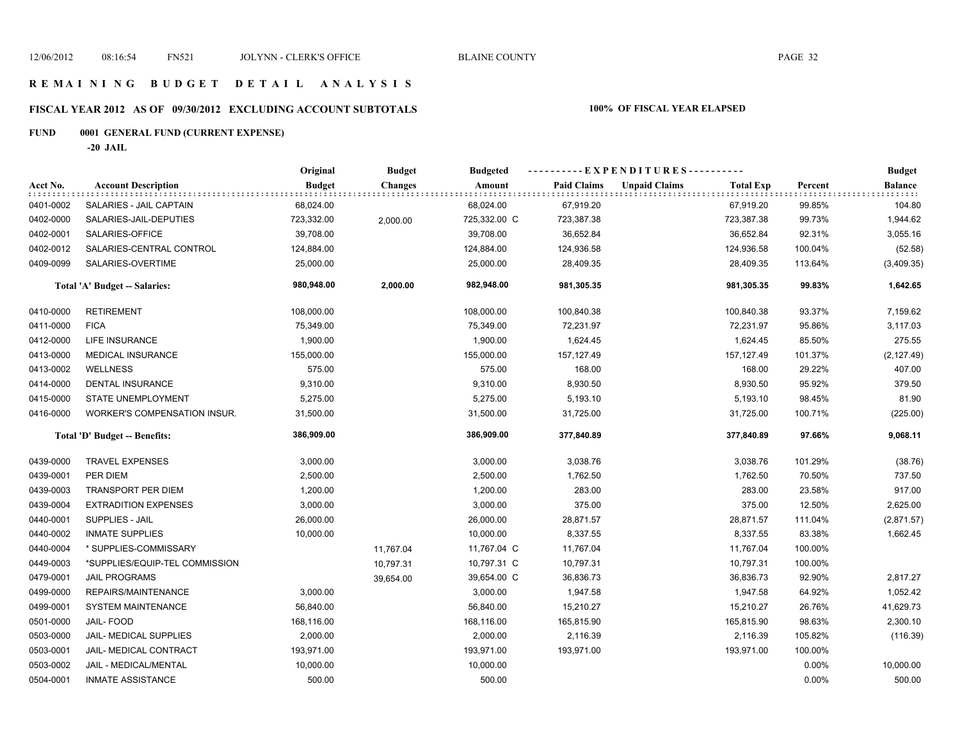# **FISCAL YEAR 2012 AS OF 09/30/2012 EXCLUDING ACCOUNT SUBTOTALS 100% OF FISCAL YEAR ELAPSED**

# **FUND 0001 GENERAL FUND (CURRENT EXPENSE)**

**-20 JAIL**

|           |                                | Original      | <b>Budget</b>  | <b>Budgeted</b> | ----------EXPENDITURES---------- |                      |                  |         | <b>Budget</b> |
|-----------|--------------------------------|---------------|----------------|-----------------|----------------------------------|----------------------|------------------|---------|---------------|
| Acct No.  | <b>Account Description</b>     | <b>Budget</b> | <b>Changes</b> | Amount          | <b>Paid Claims</b>               | <b>Unpaid Claims</b> | <b>Total Exp</b> | Percent | Balance       |
| 0401-0002 | SALARIES - JAIL CAPTAIN        | 68,024.00     |                | 68,024.00       | 67,919.20                        |                      | 67,919.20        | 99.85%  | 104.80        |
| 0402-0000 | SALARIES-JAIL-DEPUTIES         | 723,332.00    | 2,000.00       | 725,332.00 C    | 723,387.38                       |                      | 723,387.38       | 99.73%  | 1,944.62      |
| 0402-0001 | SALARIES-OFFICE                | 39,708.00     |                | 39,708.00       | 36,652.84                        |                      | 36,652.84        | 92.31%  | 3,055.16      |
| 0402-0012 | SALARIES-CENTRAL CONTROL       | 124,884.00    |                | 124,884.00      | 124,936.58                       |                      | 124,936.58       | 100.04% | (52.58)       |
| 0409-0099 | SALARIES-OVERTIME              | 25,000.00     |                | 25,000.00       | 28,409.35                        |                      | 28,409.35        | 113.64% | (3,409.35)    |
|           | Total 'A' Budget -- Salaries:  | 980,948.00    | 2,000.00       | 982,948.00      | 981,305.35                       |                      | 981,305.35       | 99.83%  | 1,642.65      |
| 0410-0000 | <b>RETIREMENT</b>              | 108,000.00    |                | 108,000.00      | 100,840.38                       |                      | 100,840.38       | 93.37%  | 7,159.62      |
| 0411-0000 | <b>FICA</b>                    | 75,349.00     |                | 75,349.00       | 72,231.97                        |                      | 72,231.97        | 95.86%  | 3,117.03      |
| 0412-0000 | LIFE INSURANCE                 | 1,900.00      |                | 1,900.00        | 1,624.45                         |                      | 1,624.45         | 85.50%  | 275.55        |
| 0413-0000 | <b>MEDICAL INSURANCE</b>       | 155,000.00    |                | 155,000.00      | 157,127.49                       |                      | 157, 127.49      | 101.37% | (2, 127.49)   |
| 0413-0002 | <b>WELLNESS</b>                | 575.00        |                | 575.00          | 168.00                           |                      | 168.00           | 29.22%  | 407.00        |
| 0414-0000 | <b>DENTAL INSURANCE</b>        | 9,310.00      |                | 9,310.00        | 8,930.50                         |                      | 8,930.50         | 95.92%  | 379.50        |
| 0415-0000 | STATE UNEMPLOYMENT             | 5,275.00      |                | 5,275.00        | 5,193.10                         |                      | 5,193.10         | 98.45%  | 81.90         |
| 0416-0000 | WORKER'S COMPENSATION INSUR.   | 31,500.00     |                | 31,500.00       | 31,725.00                        |                      | 31,725.00        | 100.71% | (225.00)      |
|           | Total 'D' Budget -- Benefits:  | 386,909.00    |                | 386,909.00      | 377,840.89                       |                      | 377,840.89       | 97.66%  | 9,068.11      |
| 0439-0000 | <b>TRAVEL EXPENSES</b>         | 3,000.00      |                | 3,000.00        | 3,038.76                         |                      | 3,038.76         | 101.29% | (38.76)       |
| 0439-0001 | PER DIEM                       | 2,500.00      |                | 2,500.00        | 1,762.50                         |                      | 1,762.50         | 70.50%  | 737.50        |
| 0439-0003 | <b>TRANSPORT PER DIEM</b>      | 1,200.00      |                | 1,200.00        | 283.00                           |                      | 283.00           | 23.58%  | 917.00        |
| 0439-0004 | <b>EXTRADITION EXPENSES</b>    | 3,000.00      |                | 3,000.00        | 375.00                           |                      | 375.00           | 12.50%  | 2,625.00      |
| 0440-0001 | SUPPLIES - JAIL                | 26,000.00     |                | 26,000.00       | 28,871.57                        |                      | 28,871.57        | 111.04% | (2,871.57)    |
| 0440-0002 | <b>INMATE SUPPLIES</b>         | 10,000.00     |                | 10,000.00       | 8,337.55                         |                      | 8,337.55         | 83.38%  | 1,662.45      |
| 0440-0004 | * SUPPLIES-COMMISSARY          |               | 11,767.04      | 11,767.04 C     | 11,767.04                        |                      | 11,767.04        | 100.00% |               |
| 0449-0003 | *SUPPLIES/EQUIP-TEL COMMISSION |               | 10,797.31      | 10,797.31 C     | 10,797.31                        |                      | 10,797.31        | 100.00% |               |
| 0479-0001 | <b>JAIL PROGRAMS</b>           |               | 39,654.00      | 39,654.00 C     | 36,836.73                        |                      | 36,836.73        | 92.90%  | 2,817.27      |
| 0499-0000 | REPAIRS/MAINTENANCE            | 3,000.00      |                | 3,000.00        | 1,947.58                         |                      | 1,947.58         | 64.92%  | 1,052.42      |
| 0499-0001 | <b>SYSTEM MAINTENANCE</b>      | 56,840.00     |                | 56,840.00       | 15,210.27                        |                      | 15,210.27        | 26.76%  | 41,629.73     |
| 0501-0000 | <b>JAIL-FOOD</b>               | 168,116.00    |                | 168,116.00      | 165,815.90                       |                      | 165,815.90       | 98.63%  | 2,300.10      |
| 0503-0000 | <b>JAIL- MEDICAL SUPPLIES</b>  | 2,000.00      |                | 2,000.00        | 2,116.39                         |                      | 2,116.39         | 105.82% | (116.39)      |
| 0503-0001 | JAIL- MEDICAL CONTRACT         | 193,971.00    |                | 193,971.00      | 193,971.00                       |                      | 193,971.00       | 100.00% |               |
| 0503-0002 | JAIL - MEDICAL/MENTAL          | 10,000.00     |                | 10,000.00       |                                  |                      |                  | 0.00%   | 10,000.00     |
| 0504-0001 | <b>INMATE ASSISTANCE</b>       | 500.00        |                | 500.00          |                                  |                      |                  | 0.00%   | 500.00        |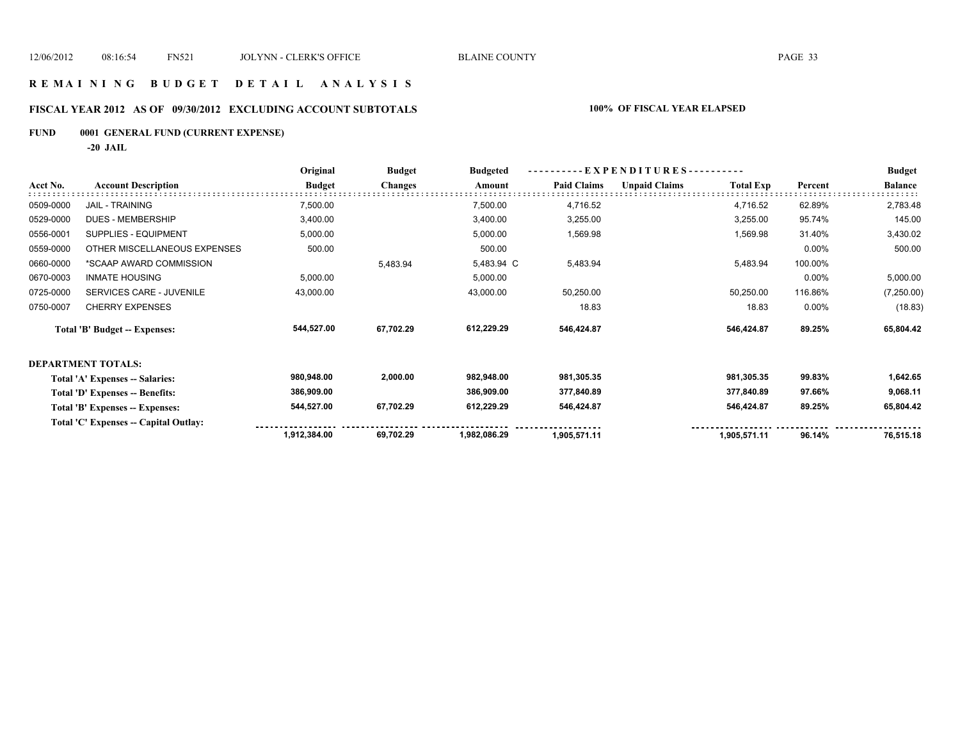### **R E M A I N I N G B U D G E T D E T A I L A N A L Y S I S**

# **FISCAL YEAR 2012 AS OF 09/30/2012 EXCLUDING ACCOUNT SUBTOTALS 100% OF FISCAL YEAR ELAPSED**

# **FUND 0001 GENERAL FUND (CURRENT EXPENSE)**

**-20 JAIL**

|           |                                       | Original      | <b>Budget</b>  | <b>Budgeted</b> | EXPENDITURES--     |                      |                  |         | <b>Budget</b>  |
|-----------|---------------------------------------|---------------|----------------|-----------------|--------------------|----------------------|------------------|---------|----------------|
| Acct No.  | <b>Account Description</b>            | <b>Budget</b> | <b>Changes</b> | Amount          | <b>Paid Claims</b> | <b>Unpaid Claims</b> | <b>Total Exp</b> | Percent | <b>Balance</b> |
| 0509-0000 | <b>JAIL - TRAINING</b>                | 7,500.00      |                | 7,500.00        | 4,716.52           |                      | 4,716.52         | 62.89%  | 2,783.48       |
| 0529-0000 | DUES - MEMBERSHIP                     | 3,400.00      |                | 3,400.00        | 3,255.00           |                      | 3,255.00         | 95.74%  | 145.00         |
| 0556-0001 | SUPPLIES - EQUIPMENT                  | 5,000.00      |                | 5,000.00        | 1,569.98           |                      | 1,569.98         | 31.40%  | 3,430.02       |
| 0559-0000 | OTHER MISCELLANEOUS EXPENSES          | 500.00        |                | 500.00          |                    |                      |                  | 0.00%   | 500.00         |
| 0660-0000 | *SCAAP AWARD COMMISSION               |               | 5,483.94       | 5,483.94 C      | 5,483.94           |                      | 5,483.94         | 100.00% |                |
| 0670-0003 | <b>INMATE HOUSING</b>                 | 5,000.00      |                | 5,000.00        |                    |                      |                  | 0.00%   | 5,000.00       |
| 0725-0000 | SERVICES CARE - JUVENILE              | 43,000.00     |                | 43,000.00       | 50,250.00          |                      | 50,250.00        | 116.86% | (7,250.00)     |
| 0750-0007 | <b>CHERRY EXPENSES</b>                |               |                |                 | 18.83              |                      | 18.83            | 0.00%   | (18.83)        |
|           | <b>Total 'B' Budget -- Expenses:</b>  | 544,527.00    | 67,702.29      | 612,229.29      | 546,424.87         |                      | 546,424.87       | 89.25%  | 65,804.42      |
|           | <b>DEPARTMENT TOTALS:</b>             |               |                |                 |                    |                      |                  |         |                |
|           | Total 'A' Expenses -- Salaries:       | 980,948.00    | 2,000.00       | 982,948.00      | 981,305.35         |                      | 981,305.35       | 99.83%  | 1,642.65       |
|           | Total 'D' Expenses -- Benefits:       | 386,909.00    |                | 386,909.00      | 377,840.89         |                      | 377,840.89       | 97.66%  | 9,068.11       |
|           | Total 'B' Expenses -- Expenses:       | 544,527.00    | 67,702.29      | 612,229.29      | 546,424.87         |                      | 546,424.87       | 89.25%  | 65,804.42      |
|           | Total 'C' Expenses -- Capital Outlay: |               |                |                 |                    |                      |                  |         |                |
|           |                                       | 1,912,384.00  | 69,702.29      | 1,982,086.29    | 1,905,571.11       |                      | 1,905,571.11     | 96.14%  | 76,515.18      |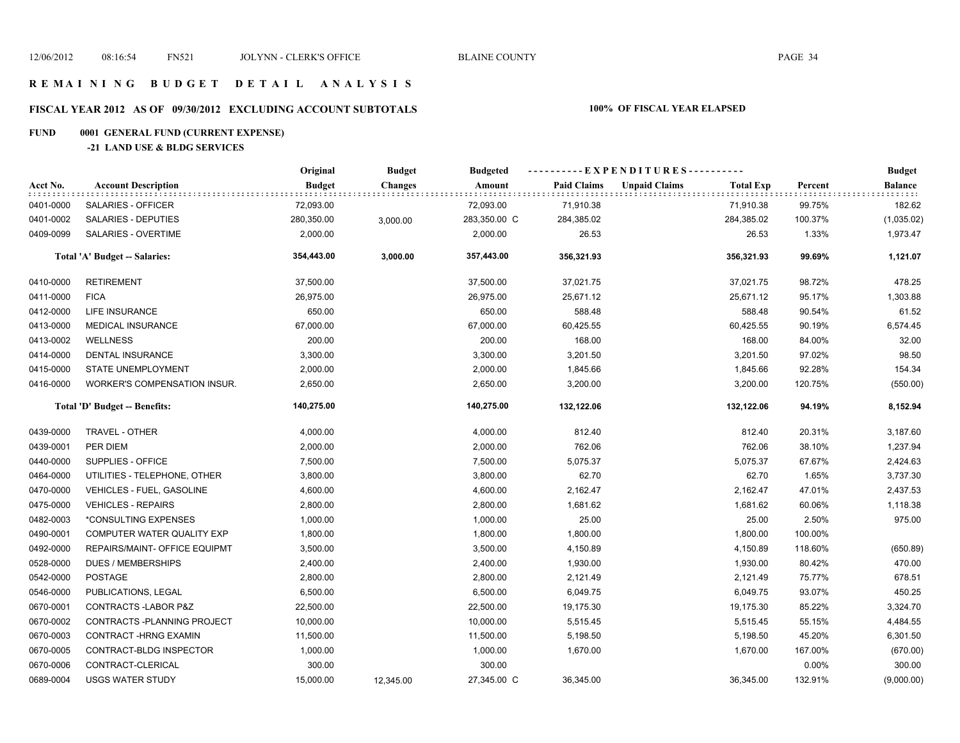# **FISCAL YEAR 2012 AS OF 09/30/2012 EXCLUDING ACCOUNT SUBTOTALS 100% OF FISCAL YEAR ELAPSED**

# **FUND 0001 GENERAL FUND (CURRENT EXPENSE)**

### **-21 LAND USE & BLDG SERVICES**

|           |                                     | Original      | <b>Budget</b>  | <b>Budgeted</b> | ----------EXPENDITURES---------- |                      |                  |         | <b>Budget</b>          |
|-----------|-------------------------------------|---------------|----------------|-----------------|----------------------------------|----------------------|------------------|---------|------------------------|
| Acct No.  | <b>Account Description</b>          | <b>Budget</b> | <b>Changes</b> | Amount          | <b>Paid Claims</b>               | <b>Unpaid Claims</b> | <b>Total Exp</b> | Percent | Balance<br>: : : : : : |
| 0401-0000 | SALARIES - OFFICER                  | 72,093.00     |                | 72,093.00       | 71,910.38                        |                      | 71,910.38        | 99.75%  | 182.62                 |
| 0401-0002 | SALARIES - DEPUTIES                 | 280,350.00    | 3,000.00       | 283,350.00 C    | 284,385.02                       |                      | 284,385.02       | 100.37% | (1,035.02)             |
| 0409-0099 | SALARIES - OVERTIME                 | 2,000.00      |                | 2,000.00        | 26.53                            |                      | 26.53            | 1.33%   | 1,973.47               |
|           | Total 'A' Budget -- Salaries:       | 354,443.00    | 3,000.00       | 357,443.00      | 356,321.93                       |                      | 356,321.93       | 99.69%  | 1,121.07               |
| 0410-0000 | <b>RETIREMENT</b>                   | 37,500.00     |                | 37,500.00       | 37,021.75                        |                      | 37,021.75        | 98.72%  | 478.25                 |
| 0411-0000 | <b>FICA</b>                         | 26,975.00     |                | 26,975.00       | 25,671.12                        |                      | 25,671.12        | 95.17%  | 1,303.88               |
| 0412-0000 | LIFE INSURANCE                      | 650.00        |                | 650.00          | 588.48                           |                      | 588.48           | 90.54%  | 61.52                  |
| 0413-0000 | <b>MEDICAL INSURANCE</b>            | 67,000.00     |                | 67,000.00       | 60,425.55                        |                      | 60,425.55        | 90.19%  | 6,574.45               |
| 0413-0002 | <b>WELLNESS</b>                     | 200.00        |                | 200.00          | 168.00                           |                      | 168.00           | 84.00%  | 32.00                  |
| 0414-0000 | <b>DENTAL INSURANCE</b>             | 3,300.00      |                | 3,300.00        | 3,201.50                         |                      | 3,201.50         | 97.02%  | 98.50                  |
| 0415-0000 | <b>STATE UNEMPLOYMENT</b>           | 2,000.00      |                | 2,000.00        | 1,845.66                         |                      | 1,845.66         | 92.28%  | 154.34                 |
| 0416-0000 | <b>WORKER'S COMPENSATION INSUR.</b> | 2,650.00      |                | 2,650.00        | 3,200.00                         |                      | 3,200.00         | 120.75% | (550.00)               |
|           | Total 'D' Budget -- Benefits:       | 140,275.00    |                | 140,275.00      | 132,122.06                       |                      | 132,122.06       | 94.19%  | 8,152.94               |
| 0439-0000 | <b>TRAVEL - OTHER</b>               | 4,000.00      |                | 4,000.00        | 812.40                           |                      | 812.40           | 20.31%  | 3,187.60               |
| 0439-0001 | PER DIEM                            | 2,000.00      |                | 2,000.00        | 762.06                           |                      | 762.06           | 38.10%  | 1,237.94               |
| 0440-0000 | SUPPLIES - OFFICE                   | 7,500.00      |                | 7,500.00        | 5,075.37                         |                      | 5,075.37         | 67.67%  | 2,424.63               |
| 0464-0000 | UTILITIES - TELEPHONE, OTHER        | 3,800.00      |                | 3,800.00        | 62.70                            |                      | 62.70            | 1.65%   | 3,737.30               |
| 0470-0000 | <b>VEHICLES - FUEL, GASOLINE</b>    | 4,600.00      |                | 4,600.00        | 2,162.47                         |                      | 2,162.47         | 47.01%  | 2,437.53               |
| 0475-0000 | <b>VEHICLES - REPAIRS</b>           | 2,800.00      |                | 2,800.00        | 1,681.62                         |                      | 1,681.62         | 60.06%  | 1,118.38               |
| 0482-0003 | *CONSULTING EXPENSES                | 1,000.00      |                | 1,000.00        | 25.00                            |                      | 25.00            | 2.50%   | 975.00                 |
| 0490-0001 | COMPUTER WATER QUALITY EXP          | 1,800.00      |                | 1,800.00        | 1,800.00                         |                      | 1,800.00         | 100.00% |                        |
| 0492-0000 | REPAIRS/MAINT- OFFICE EQUIPMT       | 3,500.00      |                | 3,500.00        | 4,150.89                         |                      | 4,150.89         | 118.60% | (650.89)               |
| 0528-0000 | DUES / MEMBERSHIPS                  | 2,400.00      |                | 2,400.00        | 1,930.00                         |                      | 1,930.00         | 80.42%  | 470.00                 |
| 0542-0000 | <b>POSTAGE</b>                      | 2,800.00      |                | 2,800.00        | 2,121.49                         |                      | 2,121.49         | 75.77%  | 678.51                 |
| 0546-0000 | PUBLICATIONS, LEGAL                 | 6,500.00      |                | 6,500.00        | 6,049.75                         |                      | 6,049.75         | 93.07%  | 450.25                 |
| 0670-0001 | CONTRACTS-LABOR P&Z                 | 22,500.00     |                | 22,500.00       | 19,175.30                        |                      | 19,175.30        | 85.22%  | 3,324.70               |
| 0670-0002 | CONTRACTS - PLANNING PROJECT        | 10,000.00     |                | 10,000.00       | 5,515.45                         |                      | 5,515.45         | 55.15%  | 4,484.55               |
| 0670-0003 | CONTRACT - HRNG EXAMIN              | 11,500.00     |                | 11,500.00       | 5,198.50                         |                      | 5,198.50         | 45.20%  | 6,301.50               |
| 0670-0005 | CONTRACT-BLDG INSPECTOR             | 1,000.00      |                | 1,000.00        | 1,670.00                         |                      | 1,670.00         | 167.00% | (670.00)               |
| 0670-0006 | CONTRACT-CLERICAL                   | 300.00        |                | 300.00          |                                  |                      |                  | 0.00%   | 300.00                 |
| 0689-0004 | <b>USGS WATER STUDY</b>             | 15,000.00     | 12.345.00      | 27,345.00 C     | 36,345.00                        |                      | 36,345.00        | 132.91% | (9,000.00)             |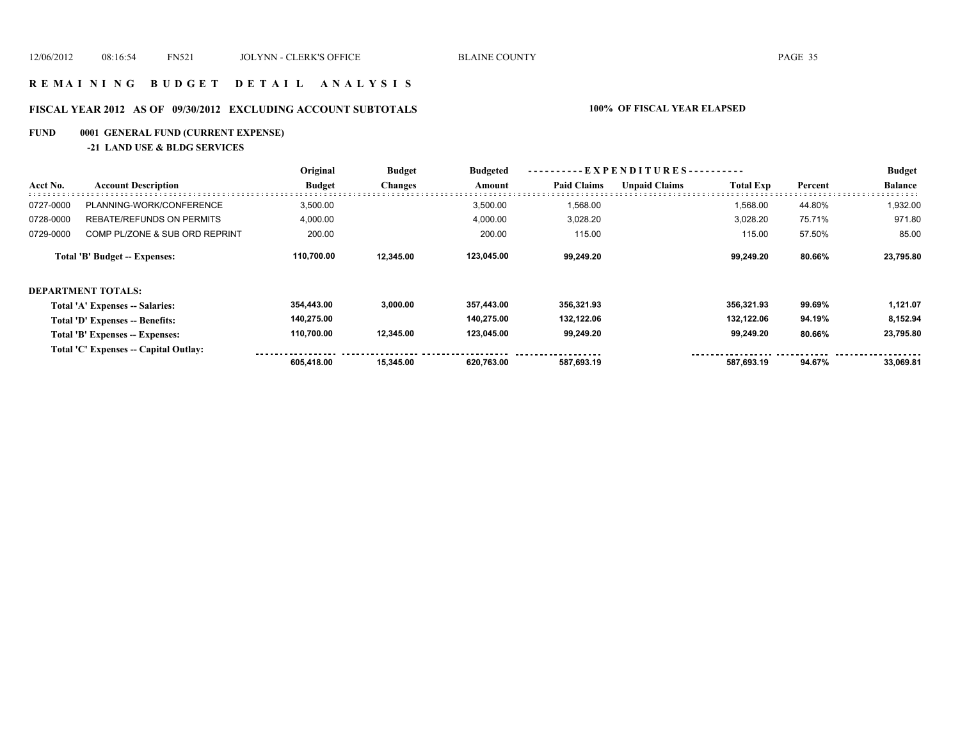### **R E M A I N I N G B U D G E T D E T A I L A N A L Y S I S**

# **FISCAL YEAR 2012 AS OF 09/30/2012 EXCLUDING ACCOUNT SUBTOTALS 100% OF FISCAL YEAR ELAPSED**

# **FUND 0001 GENERAL FUND (CURRENT EXPENSE)**

**-21 LAND USE & BLDG SERVICES**

|           |                                       | Original<br>----------EXPENDITURES----------<br><b>Budget</b><br><b>Budgeted</b> |                |            |                    |                      |                  |         | <b>Budget</b>  |
|-----------|---------------------------------------|----------------------------------------------------------------------------------|----------------|------------|--------------------|----------------------|------------------|---------|----------------|
| Acct No.  | <b>Account Description</b>            | <b>Budget</b>                                                                    | <b>Changes</b> | Amount     | <b>Paid Claims</b> | <b>Unpaid Claims</b> | <b>Total Exp</b> | Percent | <b>Balance</b> |
| 0727-0000 | PLANNING-WORK/CONFERENCE              | 3,500.00                                                                         |                | 3,500.00   | 1,568.00           |                      | 1,568.00         | 44.80%  | 1,932.00       |
| 0728-0000 | REBATE/REFUNDS ON PERMITS             | 4,000.00                                                                         |                | 4,000.00   | 3,028.20           |                      | 3,028.20         | 75.71%  | 971.80         |
| 0729-0000 | COMP PL/ZONE & SUB ORD REPRINT        | 200.00                                                                           |                | 200.00     | 115.00             |                      | 115.00           | 57.50%  | 85.00          |
|           | <b>Total 'B' Budget -- Expenses:</b>  | 110,700.00                                                                       | 12,345.00      | 123,045.00 | 99,249.20          |                      | 99,249.20        | 80.66%  | 23,795.80      |
|           | <b>DEPARTMENT TOTALS:</b>             |                                                                                  |                |            |                    |                      |                  |         |                |
|           | Total 'A' Expenses -- Salaries:       | 354,443.00                                                                       | 3,000.00       | 357,443.00 | 356,321.93         |                      | 356,321.93       | 99.69%  | 1,121.07       |
|           | Total 'D' Expenses -- Benefits:       | 140,275.00                                                                       |                | 140.275.00 | 132.122.06         |                      | 132.122.06       | 94.19%  | 8,152.94       |
|           | Total 'B' Expenses -- Expenses:       | 110,700.00                                                                       | 12,345.00      | 123,045.00 | 99,249.20          |                      | 99,249.20        | 80.66%  | 23,795.80      |
|           | Total 'C' Expenses -- Capital Outlay: |                                                                                  |                |            |                    |                      |                  |         |                |
|           |                                       | 605,418.00                                                                       | 15,345.00      | 620.763.00 | 587,693.19         |                      | 587.693.19       | 94.67%  | 33,069.81      |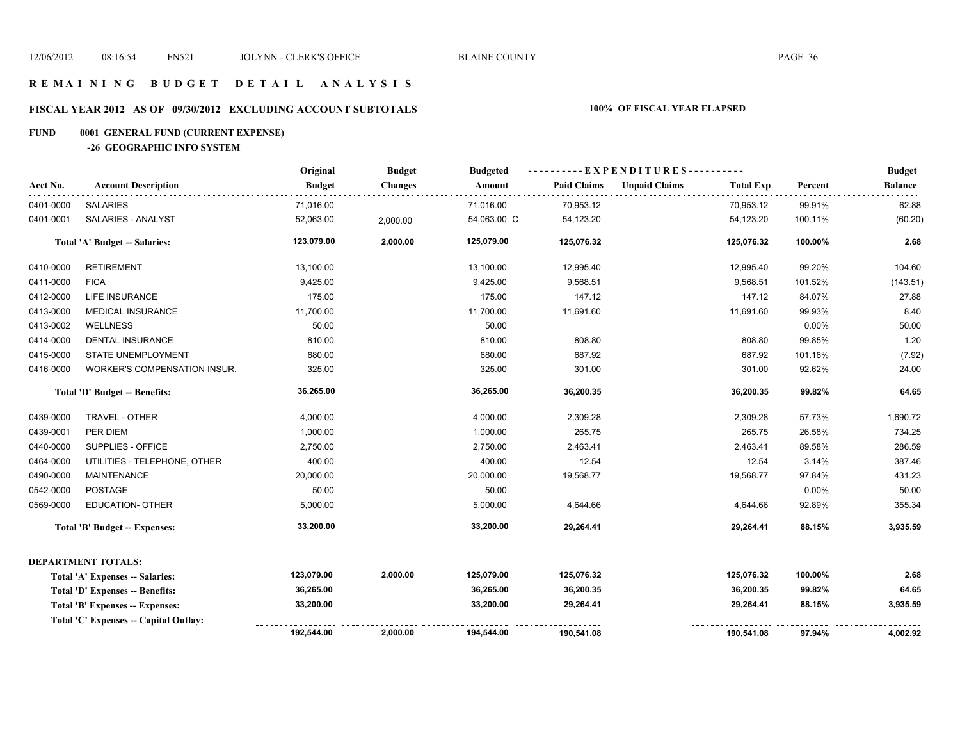### **R E M A I N I N G B U D G E T D E T A I L A N A L Y S I S**

# **FISCAL YEAR 2012 AS OF 09/30/2012 EXCLUDING ACCOUNT SUBTOTALS 100% OF FISCAL YEAR ELAPSED**

# **FUND 0001 GENERAL FUND (CURRENT EXPENSE)**

**-26 GEOGRAPHIC INFO SYSTEM**

|           |                                        | Original      | <b>Budget</b>  | <b>Budgeted</b> |                    | ----------EXPENDITURES---------- |                  |         | <b>Budget</b>  |
|-----------|----------------------------------------|---------------|----------------|-----------------|--------------------|----------------------------------|------------------|---------|----------------|
| Acct No.  | <b>Account Description</b>             | <b>Budget</b> | <b>Changes</b> | Amount          | <b>Paid Claims</b> | <b>Unpaid Claims</b>             | <b>Total Exp</b> | Percent | <b>Balance</b> |
| 0401-0000 | <b>SALARIES</b>                        | 71,016.00     |                | 71,016.00       | 70,953.12          |                                  | 70,953.12        | 99.91%  | 62.88          |
| 0401-0001 | SALARIES - ANALYST                     | 52,063.00     | 2,000.00       | 54,063.00 C     | 54,123.20          |                                  | 54,123.20        | 100.11% | (60.20)        |
|           | Total 'A' Budget -- Salaries:          | 123,079.00    | 2,000.00       | 125,079.00      | 125,076.32         |                                  | 125,076.32       | 100.00% | 2.68           |
| 0410-0000 | <b>RETIREMENT</b>                      | 13,100.00     |                | 13,100.00       | 12,995.40          |                                  | 12,995.40        | 99.20%  | 104.60         |
| 0411-0000 | <b>FICA</b>                            | 9,425.00      |                | 9,425.00        | 9,568.51           |                                  | 9,568.51         | 101.52% | (143.51)       |
| 0412-0000 | LIFE INSURANCE                         | 175.00        |                | 175.00          | 147.12             |                                  | 147.12           | 84.07%  | 27.88          |
| 0413-0000 | MEDICAL INSURANCE                      | 11,700.00     |                | 11,700.00       | 11,691.60          |                                  | 11,691.60        | 99.93%  | 8.40           |
| 0413-0002 | <b>WELLNESS</b>                        | 50.00         |                | 50.00           |                    |                                  |                  | 0.00%   | 50.00          |
| 0414-0000 | <b>DENTAL INSURANCE</b>                | 810.00        |                | 810.00          | 808.80             |                                  | 808.80           | 99.85%  | 1.20           |
| 0415-0000 | <b>STATE UNEMPLOYMENT</b>              | 680.00        |                | 680.00          | 687.92             |                                  | 687.92           | 101.16% | (7.92)         |
| 0416-0000 | WORKER'S COMPENSATION INSUR.           | 325.00        |                | 325.00          | 301.00             |                                  | 301.00           | 92.62%  | 24.00          |
|           | Total 'D' Budget -- Benefits:          | 36,265.00     |                | 36,265.00       | 36,200.35          |                                  | 36,200.35        | 99.82%  | 64.65          |
| 0439-0000 | TRAVEL - OTHER                         | 4,000.00      |                | 4,000.00        | 2,309.28           |                                  | 2,309.28         | 57.73%  | 1,690.72       |
| 0439-0001 | PER DIEM                               | 1,000.00      |                | 1,000.00        | 265.75             |                                  | 265.75           | 26.58%  | 734.25         |
| 0440-0000 | SUPPLIES - OFFICE                      | 2,750.00      |                | 2,750.00        | 2,463.41           |                                  | 2,463.41         | 89.58%  | 286.59         |
| 0464-0000 | UTILITIES - TELEPHONE, OTHER           | 400.00        |                | 400.00          | 12.54              |                                  | 12.54            | 3.14%   | 387.46         |
| 0490-0000 | MAINTENANCE                            | 20,000.00     |                | 20,000.00       | 19,568.77          |                                  | 19,568.77        | 97.84%  | 431.23         |
| 0542-0000 | POSTAGE                                | 50.00         |                | 50.00           |                    |                                  |                  | 0.00%   | 50.00          |
| 0569-0000 | <b>EDUCATION- OTHER</b>                | 5,000.00      |                | 5,000.00        | 4,644.66           |                                  | 4,644.66         | 92.89%  | 355.34         |
|           | Total 'B' Budget -- Expenses:          | 33,200.00     |                | 33,200.00       | 29,264.41          |                                  | 29,264.41        | 88.15%  | 3,935.59       |
|           | <b>DEPARTMENT TOTALS:</b>              |               |                |                 |                    |                                  |                  |         |                |
|           | Total 'A' Expenses -- Salaries:        | 123,079.00    | 2,000.00       | 125,079.00      | 125,076.32         |                                  | 125,076.32       | 100.00% | 2.68           |
|           | <b>Total 'D' Expenses -- Benefits:</b> | 36,265.00     |                | 36,265.00       | 36,200.35          |                                  | 36,200.35        | 99.82%  | 64.65          |
|           | Total 'B' Expenses -- Expenses:        | 33,200.00     |                | 33,200.00       | 29,264.41          |                                  | 29,264.41        | 88.15%  | 3,935.59       |
|           | Total 'C' Expenses -- Capital Outlay:  |               |                |                 |                    |                                  |                  |         |                |
|           |                                        | 192,544.00    | 2,000.00       | 194,544.00      | 190,541.08         |                                  | 190,541.08       | 97.94%  | 4,002.92       |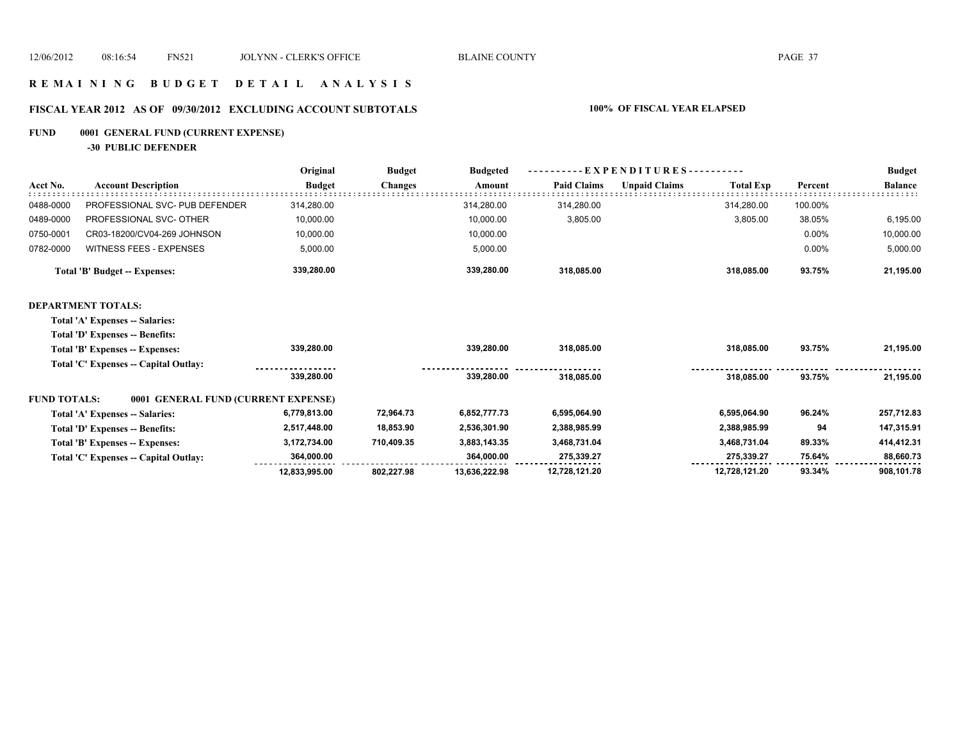### **R E M A I N I N G B U D G E T D E T A I L A N A L Y S I S**

### **FISCAL YEAR 2012 AS OF 09/30/2012 EXCLUDING ACCOUNT SUBTOTALS 100% OF FISCAL YEAR ELAPSED**

### **FUND 0001 GENERAL FUND (CURRENT EXPENSE)**

**-30 PUBLIC DEFENDER**

|                     |                                       | Original      | <b>Budget</b>  | <b>Budgeted</b> | - EXPENDITURES---------- |                      |                  |         | <b>Budget</b>  |
|---------------------|---------------------------------------|---------------|----------------|-----------------|--------------------------|----------------------|------------------|---------|----------------|
| Acct No.            | <b>Account Description</b>            | <b>Budget</b> | <b>Changes</b> | Amount          | <b>Paid Claims</b>       | <b>Unpaid Claims</b> | <b>Total Exp</b> | Percent | <b>Balance</b> |
| 0488-0000           | PROFESSIONAL SVC- PUB DEFENDER        | 314,280.00    |                | 314,280.00      | 314,280.00               |                      | 314,280.00       | 100.00% |                |
| 0489-0000           | PROFESSIONAL SVC- OTHER               | 10,000.00     |                | 10,000.00       | 3,805.00                 |                      | 3,805.00         | 38.05%  | 6,195.00       |
| 0750-0001           | CR03-18200/CV04-269 JOHNSON           | 10,000.00     |                | 10,000.00       |                          |                      |                  | 0.00%   | 10,000.00      |
| 0782-0000           | <b>WITNESS FEES - EXPENSES</b>        | 5,000.00      |                | 5,000.00        |                          |                      |                  | 0.00%   | 5,000.00       |
|                     | Total 'B' Budget -- Expenses:         | 339,280.00    |                | 339,280.00      | 318,085.00               |                      | 318,085.00       | 93.75%  | 21,195.00      |
|                     | <b>DEPARTMENT TOTALS:</b>             |               |                |                 |                          |                      |                  |         |                |
|                     | Total 'A' Expenses -- Salaries:       |               |                |                 |                          |                      |                  |         |                |
|                     | Total 'D' Expenses -- Benefits:       |               |                |                 |                          |                      |                  |         |                |
|                     | Total 'B' Expenses -- Expenses:       | 339,280.00    |                | 339,280.00      | 318,085.00               |                      | 318,085.00       | 93.75%  | 21,195.00      |
|                     | Total 'C' Expenses -- Capital Outlay: |               |                |                 |                          |                      |                  |         |                |
|                     |                                       | 339,280.00    |                | 339,280.00      | 318,085.00               |                      | 318,085.00       | 93.75%  | 21,195.00      |
| <b>FUND TOTALS:</b> | 0001 GENERAL FUND (CURRENT EXPENSE)   |               |                |                 |                          |                      |                  |         |                |
|                     | Total 'A' Expenses -- Salaries:       | 6,779,813.00  | 72,964.73      | 6,852,777.73    | 6,595,064.90             |                      | 6,595,064.90     | 96.24%  | 257,712.83     |
|                     | Total 'D' Expenses -- Benefits:       | 2,517,448.00  | 18,853.90      | 2,536,301.90    | 2,388,985.99             |                      | 2,388,985.99     | 94      | 147,315.91     |
|                     | Total 'B' Expenses -- Expenses:       | 3,172,734.00  | 710,409.35     | 3,883,143.35    | 3,468,731.04             |                      | 3,468,731.04     | 89.33%  | 414,412.31     |
|                     | Total 'C' Expenses -- Capital Outlay: | 364,000.00    |                | 364,000.00      | 275,339.27               |                      | 275,339.27       | 75.64%  | 88,660.73      |
|                     |                                       | 12,833,995.00 | 802.227.98     | 13,636,222.98   | 12,728,121.20            |                      | 12,728,121.20    | 93.34%  | 908,101.78     |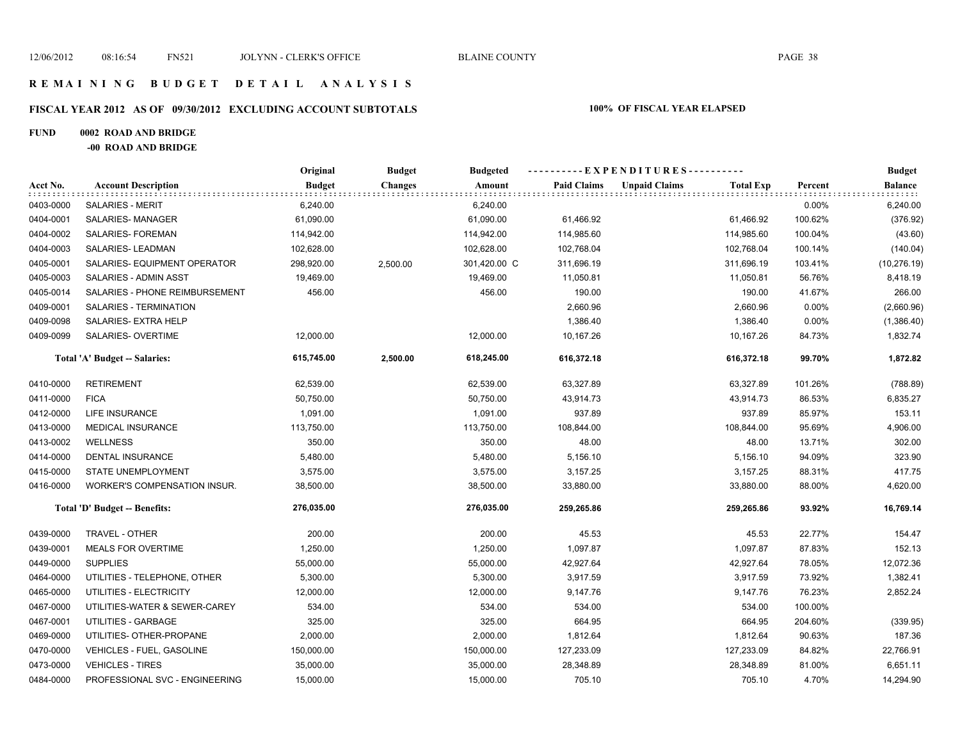# **FISCAL YEAR 2012 AS OF 09/30/2012 EXCLUDING ACCOUNT SUBTOTALS 100% OF FISCAL YEAR ELAPSED**

### **FUND 0002 ROAD AND BRIDGE**

**-00 ROAD AND BRIDGE**

|           |                                | Original      | <b>Budget</b>  | <b>Budgeted</b> | ----------EXPENDITURES---------- |                      |                  |         | <b>Budget</b>  |
|-----------|--------------------------------|---------------|----------------|-----------------|----------------------------------|----------------------|------------------|---------|----------------|
| Acct No.  | <b>Account Description</b>     | <b>Budget</b> | <b>Changes</b> | Amount          | <b>Paid Claims</b>               | <b>Unpaid Claims</b> | <b>Total Exp</b> | Percent | <b>Balance</b> |
| 0403-0000 | <b>SALARIES - MERIT</b>        | 6,240.00      |                | 6,240.00        |                                  |                      |                  | 0.00%   | 6,240.00       |
| 0404-0001 | SALARIES-MANAGER               | 61,090.00     |                | 61,090.00       | 61,466.92                        |                      | 61,466.92        | 100.62% | (376.92)       |
| 0404-0002 | SALARIES- FOREMAN              | 114,942.00    |                | 114,942.00      | 114,985.60                       |                      | 114,985.60       | 100.04% | (43.60)        |
| 0404-0003 | SALARIES-LEADMAN               | 102,628.00    |                | 102,628.00      | 102,768.04                       |                      | 102,768.04       | 100.14% | (140.04)       |
| 0405-0001 | SALARIES- EQUIPMENT OPERATOR   | 298,920.00    | 2,500.00       | 301,420.00 C    | 311,696.19                       |                      | 311,696.19       | 103.41% | (10, 276.19)   |
| 0405-0003 | SALARIES - ADMIN ASST          | 19,469.00     |                | 19,469.00       | 11,050.81                        |                      | 11,050.81        | 56.76%  | 8,418.19       |
| 0405-0014 | SALARIES - PHONE REIMBURSEMENT | 456.00        |                | 456.00          | 190.00                           |                      | 190.00           | 41.67%  | 266.00         |
| 0409-0001 | SALARIES - TERMINATION         |               |                |                 | 2,660.96                         |                      | 2,660.96         | 0.00%   | (2,660.96)     |
| 0409-0098 | SALARIES- EXTRA HELP           |               |                |                 | 1,386.40                         |                      | 1,386.40         | 0.00%   | (1,386.40)     |
| 0409-0099 | SALARIES- OVERTIME             | 12,000.00     |                | 12,000.00       | 10,167.26                        |                      | 10,167.26        | 84.73%  | 1,832.74       |
|           | Total 'A' Budget -- Salaries:  | 615,745.00    | 2,500.00       | 618,245.00      | 616,372.18                       |                      | 616,372.18       | 99.70%  | 1,872.82       |
| 0410-0000 | <b>RETIREMENT</b>              | 62,539.00     |                | 62,539.00       | 63,327.89                        |                      | 63,327.89        | 101.26% | (788.89)       |
| 0411-0000 | <b>FICA</b>                    | 50,750.00     |                | 50,750.00       | 43,914.73                        |                      | 43,914.73        | 86.53%  | 6,835.27       |
| 0412-0000 | <b>LIFE INSURANCE</b>          | 1,091.00      |                | 1,091.00        | 937.89                           |                      | 937.89           | 85.97%  | 153.11         |
| 0413-0000 | <b>MEDICAL INSURANCE</b>       | 113,750.00    |                | 113,750.00      | 108,844.00                       |                      | 108,844.00       | 95.69%  | 4,906.00       |
| 0413-0002 | <b>WELLNESS</b>                | 350.00        |                | 350.00          | 48.00                            |                      | 48.00            | 13.71%  | 302.00         |
| 0414-0000 | DENTAL INSURANCE               | 5,480.00      |                | 5,480.00        | 5,156.10                         |                      | 5,156.10         | 94.09%  | 323.90         |
| 0415-0000 | STATE UNEMPLOYMENT             | 3,575.00      |                | 3,575.00        | 3,157.25                         |                      | 3,157.25         | 88.31%  | 417.75         |
| 0416-0000 | WORKER'S COMPENSATION INSUR.   | 38,500.00     |                | 38,500.00       | 33,880.00                        |                      | 33,880.00        | 88.00%  | 4,620.00       |
|           | Total 'D' Budget -- Benefits:  | 276,035.00    |                | 276,035.00      | 259,265.86                       |                      | 259,265.86       | 93.92%  | 16,769.14      |
| 0439-0000 | <b>TRAVEL - OTHER</b>          | 200.00        |                | 200.00          | 45.53                            |                      | 45.53            | 22.77%  | 154.47         |
| 0439-0001 | <b>MEALS FOR OVERTIME</b>      | 1,250.00      |                | 1,250.00        | 1,097.87                         |                      | 1,097.87         | 87.83%  | 152.13         |
| 0449-0000 | <b>SUPPLIES</b>                | 55,000.00     |                | 55,000.00       | 42,927.64                        |                      | 42,927.64        | 78.05%  | 12,072.36      |
| 0464-0000 | UTILITIES - TELEPHONE, OTHER   | 5,300.00      |                | 5,300.00        | 3,917.59                         |                      | 3,917.59         | 73.92%  | 1,382.41       |
| 0465-0000 | UTILITIES - ELECTRICITY        | 12,000.00     |                | 12,000.00       | 9,147.76                         |                      | 9,147.76         | 76.23%  | 2,852.24       |
| 0467-0000 | UTILITIES-WATER & SEWER-CAREY  | 534.00        |                | 534.00          | 534.00                           |                      | 534.00           | 100.00% |                |
| 0467-0001 | UTILITIES - GARBAGE            | 325.00        |                | 325.00          | 664.95                           |                      | 664.95           | 204.60% | (339.95)       |
| 0469-0000 | UTILITIES- OTHER-PROPANE       | 2,000.00      |                | 2,000.00        | 1,812.64                         |                      | 1,812.64         | 90.63%  | 187.36         |
| 0470-0000 | VEHICLES - FUEL, GASOLINE      | 150,000.00    |                | 150,000.00      | 127,233.09                       |                      | 127,233.09       | 84.82%  | 22,766.91      |
| 0473-0000 | <b>VEHICLES - TIRES</b>        | 35,000.00     |                | 35,000.00       | 28,348.89                        |                      | 28,348.89        | 81.00%  | 6,651.11       |
| 0484-0000 | PROFESSIONAL SVC - ENGINEERING | 15,000.00     |                | 15,000.00       | 705.10                           |                      | 705.10           | 4.70%   | 14,294.90      |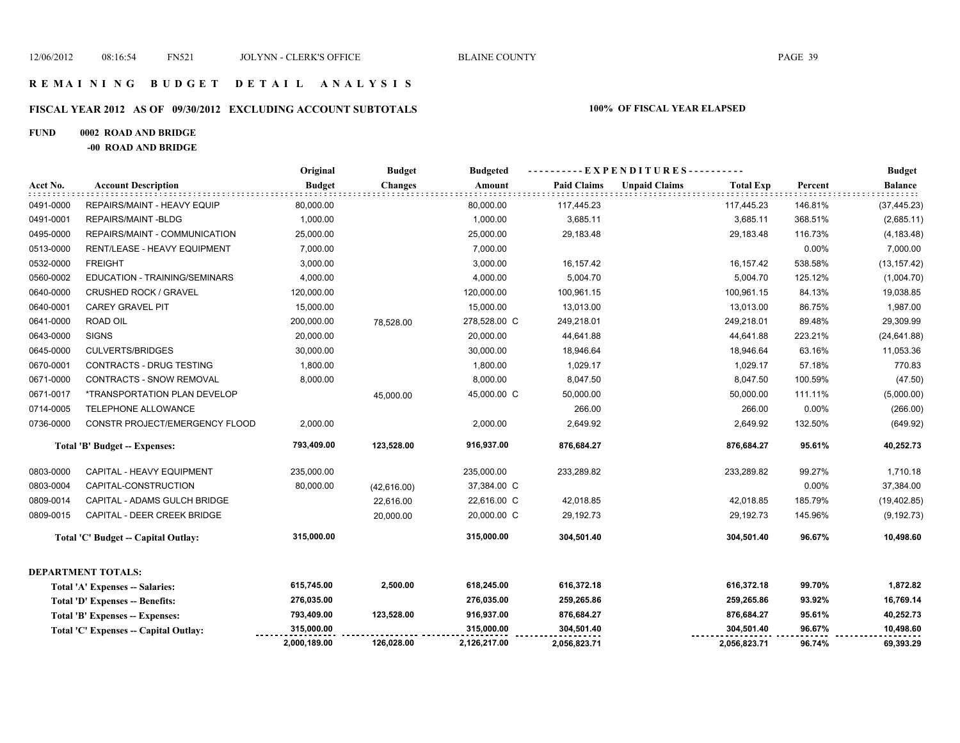# **FISCAL YEAR 2012 AS OF 09/30/2012 EXCLUDING ACCOUNT SUBTOTALS 100% OF FISCAL YEAR ELAPSED**

### **FUND 0002 ROAD AND BRIDGE**

**-00 ROAD AND BRIDGE**

|           |                                        | Original      | <b>Budget</b>  | <b>Budgeted</b> | ----------EXPENDITURES---------- |                      |                  | <b>Budget</b> |                |
|-----------|----------------------------------------|---------------|----------------|-----------------|----------------------------------|----------------------|------------------|---------------|----------------|
| Acct No.  | <b>Account Description</b>             | <b>Budget</b> | <b>Changes</b> | Amount          | <b>Paid Claims</b>               | <b>Unpaid Claims</b> | <b>Total Exp</b> | Percent       | <b>Balance</b> |
| 0491-0000 | <b>REPAIRS/MAINT - HEAVY EQUIP</b>     | 80,000.00     |                | 80,000.00       | 117,445.23                       |                      | 117,445.23       | 146.81%       | (37, 445.23)   |
| 0491-0001 | REPAIRS/MAINT-BLDG                     | 1,000.00      |                | 1,000.00        | 3,685.11                         |                      | 3,685.11         | 368.51%       | (2,685.11)     |
| 0495-0000 | REPAIRS/MAINT - COMMUNICATION          | 25,000.00     |                | 25,000.00       | 29,183.48                        |                      | 29,183.48        | 116.73%       | (4, 183.48)    |
| 0513-0000 | RENT/LEASE - HEAVY EQUIPMENT           | 7,000.00      |                | 7,000.00        |                                  |                      |                  | 0.00%         | 7,000.00       |
| 0532-0000 | <b>FREIGHT</b>                         | 3,000.00      |                | 3,000.00        | 16,157.42                        |                      | 16,157.42        | 538.58%       | (13, 157.42)   |
| 0560-0002 | EDUCATION - TRAINING/SEMINARS          | 4,000.00      |                | 4,000.00        | 5,004.70                         |                      | 5,004.70         | 125.12%       | (1,004.70)     |
| 0640-0000 | <b>CRUSHED ROCK / GRAVEL</b>           | 120,000.00    |                | 120,000.00      | 100,961.15                       |                      | 100,961.15       | 84.13%        | 19,038.85      |
| 0640-0001 | <b>CAREY GRAVEL PIT</b>                | 15,000.00     |                | 15,000.00       | 13,013.00                        |                      | 13,013.00        | 86.75%        | 1,987.00       |
| 0641-0000 | ROAD OIL                               | 200,000.00    | 78,528.00      | 278,528.00 C    | 249,218.01                       |                      | 249,218.01       | 89.48%        | 29,309.99      |
| 0643-0000 | <b>SIGNS</b>                           | 20,000.00     |                | 20,000.00       | 44,641.88                        |                      | 44,641.88        | 223.21%       | (24, 641.88)   |
| 0645-0000 | <b>CULVERTS/BRIDGES</b>                | 30,000.00     |                | 30,000.00       | 18,946.64                        |                      | 18,946.64        | 63.16%        | 11,053.36      |
| 0670-0001 | <b>CONTRACTS - DRUG TESTING</b>        | 1,800.00      |                | 1,800.00        | 1,029.17                         |                      | 1,029.17         | 57.18%        | 770.83         |
| 0671-0000 | <b>CONTRACTS - SNOW REMOVAL</b>        | 8,000.00      |                | 8,000.00        | 8,047.50                         |                      | 8,047.50         | 100.59%       | (47.50)        |
| 0671-0017 | *TRANSPORTATION PLAN DEVELOP           |               | 45,000.00      | 45,000.00 C     | 50,000.00                        |                      | 50,000.00        | 111.11%       | (5,000.00)     |
| 0714-0005 | TELEPHONE ALLOWANCE                    |               |                |                 | 266.00                           |                      | 266.00           | 0.00%         | (266.00)       |
| 0736-0000 | CONSTR PROJECT/EMERGENCY FLOOD         | 2,000.00      |                | 2,000.00        | 2,649.92                         |                      | 2,649.92         | 132.50%       | (649.92)       |
|           | Total 'B' Budget -- Expenses:          | 793,409.00    | 123,528.00     | 916,937.00      | 876,684.27                       |                      | 876,684.27       | 95.61%        | 40,252.73      |
| 0803-0000 | CAPITAL - HEAVY EQUIPMENT              | 235,000.00    |                | 235,000.00      | 233,289.82                       |                      | 233,289.82       | 99.27%        | 1,710.18       |
| 0803-0004 | CAPITAL-CONSTRUCTION                   | 80,000.00     | (42, 616.00)   | 37,384.00 C     |                                  |                      |                  | 0.00%         | 37,384.00      |
| 0809-0014 | CAPITAL - ADAMS GULCH BRIDGE           |               | 22,616.00      | 22,616.00 C     | 42,018.85                        |                      | 42,018.85        | 185.79%       | (19, 402.85)   |
| 0809-0015 | CAPITAL - DEER CREEK BRIDGE            |               | 20,000.00      | 20,000.00 C     | 29,192.73                        |                      | 29,192.73        | 145.96%       | (9, 192.73)    |
|           | Total 'C' Budget -- Capital Outlay:    | 315,000.00    |                | 315,000.00      | 304,501.40                       |                      | 304,501.40       | 96.67%        | 10,498.60      |
|           | <b>DEPARTMENT TOTALS:</b>              |               |                |                 |                                  |                      |                  |               |                |
|           | Total 'A' Expenses -- Salaries:        | 615,745.00    | 2,500.00       | 618,245.00      | 616,372.18                       |                      | 616,372.18       | 99.70%        | 1,872.82       |
|           | <b>Total 'D' Expenses -- Benefits:</b> | 276,035.00    |                | 276,035.00      | 259,265.86                       |                      | 259,265.86       | 93.92%        | 16,769.14      |
|           | Total 'B' Expenses -- Expenses:        | 793,409.00    | 123,528.00     | 916,937.00      | 876,684.27                       |                      | 876,684.27       | 95.61%        | 40,252.73      |
|           | Total 'C' Expenses -- Capital Outlay:  | 315,000.00    |                | 315,000.00      | 304,501.40                       |                      | 304,501.40       | 96.67%        | 10,498.60      |
|           |                                        | 2,000,189.00  | 126,028.00     | 2,126,217.00    | 2,056,823.71                     |                      | 2,056,823.71     | 96.74%        | 69,393.29      |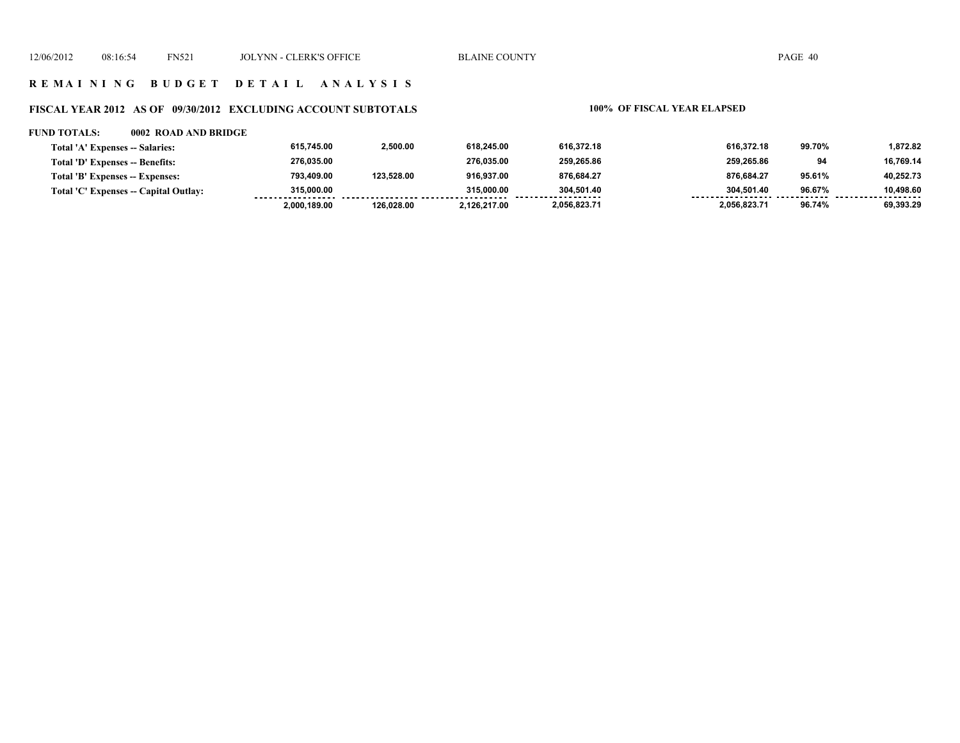# **R E M A I N I N G B U D G E T D E T A I L A N A L Y S I S**

# **FISCAL YEAR 2012 AS OF 09/30/2012 EXCLUDING ACCOUNT SUBTOTALS 100% OF FISCAL YEAR ELAPSED**

### **FUND TOTALS: 0002 ROAD AND BRIDGE**

| Total 'A' Expenses -- Salaries:       | 615.745.00   | 2,500.00   | 618.245.00   | 616.372.18      | 616.372.18   | 99.70% | 1.872.82       |
|---------------------------------------|--------------|------------|--------------|-----------------|--------------|--------|----------------|
| Total 'D' Expenses -- Benefits:       | 276.035.00   |            | 276.035.00   | 259.265.86      | 259.265.86   | 94     | 16.769.14      |
| Total 'B' Expenses -- Expenses:       | 793.409.00   | 123.528.00 | 916.937.00   | 876.684.27      | 876.684.27   | 95.61% | 40.252.73      |
| Total 'C' Expenses -- Capital Outlay: | 315,000,00   |            | 315.000.00   | 304.501.40<br>. | 304.501.40   | 96.67% | 10.498.60<br>. |
|                                       | 2,000,189.00 | 126.028.00 | 2.126.217.00 | 2,056,823.71    | 2,056,823.71 | 96.74% | 69,393.29      |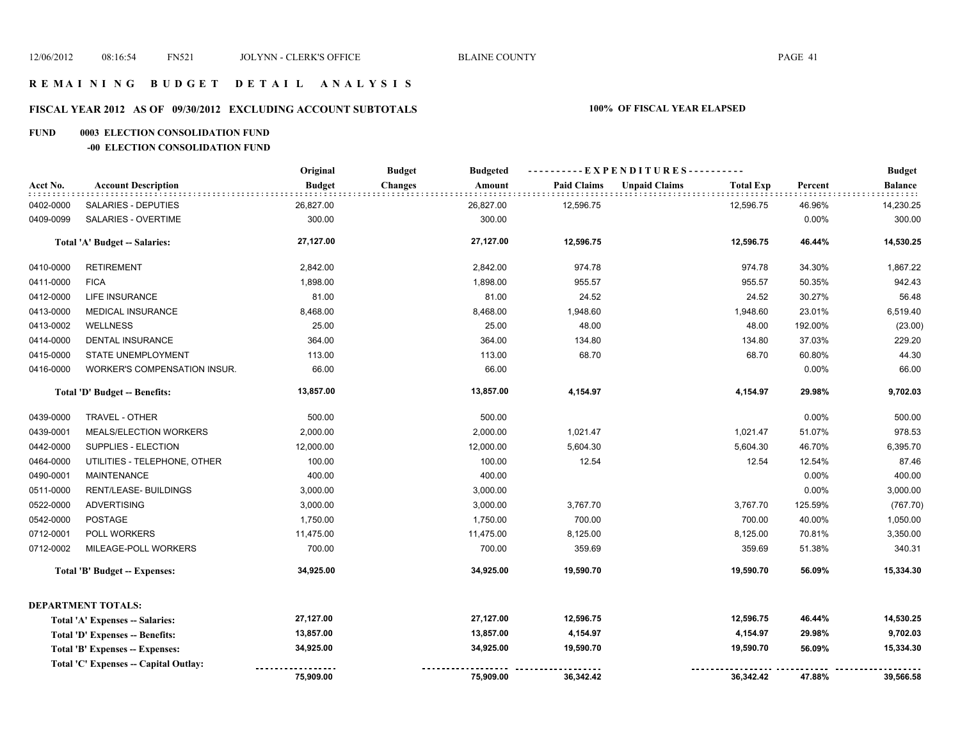### **R E M A I N I N G B U D G E T D E T A I L A N A L Y S I S**

# **FISCAL YEAR 2012 AS OF 09/30/2012 EXCLUDING ACCOUNT SUBTOTALS 100% OF FISCAL YEAR ELAPSED**

### **FUND 0003 ELECTION CONSOLIDATION FUND**

### **-00 ELECTION CONSOLIDATION FUND**

|           |                                        | Original      | <b>Budget</b>  | <b>Budgeted</b> |                    | ----------EXPENDITURES---------- |                  |         | <b>Budget</b>  |
|-----------|----------------------------------------|---------------|----------------|-----------------|--------------------|----------------------------------|------------------|---------|----------------|
| Acct No.  | <b>Account Description</b>             | <b>Budget</b> | <b>Changes</b> | Amount          | <b>Paid Claims</b> | <b>Unpaid Claims</b>             | <b>Total Exp</b> | Percent | <b>Balance</b> |
| 0402-0000 | <b>SALARIES - DEPUTIES</b>             | 26,827.00     |                | 26,827.00       | 12,596.75          |                                  | 12,596.75        | 46.96%  | 14,230.25      |
| 0409-0099 | SALARIES - OVERTIME                    | 300.00        |                | 300.00          |                    |                                  |                  | 0.00%   | 300.00         |
|           | Total 'A' Budget -- Salaries:          | 27,127.00     |                | 27,127.00       | 12,596.75          |                                  | 12,596.75        | 46.44%  | 14,530.25      |
| 0410-0000 | <b>RETIREMENT</b>                      | 2,842.00      |                | 2,842.00        | 974.78             |                                  | 974.78           | 34.30%  | 1,867.22       |
| 0411-0000 | <b>FICA</b>                            | 1,898.00      |                | 1,898.00        | 955.57             |                                  | 955.57           | 50.35%  | 942.43         |
| 0412-0000 | LIFE INSURANCE                         | 81.00         |                | 81.00           | 24.52              |                                  | 24.52            | 30.27%  | 56.48          |
| 0413-0000 | <b>MEDICAL INSURANCE</b>               | 8,468.00      |                | 8,468.00        | 1,948.60           |                                  | 1,948.60         | 23.01%  | 6,519.40       |
| 0413-0002 | <b>WELLNESS</b>                        | 25.00         |                | 25.00           | 48.00              |                                  | 48.00            | 192.00% | (23.00)        |
| 0414-0000 | <b>DENTAL INSURANCE</b>                | 364.00        |                | 364.00          | 134.80             |                                  | 134.80           | 37.03%  | 229.20         |
| 0415-0000 | <b>STATE UNEMPLOYMENT</b>              | 113.00        |                | 113.00          | 68.70              |                                  | 68.70            | 60.80%  | 44.30          |
| 0416-0000 | WORKER'S COMPENSATION INSUR.           | 66.00         |                | 66.00           |                    |                                  |                  | 0.00%   | 66.00          |
|           | Total 'D' Budget -- Benefits:          | 13,857.00     |                | 13,857.00       | 4,154.97           |                                  | 4,154.97         | 29.98%  | 9,702.03       |
| 0439-0000 | TRAVEL - OTHER                         | 500.00        |                | 500.00          |                    |                                  |                  | 0.00%   | 500.00         |
| 0439-0001 | MEALS/ELECTION WORKERS                 | 2,000.00      |                | 2,000.00        | 1,021.47           |                                  | 1,021.47         | 51.07%  | 978.53         |
| 0442-0000 | SUPPLIES - ELECTION                    | 12,000.00     |                | 12,000.00       | 5,604.30           |                                  | 5,604.30         | 46.70%  | 6,395.70       |
| 0464-0000 | UTILITIES - TELEPHONE, OTHER           | 100.00        |                | 100.00          | 12.54              |                                  | 12.54            | 12.54%  | 87.46          |
| 0490-0001 | <b>MAINTENANCE</b>                     | 400.00        |                | 400.00          |                    |                                  |                  | 0.00%   | 400.00         |
| 0511-0000 | RENT/LEASE- BUILDINGS                  | 3,000.00      |                | 3,000.00        |                    |                                  |                  | 0.00%   | 3,000.00       |
| 0522-0000 | <b>ADVERTISING</b>                     | 3,000.00      |                | 3,000.00        | 3,767.70           |                                  | 3,767.70         | 125.59% | (767.70)       |
| 0542-0000 | POSTAGE                                | 1,750.00      |                | 1,750.00        | 700.00             |                                  | 700.00           | 40.00%  | 1,050.00       |
| 0712-0001 | POLL WORKERS                           | 11,475.00     |                | 11,475.00       | 8,125.00           |                                  | 8,125.00         | 70.81%  | 3,350.00       |
| 0712-0002 | MILEAGE-POLL WORKERS                   | 700.00        |                | 700.00          | 359.69             |                                  | 359.69           | 51.38%  | 340.31         |
|           | Total 'B' Budget -- Expenses:          | 34,925.00     |                | 34,925.00       | 19,590.70          |                                  | 19,590.70        | 56.09%  | 15,334.30      |
|           | <b>DEPARTMENT TOTALS:</b>              |               |                |                 |                    |                                  |                  |         |                |
|           | Total 'A' Expenses -- Salaries:        | 27,127.00     |                | 27,127.00       | 12,596.75          |                                  | 12,596.75        | 46.44%  | 14,530.25      |
|           | <b>Total 'D' Expenses -- Benefits:</b> | 13,857.00     |                | 13,857.00       | 4,154.97           |                                  | 4,154.97         | 29.98%  | 9,702.03       |
|           | Total 'B' Expenses -- Expenses:        | 34,925.00     |                | 34,925.00       | 19,590.70          |                                  | 19,590.70        | 56.09%  | 15,334.30      |
|           | Total 'C' Expenses -- Capital Outlay:  |               |                |                 |                    |                                  |                  |         |                |
|           |                                        | 75,909.00     |                | 75,909.00       | 36,342.42          |                                  | 36,342.42        | 47.88%  | 39,566.58      |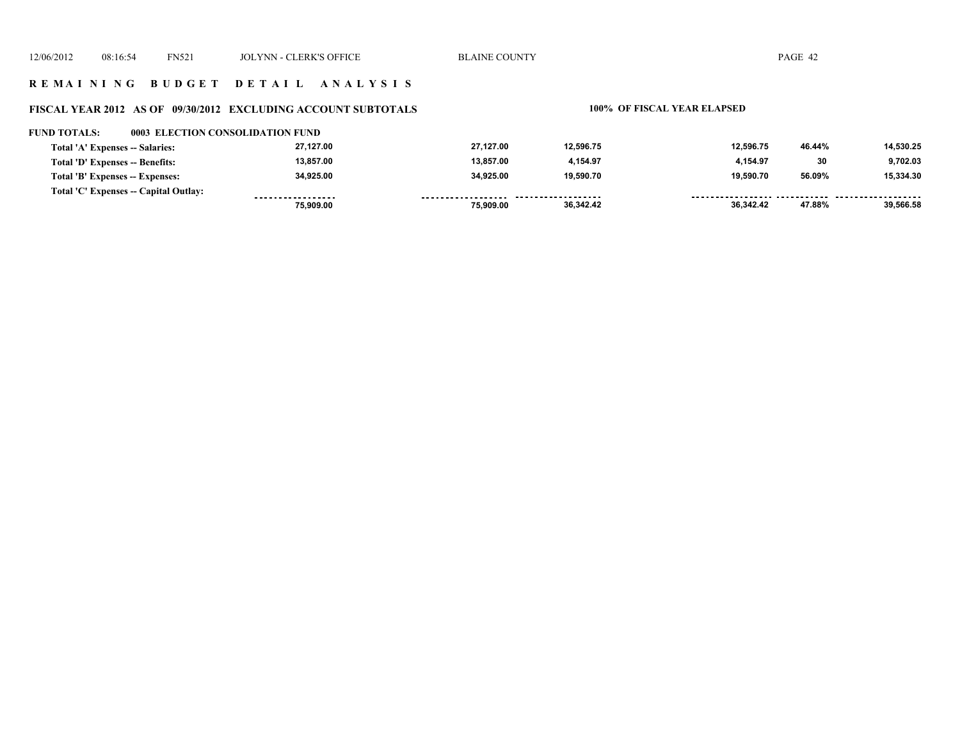### **R E M A I N I N G B U D G E T D E T A I L A N A L Y S I S**

# **FISCAL YEAR 2012 AS OF 09/30/2012 EXCLUDING ACCOUNT SUBTOTALS 100% OF FISCAL YEAR ELAPSED**

### **FUND TOTALS: 0003 ELECTION CONSOLIDATION FUND**

| Total 'A' Expenses -- Salaries:       | 27.127.00         | 27.127.00 | 12.596.75           | 12.596.75 | 46.44% | 14.530.25 |
|---------------------------------------|-------------------|-----------|---------------------|-----------|--------|-----------|
| Total 'D' Expenses -- Benefits:       | 13,857.00         | 13.857.00 | 4.154.97            | 4.154.97  | 30     | 9.702.03  |
| Total 'B' Expenses -- Expenses:       | 34.925.00         | 34.925.00 | 19,590.70           | 19.590.70 | 56.09% | 15,334.30 |
| Total 'C' Expenses -- Capital Outlay: | ----------------- |           | ------------------- |           |        |           |
|                                       | 75.909.00         | 75,909.00 | 36,342.42           | 36,342.42 | 47.88% | 39,566.58 |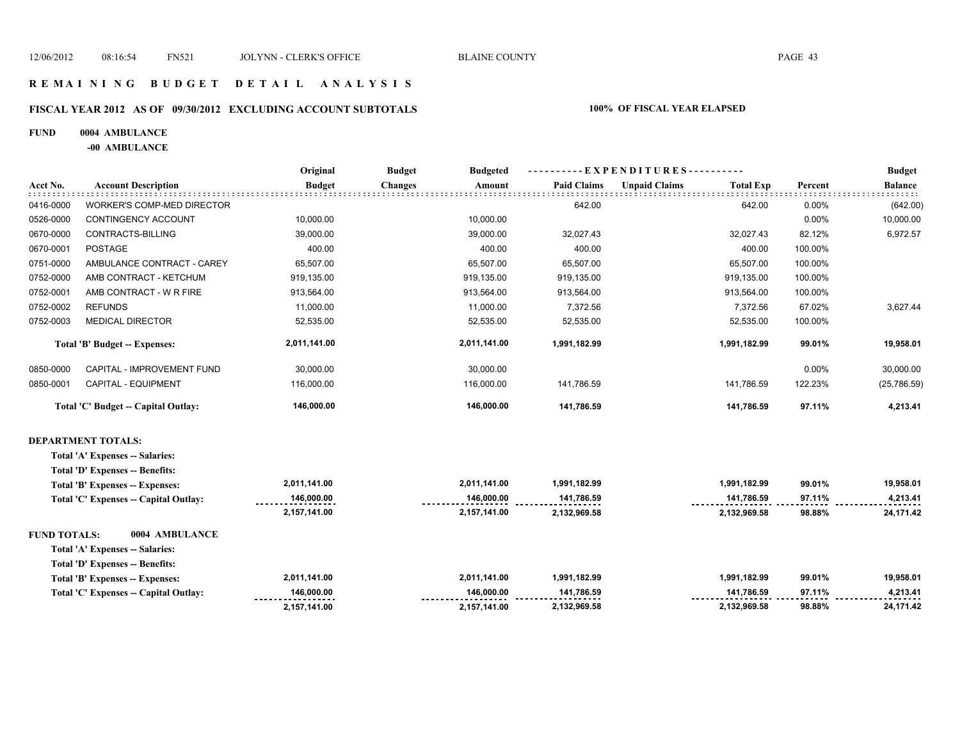### **FISCAL YEAR 2012 AS OF 09/30/2012 EXCLUDING ACCOUNT SUBTOTALS 100% OF FISCAL YEAR ELAPSED**

### **FUND 0004 AMBULANCE**

**-00 AMBULANCE**

|                     |                                       | Original      | <b>Budget</b><br><b>Budgeted</b> | - EXPENDITURES---------- |                                          |         | <b>Budget</b><br><b>Balance</b> |
|---------------------|---------------------------------------|---------------|----------------------------------|--------------------------|------------------------------------------|---------|---------------------------------|
| Acct No.            | <b>Account Description</b>            | <b>Budget</b> | <b>Changes</b><br>Amount         | <b>Paid Claims</b>       | <b>Unpaid Claims</b><br><b>Total Exp</b> | Percent |                                 |
| 0416-0000           | <b>WORKER'S COMP-MED DIRECTOR</b>     |               |                                  | 642.00                   | 642.00                                   | 0.00%   | (642.00)                        |
| 0526-0000           | CONTINGENCY ACCOUNT                   | 10,000.00     | 10,000.00                        |                          |                                          | 0.00%   | 10,000.00                       |
| 0670-0000           | CONTRACTS-BILLING                     | 39,000.00     | 39,000.00                        | 32,027.43                | 32,027.43                                | 82.12%  | 6,972.57                        |
| 0670-0001           | <b>POSTAGE</b>                        | 400.00        | 400.00                           | 400.00                   | 400.00                                   | 100.00% |                                 |
| 0751-0000           | AMBULANCE CONTRACT - CAREY            | 65,507.00     | 65,507.00                        | 65,507.00                | 65,507.00                                | 100.00% |                                 |
| 0752-0000           | AMB CONTRACT - KETCHUM                | 919,135.00    | 919,135.00                       | 919,135.00               | 919,135.00                               | 100.00% |                                 |
| 0752-0001           | AMB CONTRACT - W R FIRE               | 913,564.00    | 913,564.00                       | 913,564.00               | 913,564.00                               | 100.00% |                                 |
| 0752-0002           | <b>REFUNDS</b>                        | 11,000.00     | 11,000.00                        | 7,372.56                 | 7,372.56                                 | 67.02%  | 3,627.44                        |
| 0752-0003           | <b>MEDICAL DIRECTOR</b>               | 52,535.00     | 52,535.00                        | 52,535.00                | 52,535.00                                | 100.00% |                                 |
|                     | Total 'B' Budget -- Expenses:         | 2,011,141.00  | 2,011,141.00                     | 1,991,182.99             | 1,991,182.99                             | 99.01%  | 19,958.01                       |
| 0850-0000           | CAPITAL - IMPROVEMENT FUND            | 30,000.00     | 30,000.00                        |                          |                                          | 0.00%   | 30,000.00                       |
| 0850-0001           | CAPITAL - EQUIPMENT                   | 116,000.00    | 116,000.00                       | 141,786.59               | 141,786.59                               | 122.23% | (25,786.59)                     |
|                     | Total 'C' Budget -- Capital Outlay:   | 146,000.00    | 146,000.00                       | 141,786.59               | 141,786.59                               | 97.11%  | 4,213.41                        |
|                     | <b>DEPARTMENT TOTALS:</b>             |               |                                  |                          |                                          |         |                                 |
|                     | Total 'A' Expenses -- Salaries:       |               |                                  |                          |                                          |         |                                 |
|                     | Total 'D' Expenses -- Benefits:       |               |                                  |                          |                                          |         |                                 |
|                     | Total 'B' Expenses -- Expenses:       | 2,011,141.00  | 2,011,141.00                     | 1,991,182.99             | 1,991,182.99                             | 99.01%  | 19,958.01                       |
|                     | Total 'C' Expenses -- Capital Outlay: | 146.000.00    | 146.000.00                       | 141,786.59               | 141,786.59                               | 97.11%  | 4,213.41                        |
|                     |                                       | 2,157,141.00  | 2,157,141.00                     | 2,132,969.58             | 2,132,969.58                             | 98.88%  | 24,171.42                       |
| <b>FUND TOTALS:</b> | 0004 AMBULANCE                        |               |                                  |                          |                                          |         |                                 |
|                     | Total 'A' Expenses -- Salaries:       |               |                                  |                          |                                          |         |                                 |
|                     | Total 'D' Expenses -- Benefits:       |               |                                  |                          |                                          |         |                                 |
|                     | Total 'B' Expenses -- Expenses:       | 2,011,141.00  | 2,011,141.00                     | 1,991,182.99             | 1,991,182.99                             | 99.01%  | 19,958.01                       |
|                     | Total 'C' Expenses -- Capital Outlay: | 146,000.00    | 146,000.00                       | 141,786.59               | 141,786.59                               | 97.11%  | 4,213.41                        |
|                     |                                       | 2.157.141.00  | 2,157,141.00                     | 2,132,969.58             | 2,132,969.58                             | 98.88%  | 24,171.42                       |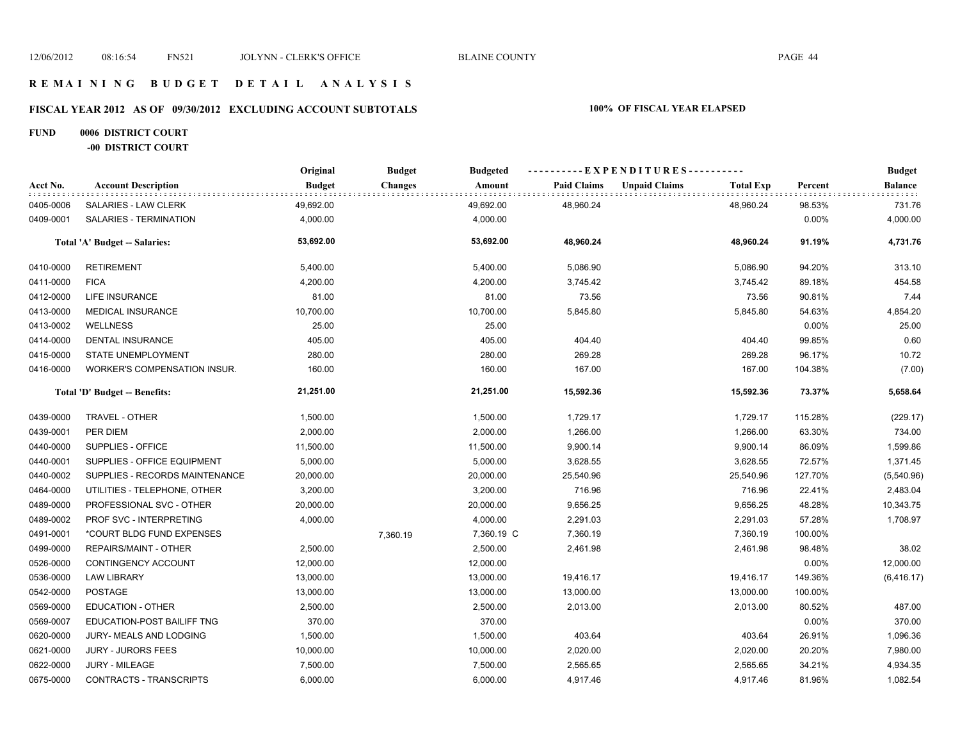### **FISCAL YEAR 2012 AS OF 09/30/2012 EXCLUDING ACCOUNT SUBTOTALS 100% OF FISCAL YEAR ELAPSED**

# **FUND 0006 DISTRICT COURT**

**-00 DISTRICT COURT**

|           |                                | Original      | <b>Budget</b>  | <b>Budgeted</b> |                    |                      |                  |         | <b>Budget</b>  |
|-----------|--------------------------------|---------------|----------------|-----------------|--------------------|----------------------|------------------|---------|----------------|
| Acct No.  | <b>Account Description</b>     | <b>Budget</b> | <b>Changes</b> | Amount          | <b>Paid Claims</b> | <b>Unpaid Claims</b> | <b>Total Exp</b> | Percent | <b>Balance</b> |
| 0405-0006 | SALARIES - LAW CLERK           | 49,692.00     |                | 49,692.00       | 48,960.24          |                      | 48,960.24        | 98.53%  | 731.76         |
| 0409-0001 | SALARIES - TERMINATION         | 4,000.00      |                | 4,000.00        |                    |                      |                  | 0.00%   | 4,000.00       |
|           | Total 'A' Budget -- Salaries:  | 53,692.00     |                | 53,692.00       | 48,960.24          |                      | 48,960.24        | 91.19%  | 4,731.76       |
| 0410-0000 | <b>RETIREMENT</b>              | 5,400.00      |                | 5,400.00        | 5,086.90           |                      | 5,086.90         | 94.20%  | 313.10         |
| 0411-0000 | <b>FICA</b>                    | 4,200.00      |                | 4,200.00        | 3,745.42           |                      | 3,745.42         | 89.18%  | 454.58         |
| 0412-0000 | <b>LIFE INSURANCE</b>          | 81.00         |                | 81.00           | 73.56              |                      | 73.56            | 90.81%  | 7.44           |
| 0413-0000 | <b>MEDICAL INSURANCE</b>       | 10,700.00     |                | 10,700.00       | 5,845.80           |                      | 5,845.80         | 54.63%  | 4,854.20       |
| 0413-0002 | <b>WELLNESS</b>                | 25.00         |                | 25.00           |                    |                      |                  | 0.00%   | 25.00          |
| 0414-0000 | DENTAL INSURANCE               | 405.00        |                | 405.00          | 404.40             |                      | 404.40           | 99.85%  | 0.60           |
| 0415-0000 | <b>STATE UNEMPLOYMENT</b>      | 280.00        |                | 280.00          | 269.28             |                      | 269.28           | 96.17%  | 10.72          |
| 0416-0000 | WORKER'S COMPENSATION INSUR.   | 160.00        |                | 160.00          | 167.00             |                      | 167.00           | 104.38% | (7.00)         |
|           | Total 'D' Budget -- Benefits:  | 21,251.00     |                | 21,251.00       | 15,592.36          |                      | 15,592.36        | 73.37%  | 5,658.64       |
| 0439-0000 | <b>TRAVEL - OTHER</b>          | 1,500.00      |                | 1,500.00        | 1,729.17           |                      | 1,729.17         | 115.28% | (229.17)       |
| 0439-0001 | PER DIEM                       | 2,000.00      |                | 2,000.00        | 1,266.00           |                      | 1,266.00         | 63.30%  | 734.00         |
| 0440-0000 | SUPPLIES - OFFICE              | 11,500.00     |                | 11,500.00       | 9,900.14           |                      | 9,900.14         | 86.09%  | 1,599.86       |
| 0440-0001 | SUPPLIES - OFFICE EQUIPMENT    | 5,000.00      |                | 5,000.00        | 3,628.55           |                      | 3,628.55         | 72.57%  | 1,371.45       |
| 0440-0002 | SUPPLIES - RECORDS MAINTENANCE | 20,000.00     |                | 20,000.00       | 25,540.96          |                      | 25,540.96        | 127.70% | (5,540.96)     |
| 0464-0000 | UTILITIES - TELEPHONE, OTHER   | 3,200.00      |                | 3,200.00        | 716.96             |                      | 716.96           | 22.41%  | 2,483.04       |
| 0489-0000 | PROFESSIONAL SVC - OTHER       | 20,000.00     |                | 20,000.00       | 9,656.25           |                      | 9,656.25         | 48.28%  | 10,343.75      |
| 0489-0002 | PROF SVC - INTERPRETING        | 4,000.00      |                | 4,000.00        | 2,291.03           |                      | 2,291.03         | 57.28%  | 1,708.97       |
| 0491-0001 | *COURT BLDG FUND EXPENSES      |               | 7,360.19       | 7,360.19 C      | 7,360.19           |                      | 7,360.19         | 100.00% |                |
| 0499-0000 | REPAIRS/MAINT - OTHER          | 2,500.00      |                | 2,500.00        | 2,461.98           |                      | 2,461.98         | 98.48%  | 38.02          |
| 0526-0000 | CONTINGENCY ACCOUNT            | 12,000.00     |                | 12,000.00       |                    |                      |                  | 0.00%   | 12,000.00      |
| 0536-0000 | <b>LAW LIBRARY</b>             | 13,000.00     |                | 13,000.00       | 19,416.17          |                      | 19,416.17        | 149.36% | (6, 416.17)    |
| 0542-0000 | <b>POSTAGE</b>                 | 13,000.00     |                | 13,000.00       | 13,000.00          |                      | 13,000.00        | 100.00% |                |
| 0569-0000 | EDUCATION - OTHER              | 2,500.00      |                | 2,500.00        | 2,013.00           |                      | 2,013.00         | 80.52%  | 487.00         |
| 0569-0007 | EDUCATION-POST BAILIFF TNG     | 370.00        |                | 370.00          |                    |                      |                  | 0.00%   | 370.00         |
| 0620-0000 | JURY- MEALS AND LODGING        | 1,500.00      |                | 1,500.00        | 403.64             |                      | 403.64           | 26.91%  | 1,096.36       |
| 0621-0000 | <b>JURY - JURORS FEES</b>      | 10,000.00     |                | 10,000.00       | 2,020.00           |                      | 2,020.00         | 20.20%  | 7,980.00       |
| 0622-0000 | <b>JURY - MILEAGE</b>          | 7,500.00      |                | 7,500.00        | 2,565.65           |                      | 2,565.65         | 34.21%  | 4,934.35       |
| 0675-0000 | <b>CONTRACTS - TRANSCRIPTS</b> | 6,000.00      |                | 6,000.00        | 4,917.46           |                      | 4,917.46         | 81.96%  | 1,082.54       |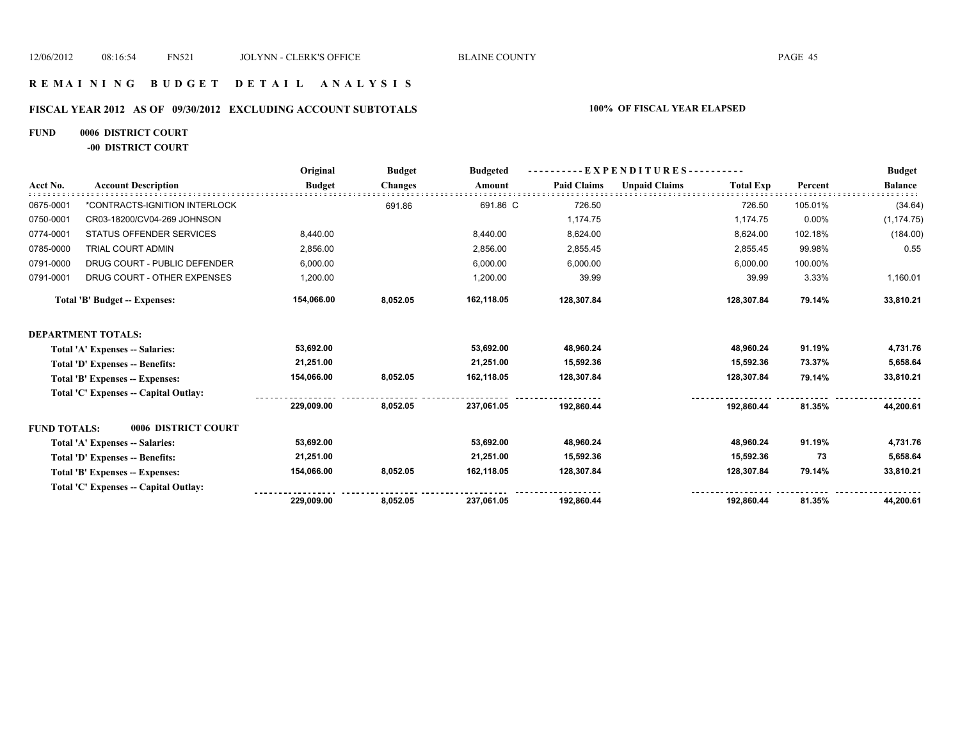### **R E M A I N I N G B U D G E T D E T A I L A N A L Y S I S**

# **FISCAL YEAR 2012 AS OF 09/30/2012 EXCLUDING ACCOUNT SUBTOTALS 100% OF FISCAL YEAR ELAPSED**

### **FUND 0006 DISTRICT COURT**

**-00 DISTRICT COURT**

|                     |                                       | Original      | <b>Budget</b>  | <b>Budgeted</b> |                    | - EXPENDITURES---------- |                  |         | <b>Budget</b>  |
|---------------------|---------------------------------------|---------------|----------------|-----------------|--------------------|--------------------------|------------------|---------|----------------|
| Acct No.            | <b>Account Description</b>            | <b>Budget</b> | <b>Changes</b> | Amount          | <b>Paid Claims</b> | <b>Unpaid Claims</b>     | <b>Total Exp</b> | Percent | <b>Balance</b> |
| 0675-0001           | *CONTRACTS-IGNITION INTERLOCK         |               | 691.86         | 691.86 C        | 726.50             |                          | 726.50           | 105.01% | (34.64)        |
| 0750-0001           | CR03-18200/CV04-269 JOHNSON           |               |                |                 | 1,174.75           |                          | 1,174.75         | 0.00%   | (1, 174.75)    |
| 0774-0001           | STATUS OFFENDER SERVICES              | 8,440.00      |                | 8,440.00        | 8,624.00           |                          | 8,624.00         | 102.18% | (184.00)       |
| 0785-0000           | TRIAL COURT ADMIN                     | 2,856.00      |                | 2,856.00        | 2,855.45           |                          | 2,855.45         | 99.98%  | 0.55           |
| 0791-0000           | DRUG COURT - PUBLIC DEFENDER          | 6,000.00      |                | 6,000.00        | 6,000.00           |                          | 6,000.00         | 100.00% |                |
| 0791-0001           | DRUG COURT - OTHER EXPENSES           | 1,200.00      |                | 1,200.00        | 39.99              |                          | 39.99            | 3.33%   | 1,160.01       |
|                     | <b>Total 'B' Budget -- Expenses:</b>  | 154,066.00    | 8,052.05       | 162,118.05      | 128,307.84         |                          | 128,307.84       | 79.14%  | 33,810.21      |
|                     | DEPARTMENT TOTALS:                    |               |                |                 |                    |                          |                  |         |                |
|                     | Total 'A' Expenses -- Salaries:       | 53,692.00     |                | 53,692.00       | 48,960.24          |                          | 48,960.24        | 91.19%  | 4,731.76       |
|                     | Total 'D' Expenses -- Benefits:       | 21,251.00     |                | 21,251.00       | 15,592.36          |                          | 15,592.36        | 73.37%  | 5,658.64       |
|                     | Total 'B' Expenses -- Expenses:       | 154,066.00    | 8,052.05       | 162.118.05      | 128,307.84         |                          | 128,307.84       | 79.14%  | 33,810.21      |
|                     | Total 'C' Expenses -- Capital Outlay: |               |                |                 |                    |                          |                  |         |                |
|                     |                                       | 229,009.00    | 8,052.05       | 237,061.05      | 192,860.44         |                          | 192,860.44       | 81.35%  | 44,200.61      |
| <b>FUND TOTALS:</b> | 0006 DISTRICT COURT                   |               |                |                 |                    |                          |                  |         |                |
|                     | Total 'A' Expenses -- Salaries:       | 53,692.00     |                | 53,692.00       | 48,960.24          |                          | 48,960.24        | 91.19%  | 4,731.76       |
|                     | Total 'D' Expenses -- Benefits:       | 21,251.00     |                | 21,251.00       | 15,592.36          |                          | 15,592.36        | 73      | 5,658.64       |
|                     | Total 'B' Expenses -- Expenses:       | 154,066.00    | 8,052.05       | 162,118.05      | 128,307.84         |                          | 128,307.84       | 79.14%  | 33,810.21      |
|                     | Total 'C' Expenses -- Capital Outlay: |               |                |                 |                    |                          |                  |         |                |
|                     |                                       | 229,009.00    | 8,052.05       | 237,061.05      | 192,860.44         |                          | 192,860.44       | 81.35%  | 44,200.61      |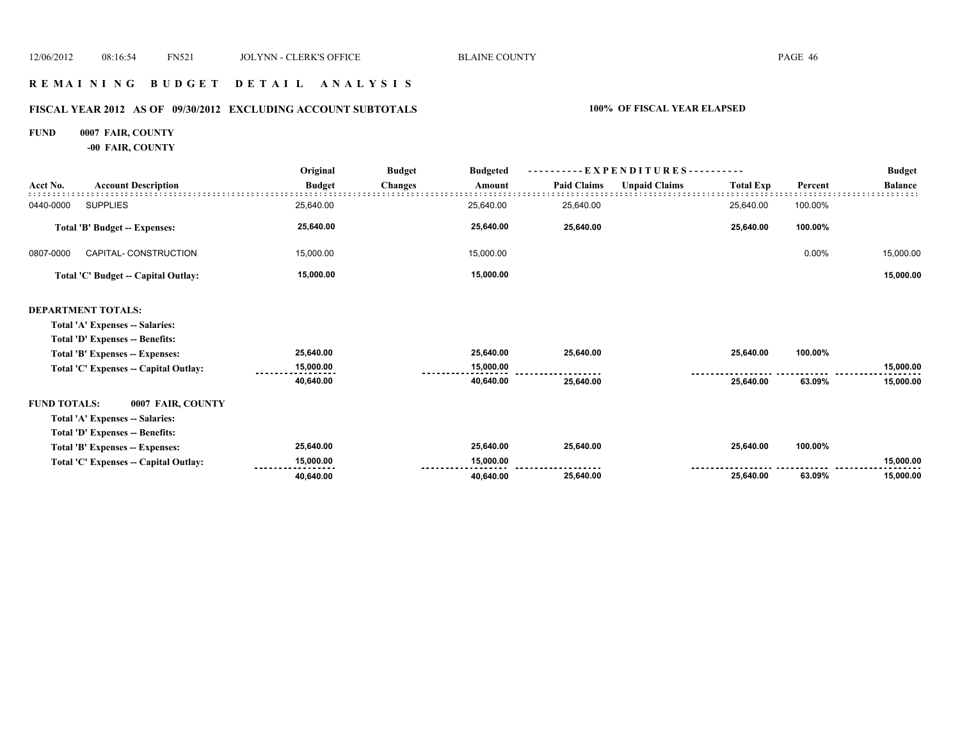### **R E M A I N I N G B U D G E T D E T A I L A N A L Y S I S**

# **FISCAL YEAR 2012 AS OF 09/30/2012 EXCLUDING ACCOUNT SUBTOTALS 100% OF FISCAL YEAR ELAPSED**

# **FUND 0007 FAIR, COUNTY**

**-00 FAIR, COUNTY**

|                     |                                       | Original      | <b>Budget</b>  | <b>Budgeted</b> |                    | $-EXPENDITURES$ --------- |                  |         | <b>Budget</b>  |
|---------------------|---------------------------------------|---------------|----------------|-----------------|--------------------|---------------------------|------------------|---------|----------------|
| Acct No.            | <b>Account Description</b>            | <b>Budget</b> | <b>Changes</b> | Amount          | <b>Paid Claims</b> | <b>Unpaid Claims</b>      | <b>Total Exp</b> | Percent | <b>Balance</b> |
| 0440-0000           | <b>SUPPLIES</b>                       | 25,640.00     |                | 25,640.00       | 25,640.00          |                           | 25,640.00        | 100.00% |                |
|                     | <b>Total 'B' Budget -- Expenses:</b>  | 25,640.00     |                | 25,640.00       | 25,640.00          |                           | 25,640.00        | 100.00% |                |
| 0807-0000           | CAPITAL- CONSTRUCTION                 | 15,000.00     |                | 15,000.00       |                    |                           |                  | 0.00%   | 15,000.00      |
|                     | Total 'C' Budget -- Capital Outlay:   | 15,000.00     |                | 15,000.00       |                    |                           |                  |         | 15,000.00      |
|                     | <b>DEPARTMENT TOTALS:</b>             |               |                |                 |                    |                           |                  |         |                |
|                     | Total 'A' Expenses -- Salaries:       |               |                |                 |                    |                           |                  |         |                |
|                     | Total 'D' Expenses -- Benefits:       |               |                |                 |                    |                           |                  |         |                |
|                     | Total 'B' Expenses -- Expenses:       | 25,640.00     |                | 25,640.00       | 25,640.00          |                           | 25,640.00        | 100.00% |                |
|                     | Total 'C' Expenses -- Capital Outlay: | 15,000.00     |                | 15,000.00       |                    |                           |                  |         | 15,000.00      |
|                     |                                       | 40,640.00     |                | 40,640.00       | 25,640.00          |                           | 25,640.00        | 63.09%  | 15,000.00      |
| <b>FUND TOTALS:</b> | 0007 FAIR, COUNTY                     |               |                |                 |                    |                           |                  |         |                |
|                     | Total 'A' Expenses -- Salaries:       |               |                |                 |                    |                           |                  |         |                |
|                     | Total 'D' Expenses -- Benefits:       |               |                |                 |                    |                           |                  |         |                |
|                     | Total 'B' Expenses -- Expenses:       | 25,640.00     |                | 25,640.00       | 25,640.00          |                           | 25,640.00        | 100.00% |                |
|                     | Total 'C' Expenses -- Capital Outlay: | 15,000.00     |                | 15,000.00       |                    |                           |                  |         | 15,000.00      |
|                     |                                       | 40,640.00     |                | 40,640.00       | 25,640.00          |                           | 25,640.00        | 63.09%  | 15,000.00      |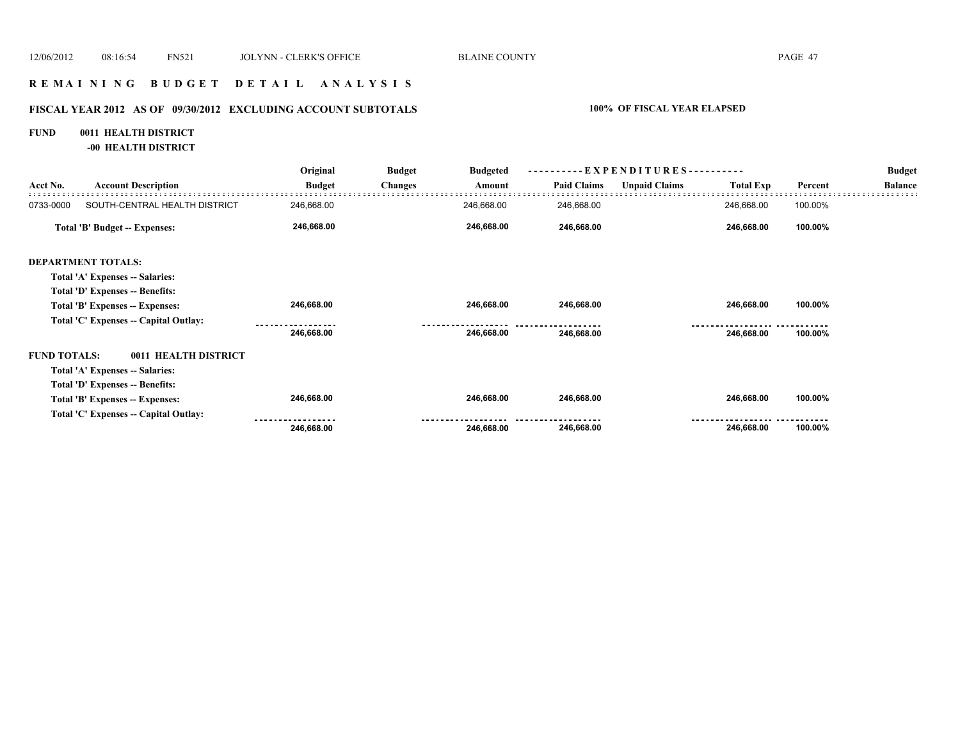### **R E M A I N I N G B U D G E T D E T A I L A N A L Y S I S**

# **FISCAL YEAR 2012 AS OF 09/30/2012 EXCLUDING ACCOUNT SUBTOTALS 100% OF FISCAL YEAR ELAPSED**

### **FUND 0011 HEALTH DISTRICT**

**-00 HEALTH DISTRICT**

|                     |                                       | Original      | <b>Budget</b>  | <b>Budgeted</b> |                    | - EXPENDITURES---------- |                  |         | <b>Budget</b>  |
|---------------------|---------------------------------------|---------------|----------------|-----------------|--------------------|--------------------------|------------------|---------|----------------|
| Acct No.            | <b>Account Description</b>            | <b>Budget</b> | <b>Changes</b> | Amount          | <b>Paid Claims</b> | <b>Unpaid Claims</b>     | <b>Total Exp</b> | Percent | <b>Balance</b> |
| 0733-0000           | SOUTH-CENTRAL HEALTH DISTRICT         | 246,668.00    |                | 246,668.00      | 246,668.00         |                          | 246,668.00       | 100.00% |                |
|                     | Total 'B' Budget -- Expenses:         | 246,668.00    |                | 246,668.00      | 246,668.00         |                          | 246,668.00       | 100.00% |                |
|                     | <b>DEPARTMENT TOTALS:</b>             |               |                |                 |                    |                          |                  |         |                |
|                     | Total 'A' Expenses -- Salaries:       |               |                |                 |                    |                          |                  |         |                |
|                     | Total 'D' Expenses -- Benefits:       |               |                |                 |                    |                          |                  |         |                |
|                     | Total 'B' Expenses -- Expenses:       | 246,668.00    |                | 246,668.00      | 246,668.00         |                          | 246,668.00       | 100.00% |                |
|                     | Total 'C' Expenses -- Capital Outlay: |               |                |                 |                    |                          |                  |         |                |
|                     |                                       | 246,668.00    |                | 246,668.00      | 246,668.00         |                          | 246,668.00       | 100.00% |                |
| <b>FUND TOTALS:</b> | 0011 HEALTH DISTRICT                  |               |                |                 |                    |                          |                  |         |                |
|                     | Total 'A' Expenses -- Salaries:       |               |                |                 |                    |                          |                  |         |                |
|                     | Total 'D' Expenses -- Benefits:       |               |                |                 |                    |                          |                  |         |                |
|                     | Total 'B' Expenses -- Expenses:       | 246,668.00    |                | 246,668.00      | 246,668.00         |                          | 246,668.00       | 100.00% |                |
|                     | Total 'C' Expenses -- Capital Outlay: |               |                |                 |                    |                          |                  |         |                |
|                     |                                       | 246,668.00    |                | 246,668.00      | 246,668.00         |                          | 246,668.00       | 100.00% |                |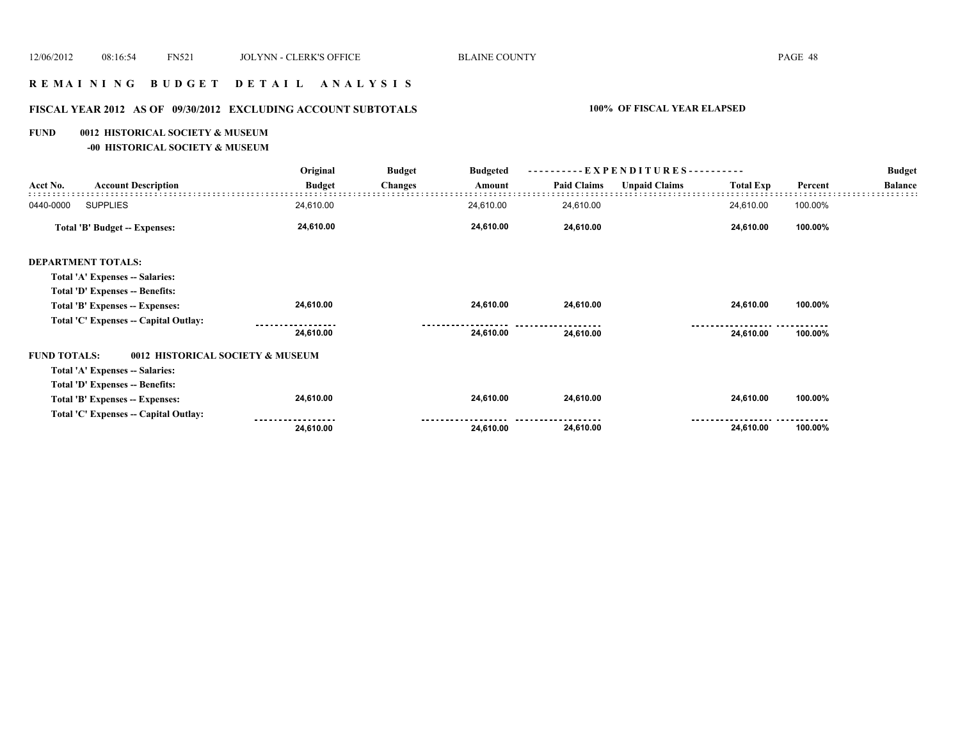# **R E M A I N I N G B U D G E T D E T A I L A N A L Y S I S**

# **FISCAL YEAR 2012 AS OF 09/30/2012 EXCLUDING ACCOUNT SUBTOTALS 100% OF FISCAL YEAR ELAPSED**

### **FUND 0012 HISTORICAL SOCIETY & MUSEUM**

**-00 HISTORICAL SOCIETY & MUSEUM**

|                     |                                       | Original      | <b>Budget</b>  | <b>Budgeted</b> |                    | ----------EXPENDITURES---------- |                  |         | <b>Budget</b>  |
|---------------------|---------------------------------------|---------------|----------------|-----------------|--------------------|----------------------------------|------------------|---------|----------------|
| Acct No.            | <b>Account Description</b>            | <b>Budget</b> | <b>Changes</b> | Amount          | <b>Paid Claims</b> | <b>Unpaid Claims</b>             | <b>Total Exp</b> | Percent | <b>Balance</b> |
| 0440-0000           | <b>SUPPLIES</b>                       | 24,610.00     |                | 24,610.00       | 24,610.00          |                                  | 24,610.00        | 100.00% |                |
|                     | Total 'B' Budget -- Expenses:         | 24,610.00     |                | 24,610.00       | 24,610.00          |                                  | 24,610.00        | 100.00% |                |
|                     | <b>DEPARTMENT TOTALS:</b>             |               |                |                 |                    |                                  |                  |         |                |
|                     | Total 'A' Expenses -- Salaries:       |               |                |                 |                    |                                  |                  |         |                |
|                     | Total 'D' Expenses -- Benefits:       |               |                |                 |                    |                                  |                  |         |                |
|                     | Total 'B' Expenses -- Expenses:       | 24,610.00     |                | 24,610.00       | 24,610.00          |                                  | 24,610.00        | 100.00% |                |
|                     | Total 'C' Expenses -- Capital Outlay: |               |                |                 |                    |                                  |                  |         |                |
|                     |                                       | 24,610.00     |                | 24,610.00       | 24,610.00          |                                  | 24,610.00        | 100.00% |                |
| <b>FUND TOTALS:</b> | 0012 HISTORICAL SOCIETY & MUSEUM      |               |                |                 |                    |                                  |                  |         |                |
|                     | Total 'A' Expenses -- Salaries:       |               |                |                 |                    |                                  |                  |         |                |
|                     | Total 'D' Expenses -- Benefits:       |               |                |                 |                    |                                  |                  |         |                |
|                     | Total 'B' Expenses -- Expenses:       | 24,610.00     |                | 24,610.00       | 24,610.00          |                                  | 24,610.00        | 100.00% |                |
|                     | Total 'C' Expenses -- Capital Outlay: | ------------- |                |                 |                    |                                  |                  |         |                |
|                     |                                       | 24,610.00     |                | 24,610.00       | 24,610.00          |                                  | 24,610.00        | 100.00% |                |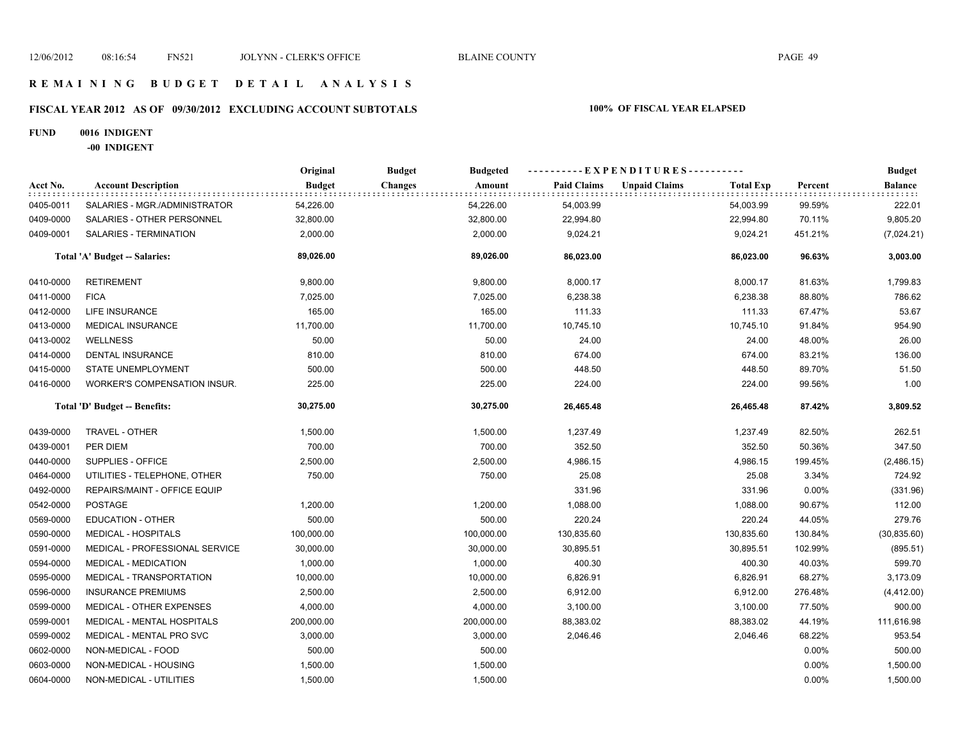### **R E M A I N I N G B U D G E T D E T A I L A N A L Y S I S**

# **FISCAL YEAR 2012 AS OF 09/30/2012 EXCLUDING ACCOUNT SUBTOTALS 100% OF FISCAL YEAR ELAPSED**

### **FUND 0016 INDIGENT**

**-00 INDIGENT**

|           |                                | Original      | <b>Budget</b><br><b>Budgeted</b> |                    | ----------EXPENDITURES----------         |         | <b>Budget</b> |
|-----------|--------------------------------|---------------|----------------------------------|--------------------|------------------------------------------|---------|---------------|
| Acct No.  | <b>Account Description</b>     | <b>Budget</b> | Amount<br><b>Changes</b>         | <b>Paid Claims</b> | <b>Unpaid Claims</b><br><b>Total Exp</b> | Percent | Balance       |
| 0405-0011 | SALARIES - MGR./ADMINISTRATOR  | 54,226.00     | 54,226.00                        | 54,003.99          | 54,003.99                                | 99.59%  | 222.01        |
| 0409-0000 | SALARIES - OTHER PERSONNEL     | 32,800.00     | 32,800.00                        | 22,994.80          | 22,994.80                                | 70.11%  | 9,805.20      |
| 0409-0001 | SALARIES - TERMINATION         | 2,000.00      | 2,000.00                         | 9,024.21           | 9,024.21                                 | 451.21% | (7,024.21)    |
|           | Total 'A' Budget -- Salaries:  | 89,026.00     | 89,026.00                        | 86,023.00          | 86,023.00                                | 96.63%  | 3,003.00      |
| 0410-0000 | <b>RETIREMENT</b>              | 9,800.00      | 9,800.00                         | 8,000.17           | 8,000.17                                 | 81.63%  | 1,799.83      |
| 0411-0000 | <b>FICA</b>                    | 7,025.00      | 7,025.00                         | 6,238.38           | 6,238.38                                 | 88.80%  | 786.62        |
| 0412-0000 | LIFE INSURANCE                 | 165.00        | 165.00                           | 111.33             | 111.33                                   | 67.47%  | 53.67         |
| 0413-0000 | <b>MEDICAL INSURANCE</b>       | 11,700.00     | 11,700.00                        | 10,745.10          | 10,745.10                                | 91.84%  | 954.90        |
| 0413-0002 | <b>WELLNESS</b>                | 50.00         | 50.00                            | 24.00              | 24.00                                    | 48.00%  | 26.00         |
| 0414-0000 | DENTAL INSURANCE               | 810.00        | 810.00                           | 674.00             | 674.00                                   | 83.21%  | 136.00        |
| 0415-0000 | <b>STATE UNEMPLOYMENT</b>      | 500.00        | 500.00                           | 448.50             | 448.50                                   | 89.70%  | 51.50         |
| 0416-0000 | WORKER'S COMPENSATION INSUR.   | 225.00        | 225.00                           | 224.00             | 224.00                                   | 99.56%  | 1.00          |
|           | Total 'D' Budget -- Benefits:  | 30,275.00     | 30,275.00                        | 26,465.48          | 26,465.48                                | 87.42%  | 3,809.52      |
| 0439-0000 | TRAVEL - OTHER                 | 1,500.00      | 1,500.00                         | 1,237.49           | 1,237.49                                 | 82.50%  | 262.51        |
| 0439-0001 | PER DIEM                       | 700.00        | 700.00                           | 352.50             | 352.50                                   | 50.36%  | 347.50        |
| 0440-0000 | SUPPLIES - OFFICE              | 2,500.00      | 2,500.00                         | 4,986.15           | 4,986.15                                 | 199.45% | (2,486.15)    |
| 0464-0000 | UTILITIES - TELEPHONE, OTHER   | 750.00        | 750.00                           | 25.08              | 25.08                                    | 3.34%   | 724.92        |
| 0492-0000 | REPAIRS/MAINT - OFFICE EQUIP   |               |                                  | 331.96             | 331.96                                   | 0.00%   | (331.96)      |
| 0542-0000 | <b>POSTAGE</b>                 | 1,200.00      | 1,200.00                         | 1,088.00           | 1,088.00                                 | 90.67%  | 112.00        |
| 0569-0000 | EDUCATION - OTHER              | 500.00        | 500.00                           | 220.24             | 220.24                                   | 44.05%  | 279.76        |
| 0590-0000 | <b>MEDICAL - HOSPITALS</b>     | 100,000.00    | 100,000.00                       | 130,835.60         | 130,835.60                               | 130.84% | (30, 835.60)  |
| 0591-0000 | MEDICAL - PROFESSIONAL SERVICE | 30,000.00     | 30,000.00                        | 30,895.51          | 30,895.51                                | 102.99% | (895.51)      |
| 0594-0000 | MEDICAL - MEDICATION           | 1,000.00      | 1,000.00                         | 400.30             | 400.30                                   | 40.03%  | 599.70        |
| 0595-0000 | MEDICAL - TRANSPORTATION       | 10,000.00     | 10,000.00                        | 6,826.91           | 6,826.91                                 | 68.27%  | 3,173.09      |
| 0596-0000 | <b>INSURANCE PREMIUMS</b>      | 2,500.00      | 2,500.00                         | 6,912.00           | 6,912.00                                 | 276.48% | (4,412.00)    |
| 0599-0000 | MEDICAL - OTHER EXPENSES       | 4,000.00      | 4,000.00                         | 3,100.00           | 3,100.00                                 | 77.50%  | 900.00        |
| 0599-0001 | MEDICAL - MENTAL HOSPITALS     | 200,000.00    | 200,000.00                       | 88,383.02          | 88,383.02                                | 44.19%  | 111,616.98    |
| 0599-0002 | MEDICAL - MENTAL PRO SVC       | 3,000.00      | 3,000.00                         | 2,046.46           | 2,046.46                                 | 68.22%  | 953.54        |
| 0602-0000 | NON-MEDICAL - FOOD             | 500.00        | 500.00                           |                    |                                          | 0.00%   | 500.00        |
| 0603-0000 | NON-MEDICAL - HOUSING          | 1,500.00      | 1,500.00                         |                    |                                          | 0.00%   | 1,500.00      |
| 0604-0000 | NON-MEDICAL - UTILITIES        | 1,500.00      | 1,500.00                         |                    |                                          | 0.00%   | 1,500.00      |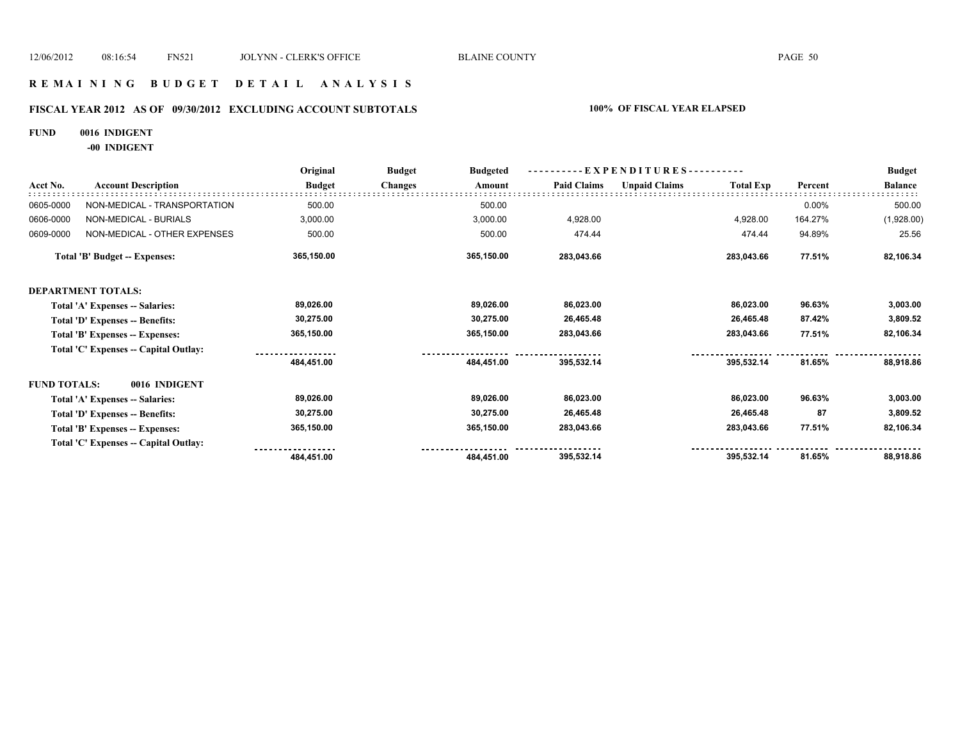### **R E M A I N I N G B U D G E T D E T A I L A N A L Y S I S**

# **FISCAL YEAR 2012 AS OF 09/30/2012 EXCLUDING ACCOUNT SUBTOTALS 100% OF FISCAL YEAR ELAPSED**

**FUND 0016 INDIGENT**

**-00 INDIGENT**

|                     |                                       | Original      | <b>Budget</b><br><b>Budgeted</b> |                    | - EXPENDITURES----------                 |         | <b>Budget</b>  |
|---------------------|---------------------------------------|---------------|----------------------------------|--------------------|------------------------------------------|---------|----------------|
| Acct No.            | <b>Account Description</b>            | <b>Budget</b> | <b>Changes</b><br>Amount         | <b>Paid Claims</b> | <b>Unpaid Claims</b><br><b>Total Exp</b> | Percent | <b>Balance</b> |
| 0605-0000           | NON-MEDICAL - TRANSPORTATION          | 500.00        | 500.00                           |                    |                                          | 0.00%   | 500.00         |
| 0606-0000           | NON-MEDICAL - BURIALS                 | 3,000.00      | 3,000.00                         | 4,928.00           | 4,928.00                                 | 164.27% | (1,928.00)     |
| 0609-0000           | NON-MEDICAL - OTHER EXPENSES          | 500.00        | 500.00                           | 474.44             | 474.44                                   | 94.89%  | 25.56          |
|                     | <b>Total 'B' Budget -- Expenses:</b>  | 365,150.00    | 365,150.00                       | 283,043.66         | 283,043.66                               | 77.51%  | 82,106.34      |
|                     | <b>DEPARTMENT TOTALS:</b>             |               |                                  |                    |                                          |         |                |
|                     | Total 'A' Expenses -- Salaries:       | 89,026.00     | 89,026.00                        | 86,023.00          | 86,023.00                                | 96.63%  | 3,003.00       |
|                     | Total 'D' Expenses -- Benefits:       | 30,275.00     | 30,275.00                        | 26,465.48          | 26,465.48                                | 87.42%  | 3,809.52       |
|                     | Total 'B' Expenses -- Expenses:       | 365,150.00    | 365,150.00                       | 283,043.66         | 283,043.66                               | 77.51%  | 82,106.34      |
|                     | Total 'C' Expenses -- Capital Outlay: |               |                                  |                    |                                          |         |                |
|                     |                                       | 484,451.00    | 484,451.00                       | 395,532.14         | 395,532.14                               | 81.65%  | 88,918.86      |
| <b>FUND TOTALS:</b> | 0016 INDIGENT                         |               |                                  |                    |                                          |         |                |
|                     | Total 'A' Expenses -- Salaries:       | 89,026.00     | 89,026.00                        | 86,023.00          | 86,023.00                                | 96.63%  | 3,003.00       |
|                     | Total 'D' Expenses -- Benefits:       | 30,275.00     | 30,275.00                        | 26,465.48          | 26,465.48                                | 87      | 3,809.52       |
|                     | Total 'B' Expenses -- Expenses:       | 365,150.00    | 365,150.00                       | 283,043.66         | 283,043.66                               | 77.51%  | 82,106.34      |
|                     | Total 'C' Expenses -- Capital Outlay: |               |                                  |                    |                                          |         |                |
|                     |                                       | 484,451.00    | 484,451.00                       | 395,532.14         | 395,532.14                               | 81.65%  | 88,918.86      |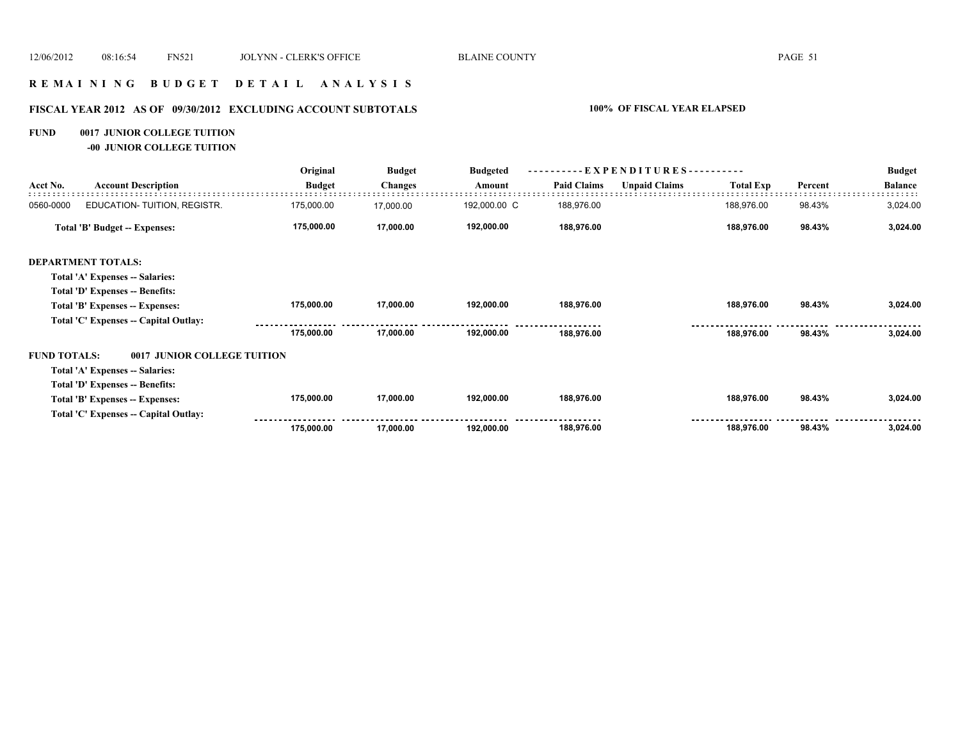### **R E M A I N I N G B U D G E T D E T A I L A N A L Y S I S**

# **FISCAL YEAR 2012 AS OF 09/30/2012 EXCLUDING ACCOUNT SUBTOTALS 100% OF FISCAL YEAR ELAPSED**

### **FUND 0017 JUNIOR COLLEGE TUITION**

**-00 JUNIOR COLLEGE TUITION**

|                     |                                       | Original      | <b>Budget</b>  | <b>Budgeted</b> |                    | EXPENDITURES--       |                  |         | <b>Budget</b>  |
|---------------------|---------------------------------------|---------------|----------------|-----------------|--------------------|----------------------|------------------|---------|----------------|
| Acct No.            | <b>Account Description</b>            | <b>Budget</b> | <b>Changes</b> | Amount          | <b>Paid Claims</b> | <b>Unpaid Claims</b> | <b>Total Exp</b> | Percent | <b>Balance</b> |
| 0560-0000           | EDUCATION- TUITION, REGISTR.          | 175,000.00    | 17,000.00      | 192,000.00 C    | 188,976.00         |                      | 188,976.00       | 98.43%  | 3,024.00       |
|                     | Total 'B' Budget -- Expenses:         | 175,000.00    | 17,000.00      | 192,000.00      | 188,976.00         |                      | 188,976.00       | 98.43%  | 3,024.00       |
|                     | <b>DEPARTMENT TOTALS:</b>             |               |                |                 |                    |                      |                  |         |                |
|                     | Total 'A' Expenses -- Salaries:       |               |                |                 |                    |                      |                  |         |                |
|                     | Total 'D' Expenses -- Benefits:       |               |                |                 |                    |                      |                  |         |                |
|                     | Total 'B' Expenses -- Expenses:       | 175,000.00    | 17,000.00      | 192,000.00      | 188,976.00         |                      | 188,976.00       | 98.43%  | 3,024.00       |
|                     | Total 'C' Expenses -- Capital Outlay: |               |                |                 |                    |                      |                  |         |                |
|                     |                                       | 175,000.00    | 17,000.00      | 192,000.00      | 188,976.00         |                      | 188,976.00       | 98.43%  | 3,024.00       |
| <b>FUND TOTALS:</b> | 0017 JUNIOR COLLEGE TUITION           |               |                |                 |                    |                      |                  |         |                |
|                     | Total 'A' Expenses -- Salaries:       |               |                |                 |                    |                      |                  |         |                |
|                     | Total 'D' Expenses -- Benefits:       |               |                |                 |                    |                      |                  |         |                |
|                     | Total 'B' Expenses -- Expenses:       | 175,000.00    | 17,000.00      | 192,000.00      | 188,976.00         |                      | 188,976.00       | 98.43%  | 3,024.00       |
|                     | Total 'C' Expenses -- Capital Outlay: |               |                |                 |                    |                      |                  |         |                |
|                     |                                       | 175,000.00    | 17,000.00      | 192,000.00      | 188,976.00         |                      | 188,976.00       | 98.43%  | 3,024.00       |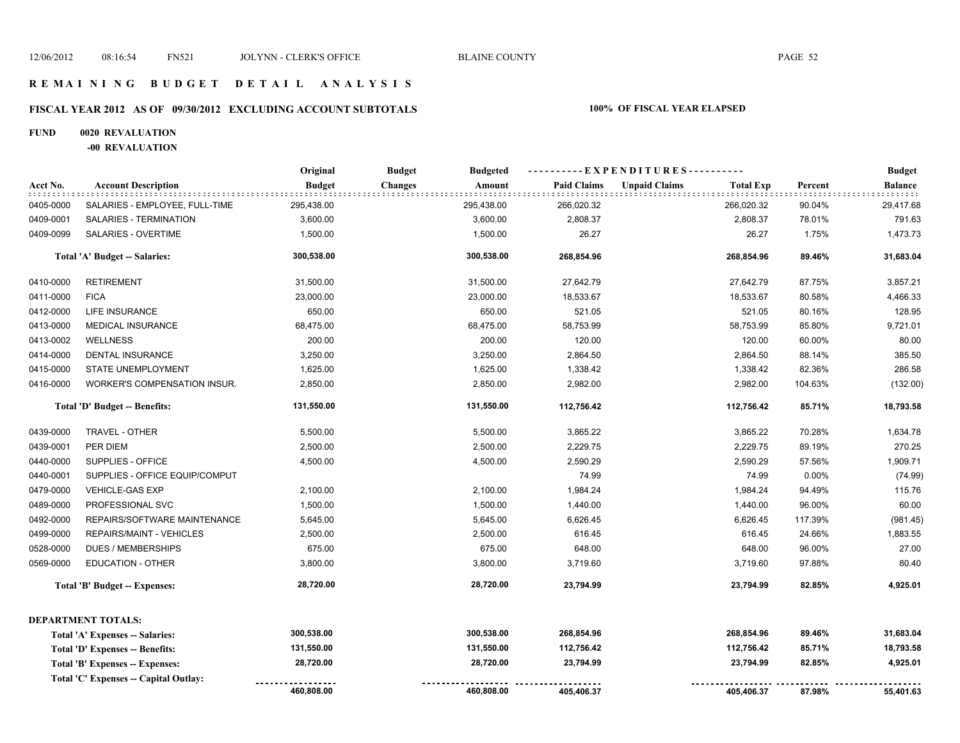### **R E M A I N I N G B U D G E T D E T A I L A N A L Y S I S**

# **FISCAL YEAR 2012 AS OF 09/30/2012 EXCLUDING ACCOUNT SUBTOTALS 100% OF FISCAL YEAR ELAPSED**

### **FUND 0020 REVALUATION**

**-00 REVALUATION**

|           |                                        | Original<br><b>Budget</b><br><b>Budgeted</b> |                          |                    | ----------EXPENDITURES----------         |         | <b>Budget</b>               |
|-----------|----------------------------------------|----------------------------------------------|--------------------------|--------------------|------------------------------------------|---------|-----------------------------|
| Acct No.  | <b>Account Description</b>             | <b>Budget</b>                                | <b>Changes</b><br>Amount | <b>Paid Claims</b> | <b>Unpaid Claims</b><br><b>Total Exp</b> | Percent | <b>Balance</b><br>: : : : . |
| 0405-0000 | SALARIES - EMPLOYEE, FULL-TIME         | 295,438.00                                   | 295,438.00               | 266,020.32         | 266,020.32                               | 90.04%  | 29,417.68                   |
| 0409-0001 | SALARIES - TERMINATION                 | 3,600.00                                     | 3,600.00                 | 2,808.37           | 2,808.37                                 | 78.01%  | 791.63                      |
| 0409-0099 | SALARIES - OVERTIME                    | 1,500.00                                     | 1,500.00                 | 26.27              | 26.27                                    | 1.75%   | 1,473.73                    |
|           | Total 'A' Budget -- Salaries:          | 300,538.00                                   | 300,538.00               | 268,854.96         | 268,854.96                               | 89.46%  | 31,683.04                   |
| 0410-0000 | <b>RETIREMENT</b>                      | 31,500.00                                    | 31,500.00                | 27,642.79          | 27,642.79                                | 87.75%  | 3,857.21                    |
| 0411-0000 | <b>FICA</b>                            | 23,000.00                                    | 23,000.00                | 18,533.67          | 18,533.67                                | 80.58%  | 4,466.33                    |
| 0412-0000 | <b>LIFE INSURANCE</b>                  | 650.00                                       | 650.00                   | 521.05             | 521.05                                   | 80.16%  | 128.95                      |
| 0413-0000 | <b>MEDICAL INSURANCE</b>               | 68,475.00                                    | 68,475.00                | 58,753.99          | 58,753.99                                | 85.80%  | 9,721.01                    |
| 0413-0002 | <b>WELLNESS</b>                        | 200.00                                       | 200.00                   | 120.00             | 120.00                                   | 60.00%  | 80.00                       |
| 0414-0000 | <b>DENTAL INSURANCE</b>                | 3,250.00                                     | 3,250.00                 | 2,864.50           | 2,864.50                                 | 88.14%  | 385.50                      |
| 0415-0000 | <b>STATE UNEMPLOYMENT</b>              | 1,625.00                                     | 1,625.00                 | 1,338.42           | 1,338.42                                 | 82.36%  | 286.58                      |
| 0416-0000 | WORKER'S COMPENSATION INSUR.           | 2,850.00                                     | 2,850.00                 | 2,982.00           | 2,982.00                                 | 104.63% | (132.00)                    |
|           | Total 'D' Budget -- Benefits:          | 131,550.00                                   | 131,550.00               | 112,756.42         | 112,756.42                               | 85.71%  | 18,793.58                   |
| 0439-0000 | TRAVEL - OTHER                         | 5,500.00                                     | 5,500.00                 | 3,865.22           | 3,865.22                                 | 70.28%  | 1,634.78                    |
| 0439-0001 | PER DIEM                               | 2,500.00                                     | 2,500.00                 | 2,229.75           | 2,229.75                                 | 89.19%  | 270.25                      |
| 0440-0000 | SUPPLIES - OFFICE                      | 4,500.00                                     | 4,500.00                 | 2,590.29           | 2,590.29                                 | 57.56%  | 1,909.71                    |
| 0440-0001 | SUPPLIES - OFFICE EQUIP/COMPUT         |                                              |                          | 74.99              | 74.99                                    | 0.00%   | (74.99)                     |
| 0479-0000 | <b>VEHICLE-GAS EXP</b>                 | 2,100.00                                     | 2,100.00                 | 1,984.24           | 1,984.24                                 | 94.49%  | 115.76                      |
| 0489-0000 | PROFESSIONAL SVC                       | 1,500.00                                     | 1,500.00                 | 1,440.00           | 1,440.00                                 | 96.00%  | 60.00                       |
| 0492-0000 | REPAIRS/SOFTWARE MAINTENANCE           | 5,645.00                                     | 5,645.00                 | 6,626.45           | 6,626.45                                 | 117.39% | (981.45)                    |
| 0499-0000 | REPAIRS/MAINT - VEHICLES               | 2,500.00                                     | 2,500.00                 | 616.45             | 616.45                                   | 24.66%  | 1,883.55                    |
| 0528-0000 | <b>DUES / MEMBERSHIPS</b>              | 675.00                                       | 675.00                   | 648.00             | 648.00                                   | 96.00%  | 27.00                       |
| 0569-0000 | <b>EDUCATION - OTHER</b>               | 3,800.00                                     | 3,800.00                 | 3,719.60           | 3,719.60                                 | 97.88%  | 80.40                       |
|           | <b>Total 'B' Budget -- Expenses:</b>   | 28,720.00                                    | 28,720.00                | 23,794.99          | 23,794.99                                | 82.85%  | 4,925.01                    |
|           | <b>DEPARTMENT TOTALS:</b>              |                                              |                          |                    |                                          |         |                             |
|           | <b>Total 'A' Expenses -- Salaries:</b> | 300,538.00                                   | 300,538.00               | 268,854.96         | 268,854.96                               | 89.46%  | 31,683.04                   |
|           | <b>Total 'D' Expenses -- Benefits:</b> | 131,550.00                                   | 131,550.00               | 112,756.42         | 112,756.42                               | 85.71%  | 18,793.58                   |
|           | Total 'B' Expenses -- Expenses:        | 28,720.00                                    | 28,720.00                | 23,794.99          | 23,794.99                                | 82.85%  | 4,925.01                    |
|           | Total 'C' Expenses -- Capital Outlay:  |                                              |                          |                    |                                          |         |                             |
|           |                                        | 460,808.00                                   | 460,808.00               | 405,406.37         | 405,406.37                               | 87.98%  | 55,401.63                   |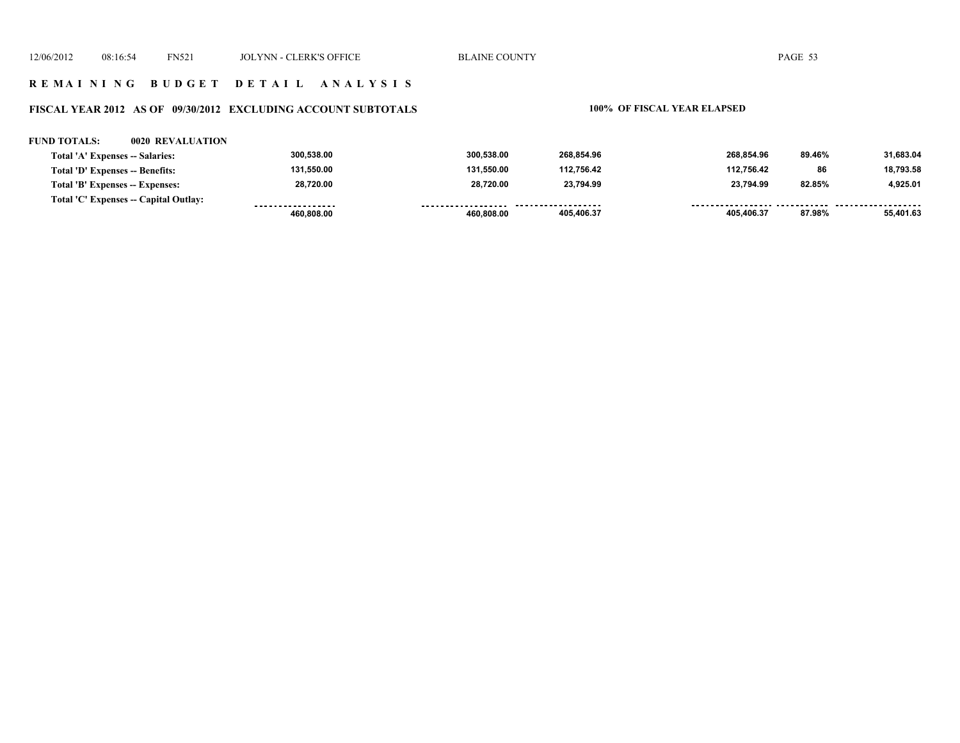# **FISCAL YEAR 2012 AS OF 09/30/2012 EXCLUDING ACCOUNT SUBTOTALS 100% OF FISCAL YEAR ELAPSED**

### **FUND TOTALS: 0020 REVALUATION**

| Total 'A' Expenses -- Salaries:       | 300.538.00        | 300.538.00 | 268.854.96         | 268.854.96 | 89.46% | 31,683.04 |
|---------------------------------------|-------------------|------------|--------------------|------------|--------|-----------|
| Total 'D' Expenses -- Benefits:       | 131,550.00        | 131,550.00 | 112,756.42         | 112.756.42 | 86     | 18,793.58 |
| Total 'B' Expenses -- Expenses:       | 28,720.00         | 28.720.00  | 23.794.99          | 23.794.99  | 82.85% | 4,925.01  |
| Total 'C' Expenses -- Capital Outlay: | ----------------- | .          | ------------------ |            |        |           |
|                                       | 460,808.00        | 460,808.00 | 405,406.37         | 405.406.37 | 87.98% | 55,401.63 |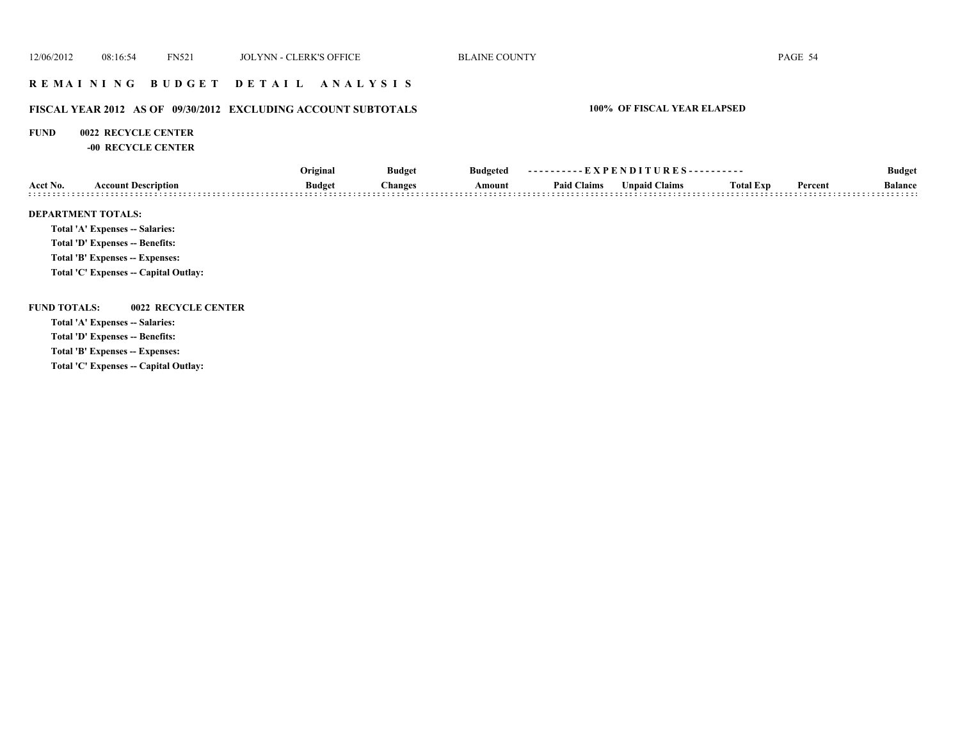### **R E M A I N I N G B U D G E T D E T A I L A N A L Y S I S**

### **FISCAL YEAR 2012 AS OF 09/30/2012 EXCLUDING ACCOUNT SUBTOTALS 100% OF FISCAL YEAR ELAPSED**

### **FUND 0022 RECYCLE CENTER**

**-00 RECYCLE CENTER**

|                     | <b>Account Description</b>             | Original      | <b>Budget</b>  | <b>Budgeted</b><br>Amount | ----------EXPENDITURES---------- |                      |                  |         | <b>Budget</b>  |
|---------------------|----------------------------------------|---------------|----------------|---------------------------|----------------------------------|----------------------|------------------|---------|----------------|
| Acct No.            |                                        | <b>Budget</b> | <b>Changes</b> |                           | <b>Paid Claims</b>               | <b>Unpaid Claims</b> | <b>Total Exp</b> | Percent | <b>Balance</b> |
|                     | <b>DEPARTMENT TOTALS:</b>              |               |                |                           |                                  |                      |                  |         |                |
|                     | <b>Total 'A' Expenses -- Salaries:</b> |               |                |                           |                                  |                      |                  |         |                |
|                     | <b>Total 'D' Expenses -- Benefits:</b> |               |                |                           |                                  |                      |                  |         |                |
|                     | Total 'B' Expenses -- Expenses:        |               |                |                           |                                  |                      |                  |         |                |
|                     | Total 'C' Expenses -- Capital Outlay:  |               |                |                           |                                  |                      |                  |         |                |
| <b>FUND TOTALS:</b> | 0022 RECYCLE CENTER                    |               |                |                           |                                  |                      |                  |         |                |
|                     | <b>Total 'A' Expenses -- Salaries:</b> |               |                |                           |                                  |                      |                  |         |                |
|                     | Total 'D' Expenses -- Benefits:        |               |                |                           |                                  |                      |                  |         |                |
|                     | Total 'B' Expenses -- Expenses:        |               |                |                           |                                  |                      |                  |         |                |
|                     | ________                               |               |                |                           |                                  |                      |                  |         |                |

**Total 'C' Expenses -- Capital Outlay:**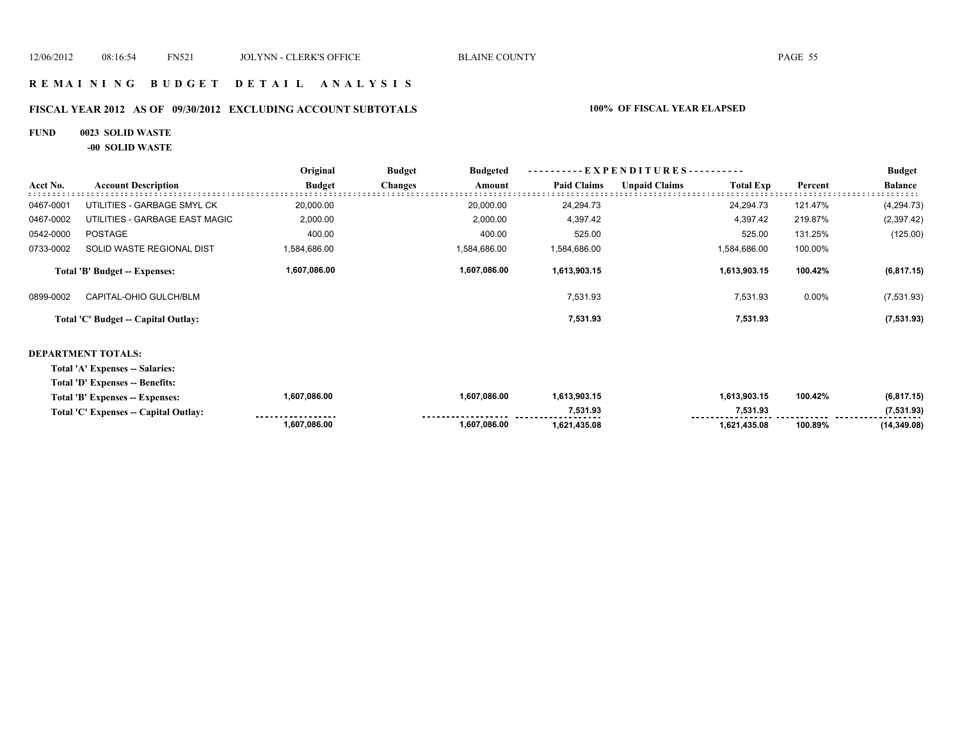### **R E M A I N I N G B U D G E T D E T A I L A N A L Y S I S**

### **FISCAL YEAR 2012 AS OF 09/30/2012 EXCLUDING ACCOUNT SUBTOTALS 100% OF FISCAL YEAR ELAPSED**

### **FUND 0023 SOLID WASTE**

**-00 SOLID WASTE**

|           |                                     | Original      | <b>Budget</b>  | <b>Budgeted</b> | ----------EXPENDITURES---------- |                      |                  |          | <b>Budget</b>  |
|-----------|-------------------------------------|---------------|----------------|-----------------|----------------------------------|----------------------|------------------|----------|----------------|
| Acct No.  | <b>Account Description</b>          | <b>Budget</b> | <b>Changes</b> | Amount          | <b>Paid Claims</b>               | <b>Unpaid Claims</b> | <b>Total Exp</b> | Percent  | <b>Balance</b> |
| 0467-0001 | UTILITIES - GARBAGE SMYL CK         | 20,000.00     |                | 20.000.00       | 24.294.73                        |                      | 24.294.73        | 121.47%  | (4,294.73)     |
| 0467-0002 | UTILITIES - GARBAGE EAST MAGIC      | 2,000.00      |                | 2,000.00        | 4,397.42                         |                      | 4,397.42         | 219.87%  | (2,397.42)     |
| 0542-0000 | <b>POSTAGE</b>                      | 400.00        |                | 400.00          | 525.00                           |                      | 525.00           | 131.25%  | (125.00)       |
| 0733-0002 | SOLID WASTE REGIONAL DIST           | 1,584,686.00  |                | 1.584.686.00    | 1,584,686.00                     |                      | 1.584.686.00     | 100.00%  |                |
|           | Total 'B' Budget -- Expenses:       | 1,607,086.00  |                | 1.607.086.00    | 1,613,903.15                     |                      | 1,613,903.15     | 100.42%  | (6,817.15)     |
| 0899-0002 | CAPITAL-OHIO GULCH/BLM              |               |                |                 | 7,531.93                         |                      | 7,531.93         | $0.00\%$ | (7,531.93)     |
|           | Total 'C' Budget -- Capital Outlay: |               |                |                 | 7,531.93                         |                      | 7,531.93         |          | (7,531.93)     |
|           |                                     |               |                |                 |                                  |                      |                  |          |                |

### **DEPARTMENT TOTALS:**

**Total 'A' Expenses -- Salaries: Total 'D' Expenses -- Benefits:**

| Total 'B' Expenses -- Expenses:       | ,607,086.00       | ,607,086.00 | 1.613.903.15                    | 1,613,903.15 | 100.42% | (6,817.15)               |
|---------------------------------------|-------------------|-------------|---------------------------------|--------------|---------|--------------------------|
| Total 'C' Expenses -- Capital Outlay: | ----------------- | .           | 7.531.93<br>------------------- | 7.531.93     |         | (7.531.93)<br>---------- |
|                                       | ,607,086.00       | .607.086.00 | 1.621.435.08                    | 621,435.08 ا | 100.89% | (14,349.08)              |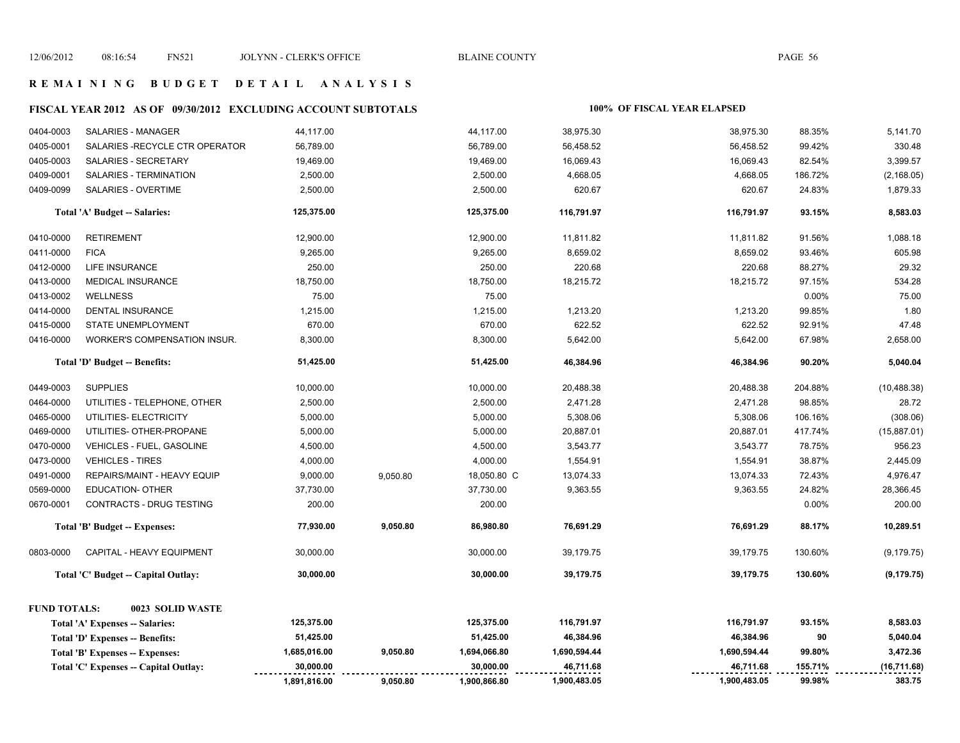### **R E M A I N I N G B U D G E T D E T A I L A N A L Y S I S**

# **FISCAL YEAR 2012 AS OF 09/30/2012 EXCLUDING ACCOUNT SUBTOTALS 100% OF FISCAL YEAR ELAPSED**

|                     |                                       | 1,891,816.00 | 9,050.80 | 1,900,866.80 | 1,900,483.05 | 1,900,483.05 | 99.98%  | 383.75       |
|---------------------|---------------------------------------|--------------|----------|--------------|--------------|--------------|---------|--------------|
|                     | Total 'C' Expenses -- Capital Outlay: | 30,000.00    |          | 30,000.00    | 46,711.68    | 46,711.68    | 155.71% | (16,711.68)  |
|                     | Total 'B' Expenses -- Expenses:       | 1,685,016.00 | 9,050.80 | 1,694,066.80 | 1,690,594.44 | 1,690,594.44 | 99.80%  | 3,472.36     |
|                     | Total 'D' Expenses -- Benefits:       | 51,425.00    |          | 51,425.00    | 46,384.96    | 46,384.96    | 90      | 5,040.04     |
|                     | Total 'A' Expenses -- Salaries:       | 125,375.00   |          | 125,375.00   | 116,791.97   | 116,791.97   | 93.15%  | 8,583.03     |
| <b>FUND TOTALS:</b> | 0023 SOLID WASTE                      |              |          |              |              |              |         |              |
|                     | Total 'C' Budget -- Capital Outlay:   | 30,000.00    |          | 30,000.00    | 39,179.75    | 39,179.75    | 130.60% | (9, 179.75)  |
| 0803-0000           | CAPITAL - HEAVY EQUIPMENT             | 30,000.00    |          | 30,000.00    | 39,179.75    | 39,179.75    | 130.60% | (9, 179.75)  |
|                     | Total 'B' Budget -- Expenses:         | 77,930.00    | 9,050.80 | 86,980.80    | 76,691.29    | 76,691.29    | 88.17%  | 10,289.51    |
| 0670-0001           | CONTRACTS - DRUG TESTING              | 200.00       |          | 200.00       |              |              | 0.00%   | 200.00       |
| 0569-0000           | <b>EDUCATION- OTHER</b>               | 37,730.00    |          | 37,730.00    | 9,363.55     | 9,363.55     | 24.82%  | 28,366.45    |
| 0491-0000           | REPAIRS/MAINT - HEAVY EQUIP           | 9,000.00     | 9,050.80 | 18,050.80 C  | 13,074.33    | 13,074.33    | 72.43%  | 4,976.47     |
| 0473-0000           | <b>VEHICLES - TIRES</b>               | 4,000.00     |          | 4,000.00     | 1,554.91     | 1,554.91     | 38.87%  | 2,445.09     |
| 0470-0000           | VEHICLES - FUEL, GASOLINE             | 4,500.00     |          | 4,500.00     | 3,543.77     | 3,543.77     | 78.75%  | 956.23       |
| 0469-0000           | UTILITIES- OTHER-PROPANE              | 5,000.00     |          | 5,000.00     | 20,887.01    | 20,887.01    | 417.74% | (15,887.01)  |
| 0465-0000           | UTILITIES- ELECTRICITY                | 5,000.00     |          | 5,000.00     | 5,308.06     | 5,308.06     | 106.16% | (308.06)     |
| 0464-0000           | UTILITIES - TELEPHONE, OTHER          | 2,500.00     |          | 2,500.00     | 2,471.28     | 2,471.28     | 98.85%  | 28.72        |
| 0449-0003           | <b>SUPPLIES</b>                       | 10,000.00    |          | 10,000.00    | 20,488.38    | 20,488.38    | 204.88% | (10, 488.38) |
|                     | Total 'D' Budget -- Benefits:         | 51,425.00    |          | 51,425.00    | 46,384.96    | 46,384.96    | 90.20%  | 5,040.04     |
| 0416-0000           | WORKER'S COMPENSATION INSUR.          | 8,300.00     |          | 8,300.00     | 5,642.00     | 5,642.00     | 67.98%  | 2,658.00     |
| 0415-0000           | <b>STATE UNEMPLOYMENT</b>             | 670.00       |          | 670.00       | 622.52       | 622.52       | 92.91%  | 47.48        |
| 0414-0000           | DENTAL INSURANCE                      | 1,215.00     |          | 1,215.00     | 1,213.20     | 1,213.20     | 99.85%  | 1.80         |
| 0413-0002           | <b>WELLNESS</b>                       | 75.00        |          | 75.00        |              |              | 0.00%   | 75.00        |
| 0413-0000           | MEDICAL INSURANCE                     | 18,750.00    |          | 18,750.00    | 18,215.72    | 18,215.72    | 97.15%  | 534.28       |
| 0412-0000           | LIFE INSURANCE                        | 250.00       |          | 250.00       | 220.68       | 220.68       | 88.27%  | 29.32        |
| 0411-0000           | <b>FICA</b>                           | 9,265.00     |          | 9,265.00     | 8,659.02     | 8,659.02     | 93.46%  | 605.98       |
| 0410-0000           | <b>RETIREMENT</b>                     | 12,900.00    |          | 12,900.00    | 11,811.82    | 11,811.82    | 91.56%  | 1,088.18     |
|                     | Total 'A' Budget -- Salaries:         | 125,375.00   |          | 125,375.00   | 116,791.97   | 116,791.97   | 93.15%  | 8,583.03     |
| 0409-0099           | SALARIES - OVERTIME                   | 2,500.00     |          | 2,500.00     | 620.67       | 620.67       | 24.83%  | 1,879.33     |
| 0409-0001           | SALARIES - TERMINATION                | 2,500.00     |          | 2,500.00     | 4,668.05     | 4,668.05     | 186.72% | (2, 168.05)  |
| 0405-0003           | SALARIES - SECRETARY                  | 19,469.00    |          | 19,469.00    | 16,069.43    | 16,069.43    | 82.54%  | 3,399.57     |
| 0405-0001           | SALARIES - RECYCLE CTR OPERATOR       | 56,789.00    |          | 56,789.00    | 56,458.52    | 56,458.52    | 99.42%  | 330.48       |
| 0404-0003           | SALARIES - MANAGER                    | 44,117.00    |          | 44,117.00    | 38,975.30    | 38,975.30    | 88.35%  | 5,141.70     |
|                     |                                       |              |          |              |              |              |         |              |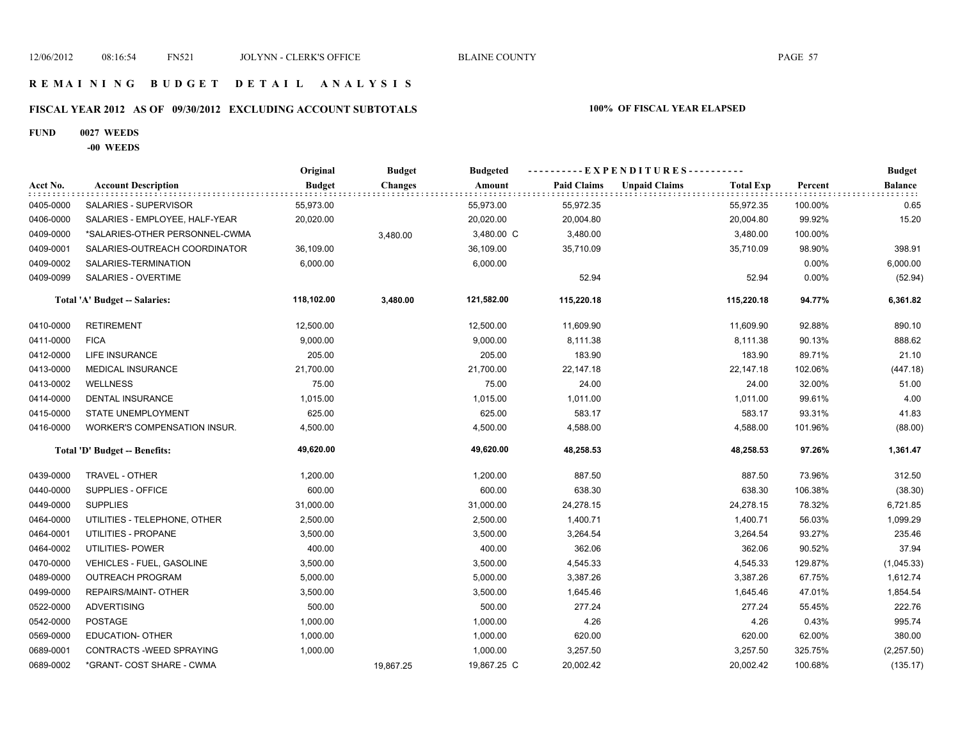### **R E M A I N I N G B U D G E T D E T A I L A N A L Y S I S**

# **FISCAL YEAR 2012 AS OF 09/30/2012 EXCLUDING ACCOUNT SUBTOTALS 100% OF FISCAL YEAR ELAPSED**

### **FUND 0027 WEEDS**

### **-00 WEEDS**

|           |                                     | Original      | <b>Budget</b><br><b>Budgeted</b> | ----------EXPENDITURES---------- |                    |                      |                  | <b>Budget</b> |                                        |
|-----------|-------------------------------------|---------------|----------------------------------|----------------------------------|--------------------|----------------------|------------------|---------------|----------------------------------------|
| Acct No.  | <b>Account Description</b>          | <b>Budget</b> | Changes                          | Amount                           | <b>Paid Claims</b> | <b>Unpaid Claims</b> | <b>Total Exp</b> | Percent       | <b>Balance</b><br>$\sim$ $\sim$ $\sim$ |
| 0405-0000 | SALARIES - SUPERVISOR               | 55,973.00     |                                  | 55,973.00                        | 55,972.35          |                      | 55,972.35        | 100.00%       | 0.65                                   |
| 0406-0000 | SALARIES - EMPLOYEE, HALF-YEAR      | 20,020.00     |                                  | 20,020.00                        | 20,004.80          |                      | 20,004.80        | 99.92%        | 15.20                                  |
| 0409-0000 | *SALARIES-OTHER PERSONNEL-CWMA      |               | 3,480.00                         | 3,480.00 C                       | 3,480.00           |                      | 3,480.00         | 100.00%       |                                        |
| 0409-0001 | SALARIES-OUTREACH COORDINATOR       | 36,109.00     |                                  | 36,109.00                        | 35,710.09          |                      | 35,710.09        | 98.90%        | 398.91                                 |
| 0409-0002 | SALARIES-TERMINATION                | 6,000.00      |                                  | 6,000.00                         |                    |                      |                  | $0.00\%$      | 6,000.00                               |
| 0409-0099 | SALARIES - OVERTIME                 |               |                                  |                                  | 52.94              |                      | 52.94            | $0.00\%$      | (52.94)                                |
|           | Total 'A' Budget -- Salaries:       | 118,102.00    | 3,480.00                         | 121,582.00                       | 115,220.18         |                      | 115,220.18       | 94.77%        | 6,361.82                               |
| 0410-0000 | <b>RETIREMENT</b>                   | 12,500.00     |                                  | 12,500.00                        | 11,609.90          |                      | 11,609.90        | 92.88%        | 890.10                                 |
| 0411-0000 | <b>FICA</b>                         | 9,000.00      |                                  | 9,000.00                         | 8,111.38           |                      | 8,111.38         | 90.13%        | 888.62                                 |
| 0412-0000 | LIFE INSURANCE                      | 205.00        |                                  | 205.00                           | 183.90             |                      | 183.90           | 89.71%        | 21.10                                  |
| 0413-0000 | <b>MEDICAL INSURANCE</b>            | 21,700.00     |                                  | 21,700.00                        | 22,147.18          |                      | 22,147.18        | 102.06%       | (447.18)                               |
| 0413-0002 | <b>WELLNESS</b>                     | 75.00         |                                  | 75.00                            | 24.00              |                      | 24.00            | 32.00%        | 51.00                                  |
| 0414-0000 | DENTAL INSURANCE                    | 1,015.00      |                                  | 1,015.00                         | 1,011.00           |                      | 1,011.00         | 99.61%        | 4.00                                   |
| 0415-0000 | STATE UNEMPLOYMENT                  | 625.00        |                                  | 625.00                           | 583.17             |                      | 583.17           | 93.31%        | 41.83                                  |
| 0416-0000 | <b>WORKER'S COMPENSATION INSUR.</b> | 4,500.00      |                                  | 4,500.00                         | 4,588.00           |                      | 4,588.00         | 101.96%       | (88.00)                                |
|           | Total 'D' Budget -- Benefits:       | 49,620.00     |                                  | 49,620.00                        | 48,258.53          |                      | 48,258.53        | 97.26%        | 1,361.47                               |
| 0439-0000 | TRAVEL - OTHER                      | 1,200.00      |                                  | 1,200.00                         | 887.50             |                      | 887.50           | 73.96%        | 312.50                                 |
| 0440-0000 | SUPPLIES - OFFICE                   | 600.00        |                                  | 600.00                           | 638.30             |                      | 638.30           | 106.38%       | (38.30)                                |
| 0449-0000 | <b>SUPPLIES</b>                     | 31,000.00     |                                  | 31,000.00                        | 24,278.15          |                      | 24,278.15        | 78.32%        | 6,721.85                               |
| 0464-0000 | UTILITIES - TELEPHONE, OTHER        | 2,500.00      |                                  | 2,500.00                         | 1,400.71           |                      | 1,400.71         | 56.03%        | 1,099.29                               |
| 0464-0001 | UTILITIES - PROPANE                 | 3,500.00      |                                  | 3,500.00                         | 3,264.54           |                      | 3,264.54         | 93.27%        | 235.46                                 |
| 0464-0002 | UTILITIES- POWER                    | 400.00        |                                  | 400.00                           | 362.06             |                      | 362.06           | 90.52%        | 37.94                                  |
| 0470-0000 | VEHICLES - FUEL, GASOLINE           | 3,500.00      |                                  | 3,500.00                         | 4,545.33           |                      | 4,545.33         | 129.87%       | (1,045.33)                             |
| 0489-0000 | <b>OUTREACH PROGRAM</b>             | 5,000.00      |                                  | 5,000.00                         | 3,387.26           |                      | 3,387.26         | 67.75%        | 1,612.74                               |
| 0499-0000 | REPAIRS/MAINT- OTHER                | 3,500.00      |                                  | 3,500.00                         | 1,645.46           |                      | 1,645.46         | 47.01%        | 1,854.54                               |
| 0522-0000 | <b>ADVERTISING</b>                  | 500.00        |                                  | 500.00                           | 277.24             |                      | 277.24           | 55.45%        | 222.76                                 |
| 0542-0000 | <b>POSTAGE</b>                      | 1,000.00      |                                  | 1,000.00                         | 4.26               |                      | 4.26             | 0.43%         | 995.74                                 |
| 0569-0000 | <b>EDUCATION- OTHER</b>             | 1,000.00      |                                  | 1,000.00                         | 620.00             |                      | 620.00           | 62.00%        | 380.00                                 |
| 0689-0001 | CONTRACTS - WEED SPRAYING           | 1,000.00      |                                  | 1,000.00                         | 3,257.50           |                      | 3,257.50         | 325.75%       | (2, 257.50)                            |
| 0689-0002 | *GRANT- COST SHARE - CWMA           |               | 19,867.25                        | 19,867.25 C                      | 20,002.42          |                      | 20,002.42        | 100.68%       | (135.17)                               |
|           |                                     |               |                                  |                                  |                    |                      |                  |               |                                        |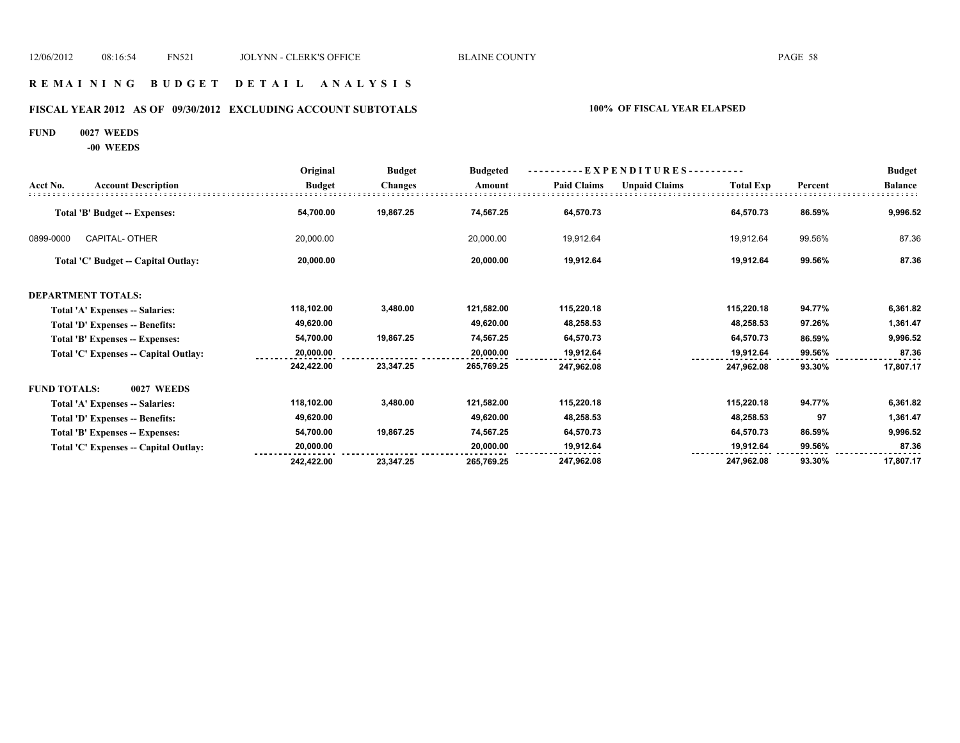### **R E M A I N I N G B U D G E T D E T A I L A N A L Y S I S**

# **FISCAL YEAR 2012 AS OF 09/30/2012 EXCLUDING ACCOUNT SUBTOTALS 100% OF FISCAL YEAR ELAPSED**

### **FUND 0027 WEEDS**

**-00 WEEDS**

|                     |                                        | Original      | <b>Budget</b> | <b>Budgeted</b> | EXPENDITURES---------- |                      |                  |         | <b>Budget</b>  |
|---------------------|----------------------------------------|---------------|---------------|-----------------|------------------------|----------------------|------------------|---------|----------------|
| Acct No.            | <b>Account Description</b>             | <b>Budget</b> | Changes       | Amount          | <b>Paid Claims</b>     | <b>Unpaid Claims</b> | <b>Total Exp</b> | Percent | <b>Balance</b> |
|                     | <b>Total 'B' Budget -- Expenses:</b>   | 54,700.00     | 19,867.25     | 74,567.25       | 64,570.73              |                      | 64,570.73        | 86.59%  | 9,996.52       |
| 0899-0000           | <b>CAPITAL- OTHER</b>                  | 20,000.00     |               | 20,000.00       | 19,912.64              |                      | 19,912.64        | 99.56%  | 87.36          |
|                     | Total 'C' Budget -- Capital Outlay:    | 20,000.00     |               | 20,000.00       | 19,912.64              |                      | 19,912.64        | 99.56%  | 87.36          |
|                     | <b>DEPARTMENT TOTALS:</b>              |               |               |                 |                        |                      |                  |         |                |
|                     | Total 'A' Expenses -- Salaries:        | 118,102.00    | 3,480.00      | 121,582.00      | 115,220.18             |                      | 115,220.18       | 94.77%  | 6,361.82       |
|                     | <b>Total 'D' Expenses -- Benefits:</b> | 49,620.00     |               | 49,620.00       | 48,258.53              |                      | 48,258.53        | 97.26%  | 1,361.47       |
|                     | Total 'B' Expenses -- Expenses:        | 54,700.00     | 19,867.25     | 74,567.25       | 64,570.73              |                      | 64,570.73        | 86.59%  | 9,996.52       |
|                     | Total 'C' Expenses -- Capital Outlay:  | 20,000.00     |               | 20,000.00       | 19,912.64              |                      | 19,912.64        | 99.56%  | 87.36          |
|                     |                                        | 242,422.00    | 23,347.25     | 265,769.25      | 247,962.08             |                      | 247,962.08       | 93.30%  | 17,807.17      |
| <b>FUND TOTALS:</b> | 0027 WEEDS                             |               |               |                 |                        |                      |                  |         |                |
|                     | Total 'A' Expenses -- Salaries:        | 118,102.00    | 3,480.00      | 121,582.00      | 115,220.18             |                      | 115,220.18       | 94.77%  | 6,361.82       |
|                     | Total 'D' Expenses -- Benefits:        | 49,620.00     |               | 49,620.00       | 48,258.53              |                      | 48,258.53        | 97      | 1,361.47       |
|                     | Total 'B' Expenses -- Expenses:        | 54,700.00     | 19,867.25     | 74,567.25       | 64,570.73              |                      | 64,570.73        | 86.59%  | 9,996.52       |
|                     | Total 'C' Expenses -- Capital Outlay:  | 20,000.00     |               | 20,000.00       | 19,912.64              |                      | 19,912.64        | 99.56%  | 87.36          |
|                     |                                        | 242,422.00    | 23,347.25     | 265,769.25      | 247,962.08             |                      | 247,962.08       | 93.30%  | 17,807.17      |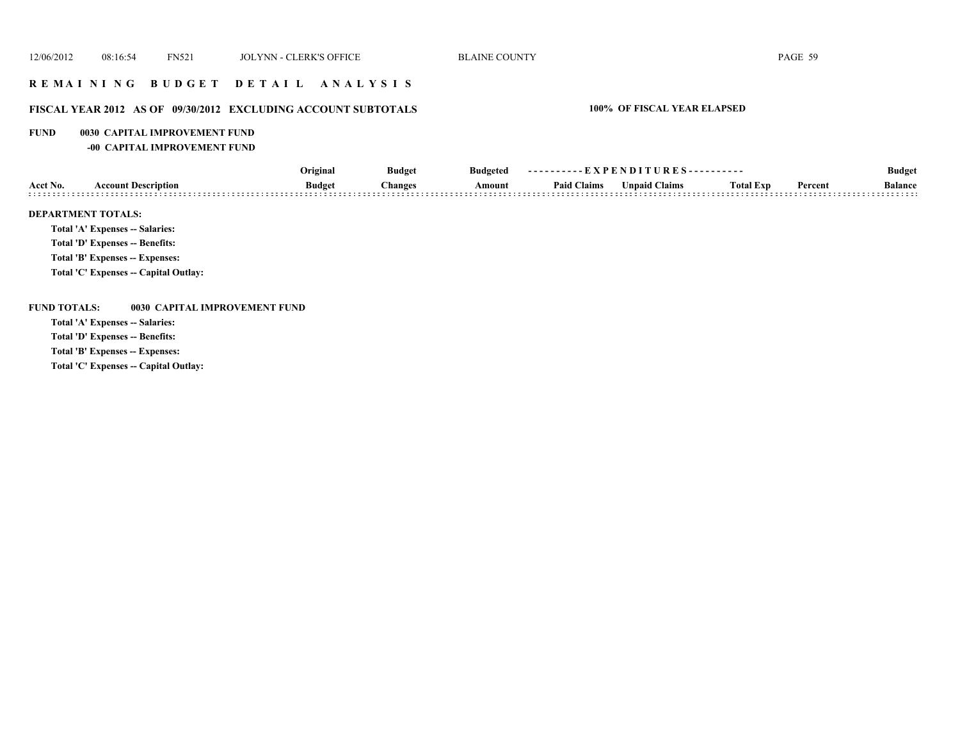### **R E M A I N I N G B U D G E T D E T A I L A N A L Y S I S**

# **FISCAL YEAR 2012 AS OF 09/30/2012 EXCLUDING ACCOUNT SUBTOTALS 100% OF FISCAL YEAR ELAPSED**

### **FUND 0030 CAPITAL IMPROVEMENT FUND**

**-00 CAPITAL IMPROVEMENT FUND**

|                           |                                 | Original      | <b>Budget</b> | <b>Budgeted</b> | ----------EXPENDITURES---------- |                      |                  |         | <b>Budget</b>  |  |
|---------------------------|---------------------------------|---------------|---------------|-----------------|----------------------------------|----------------------|------------------|---------|----------------|--|
| Acct No.                  | <b>Account Description</b>      | <b>Budget</b> | hanges:       | Amount          | <b>Paid Claims</b>               | <b>Unpaid Claims</b> | <b>Total Exp</b> | Percent | <b>Balance</b> |  |
| <b>DEPARTMENT TOTALS:</b> | Total 'A' Expenses -- Salaries: |               |               |                 |                                  |                      |                  |         |                |  |

**Total 'D' Expenses -- Benefits:**

**Total 'B' Expenses -- Expenses:**

**Total 'C' Expenses -- Capital Outlay:**

### **FUND TOTALS: 0030 CAPITAL IMPROVEMENT FUND**

**Total 'A' Expenses -- Salaries:**

**Total 'D' Expenses -- Benefits:**

**Total 'B' Expenses -- Expenses:**

**Total 'C' Expenses -- Capital Outlay:**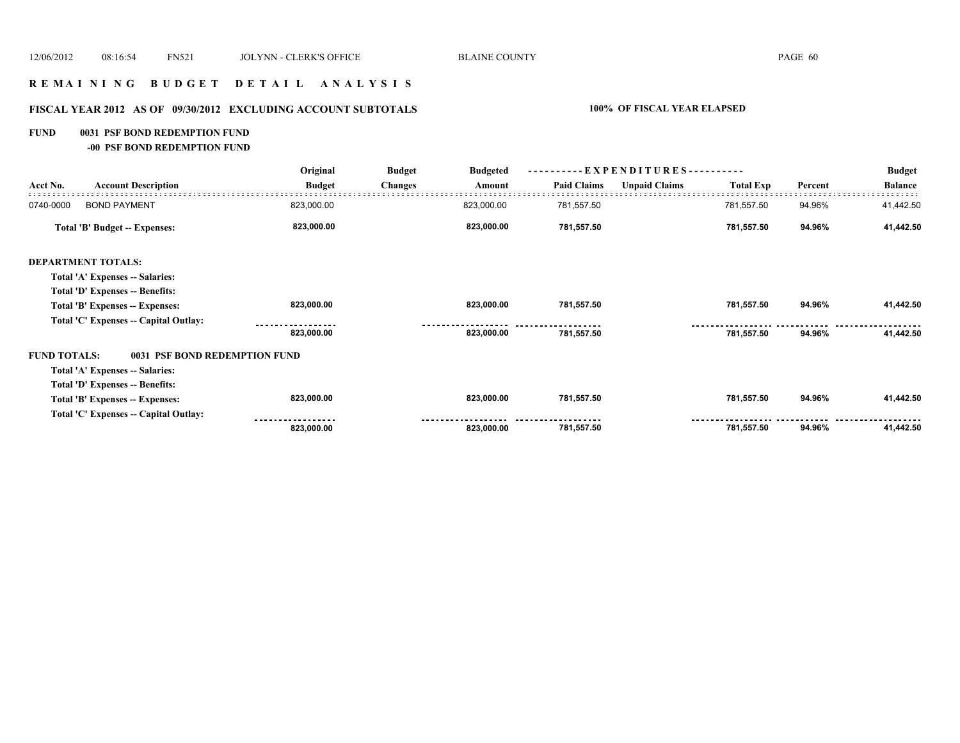### **R E M A I N I N G B U D G E T D E T A I L A N A L Y S I S**

# **FISCAL YEAR 2012 AS OF 09/30/2012 EXCLUDING ACCOUNT SUBTOTALS 100% OF FISCAL YEAR ELAPSED**

### **FUND 0031 PSF BOND REDEMPTION FUND**

**-00 PSF BOND REDEMPTION FUND**

|                     |                                       | Original      | <b>Budget</b>  | <b>Budgeted</b> |                    | - EXPENDITURES---------- |                  |         | <b>Budget</b>  |
|---------------------|---------------------------------------|---------------|----------------|-----------------|--------------------|--------------------------|------------------|---------|----------------|
| Acct No.            | <b>Account Description</b>            | <b>Budget</b> | <b>Changes</b> | Amount          | <b>Paid Claims</b> | <b>Unpaid Claims</b>     | <b>Total Exp</b> | Percent | <b>Balance</b> |
| 0740-0000           | <b>BOND PAYMENT</b>                   | 823,000.00    |                | 823,000.00      | 781,557.50         |                          | 781,557.50       | 94.96%  | 41,442.50      |
|                     | Total 'B' Budget -- Expenses:         | 823,000.00    |                | 823,000.00      | 781,557.50         |                          | 781,557.50       | 94.96%  | 41,442.50      |
|                     | <b>DEPARTMENT TOTALS:</b>             |               |                |                 |                    |                          |                  |         |                |
|                     | Total 'A' Expenses -- Salaries:       |               |                |                 |                    |                          |                  |         |                |
|                     | Total 'D' Expenses -- Benefits:       |               |                |                 |                    |                          |                  |         |                |
|                     | Total 'B' Expenses -- Expenses:       | 823,000.00    |                | 823,000.00      | 781,557.50         |                          | 781,557.50       | 94.96%  | 41,442.50      |
|                     | Total 'C' Expenses -- Capital Outlay: |               |                |                 |                    |                          |                  |         |                |
|                     |                                       | 823,000.00    |                | 823,000.00      | 781,557.50         |                          | 781,557.50       | 94.96%  | 41,442.50      |
| <b>FUND TOTALS:</b> | 0031 PSF BOND REDEMPTION FUND         |               |                |                 |                    |                          |                  |         |                |
|                     | Total 'A' Expenses -- Salaries:       |               |                |                 |                    |                          |                  |         |                |
|                     | Total 'D' Expenses -- Benefits:       |               |                |                 |                    |                          |                  |         |                |
|                     | Total 'B' Expenses -- Expenses:       | 823,000.00    |                | 823,000.00      | 781,557.50         |                          | 781,557.50       | 94.96%  | 41,442.50      |
|                     | Total 'C' Expenses -- Capital Outlay: |               |                |                 |                    |                          |                  |         |                |
|                     |                                       | 823,000.00    |                | 823,000.00      | 781,557.50         |                          | 781,557.50       | 94.96%  | 41,442.50      |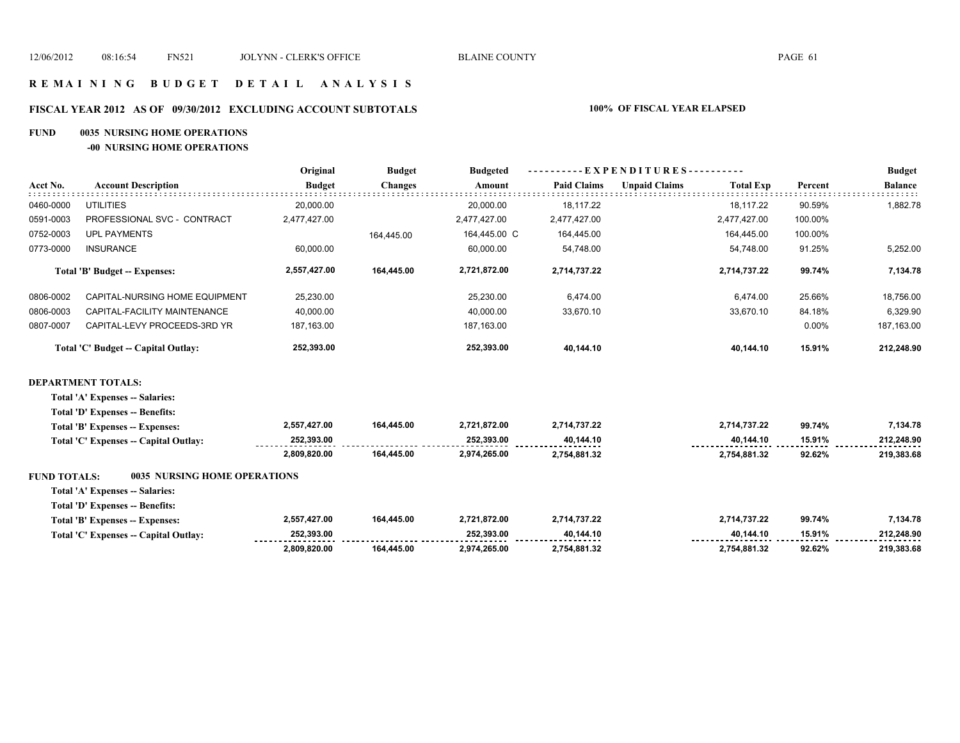### **R E M A I N I N G B U D G E T D E T A I L A N A L Y S I S**

# **FISCAL YEAR 2012 AS OF 09/30/2012 EXCLUDING ACCOUNT SUBTOTALS 100% OF FISCAL YEAR ELAPSED**

### **FUND 0035 NURSING HOME OPERATIONS**

**-00 NURSING HOME OPERATIONS**

|                     |                                       | Original      | <b>Budget</b>  | <b>Budgeted</b> |                    | EXPENDITURES--                           |         | <b>Budget</b>  |
|---------------------|---------------------------------------|---------------|----------------|-----------------|--------------------|------------------------------------------|---------|----------------|
| Acct No.            | <b>Account Description</b>            | <b>Budget</b> | <b>Changes</b> | Amount          | <b>Paid Claims</b> | <b>Unpaid Claims</b><br><b>Total Exp</b> | Percent | <b>Balance</b> |
| 0460-0000           | <b>UTILITIES</b>                      | 20,000.00     |                | 20,000.00       | 18,117.22          | 18,117.22                                | 90.59%  | 1,882.78       |
| 0591-0003           | PROFESSIONAL SVC - CONTRACT           | 2,477,427.00  |                | 2,477,427.00    | 2,477,427.00       | 2,477,427.00                             | 100.00% |                |
| 0752-0003           | <b>UPL PAYMENTS</b>                   |               | 164,445.00     | 164,445.00 C    | 164,445.00         | 164,445.00                               | 100.00% |                |
| 0773-0000           | <b>INSURANCE</b>                      | 60,000.00     |                | 60,000.00       | 54,748.00          | 54,748.00                                | 91.25%  | 5,252.00       |
|                     | Total 'B' Budget -- Expenses:         | 2,557,427.00  | 164,445.00     | 2,721,872.00    | 2,714,737.22       | 2,714,737.22                             | 99.74%  | 7,134.78       |
| 0806-0002           | CAPITAL-NURSING HOME EQUIPMENT        | 25,230.00     |                | 25,230.00       | 6,474.00           | 6,474.00                                 | 25.66%  | 18,756.00      |
| 0806-0003           | CAPITAL-FACILITY MAINTENANCE          | 40,000.00     |                | 40,000.00       | 33,670.10          | 33,670.10                                | 84.18%  | 6,329.90       |
| 0807-0007           | CAPITAL-LEVY PROCEEDS-3RD YR          | 187,163.00    |                | 187,163.00      |                    |                                          | 0.00%   | 187,163.00     |
|                     | Total 'C' Budget -- Capital Outlay:   | 252,393.00    |                | 252,393.00      | 40,144.10          | 40,144.10                                | 15.91%  | 212,248.90     |
|                     | <b>DEPARTMENT TOTALS:</b>             |               |                |                 |                    |                                          |         |                |
|                     | Total 'A' Expenses -- Salaries:       |               |                |                 |                    |                                          |         |                |
|                     | Total 'D' Expenses -- Benefits:       |               |                |                 |                    |                                          |         |                |
|                     | Total 'B' Expenses -- Expenses:       | 2,557,427.00  | 164.445.00     | 2,721,872.00    | 2,714,737.22       | 2,714,737.22                             | 99.74%  | 7,134.78       |
|                     | Total 'C' Expenses -- Capital Outlay: | 252,393.00    |                | 252,393.00      | 40,144.10          | 40,144.10                                | 15.91%  | 212,248.90     |
|                     |                                       | 2,809,820.00  | 164.445.00     | 2,974,265.00    | 2,754,881.32       | 2,754,881.32                             | 92.62%  | 219,383.68     |
| <b>FUND TOTALS:</b> | <b>0035 NURSING HOME OPERATIONS</b>   |               |                |                 |                    |                                          |         |                |
|                     | Total 'A' Expenses -- Salaries:       |               |                |                 |                    |                                          |         |                |
|                     | Total 'D' Expenses -- Benefits:       |               |                |                 |                    |                                          |         |                |
|                     | Total 'B' Expenses -- Expenses:       | 2,557,427.00  | 164,445.00     | 2,721,872.00    | 2,714,737.22       | 2,714,737.22                             | 99.74%  | 7,134.78       |
|                     | Total 'C' Expenses -- Capital Outlay: | 252,393.00    |                | 252,393.00      | 40,144.10          | 40,144.10                                | 15.91%  | 212,248.90     |
|                     |                                       | 2,809,820.00  | 164,445.00     | 2,974,265.00    | 2,754,881.32       | 2,754,881.32                             | 92.62%  | 219,383.68     |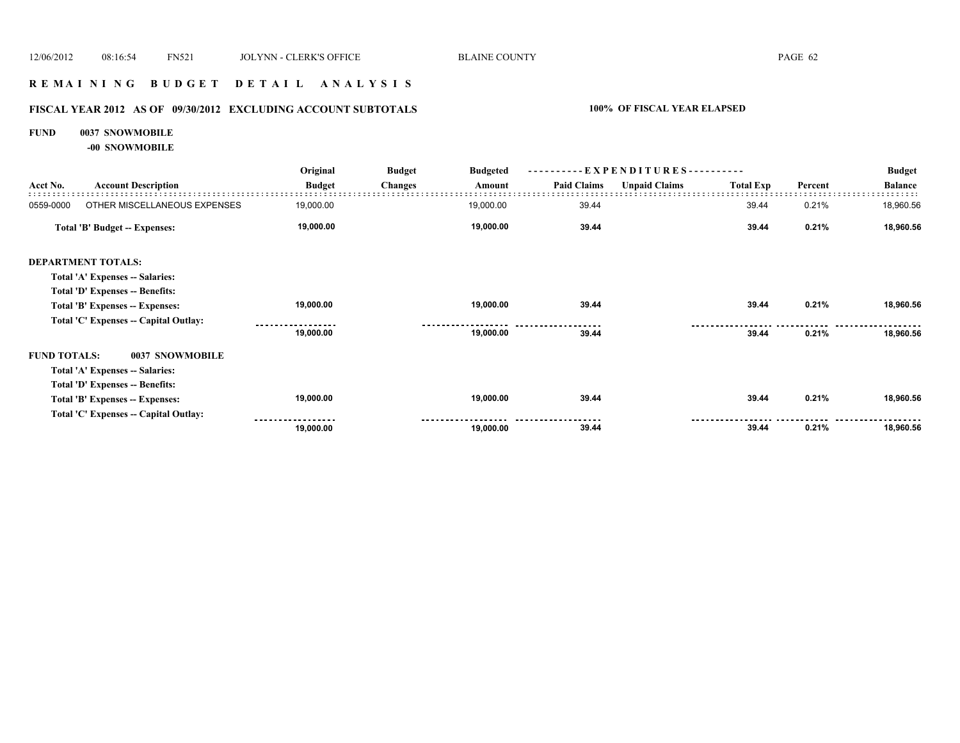### **R E M A I N I N G B U D G E T D E T A I L A N A L Y S I S**

# **FISCAL YEAR 2012 AS OF 09/30/2012 EXCLUDING ACCOUNT SUBTOTALS 100% OF FISCAL YEAR ELAPSED**

### **FUND 0037 SNOWMOBILE**

**-00 SNOWMOBILE**

|                     |                                       | Original      | <b>Budget</b>  | <b>Budgeted</b><br>Amount | - EXPENDITURES---------- |                      |                  |         | <b>Budget</b>  |
|---------------------|---------------------------------------|---------------|----------------|---------------------------|--------------------------|----------------------|------------------|---------|----------------|
| Acct No.            | <b>Account Description</b>            | <b>Budget</b> | <b>Changes</b> |                           | <b>Paid Claims</b>       | <b>Unpaid Claims</b> | <b>Total Exp</b> | Percent | <b>Balance</b> |
| 0559-0000           | OTHER MISCELLANEOUS EXPENSES          | 19,000.00     |                | 19,000.00                 | 39.44                    |                      | 39.44            | 0.21%   | 18,960.56      |
|                     | Total 'B' Budget -- Expenses:         | 19,000.00     |                | 19,000.00                 | 39.44                    |                      | 39.44            | 0.21%   | 18,960.56      |
|                     | <b>DEPARTMENT TOTALS:</b>             |               |                |                           |                          |                      |                  |         |                |
|                     | Total 'A' Expenses -- Salaries:       |               |                |                           |                          |                      |                  |         |                |
|                     | Total 'D' Expenses -- Benefits:       |               |                |                           |                          |                      |                  |         |                |
|                     | Total 'B' Expenses -- Expenses:       | 19,000.00     |                | 19,000.00                 | 39.44                    |                      | 39.44            | 0.21%   | 18,960.56      |
|                     | Total 'C' Expenses -- Capital Outlay: |               |                |                           |                          |                      |                  |         |                |
|                     |                                       | 19,000.00     |                | 19,000.00                 | 39.44                    |                      | 39.44            | 0.21%   | 18,960.56      |
| <b>FUND TOTALS:</b> | 0037 SNOWMOBILE                       |               |                |                           |                          |                      |                  |         |                |
|                     | Total 'A' Expenses -- Salaries:       |               |                |                           |                          |                      |                  |         |                |
|                     | Total 'D' Expenses -- Benefits:       |               |                |                           |                          |                      |                  |         |                |
|                     | Total 'B' Expenses -- Expenses:       | 19,000.00     |                | 19,000.00                 | 39.44                    |                      | 39.44            | 0.21%   | 18,960.56      |
|                     | Total 'C' Expenses -- Capital Outlay: |               |                |                           |                          |                      |                  |         |                |
|                     |                                       | 19,000.00     |                | 19,000.00                 | 39.44                    |                      | 39.44            | 0.21%   | 18,960.56      |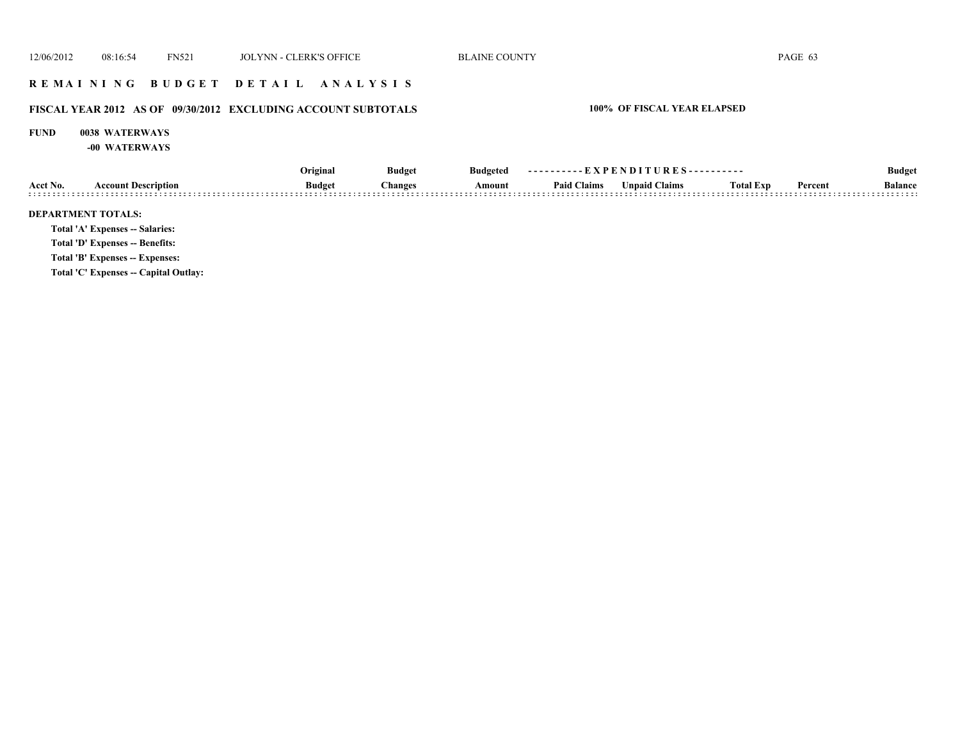### **R E M A I N I N G B U D G E T D E T A I L A N A L Y S I S**

# **FISCAL YEAR 2012 AS OF 09/30/2012 EXCLUDING ACCOUNT SUBTOTALS 100% OF FISCAL YEAR ELAPSED**

### **FUND 0038 WATERWAYS**

**-00 WATERWAYS**

|          |                                        | Original      | <b>Budget</b><br><b>Changes</b> | <b>Budgeted</b> | ----------EXPENDITURES---------- |                      |                  |         | <b>Budget</b>  |
|----------|----------------------------------------|---------------|---------------------------------|-----------------|----------------------------------|----------------------|------------------|---------|----------------|
| Acct No. | <b>Account Description</b>             | <b>Budget</b> |                                 | Amount          | <b>Paid Claims</b>               | <b>Unpaid Claims</b> | <b>Total Exp</b> | Percent | <b>Balance</b> |
|          | <b>DEPARTMENT TOTALS:</b>              |               |                                 |                 |                                  |                      |                  |         |                |
|          | Total 'A' Expenses -- Salaries:        |               |                                 |                 |                                  |                      |                  |         |                |
|          | <b>Total 'D' Expenses -- Benefits:</b> |               |                                 |                 |                                  |                      |                  |         |                |
|          | Total 'B' Expenses -- Expenses:        |               |                                 |                 |                                  |                      |                  |         |                |
|          | Total 'C' Expenses -- Capital Outlay:  |               |                                 |                 |                                  |                      |                  |         |                |
|          |                                        |               |                                 |                 |                                  |                      |                  |         |                |
|          |                                        |               |                                 |                 |                                  |                      |                  |         |                |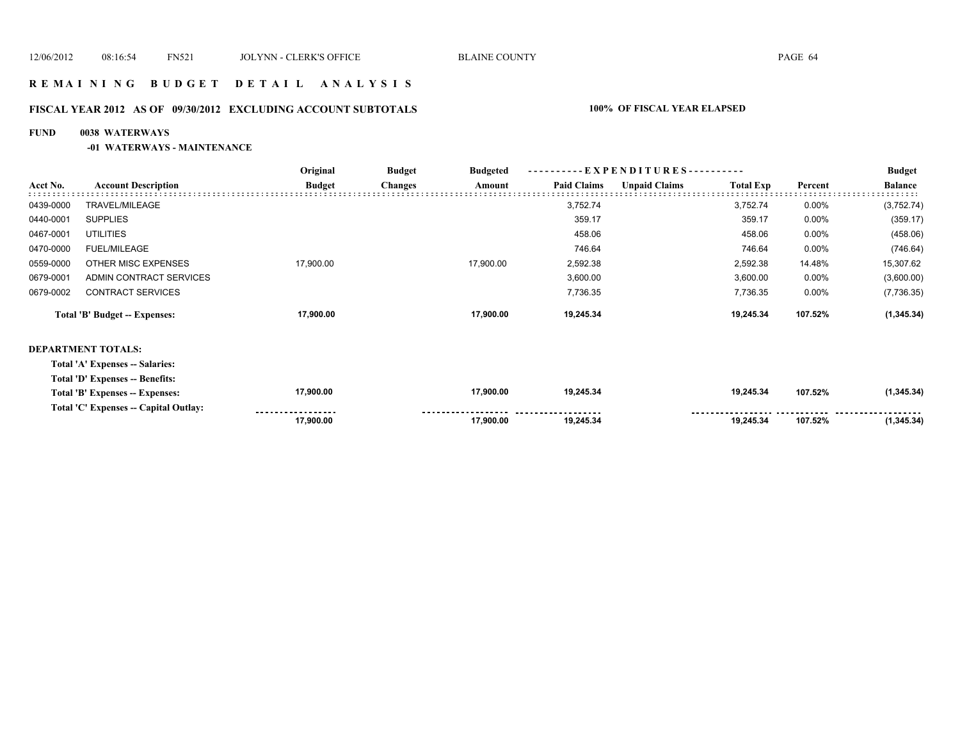**19,245.34 19,245.34 107.52% (1,345.34)**

### **R E M A I N I N G B U D G E T D E T A I L A N A L Y S I S**

### **FISCAL YEAR 2012 AS OF 09/30/2012 EXCLUDING ACCOUNT SUBTOTALS 100% OF FISCAL YEAR ELAPSED**

### **FUND 0038 WATERWAYS**

**-01 WATERWAYS - MAINTENANCE**

|           |                                       | Original      | <b>Budget</b><br><b>Changes</b> | <b>Budgeted</b><br>Amount | ----------EXPENDITURES---------- |                      |                  |          | <b>Budget</b>  |
|-----------|---------------------------------------|---------------|---------------------------------|---------------------------|----------------------------------|----------------------|------------------|----------|----------------|
| Acct No.  | <b>Account Description</b>            | <b>Budget</b> |                                 |                           | <b>Paid Claims</b>               | <b>Unpaid Claims</b> | <b>Total Exp</b> | Percent  | <b>Balance</b> |
| 0439-0000 | TRAVEL/MILEAGE                        |               |                                 |                           | 3,752.74                         |                      | 3,752.74         | $0.00\%$ | (3,752.74)     |
| 0440-0001 | <b>SUPPLIES</b>                       |               |                                 |                           | 359.17                           |                      | 359.17           | $0.00\%$ | (359.17)       |
| 0467-0001 | <b>UTILITIES</b>                      |               |                                 |                           | 458.06                           |                      | 458.06           | $0.00\%$ | (458.06)       |
| 0470-0000 | <b>FUEL/MILEAGE</b>                   |               |                                 |                           | 746.64                           |                      | 746.64           | $0.00\%$ | (746.64)       |
| 0559-0000 | OTHER MISC EXPENSES                   | 17,900.00     |                                 | 17,900.00                 | 2,592.38                         |                      | 2,592.38         | 14.48%   | 15,307.62      |
| 0679-0001 | ADMIN CONTRACT SERVICES               |               |                                 |                           | 3,600.00                         |                      | 3,600.00         | $0.00\%$ | (3,600.00)     |
| 0679-0002 | <b>CONTRACT SERVICES</b>              |               |                                 |                           | 7,736.35                         |                      | 7,736.35         | $0.00\%$ | (7,736.35)     |
|           | Total 'B' Budget -- Expenses:         | 17,900.00     |                                 | 17,900.00                 | 19,245.34                        |                      | 19,245.34        | 107.52%  | (1,345.34)     |
|           | <b>DEPARTMENT TOTALS:</b>             |               |                                 |                           |                                  |                      |                  |          |                |
|           | Total 'A' Expenses -- Salaries:       |               |                                 |                           |                                  |                      |                  |          |                |
|           | Total 'D' Expenses -- Benefits:       |               |                                 |                           |                                  |                      |                  |          |                |
|           | Total 'B' Expenses -- Expenses:       | 17,900.00     |                                 | 17,900.00                 | 19,245.34                        |                      | 19,245.34        | 107.52%  | (1,345.34)     |
|           | Total 'C' Expenses -- Capital Outlay: |               |                                 |                           |                                  |                      |                  |          |                |
|           |                                       | 17.900.00     |                                 | 17,900.00                 | 19.245.34                        |                      | 19.245.34        | 107.52%  | (1.345.34)     |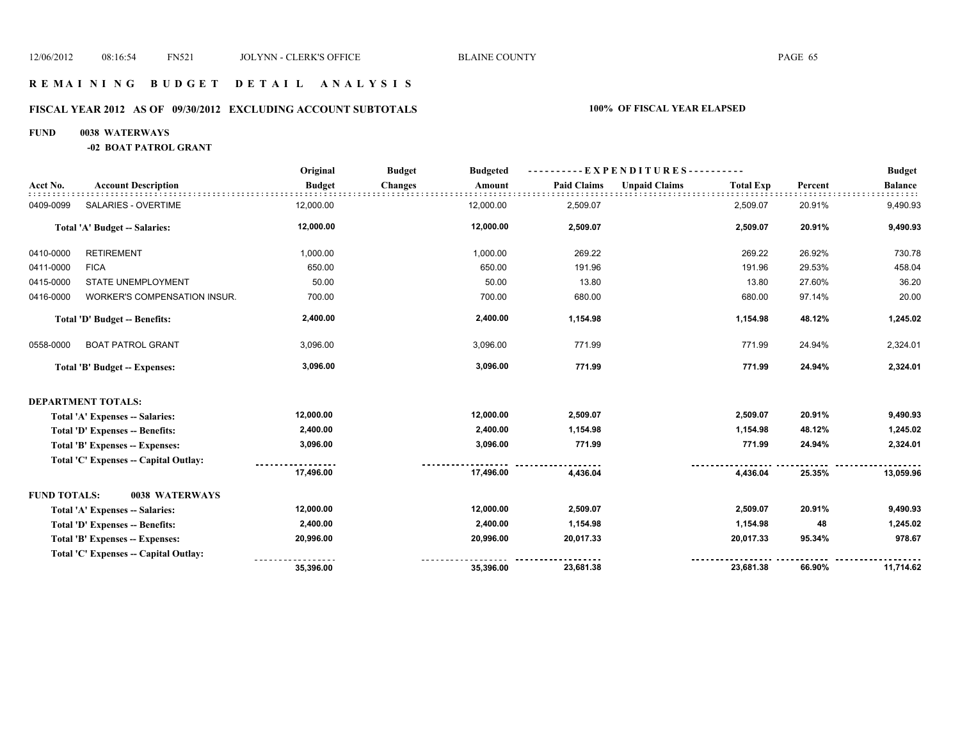### **R E M A I N I N G B U D G E T D E T A I L A N A L Y S I S**

# **FISCAL YEAR 2012 AS OF 09/30/2012 EXCLUDING ACCOUNT SUBTOTALS 100% OF FISCAL YEAR ELAPSED**

### **FUND 0038 WATERWAYS**

**-02 BOAT PATROL GRANT**

|                     |                                        | Original      | <b>Budgeted</b><br><b>Budget</b> |                    | --EXPENDITURES----------                 |         | <b>Budget</b>  |
|---------------------|----------------------------------------|---------------|----------------------------------|--------------------|------------------------------------------|---------|----------------|
| Acct No.            | <b>Account Description</b>             | <b>Budget</b> | <b>Changes</b><br>Amount         | <b>Paid Claims</b> | <b>Unpaid Claims</b><br><b>Total Exp</b> | Percent | <b>Balance</b> |
| 0409-0099           | SALARIES - OVERTIME                    | 12,000.00     | 12,000.00                        | 2,509.07           | 2,509.07                                 | 20.91%  | 9,490.93       |
|                     | Total 'A' Budget -- Salaries:          | 12,000.00     | 12,000.00                        | 2,509.07           | 2,509.07                                 | 20.91%  | 9,490.93       |
| 0410-0000           | <b>RETIREMENT</b>                      | 1,000.00      | 1,000.00                         | 269.22             | 269.22                                   | 26.92%  | 730.78         |
| 0411-0000           | <b>FICA</b>                            | 650.00        | 650.00                           | 191.96             | 191.96                                   | 29.53%  | 458.04         |
| 0415-0000           | <b>STATE UNEMPLOYMENT</b>              | 50.00         | 50.00                            | 13.80              | 13.80                                    | 27.60%  | 36.20          |
| 0416-0000           | WORKER'S COMPENSATION INSUR.           | 700.00        | 700.00                           | 680.00             | 680.00                                   | 97.14%  | 20.00          |
|                     | Total 'D' Budget -- Benefits:          | 2,400.00      | 2,400.00                         | 1,154.98           | 1,154.98                                 | 48.12%  | 1,245.02       |
| 0558-0000           | <b>BOAT PATROL GRANT</b>               | 3,096.00      | 3,096.00                         | 771.99             | 771.99                                   | 24.94%  | 2,324.01       |
|                     | <b>Total 'B' Budget -- Expenses:</b>   | 3,096.00      | 3,096.00                         | 771.99             | 771.99                                   | 24.94%  | 2,324.01       |
|                     | <b>DEPARTMENT TOTALS:</b>              |               |                                  |                    |                                          |         |                |
|                     | Total 'A' Expenses -- Salaries:        | 12,000.00     | 12,000.00                        | 2,509.07           | 2,509.07                                 | 20.91%  | 9,490.93       |
|                     | <b>Total 'D' Expenses -- Benefits:</b> | 2,400.00      | 2,400.00                         | 1,154.98           | 1,154.98                                 | 48.12%  | 1,245.02       |
|                     | Total 'B' Expenses -- Expenses:        | 3,096.00      | 3,096.00                         | 771.99             | 771.99                                   | 24.94%  | 2,324.01       |
|                     | Total 'C' Expenses -- Capital Outlay:  |               |                                  |                    |                                          |         |                |
|                     |                                        | 17,496.00     | 17,496.00                        | 4,436.04           | 4,436.04                                 | 25.35%  | 13,059.96      |
| <b>FUND TOTALS:</b> | 0038 WATERWAYS                         |               |                                  |                    |                                          |         |                |
|                     | Total 'A' Expenses -- Salaries:        | 12,000.00     | 12,000.00                        | 2,509.07           | 2,509.07                                 | 20.91%  | 9,490.93       |
|                     | Total 'D' Expenses -- Benefits:        | 2,400.00      | 2,400.00                         | 1,154.98           | 1,154.98                                 | 48      | 1,245.02       |
|                     | Total 'B' Expenses -- Expenses:        | 20,996.00     | 20,996.00                        | 20,017.33          | 20,017.33                                | 95.34%  | 978.67         |
|                     | Total 'C' Expenses -- Capital Outlay:  |               |                                  |                    |                                          |         |                |
|                     |                                        | 35,396.00     | 35,396.00                        | 23,681.38          | 23,681.38                                | 66.90%  | 11,714.62      |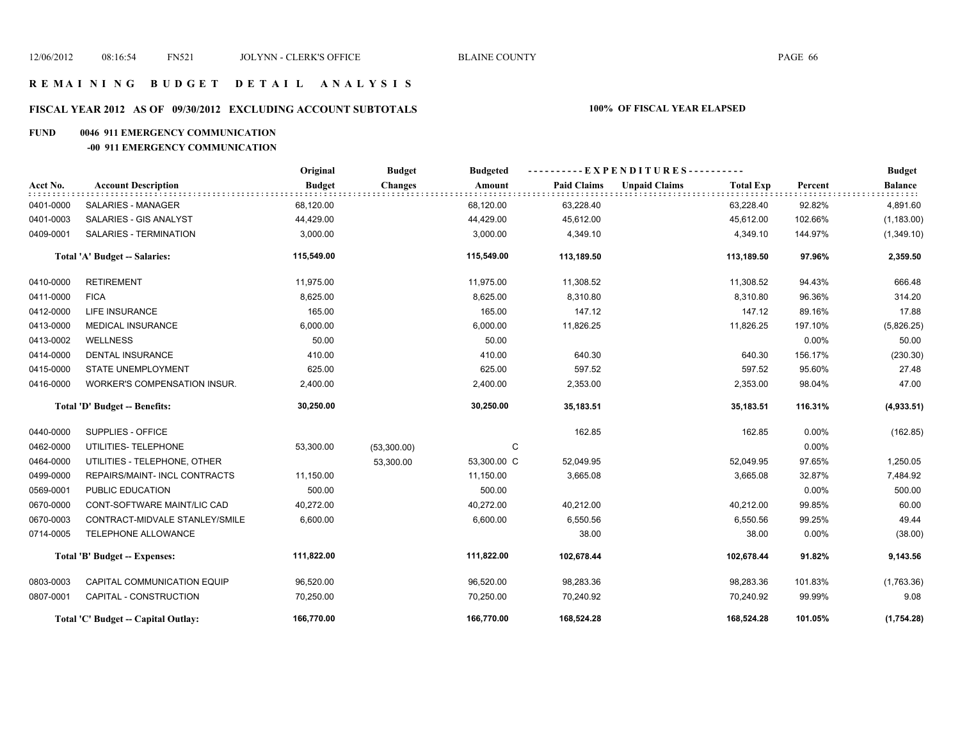# **FISCAL YEAR 2012 AS OF 09/30/2012 EXCLUDING ACCOUNT SUBTOTALS 100% OF FISCAL YEAR ELAPSED**

### **FUND 0046 911 EMERGENCY COMMUNICATION**

### **-00 911 EMERGENCY COMMUNICATION**

|           |                                      | Original      | <b>Budget</b>  | <b>Budgeted</b> | ----------EXPENDITURES---------- |                      |                  |          | <b>Budget</b>  |
|-----------|--------------------------------------|---------------|----------------|-----------------|----------------------------------|----------------------|------------------|----------|----------------|
| Acct No.  | <b>Account Description</b>           | <b>Budget</b> | <b>Changes</b> | Amount          | <b>Paid Claims</b>               | <b>Unpaid Claims</b> | <b>Total Exp</b> | Percent  | <b>Balance</b> |
| 0401-0000 | SALARIES - MANAGER                   | 68,120.00     |                | 68,120.00       | 63,228.40                        |                      | 63,228.40        | 92.82%   | 4,891.60       |
| 0401-0003 | SALARIES - GIS ANALYST               | 44,429.00     |                | 44,429.00       | 45,612.00                        |                      | 45,612.00        | 102.66%  | (1, 183.00)    |
| 0409-0001 | SALARIES - TERMINATION               | 3,000.00      |                | 3,000.00        | 4,349.10                         |                      | 4,349.10         | 144.97%  | (1,349.10)     |
|           | Total 'A' Budget -- Salaries:        | 115,549.00    |                | 115,549.00      | 113,189.50                       |                      | 113,189.50       | 97.96%   | 2,359.50       |
| 0410-0000 | <b>RETIREMENT</b>                    | 11,975.00     |                | 11,975.00       | 11,308.52                        |                      | 11,308.52        | 94.43%   | 666.48         |
| 0411-0000 | <b>FICA</b>                          | 8,625.00      |                | 8,625.00        | 8,310.80                         |                      | 8,310.80         | 96.36%   | 314.20         |
| 0412-0000 | <b>LIFE INSURANCE</b>                | 165.00        |                | 165.00          | 147.12                           |                      | 147.12           | 89.16%   | 17.88          |
| 0413-0000 | <b>MEDICAL INSURANCE</b>             | 6,000.00      |                | 6,000.00        | 11,826.25                        |                      | 11,826.25        | 197.10%  | (5,826.25)     |
| 0413-0002 | <b>WELLNESS</b>                      | 50.00         |                | 50.00           |                                  |                      |                  | $0.00\%$ | 50.00          |
| 0414-0000 | <b>DENTAL INSURANCE</b>              | 410.00        |                | 410.00          | 640.30                           |                      | 640.30           | 156.17%  | (230.30)       |
| 0415-0000 | STATE UNEMPLOYMENT                   | 625.00        |                | 625.00          | 597.52                           |                      | 597.52           | 95.60%   | 27.48          |
| 0416-0000 | WORKER'S COMPENSATION INSUR.         | 2,400.00      |                | 2,400.00        | 2,353.00                         |                      | 2,353.00         | 98.04%   | 47.00          |
|           | Total 'D' Budget -- Benefits:        | 30,250.00     |                | 30,250.00       | 35,183.51                        |                      | 35,183.51        | 116.31%  | (4,933.51)     |
| 0440-0000 | SUPPLIES - OFFICE                    |               |                |                 | 162.85                           |                      | 162.85           | $0.00\%$ | (162.85)       |
| 0462-0000 | UTILITIES- TELEPHONE                 | 53,300.00     | (53,300.00)    | С               |                                  |                      |                  | $0.00\%$ |                |
| 0464-0000 | UTILITIES - TELEPHONE, OTHER         |               | 53,300.00      | 53,300.00 C     | 52,049.95                        |                      | 52,049.95        | 97.65%   | 1,250.05       |
| 0499-0000 | <b>REPAIRS/MAINT- INCL CONTRACTS</b> | 11,150.00     |                | 11,150.00       | 3,665.08                         |                      | 3,665.08         | 32.87%   | 7,484.92       |
| 0569-0001 | PUBLIC EDUCATION                     | 500.00        |                | 500.00          |                                  |                      |                  | $0.00\%$ | 500.00         |
| 0670-0000 | CONT-SOFTWARE MAINT/LIC CAD          | 40,272.00     |                | 40,272.00       | 40,212.00                        |                      | 40,212.00        | 99.85%   | 60.00          |
| 0670-0003 | CONTRACT-MIDVALE STANLEY/SMILE       | 6,600.00      |                | 6,600.00        | 6,550.56                         |                      | 6,550.56         | 99.25%   | 49.44          |
| 0714-0005 | TELEPHONE ALLOWANCE                  |               |                |                 | 38.00                            |                      | 38.00            | 0.00%    | (38.00)        |
|           | <b>Total 'B' Budget -- Expenses:</b> | 111,822.00    |                | 111,822.00      | 102,678.44                       |                      | 102,678.44       | 91.82%   | 9,143.56       |
| 0803-0003 | CAPITAL COMMUNICATION EQUIP          | 96,520.00     |                | 96,520.00       | 98,283.36                        |                      | 98,283.36        | 101.83%  | (1,763.36)     |
| 0807-0001 | CAPITAL - CONSTRUCTION               | 70,250.00     |                | 70,250.00       | 70,240.92                        |                      | 70,240.92        | 99.99%   | 9.08           |
|           | Total 'C' Budget -- Capital Outlay:  | 166,770.00    |                | 166,770.00      | 168,524.28                       |                      | 168,524.28       | 101.05%  | (1,754.28)     |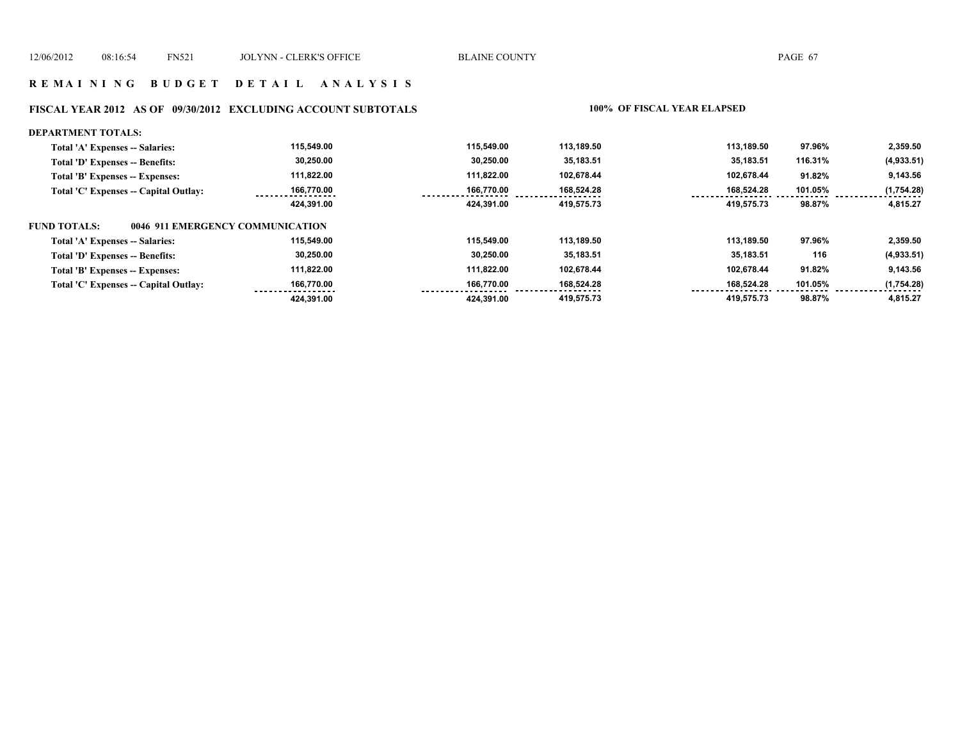### **FISCAL YEAR 2012 AS OF 09/30/2012 EXCLUDING ACCOUNT SUBTOTALS 100% OF FISCAL YEAR ELAPSED**

### **DEPARTMENT TOTALS: 115,549.00 115,549.00 113,189.50 113,189.50 97.96% 2,359.50 Total 'A' Expenses -- Salaries: Total 'D' Expenses -- Benefits: 30,250.00 30,250.00 35,183.51 35,183.51 116.31% (4,933.51) 111,822.00 111,822.00 102,678.44 102,678.44 91.82% 9,143.56 Total 'B' Expenses -- Expenses: 166,770.00 168,524.28 168,524.28 101.05% Total 'C' Expenses -- Capital Outlay: 166,770.00 (1,754.28)**  $\frac{1}{2}$  **424,391.00 424,391.00 419,575.73 419,575.73 98.87% 4,815.27 FUND TOTALS: 0046 911 EMERGENCY COMMUNICATIONTotal 'A' Expenses -- Salaries: 115,549.00 115,549.00 113,189.50 113,189.50 97.96% 2,359.50 30,250.00 30,250.00 35,183.51 35,183.51 Total 'D' Expenses -- Benefits: 116 (4,933.51) 111,822.00 111,822.00 102,678.44 102,678.44 91.82% 9,143.56 Total 'B' Expenses -- Expenses: 166,770.00 Total 'C' Expenses -- Capital Outlay: 166,770.00 168,524.28 168,524.28 101.05% (1,754.28) 424,391.00 424,391.00 419,575.73 419,575.73 98.87% 4,815.27**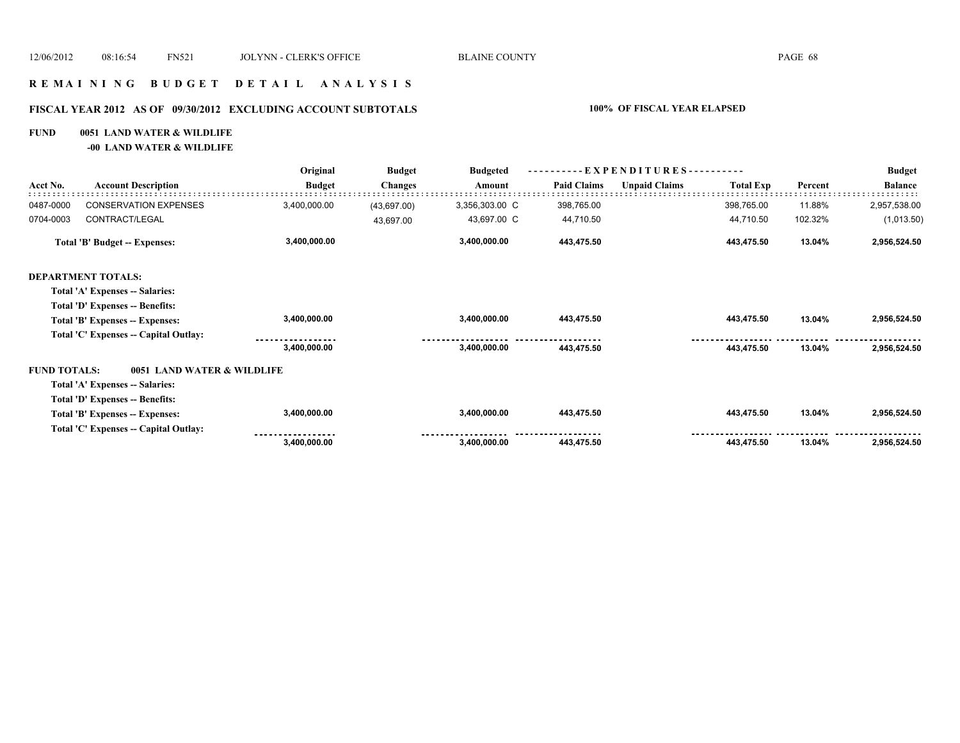### **R E M A I N I N G B U D G E T D E T A I L A N A L Y S I S**

# **FISCAL YEAR 2012 AS OF 09/30/2012 EXCLUDING ACCOUNT SUBTOTALS 100% OF FISCAL YEAR ELAPSED**

### **FUND 0051 LAND WATER & WILDLIFE**

**-00 LAND WATER & WILDLIFE**

|                     | <b>Account Description</b>            | Original      | <b>Budget</b><br><b>Changes</b> | <b>Budgeted</b><br>Amount | - EXPENDITURES---------- |                      |                  |         | <b>Budget</b>  |
|---------------------|---------------------------------------|---------------|---------------------------------|---------------------------|--------------------------|----------------------|------------------|---------|----------------|
| Acct No.            |                                       | <b>Budget</b> |                                 |                           | <b>Paid Claims</b>       | <b>Unpaid Claims</b> | <b>Total Exp</b> | Percent | <b>Balance</b> |
| 0487-0000           | <b>CONSERVATION EXPENSES</b>          | 3,400,000.00  | (43,697.00)                     | 3,356,303.00 C            | 398,765.00               |                      | 398,765.00       | 11.88%  | 2,957,538.00   |
| 0704-0003           | CONTRACT/LEGAL                        |               | 43,697.00                       | 43,697.00 C               | 44,710.50                |                      | 44,710.50        | 102.32% | (1,013.50)     |
|                     | <b>Total 'B' Budget -- Expenses:</b>  | 3,400,000.00  |                                 | 3,400,000.00              | 443,475.50               |                      | 443,475.50       | 13.04%  | 2,956,524.50   |
|                     | <b>DEPARTMENT TOTALS:</b>             |               |                                 |                           |                          |                      |                  |         |                |
|                     | Total 'A' Expenses -- Salaries:       |               |                                 |                           |                          |                      |                  |         |                |
|                     | Total 'D' Expenses -- Benefits:       |               |                                 |                           |                          |                      |                  |         |                |
|                     | Total 'B' Expenses -- Expenses:       | 3,400,000.00  |                                 | 3,400,000.00              | 443,475.50               |                      | 443,475.50       | 13.04%  | 2,956,524.50   |
|                     | Total 'C' Expenses -- Capital Outlay: |               |                                 |                           |                          |                      |                  |         |                |
|                     |                                       | 3,400,000.00  |                                 | 3,400,000.00              | 443,475.50               |                      | 443,475.50       | 13.04%  | 2,956,524.50   |
| <b>FUND TOTALS:</b> | 0051 LAND WATER & WILDLIFE            |               |                                 |                           |                          |                      |                  |         |                |
|                     | Total 'A' Expenses -- Salaries:       |               |                                 |                           |                          |                      |                  |         |                |
|                     | Total 'D' Expenses -- Benefits:       |               |                                 |                           |                          |                      |                  |         |                |
|                     | Total 'B' Expenses -- Expenses:       | 3,400,000.00  |                                 | 3,400,000.00              | 443,475.50               |                      | 443,475.50       | 13.04%  | 2,956,524.50   |
|                     | Total 'C' Expenses -- Capital Outlay: |               |                                 |                           |                          |                      |                  |         |                |
|                     |                                       | 3,400,000.00  |                                 | 3,400,000.00              | 443,475.50               |                      | 443,475.50       | 13.04%  | 2,956,524.50   |